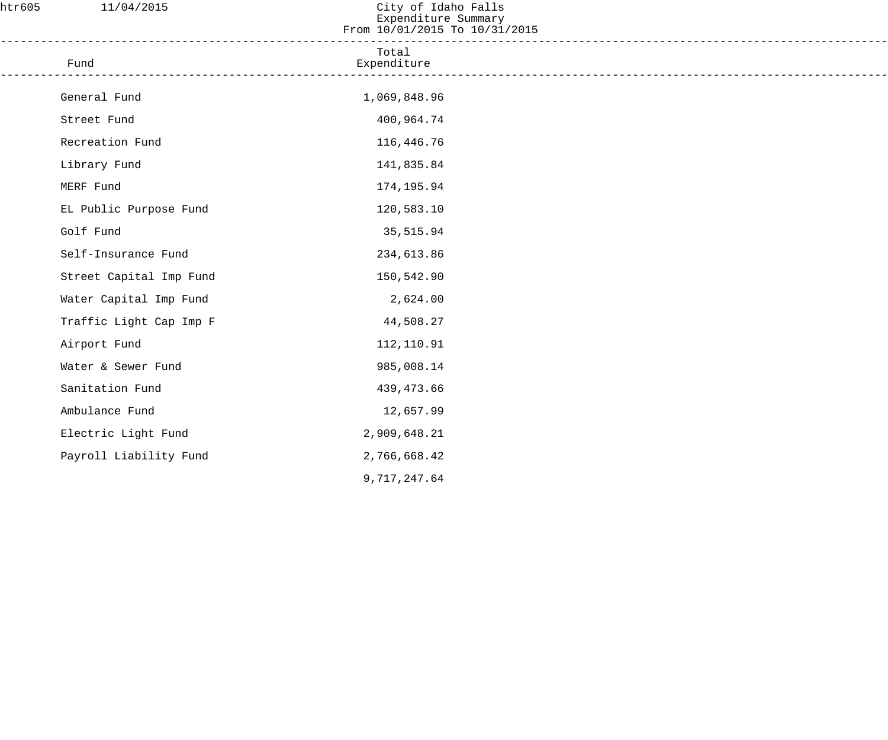| htr605 | 11/04/2015              | City of Idaho Falls<br>Expenditure Summary<br>From 10/01/2015 To 10/31/2015 |  |
|--------|-------------------------|-----------------------------------------------------------------------------|--|
|        | Fund                    | Total<br>Expenditure                                                        |  |
|        | General Fund            | 1,069,848.96                                                                |  |
|        | Street Fund             | 400,964.74                                                                  |  |
|        | Recreation Fund         | 116,446.76                                                                  |  |
|        | Library Fund            | 141,835.84                                                                  |  |
|        | MERF Fund               | 174,195.94                                                                  |  |
|        | EL Public Purpose Fund  | 120,583.10                                                                  |  |
|        | Golf Fund               | 35,515.94                                                                   |  |
|        | Self-Insurance Fund     | 234,613.86                                                                  |  |
|        | Street Capital Imp Fund | 150,542.90                                                                  |  |
|        | Water Capital Imp Fund  | 2,624.00                                                                    |  |
|        | Traffic Light Cap Imp F | 44,508.27                                                                   |  |
|        | Airport Fund            | 112,110.91                                                                  |  |
|        | Water & Sewer Fund      | 985,008.14                                                                  |  |
|        | Sanitation Fund         | 439,473.66                                                                  |  |
|        | Ambulance Fund          | 12,657.99                                                                   |  |
|        | Electric Light Fund     | 2,909,648.21                                                                |  |
|        | Payroll Liability Fund  | 2,766,668.42                                                                |  |
|        |                         | 9,717,247.64                                                                |  |
|        |                         |                                                                             |  |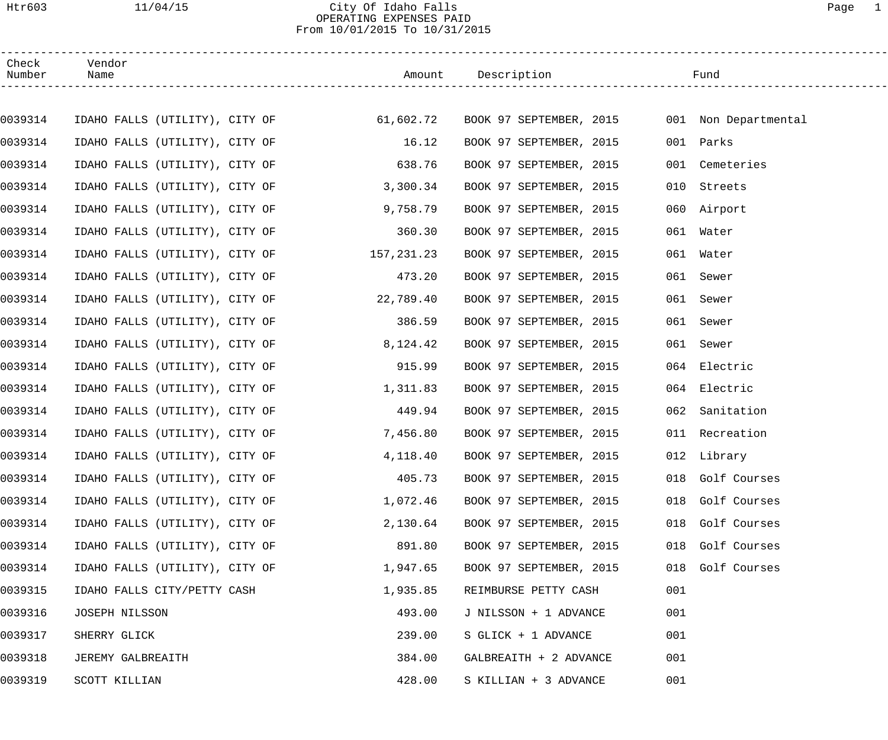#### Htr603 11/04/15 City Of Idaho Falls Page 1 OPERATING EXPENSES PAID From 10/01/2015 To 10/31/2015

| Check<br>Number | Vendor<br>Name                                                                        |           |                         |     |                  |
|-----------------|---------------------------------------------------------------------------------------|-----------|-------------------------|-----|------------------|
|                 |                                                                                       |           |                         |     |                  |
| 0039314         | IDAHO FALLS (UTILITY), CITY OF 61,602.72 BOOK 97 SEPTEMBER, 2015 001 Non Departmental |           |                         |     |                  |
| 0039314         | IDAHO FALLS (UTILITY), CITY OF 16.12                                                  |           | BOOK 97 SEPTEMBER, 2015 |     | 001 Parks        |
| 0039314         | IDAHO FALLS (UTILITY), CITY OF 638.76                                                 |           | BOOK 97 SEPTEMBER, 2015 |     | 001 Cemeteries   |
| 0039314         | IDAHO FALLS (UTILITY), CITY OF                                                        | 3,300.34  | BOOK 97 SEPTEMBER, 2015 |     | 010 Streets      |
| 0039314         | IDAHO FALLS (UTILITY), CITY OF                                                        | 9,758.79  | BOOK 97 SEPTEMBER, 2015 |     | 060 Airport      |
| 0039314         | IDAHO FALLS (UTILITY), CITY OF 360.30                                                 |           | BOOK 97 SEPTEMBER, 2015 |     | 061 Water        |
| 0039314         | IDAHO FALLS (UTILITY), CITY OF 157,231.23                                             |           | BOOK 97 SEPTEMBER, 2015 |     | 061 Water        |
| 0039314         | IDAHO FALLS (UTILITY), CITY OF                                                        | 473.20    | BOOK 97 SEPTEMBER, 2015 |     | 061 Sewer        |
| 0039314         | IDAHO FALLS (UTILITY), CITY OF                                                        | 22,789.40 | BOOK 97 SEPTEMBER, 2015 |     | 061 Sewer        |
| 0039314         | IDAHO FALLS (UTILITY), CITY OF                                                        | 386.59    | BOOK 97 SEPTEMBER, 2015 |     | 061 Sewer        |
| 0039314         | IDAHO FALLS (UTILITY), CITY OF                                                        | 8,124.42  | BOOK 97 SEPTEMBER, 2015 |     | 061 Sewer        |
| 0039314         | IDAHO FALLS (UTILITY), CITY OF                                                        | 915.99    | BOOK 97 SEPTEMBER, 2015 |     | 064 Electric     |
| 0039314         | IDAHO FALLS (UTILITY), CITY OF                                                        | 1,311.83  | BOOK 97 SEPTEMBER, 2015 |     | 064 Electric     |
| 0039314         | IDAHO FALLS (UTILITY), CITY OF                                                        | 449.94    | BOOK 97 SEPTEMBER, 2015 |     | 062 Sanitation   |
| 0039314         | IDAHO FALLS (UTILITY), CITY OF                                                        | 7,456.80  | BOOK 97 SEPTEMBER, 2015 |     | 011 Recreation   |
| 0039314         | IDAHO FALLS (UTILITY), CITY OF                                                        | 4,118.40  | BOOK 97 SEPTEMBER, 2015 |     | 012 Library      |
| 0039314         | IDAHO FALLS (UTILITY), CITY OF                                                        | 405.73    | BOOK 97 SEPTEMBER, 2015 |     | 018 Golf Courses |
| 0039314         | IDAHO FALLS (UTILITY), CITY OF                                                        | 1,072.46  | BOOK 97 SEPTEMBER, 2015 |     | 018 Golf Courses |
| 0039314         | IDAHO FALLS (UTILITY), CITY OF                                                        | 2,130.64  | BOOK 97 SEPTEMBER, 2015 | 018 | Golf Courses     |
| 0039314         | IDAHO FALLS (UTILITY), CITY OF                                                        | 891.80    | BOOK 97 SEPTEMBER, 2015 | 018 | Golf Courses     |
| 0039314         | IDAHO FALLS (UTILITY), CITY OF                                                        | 1,947.65  | BOOK 97 SEPTEMBER, 2015 | 018 | Golf Courses     |
| 0039315         | IDAHO FALLS CITY/PETTY CASH                                                           | 1,935.85  | REIMBURSE PETTY CASH    | 001 |                  |
| 0039316         | JOSEPH NILSSON                                                                        | 493.00    | J NILSSON + 1 ADVANCE   | 001 |                  |
| 0039317         | SHERRY GLICK                                                                          | 239.00    | S GLICK + 1 ADVANCE     | 001 |                  |
| 0039318         | JEREMY GALBREAITH                                                                     | 384.00    | GALBREAITH + 2 ADVANCE  | 001 |                  |
| 0039319         | SCOTT KILLIAN                                                                         | 428.00    | S KILLIAN + 3 ADVANCE   | 001 |                  |
|                 |                                                                                       |           |                         |     |                  |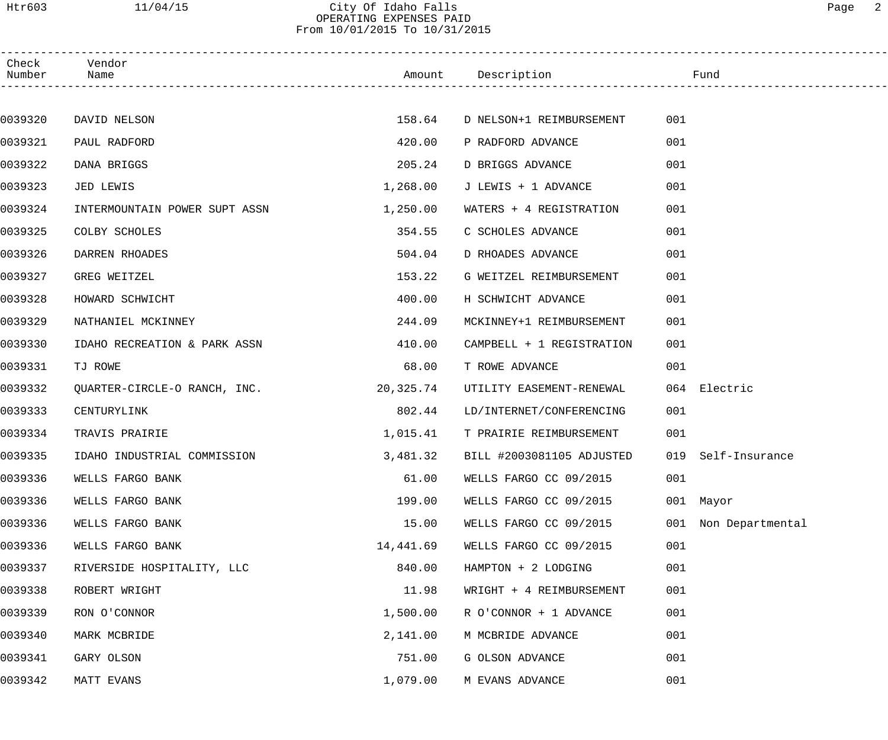# From 10/01/2015 To 10/31/2015

| Check<br>Number | Vendor<br>Name                |           | Amount Description                 | Fund                 |  |
|-----------------|-------------------------------|-----------|------------------------------------|----------------------|--|
|                 |                               |           |                                    |                      |  |
| 0039320         | DAVID NELSON                  | 158.64    | D NELSON+1 REIMBURSEMENT           | 001                  |  |
| 0039321         | PAUL RADFORD                  | 420.00    | P RADFORD ADVANCE                  | 001                  |  |
| 0039322         | DANA BRIGGS                   | 205.24    | D BRIGGS ADVANCE                   | 001                  |  |
| 0039323         | JED LEWIS                     | 1,268.00  | J LEWIS + 1 ADVANCE                | 001                  |  |
| 0039324         | INTERMOUNTAIN POWER SUPT ASSN | 1,250.00  | WATERS + 4 REGISTRATION            | 001                  |  |
| 0039325         | COLBY SCHOLES                 | 354.55    | C SCHOLES ADVANCE                  | 001                  |  |
| 0039326         | DARREN RHOADES                | 504.04    | D RHOADES ADVANCE                  | 001                  |  |
| 0039327         | GREG WEITZEL                  | 153.22    | G WEITZEL REIMBURSEMENT            | 001                  |  |
| 0039328         | HOWARD SCHWICHT               | 400.00    | H SCHWICHT ADVANCE                 | 001                  |  |
| 0039329         | NATHANIEL MCKINNEY            | 244.09    | MCKINNEY+1 REIMBURSEMENT           | 001                  |  |
| 0039330         | IDAHO RECREATION & PARK ASSN  | 410.00    | CAMPBELL + 1 REGISTRATION          | 001                  |  |
| 0039331         | TJ ROWE                       | 68.00     | T ROWE ADVANCE                     | 001                  |  |
| 0039332         | QUARTER-CIRCLE-O RANCH, INC.  | 20,325.74 | UTILITY EASEMENT-RENEWAL           | 064 Electric         |  |
| 0039333         | CENTURYLINK                   | 802.44    | LD/INTERNET/CONFERENCING           | 001                  |  |
| 0039334         | TRAVIS PRAIRIE                | 1,015.41  | T PRAIRIE REIMBURSEMENT            | 001                  |  |
| 0039335         | IDAHO INDUSTRIAL COMMISSION   |           | 3,481.32 BILL #2003081105 ADJUSTED | 019 Self-Insurance   |  |
| 0039336         | WELLS FARGO BANK              | 61.00     | WELLS FARGO CC 09/2015             | 001                  |  |
| 0039336         | WELLS FARGO BANK              | 199.00    | WELLS FARGO CC 09/2015             | 001 Mayor            |  |
| 0039336         | WELLS FARGO BANK              | 15.00     | WELLS FARGO CC 09/2015             | 001 Non Departmental |  |
| 0039336         | WELLS FARGO BANK              | 14,441.69 | WELLS FARGO CC 09/2015             | 001                  |  |
| 0039337         | RIVERSIDE HOSPITALITY, LLC    | 840.00    | HAMPTON + 2 LODGING                | 001                  |  |
| 0039338         | ROBERT WRIGHT                 | 11.98     | WRIGHT + 4 REIMBURSEMENT           | 001                  |  |
| 0039339         | RON O'CONNOR                  | 1,500.00  | R O'CONNOR + 1 ADVANCE             | 001                  |  |
| 0039340         | MARK MCBRIDE                  | 2,141.00  | M MCBRIDE ADVANCE                  | 001                  |  |
| 0039341         | GARY OLSON                    | 751.00    | G OLSON ADVANCE                    | 001                  |  |
| 0039342         | MATT EVANS                    | 1,079.00  | M EVANS ADVANCE                    | 001                  |  |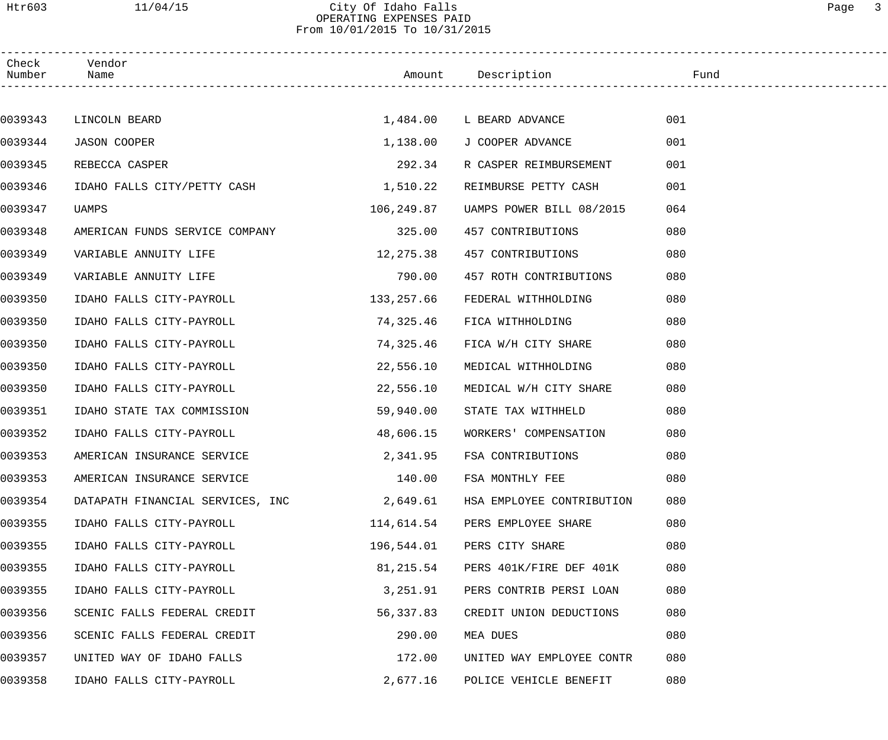Htr603 11/04/15 City Of Idaho Falls Page 3

OPERATING EXPENSES PAID From 10/01/2015 To 10/31/2015

| Check<br>Number | Vendor<br>Name                            |            | Amount Description        | Fund |  |
|-----------------|-------------------------------------------|------------|---------------------------|------|--|
|                 |                                           |            |                           |      |  |
| 0039343         | LINCOLN BEARD                             |            | 1,484.00 L BEARD ADVANCE  | 001  |  |
| 0039344         | <b>JASON COOPER</b>                       | 1,138.00   | J COOPER ADVANCE          | 001  |  |
| 0039345         | REBECCA CASPER                            | 292.34     | R CASPER REIMBURSEMENT    | 001  |  |
| 0039346         | IDAHO FALLS CITY/PETTY CASH               | 1,510.22   | REIMBURSE PETTY CASH      | 001  |  |
| 0039347         | UAMPS                                     | 106,249.87 | UAMPS POWER BILL 08/2015  | 064  |  |
| 0039348         | AMERICAN FUNDS SERVICE COMPANY            | 325.00     | 457 CONTRIBUTIONS         | 080  |  |
| 0039349         | VARIABLE ANNUITY LIFE                     | 12,275.38  | 457 CONTRIBUTIONS         | 080  |  |
| 0039349         | VARIABLE ANNUITY LIFE                     | 790.00     | 457 ROTH CONTRIBUTIONS    | 080  |  |
| 0039350         | IDAHO FALLS CITY-PAYROLL                  | 133,257.66 | FEDERAL WITHHOLDING       | 080  |  |
| 0039350         | IDAHO FALLS CITY-PAYROLL                  | 74,325.46  | FICA WITHHOLDING          | 080  |  |
| 0039350         | IDAHO FALLS CITY-PAYROLL                  | 74,325.46  | FICA W/H CITY SHARE       | 080  |  |
| 0039350         | IDAHO FALLS CITY-PAYROLL                  | 22,556.10  | MEDICAL WITHHOLDING       | 080  |  |
| 0039350         | IDAHO FALLS CITY-PAYROLL                  | 22,556.10  | MEDICAL W/H CITY SHARE    | 080  |  |
| 0039351         | IDAHO STATE TAX COMMISSION                | 59,940.00  | STATE TAX WITHHELD        | 080  |  |
| 0039352         | IDAHO FALLS CITY-PAYROLL                  | 48,606.15  | WORKERS' COMPENSATION     | 080  |  |
| 0039353         | AMERICAN INSURANCE SERVICE                | 2,341.95   | FSA CONTRIBUTIONS         | 080  |  |
| 0039353         | AMERICAN INSURANCE SERVICE                | 140.00     | FSA MONTHLY FEE           | 080  |  |
| 0039354         | DATAPATH FINANCIAL SERVICES, INC 2,649.61 |            | HSA EMPLOYEE CONTRIBUTION | 080  |  |
| 0039355         | IDAHO FALLS CITY-PAYROLL                  | 114,614.54 | PERS EMPLOYEE SHARE       | 080  |  |
| 0039355         | IDAHO FALLS CITY-PAYROLL                  | 196,544.01 | PERS CITY SHARE           | 080  |  |
| 0039355         | IDAHO FALLS CITY-PAYROLL                  | 81,215.54  | PERS 401K/FIRE DEF 401K   | 080  |  |
| 0039355         | IDAHO FALLS CITY-PAYROLL                  | 3,251.91   | PERS CONTRIB PERSI LOAN   | 080  |  |
| 0039356         | SCENIC FALLS FEDERAL CREDIT               | 56,337.83  | CREDIT UNION DEDUCTIONS   | 080  |  |
| 0039356         | SCENIC FALLS FEDERAL CREDIT               | 290.00     | MEA DUES                  | 080  |  |
| 0039357         | UNITED WAY OF IDAHO FALLS                 | 172.00     | UNITED WAY EMPLOYEE CONTR | 080  |  |
| 0039358         | IDAHO FALLS CITY-PAYROLL                  | 2,677.16   | POLICE VEHICLE BENEFIT    | 080  |  |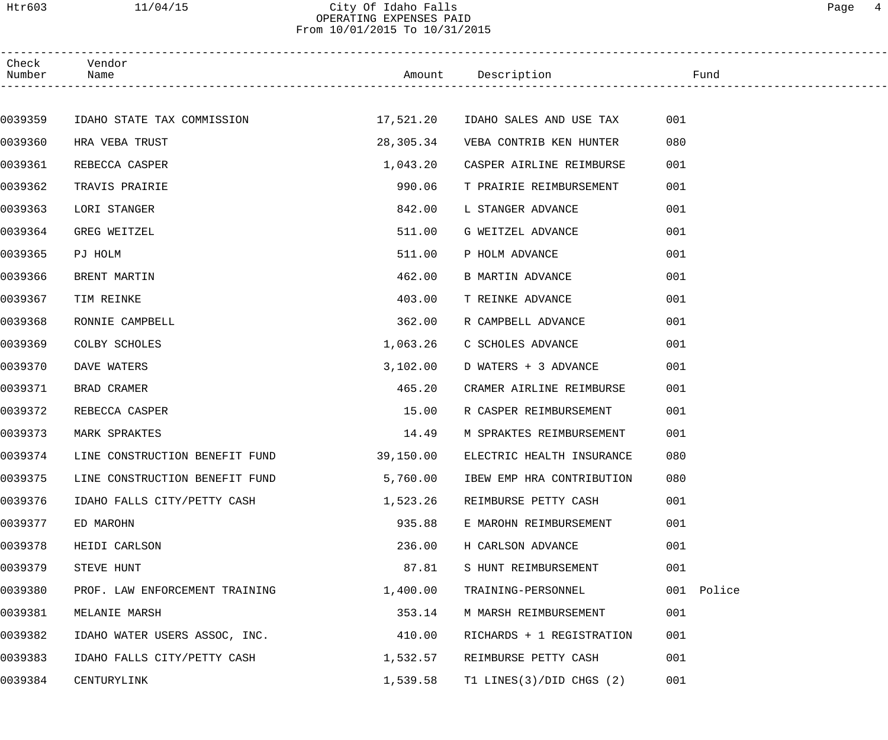Htr603 11/04/15 City Of Idaho Falls Page 4 OPERATING EXPENSES PAID

From 10/01/2015 To 10/31/2015

| Check<br>Number | Vendor<br>Name                                               |            | Amount Description Fund   |            |
|-----------------|--------------------------------------------------------------|------------|---------------------------|------------|
|                 |                                                              |            |                           |            |
| 0039359         | IDAHO STATE TAX COMMISSION 17,521.20 IDAHO SALES AND USE TAX |            |                           | 001        |
| 0039360         | HRA VEBA TRUST                                               | 28,305.34  | VEBA CONTRIB KEN HUNTER   | 080        |
| 0039361         | REBECCA CASPER                                               | 1,043.20   | CASPER AIRLINE REIMBURSE  | 001        |
| 0039362         | TRAVIS PRAIRIE                                               | 990.06     | T PRAIRIE REIMBURSEMENT   | 001        |
| 0039363         | LORI STANGER                                                 | 842.00     | L STANGER ADVANCE         | 001        |
| 0039364         | GREG WEITZEL                                                 | 511.00     | G WEITZEL ADVANCE         | 001        |
| 0039365         | PJ HOLM                                                      | 511.00     | P HOLM ADVANCE            | 001        |
| 0039366         | BRENT MARTIN                                                 | 462.00     | <b>B MARTIN ADVANCE</b>   | 001        |
| 0039367         | TIM REINKE                                                   | 403.00     | T REINKE ADVANCE          | 001        |
| 0039368         | RONNIE CAMPBELL                                              | 362.00     | R CAMPBELL ADVANCE        | 001        |
| 0039369         | COLBY SCHOLES                                                | 1,063.26   | C SCHOLES ADVANCE         | 001        |
| 0039370         | DAVE WATERS                                                  | 3,102.00   | D WATERS + 3 ADVANCE      | 001        |
| 0039371         | BRAD CRAMER                                                  | 465.20     | CRAMER AIRLINE REIMBURSE  | 001        |
| 0039372         | REBECCA CASPER                                               | 15.00      | R CASPER REIMBURSEMENT    | 001        |
| 0039373         | MARK SPRAKTES                                                | 14.49      | M SPRAKTES REIMBURSEMENT  | 001        |
| 0039374         | LINE CONSTRUCTION BENEFIT FUND                               | 39, 150.00 | ELECTRIC HEALTH INSURANCE | 080        |
| 0039375         | LINE CONSTRUCTION BENEFIT FUND                               | 5,760.00   | IBEW EMP HRA CONTRIBUTION | 080        |
| 0039376         | IDAHO FALLS CITY/PETTY CASH                                  | 1,523.26   | REIMBURSE PETTY CASH      | 001        |
| 0039377         | ED MAROHN                                                    | 935.88     | E MAROHN REIMBURSEMENT    | 001        |
| 0039378         | HEIDI CARLSON                                                | 236.00     | H CARLSON ADVANCE         | 001        |
| 0039379         | STEVE HUNT                                                   | 87.81      | S HUNT REIMBURSEMENT      | 001        |
| 0039380         | PROF. LAW ENFORCEMENT TRAINING                               | 1,400.00   | TRAINING-PERSONNEL        | 001 Police |
| 0039381         | MELANIE MARSH                                                | 353.14     | M MARSH REIMBURSEMENT     | 001        |
| 0039382         | IDAHO WATER USERS ASSOC, INC.                                | 410.00     | RICHARDS + 1 REGISTRATION | 001        |
| 0039383         | IDAHO FALLS CITY/PETTY CASH                                  | 1,532.57   | REIMBURSE PETTY CASH      | 001        |
| 0039384         | CENTURYLINK                                                  | 1,539.58   | T1 LINES(3)/DID CHGS (2)  | 001        |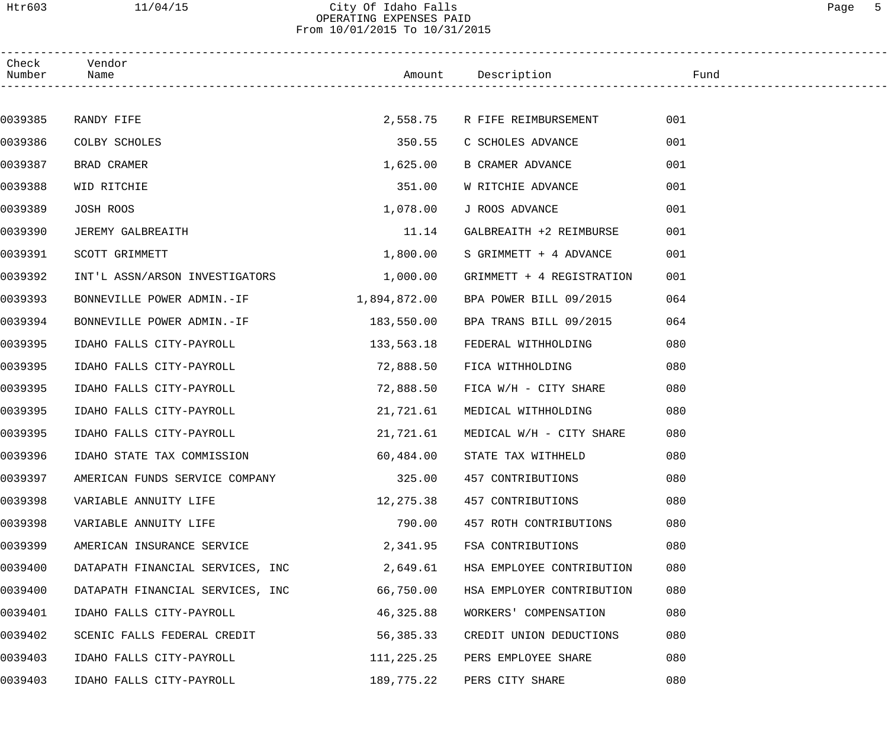Htr603 11/04/15 City Of Idaho Falls Page 5 OPERATING EXPENSES PAID

From 10/01/2015 To 10/31/2015

| Check<br>Number | Vendor<br>Name                   |              | Amount Description        | Fund |
|-----------------|----------------------------------|--------------|---------------------------|------|
|                 |                                  |              |                           |      |
| 0039385         | RANDY FIFE                       | 2,558.75     | R FIFE REIMBURSEMENT      | 001  |
| 0039386         | COLBY SCHOLES                    | 350.55       | C SCHOLES ADVANCE         | 001  |
| 0039387         | BRAD CRAMER                      | 1,625.00     | B CRAMER ADVANCE          | 001  |
| 0039388         | WID RITCHIE                      | 351.00       | W RITCHIE ADVANCE         | 001  |
| 0039389         | JOSH ROOS                        | 1,078.00     | J ROOS ADVANCE            | 001  |
| 0039390         | JEREMY GALBREAITH                | 11.14        | GALBREAITH +2 REIMBURSE   | 001  |
| 0039391         | SCOTT GRIMMETT                   | 1,800.00     | S GRIMMETT + 4 ADVANCE    | 001  |
| 0039392         | INT'L ASSN/ARSON INVESTIGATORS   | 1,000.00     | GRIMMETT + 4 REGISTRATION | 001  |
| 0039393         | BONNEVILLE POWER ADMIN.-IF       | 1,894,872.00 | BPA POWER BILL 09/2015    | 064  |
| 0039394         | BONNEVILLE POWER ADMIN.-IF       | 183,550.00   | BPA TRANS BILL 09/2015    | 064  |
| 0039395         | IDAHO FALLS CITY-PAYROLL         | 133,563.18   | FEDERAL WITHHOLDING       | 080  |
| 0039395         | IDAHO FALLS CITY-PAYROLL         | 72,888.50    | FICA WITHHOLDING          | 080  |
| 0039395         | IDAHO FALLS CITY-PAYROLL         | 72,888.50    | FICA W/H - CITY SHARE     | 080  |
| 0039395         | IDAHO FALLS CITY-PAYROLL         | 21,721.61    | MEDICAL WITHHOLDING       | 080  |
| 0039395         | IDAHO FALLS CITY-PAYROLL         | 21,721.61    | MEDICAL W/H - CITY SHARE  | 080  |
| 0039396         | IDAHO STATE TAX COMMISSION       | 60,484.00    | STATE TAX WITHHELD        | 080  |
| 0039397         | AMERICAN FUNDS SERVICE COMPANY   | 325.00       | 457 CONTRIBUTIONS         | 080  |
| 0039398         | VARIABLE ANNUITY LIFE            | 12,275.38    | 457 CONTRIBUTIONS         | 080  |
| 0039398         | VARIABLE ANNUITY LIFE            | 790.00       | 457 ROTH CONTRIBUTIONS    | 080  |
| 0039399         | AMERICAN INSURANCE SERVICE       | 2,341.95     | FSA CONTRIBUTIONS         | 080  |
| 0039400         | DATAPATH FINANCIAL SERVICES, INC | 2,649.61     | HSA EMPLOYEE CONTRIBUTION | 080  |
| 0039400         | DATAPATH FINANCIAL SERVICES, INC | 66,750.00    | HSA EMPLOYER CONTRIBUTION | 080  |
| 0039401         | IDAHO FALLS CITY-PAYROLL         | 46,325.88    | WORKERS' COMPENSATION     | 080  |
| 0039402         | SCENIC FALLS FEDERAL CREDIT      | 56,385.33    | CREDIT UNION DEDUCTIONS   | 080  |
| 0039403         | IDAHO FALLS CITY-PAYROLL         | 111,225.25   | PERS EMPLOYEE SHARE       | 080  |
| 0039403         | IDAHO FALLS CITY-PAYROLL         | 189,775.22   | PERS CITY SHARE           | 080  |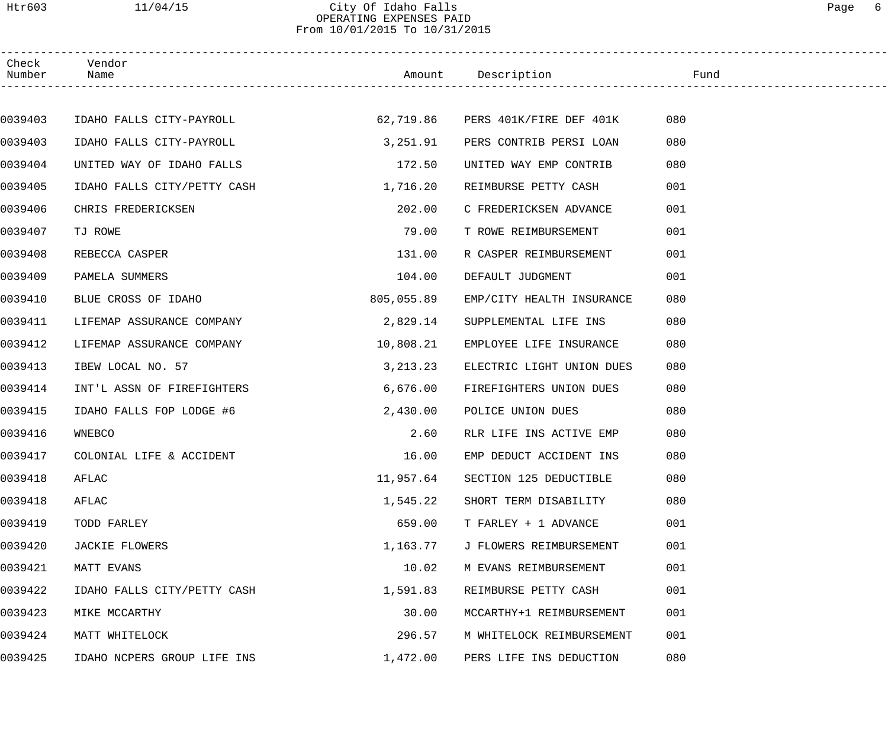## Htr603 11/04/15 City Of Idaho Falls Page 6 OPERATING EXPENSES PAID From 10/01/2015 To 10/31/2015

| Number Name | Check Vendor                |            |                                   |     |
|-------------|-----------------------------|------------|-----------------------------------|-----|
|             |                             |            |                                   |     |
| 0039403     | IDAHO FALLS CITY-PAYROLL    |            | 62,719.86 PERS 401K/FIRE DEF 401K | 080 |
| 0039403     | IDAHO FALLS CITY-PAYROLL    | 3,251.91   | PERS CONTRIB PERSI LOAN           | 080 |
| 0039404     | UNITED WAY OF IDAHO FALLS   | 172.50     | UNITED WAY EMP CONTRIB            | 080 |
| 0039405     | IDAHO FALLS CITY/PETTY CASH | 1,716.20   | REIMBURSE PETTY CASH              | 001 |
| 0039406     | CHRIS FREDERICKSEN          | 202.00     | C FREDERICKSEN ADVANCE            | 001 |
| 0039407     | TJ ROWE                     | 79.00      | T ROWE REIMBURSEMENT              | 001 |
| 0039408     | REBECCA CASPER              | 131.00     | R CASPER REIMBURSEMENT            | 001 |
| 0039409     | PAMELA SUMMERS              | 104.00     | DEFAULT JUDGMENT                  | 001 |
| 0039410     | BLUE CROSS OF IDAHO         | 805,055.89 | EMP/CITY HEALTH INSURANCE         | 080 |
| 0039411     | LIFEMAP ASSURANCE COMPANY   | 2,829.14   | SUPPLEMENTAL LIFE INS             | 080 |
| 0039412     | LIFEMAP ASSURANCE COMPANY   | 10,808.21  | EMPLOYEE LIFE INSURANCE           | 080 |
| 0039413     | IBEW LOCAL NO. 57           | 3, 213. 23 | ELECTRIC LIGHT UNION DUES         | 080 |
| 0039414     | INT'L ASSN OF FIREFIGHTERS  | 6,676.00   | FIREFIGHTERS UNION DUES           | 080 |
| 0039415     | IDAHO FALLS FOP LODGE #6    | 2,430.00   | POLICE UNION DUES                 | 080 |
| 0039416     | WNEBCO                      | 2.60       | RLR LIFE INS ACTIVE EMP           | 080 |
| 0039417     | COLONIAL LIFE & ACCIDENT    | 16.00      | EMP DEDUCT ACCIDENT INS           | 080 |
| 0039418     | AFLAC                       | 11,957.64  | SECTION 125 DEDUCTIBLE            | 080 |
| 0039418     | AFLAC                       | 1,545.22   | SHORT TERM DISABILITY             | 080 |
| 0039419     | TODD FARLEY                 | 659.00     | T FARLEY + 1 ADVANCE              | 001 |
| 0039420     | <b>JACKIE FLOWERS</b>       | 1,163.77   | J FLOWERS REIMBURSEMENT           | 001 |
| 0039421     | MATT EVANS                  | 10.02      | M EVANS REIMBURSEMENT             | 001 |
| 0039422     | IDAHO FALLS CITY/PETTY CASH | 1,591.83   | REIMBURSE PETTY CASH              | 001 |
| 0039423     | MIKE MCCARTHY               | 30.00      | MCCARTHY+1 REIMBURSEMENT          | 001 |
| 0039424     | MATT WHITELOCK              | 296.57     | M WHITELOCK REIMBURSEMENT         | 001 |
| 0039425     | IDAHO NCPERS GROUP LIFE INS | 1,472.00   | PERS LIFE INS DEDUCTION           | 080 |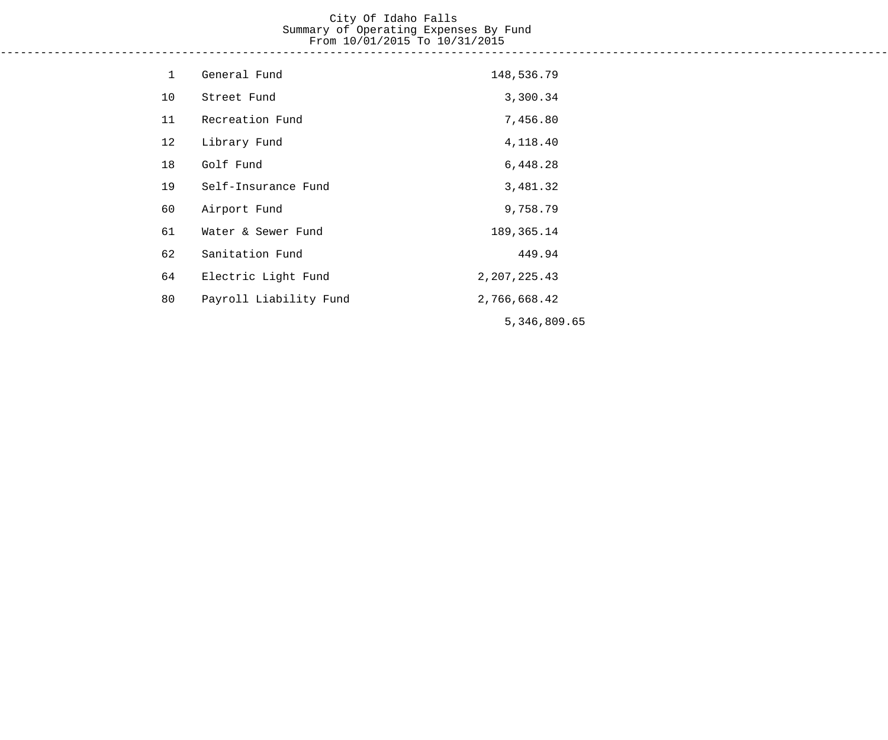#### City Of Idaho Falls Summary of Operating Expenses By Fund From 10/01/2015 To 10/31/2015 ------------------------------------------------------------------------------------------------------------------------------------

| $\mathbf{1}$ | General Fund           | 148,536.79   |
|--------------|------------------------|--------------|
| 10           | Street Fund            | 3,300.34     |
| 11           | Recreation Fund        | 7,456.80     |
| 12           | Library Fund           | 4,118.40     |
| 18           | Golf Fund              | 6,448.28     |
| 19           | Self-Insurance Fund    | 3,481.32     |
| 60           | Airport Fund           | 9,758.79     |
| 61           | Water & Sewer Fund     | 189, 365. 14 |
| 62           | Sanitation Fund        | 449.94       |
| 64           | Electric Light Fund    | 2,207,225.43 |
| 80           | Payroll Liability Fund | 2,766,668.42 |
|              |                        | 5,346,809.65 |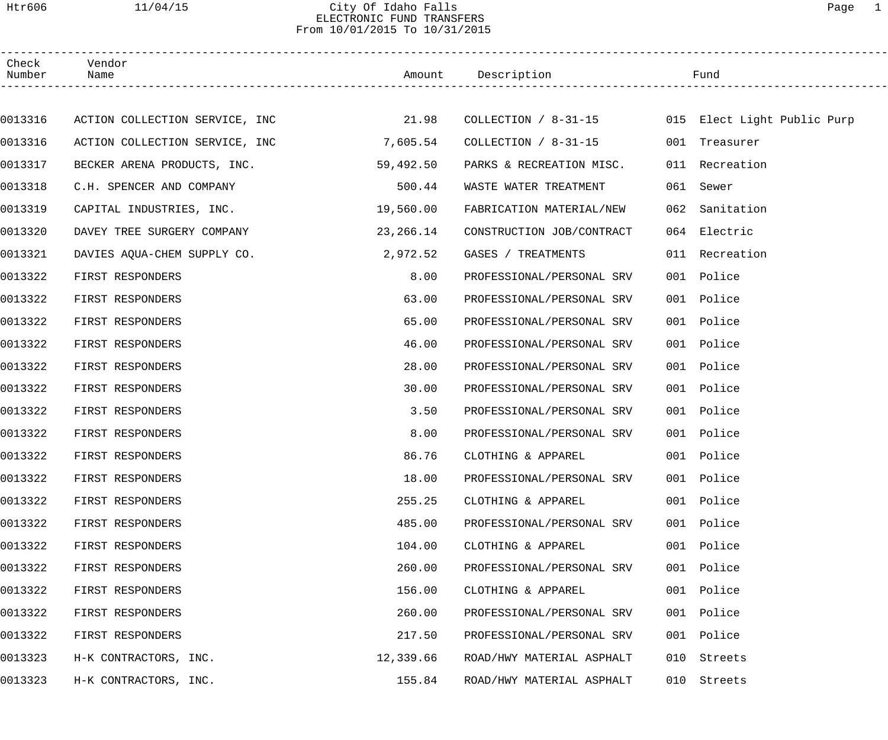## Htr606 11/04/15 City Of Idaho Falls Page 1 ELECTRONIC FUND TRANSFERS From 10/01/2015 To 10/31/2015

| Check<br>Number | Vendor<br>Name                 |           | Amount Description                               | Fund           |  |
|-----------------|--------------------------------|-----------|--------------------------------------------------|----------------|--|
|                 |                                |           |                                                  |                |  |
| 0013316         | ACTION COLLECTION SERVICE, INC | 21.98     | COLLECTION / 8-31-15 015 Elect Light Public Purp |                |  |
| 0013316         | ACTION COLLECTION SERVICE, INC | 7,605.54  | COLLECTION / 8-31-15                             | 001 Treasurer  |  |
| 0013317         | BECKER ARENA PRODUCTS, INC.    | 59,492.50 | PARKS & RECREATION MISC.                         | 011 Recreation |  |
| 0013318         | C.H. SPENCER AND COMPANY       | 500.44    | WASTE WATER TREATMENT                            | 061 Sewer      |  |
| 0013319         | CAPITAL INDUSTRIES, INC.       | 19,560.00 | FABRICATION MATERIAL/NEW                         | 062 Sanitation |  |
| 0013320         | DAVEY TREE SURGERY COMPANY     | 23,266.14 | CONSTRUCTION JOB/CONTRACT                        | 064 Electric   |  |
| 0013321         | DAVIES AQUA-CHEM SUPPLY CO.    | 2,972.52  | GASES / TREATMENTS                               | 011 Recreation |  |
| 0013322         | FIRST RESPONDERS               | 8.00      | PROFESSIONAL/PERSONAL SRV                        | 001 Police     |  |
| 0013322         | FIRST RESPONDERS               | 63.00     | PROFESSIONAL/PERSONAL SRV                        | 001 Police     |  |
| 0013322         | FIRST RESPONDERS               | 65.00     | PROFESSIONAL/PERSONAL SRV                        | 001 Police     |  |
| 0013322         | FIRST RESPONDERS               | 46.00     | PROFESSIONAL/PERSONAL SRV                        | 001 Police     |  |
| 0013322         | FIRST RESPONDERS               | 28.00     | PROFESSIONAL/PERSONAL SRV                        | 001 Police     |  |
| 0013322         | FIRST RESPONDERS               | 30.00     | PROFESSIONAL/PERSONAL SRV                        | 001 Police     |  |
| 0013322         | FIRST RESPONDERS               | 3.50      | PROFESSIONAL/PERSONAL SRV                        | 001 Police     |  |
| 0013322         | FIRST RESPONDERS               | 8.00      | PROFESSIONAL/PERSONAL SRV                        | 001 Police     |  |
| 0013322         | FIRST RESPONDERS               | 86.76     | CLOTHING & APPAREL                               | 001 Police     |  |
| 0013322         | FIRST RESPONDERS               | 18.00     | PROFESSIONAL/PERSONAL SRV                        | 001 Police     |  |
| 0013322         | FIRST RESPONDERS               | 255.25    | CLOTHING & APPAREL                               | 001 Police     |  |
| 0013322         | FIRST RESPONDERS               | 485.00    | PROFESSIONAL/PERSONAL SRV                        | 001 Police     |  |
| 0013322         | FIRST RESPONDERS               | 104.00    | CLOTHING & APPAREL                               | 001 Police     |  |
| 0013322         | FIRST RESPONDERS               | 260.00    | PROFESSIONAL/PERSONAL SRV                        | 001 Police     |  |
| 0013322         | FIRST RESPONDERS               | 156.00    | CLOTHING & APPAREL                               | 001 Police     |  |
| 0013322         | FIRST RESPONDERS               | 260.00    | PROFESSIONAL/PERSONAL SRV                        | 001 Police     |  |
| 0013322         | FIRST RESPONDERS               | 217.50    | PROFESSIONAL/PERSONAL SRV                        | 001 Police     |  |
| 0013323         | H-K CONTRACTORS, INC.          | 12,339.66 | ROAD/HWY MATERIAL ASPHALT                        | 010 Streets    |  |
| 0013323         | H-K CONTRACTORS, INC.          | 155.84    | ROAD/HWY MATERIAL ASPHALT                        | 010 Streets    |  |
|                 |                                |           |                                                  |                |  |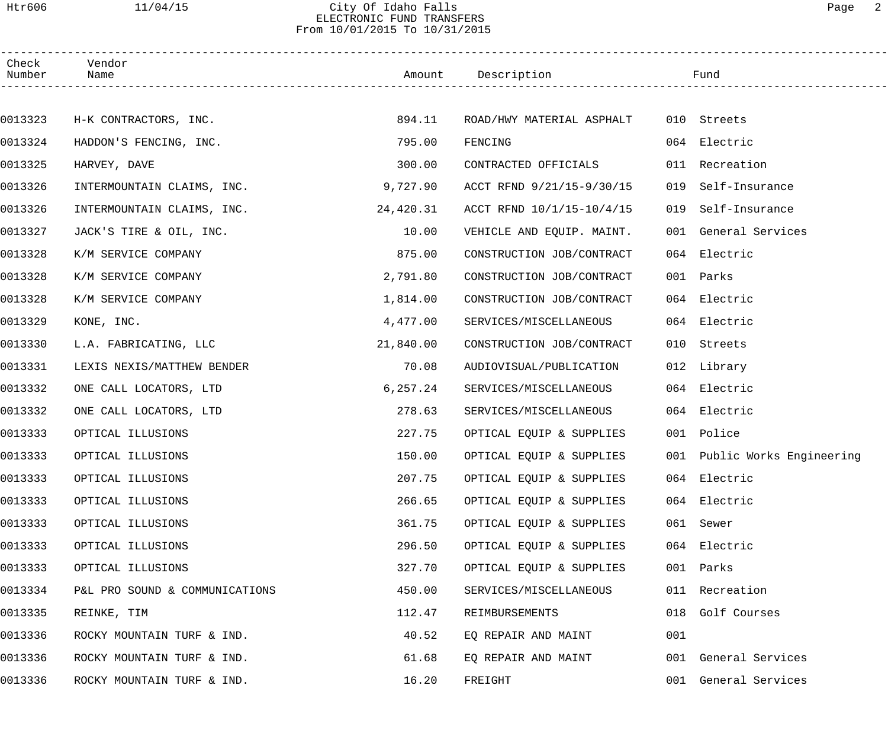#### Htr606 11/04/15 City Of Idaho Falls Page 2 ELECTRONIC FUND TRANSFERS From 10/01/2015 To 10/31/2015

| Check<br>Number | Vendor<br>Name                 |           | Amount Description        |     | Fund                         |
|-----------------|--------------------------------|-----------|---------------------------|-----|------------------------------|
|                 |                                |           |                           |     |                              |
| 0013323         | H-K CONTRACTORS, INC.          | 894.11    | ROAD/HWY MATERIAL ASPHALT |     | 010 Streets                  |
| 0013324         | HADDON'S FENCING, INC.         | 795.00    | FENCING                   |     | 064 Electric                 |
| 0013325         | HARVEY, DAVE                   | 300.00    | CONTRACTED OFFICIALS      |     | 011 Recreation               |
| 0013326         | INTERMOUNTAIN CLAIMS, INC.     | 9,727.90  | ACCT RFND 9/21/15-9/30/15 | 019 | Self-Insurance               |
| 0013326         | INTERMOUNTAIN CLAIMS, INC.     | 24,420.31 | ACCT RFND 10/1/15-10/4/15 | 019 | Self-Insurance               |
| 0013327         | JACK'S TIRE & OIL, INC.        | 10.00     | VEHICLE AND EQUIP. MAINT. |     | 001 General Services         |
| 0013328         | K/M SERVICE COMPANY            | 875.00    | CONSTRUCTION JOB/CONTRACT |     | 064 Electric                 |
| 0013328         | K/M SERVICE COMPANY            | 2,791.80  | CONSTRUCTION JOB/CONTRACT |     | 001 Parks                    |
| 0013328         | K/M SERVICE COMPANY            | 1,814.00  | CONSTRUCTION JOB/CONTRACT |     | 064 Electric                 |
| 0013329         | KONE, INC.                     | 4,477.00  | SERVICES/MISCELLANEOUS    |     | 064 Electric                 |
| 0013330         | L.A. FABRICATING, LLC          | 21,840.00 | CONSTRUCTION JOB/CONTRACT |     | 010 Streets                  |
| 0013331         | LEXIS NEXIS/MATTHEW BENDER     | 70.08     | AUDIOVISUAL/PUBLICATION   |     | 012 Library                  |
| 0013332         | ONE CALL LOCATORS, LTD         | 6, 257.24 | SERVICES/MISCELLANEOUS    |     | 064 Electric                 |
| 0013332         | ONE CALL LOCATORS, LTD         | 278.63    | SERVICES/MISCELLANEOUS    |     | 064 Electric                 |
| 0013333         | OPTICAL ILLUSIONS              | 227.75    | OPTICAL EQUIP & SUPPLIES  |     | 001 Police                   |
| 0013333         | OPTICAL ILLUSIONS              | 150.00    | OPTICAL EQUIP & SUPPLIES  |     | 001 Public Works Engineering |
| 0013333         | OPTICAL ILLUSIONS              | 207.75    | OPTICAL EQUIP & SUPPLIES  |     | 064 Electric                 |
| 0013333         | OPTICAL ILLUSIONS              | 266.65    | OPTICAL EQUIP & SUPPLIES  |     | 064 Electric                 |
| 0013333         | OPTICAL ILLUSIONS              | 361.75    | OPTICAL EQUIP & SUPPLIES  |     | 061 Sewer                    |
| 0013333         | OPTICAL ILLUSIONS              | 296.50    | OPTICAL EQUIP & SUPPLIES  |     | 064 Electric                 |
| 0013333         | OPTICAL ILLUSIONS              | 327.70    | OPTICAL EQUIP & SUPPLIES  |     | 001 Parks                    |
| 0013334         | P&L PRO SOUND & COMMUNICATIONS | 450.00    | SERVICES/MISCELLANEOUS    |     | 011 Recreation               |
| 0013335         | REINKE, TIM                    | 112.47    | REIMBURSEMENTS            |     | 018 Golf Courses             |
| 0013336         | ROCKY MOUNTAIN TURF & IND.     | 40.52     | EQ REPAIR AND MAINT       | 001 |                              |
| 0013336         | ROCKY MOUNTAIN TURF & IND.     | 61.68     | EQ REPAIR AND MAINT       |     | 001 General Services         |
| 0013336         | ROCKY MOUNTAIN TURF & IND.     | 16.20     | FREIGHT                   |     | 001 General Services         |
|                 |                                |           |                           |     |                              |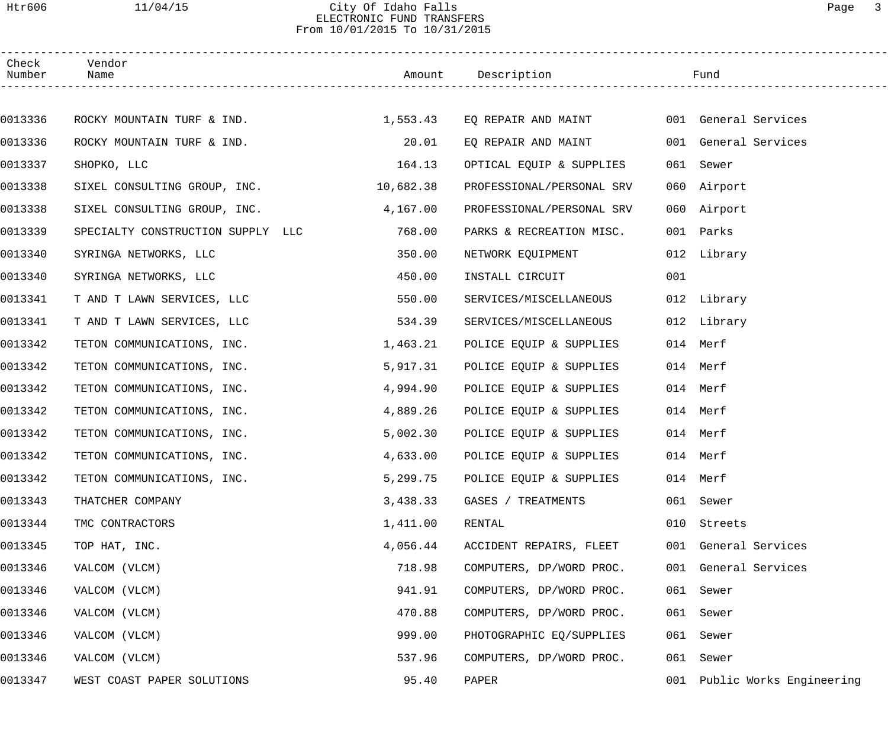### Htr606 11/04/15 City Of Idaho Falls Page 3 ELECTRONIC FUND TRANSFERS From 10/01/2015 To 10/31/2015

| Check<br>Number | Vendor<br>Name                         |          |                                          |     |                          |
|-----------------|----------------------------------------|----------|------------------------------------------|-----|--------------------------|
|                 |                                        |          |                                          |     |                          |
| 0013336         | ROCKY MOUNTAIN TURF & IND. 1,553.43    |          | EQ REPAIR AND MAINT 001 General Services |     |                          |
| 0013336         | ROCKY MOUNTAIN TURF & IND.             | 20.01    | EQ REPAIR AND MAINT                      |     | 001 General Services     |
| 0013337         | SHOPKO, LLC                            | 164.13   | OPTICAL EQUIP & SUPPLIES                 |     | 061 Sewer                |
| 0013338         | SIXEL CONSULTING GROUP, INC. 10,682.38 |          | PROFESSIONAL/PERSONAL SRV                |     | 060 Airport              |
| 0013338         | SIXEL CONSULTING GROUP, INC.           | 4,167.00 | PROFESSIONAL/PERSONAL SRV                |     | 060 Airport              |
| 0013339         | SPECIALTY CONSTRUCTION SUPPLY LLC      | 768.00   | PARKS & RECREATION MISC.                 |     | 001 Parks                |
| 0013340         | SYRINGA NETWORKS, LLC                  | 350.00   | NETWORK EQUIPMENT                        |     | 012 Library              |
| 0013340         | SYRINGA NETWORKS, LLC                  | 450.00   | INSTALL CIRCUIT                          | 001 |                          |
| 0013341         | T AND T LAWN SERVICES, LLC             | 550.00   | SERVICES/MISCELLANEOUS                   |     | 012 Library              |
| 0013341         | T AND T LAWN SERVICES, LLC             | 534.39   | SERVICES/MISCELLANEOUS                   |     | 012 Library              |
| 0013342         | TETON COMMUNICATIONS, INC.             | 1,463.21 | POLICE EQUIP & SUPPLIES                  |     | 014 Merf                 |
| 0013342         | TETON COMMUNICATIONS, INC.             | 5,917.31 | POLICE EQUIP & SUPPLIES                  |     | 014 Merf                 |
| 0013342         | TETON COMMUNICATIONS, INC.             | 4,994.90 | POLICE EQUIP & SUPPLIES                  |     | 014 Merf                 |
| 0013342         | TETON COMMUNICATIONS, INC.             | 4,889.26 | POLICE EQUIP & SUPPLIES                  |     | 014 Merf                 |
| 0013342         | TETON COMMUNICATIONS, INC.             | 5,002.30 | POLICE EQUIP & SUPPLIES                  |     | 014 Merf                 |
| 0013342         | TETON COMMUNICATIONS, INC.             | 4,633.00 | POLICE EQUIP & SUPPLIES                  |     | 014 Merf                 |
| 0013342         | TETON COMMUNICATIONS, INC.             | 5,299.75 | POLICE EQUIP & SUPPLIES                  |     | 014 Merf                 |
| 0013343         | THATCHER COMPANY                       | 3,438.33 | GASES / TREATMENTS                       |     | 061 Sewer                |
| 0013344         | TMC CONTRACTORS                        | 1,411.00 | RENTAL                                   | 010 | Streets                  |
| 0013345         | TOP HAT, INC.                          | 4,056.44 | ACCIDENT REPAIRS, FLEET                  |     | 001 General Services     |
| 0013346         | VALCOM (VLCM)                          | 718.98   | COMPUTERS, DP/WORD PROC.                 |     | 001 General Services     |
| 0013346         | VALCOM (VLCM)                          | 941.91   | COMPUTERS, DP/WORD PROC.                 | 061 | Sewer                    |
| 0013346         | VALCOM (VLCM)                          | 470.88   | COMPUTERS, DP/WORD PROC.                 | 061 | Sewer                    |
| 0013346         | VALCOM (VLCM)                          | 999.00   | PHOTOGRAPHIC EQ/SUPPLIES                 | 061 | Sewer                    |
| 0013346         | VALCOM (VLCM)                          | 537.96   | COMPUTERS, DP/WORD PROC.                 | 061 | Sewer                    |
| 0013347         | WEST COAST PAPER SOLUTIONS             | 95.40    | PAPER                                    | 001 | Public Works Engineering |
|                 |                                        |          |                                          |     |                          |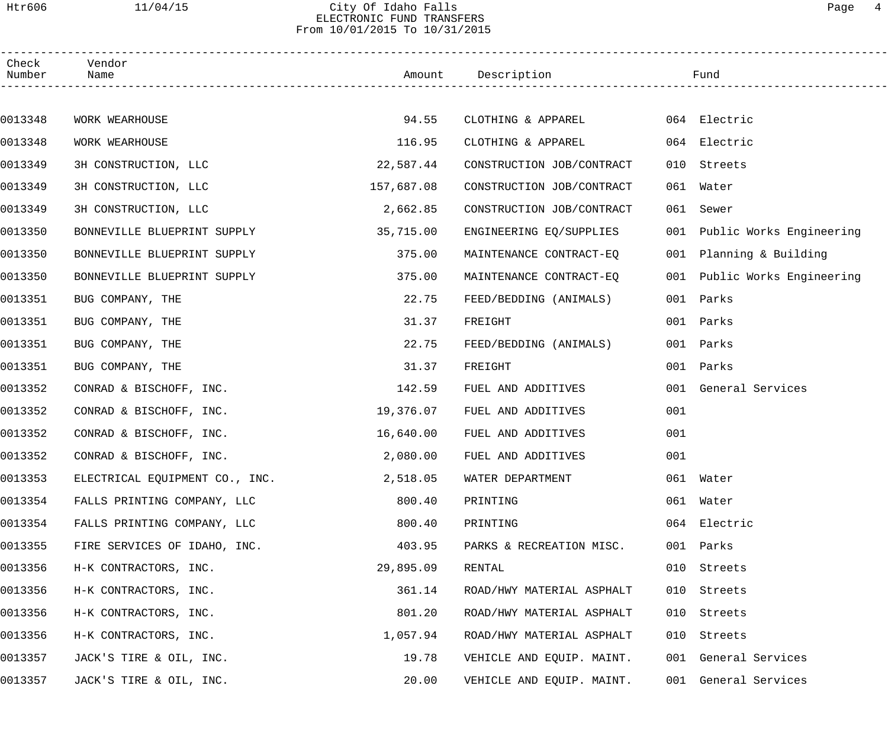## Htr606 11/04/15 City Of Idaho Falls Page 4 ELECTRONIC FUND TRANSFERS From 10/01/2015 To 10/31/2015

| Check<br>Number | Vendor<br>Name                 |            | Amount Description        |     | Fund                         |  |
|-----------------|--------------------------------|------------|---------------------------|-----|------------------------------|--|
|                 |                                |            |                           |     |                              |  |
| 0013348         | WORK WEARHOUSE                 | 94.55      | CLOTHING & APPAREL        |     | 064 Electric                 |  |
| 0013348         | WORK WEARHOUSE                 | 116.95     | CLOTHING & APPAREL        |     | 064 Electric                 |  |
| 0013349         | 3H CONSTRUCTION, LLC           | 22,587.44  | CONSTRUCTION JOB/CONTRACT | 010 | Streets                      |  |
| 0013349         | 3H CONSTRUCTION, LLC           | 157,687.08 | CONSTRUCTION JOB/CONTRACT | 061 | Water                        |  |
| 0013349         | 3H CONSTRUCTION, LLC           | 2,662.85   | CONSTRUCTION JOB/CONTRACT | 061 | Sewer                        |  |
| 0013350         | BONNEVILLE BLUEPRINT SUPPLY    | 35,715.00  | ENGINEERING EQ/SUPPLIES   |     | 001 Public Works Engineering |  |
| 0013350         | BONNEVILLE BLUEPRINT SUPPLY    | 375.00     | MAINTENANCE CONTRACT-EQ   |     | 001 Planning & Building      |  |
| 0013350         | BONNEVILLE BLUEPRINT SUPPLY    | 375.00     | MAINTENANCE CONTRACT-EQ   | 001 | Public Works Engineering     |  |
| 0013351         | BUG COMPANY, THE               | 22.75      | FEED/BEDDING (ANIMALS)    | 001 | Parks                        |  |
| 0013351         | BUG COMPANY, THE               | 31.37      | FREIGHT                   | 001 | Parks                        |  |
| 0013351         | BUG COMPANY, THE               | 22.75      | FEED/BEDDING (ANIMALS)    | 001 | Parks                        |  |
| 0013351         | BUG COMPANY, THE               | 31.37      | FREIGHT                   | 001 | Parks                        |  |
| 0013352         | CONRAD & BISCHOFF, INC.        | 142.59     | FUEL AND ADDITIVES        | 001 | General Services             |  |
| 0013352         | CONRAD & BISCHOFF, INC.        | 19,376.07  | FUEL AND ADDITIVES        | 001 |                              |  |
| 0013352         | CONRAD & BISCHOFF, INC.        | 16,640.00  | FUEL AND ADDITIVES        | 001 |                              |  |
| 0013352         | CONRAD & BISCHOFF, INC.        | 2,080.00   | FUEL AND ADDITIVES        | 001 |                              |  |
| 0013353         | ELECTRICAL EQUIPMENT CO., INC. | 2,518.05   | WATER DEPARTMENT          |     | 061 Water                    |  |
| 0013354         | FALLS PRINTING COMPANY, LLC    | 800.40     | PRINTING                  |     | 061 Water                    |  |
| 0013354         | FALLS PRINTING COMPANY, LLC    | 800.40     | PRINTING                  |     | 064 Electric                 |  |
| 0013355         | FIRE SERVICES OF IDAHO, INC.   | 403.95     | PARKS & RECREATION MISC.  |     | 001 Parks                    |  |
| 0013356         | H-K CONTRACTORS, INC.          | 29,895.09  | RENTAL                    |     | 010 Streets                  |  |
| 0013356         | H-K CONTRACTORS, INC.          | 361.14     | ROAD/HWY MATERIAL ASPHALT |     | 010 Streets                  |  |
| 0013356         | H-K CONTRACTORS, INC.          | 801.20     | ROAD/HWY MATERIAL ASPHALT | 010 | Streets                      |  |
| 0013356         | H-K CONTRACTORS, INC.          | 1,057.94   | ROAD/HWY MATERIAL ASPHALT |     | 010 Streets                  |  |
| 0013357         | JACK'S TIRE & OIL, INC.        | 19.78      | VEHICLE AND EQUIP. MAINT. |     | 001 General Services         |  |
| 0013357         | JACK'S TIRE & OIL, INC.        | 20.00      | VEHICLE AND EQUIP. MAINT. |     | 001 General Services         |  |
|                 |                                |            |                           |     |                              |  |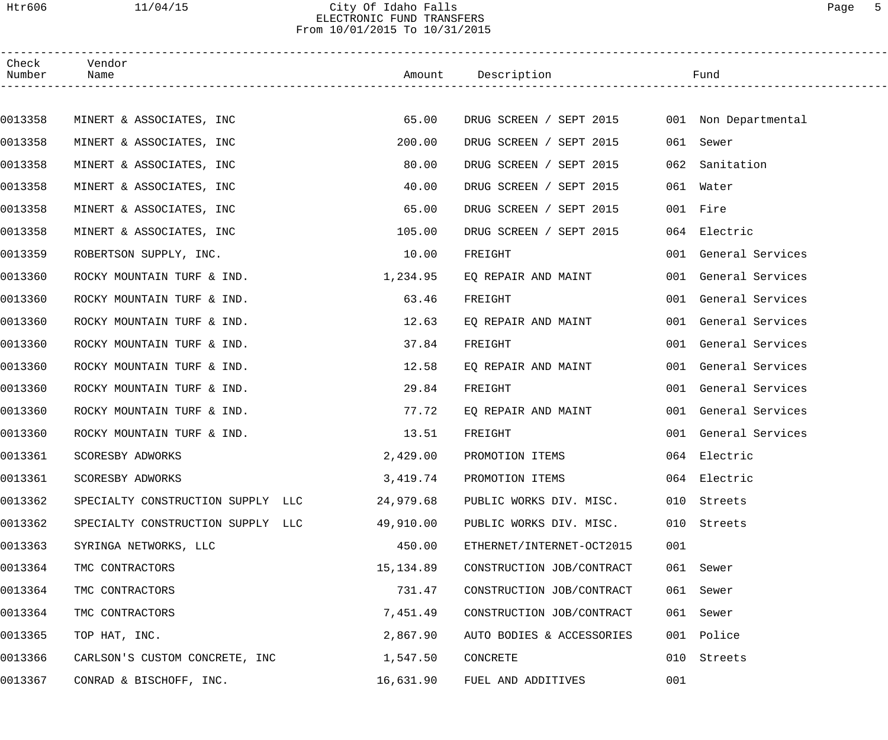## Htr606 11/04/15 City Of Idaho Falls Page 5 ELECTRONIC FUND TRANSFERS From 10/01/2015 To 10/31/2015

| Check<br>Number | Vendor<br>Name                    |           | Amount Description        |     | Fund                 |
|-----------------|-----------------------------------|-----------|---------------------------|-----|----------------------|
|                 |                                   |           |                           |     |                      |
| 0013358         | MINERT & ASSOCIATES, INC          | 65.00     | DRUG SCREEN / SEPT 2015   |     | 001 Non Departmental |
| 0013358         | MINERT & ASSOCIATES, INC          | 200.00    | DRUG SCREEN / SEPT 2015   | 061 | Sewer                |
| 0013358         | MINERT & ASSOCIATES, INC          | 80.00     | DRUG SCREEN / SEPT 2015   | 062 | Sanitation           |
| 0013358         | MINERT & ASSOCIATES, INC          | 40.00     | DRUG SCREEN / SEPT 2015   |     | 061 Water            |
| 0013358         | MINERT & ASSOCIATES, INC          | 65.00     | DRUG SCREEN / SEPT 2015   |     | 001 Fire             |
| 0013358         | MINERT & ASSOCIATES, INC          | 105.00    | DRUG SCREEN / SEPT 2015   |     | 064 Electric         |
| 0013359         | ROBERTSON SUPPLY, INC.            | 10.00     | FREIGHT                   |     | 001 General Services |
| 0013360         | ROCKY MOUNTAIN TURF & IND.        | 1,234.95  | EQ REPAIR AND MAINT       |     | 001 General Services |
| 0013360         | ROCKY MOUNTAIN TURF & IND.        | 63.46     | FREIGHT                   |     | 001 General Services |
| 0013360         | ROCKY MOUNTAIN TURF & IND.        | 12.63     | EQ REPAIR AND MAINT       |     | 001 General Services |
| 0013360         | ROCKY MOUNTAIN TURF & IND.        | 37.84     | FREIGHT                   |     | 001 General Services |
| 0013360         | ROCKY MOUNTAIN TURF & IND.        | 12.58     | EQ REPAIR AND MAINT       |     | 001 General Services |
| 0013360         | ROCKY MOUNTAIN TURF & IND.        | 29.84     | FREIGHT                   |     | 001 General Services |
| 0013360         | ROCKY MOUNTAIN TURF & IND.        | 77.72     | EQ REPAIR AND MAINT       |     | 001 General Services |
| 0013360         | ROCKY MOUNTAIN TURF & IND.        | 13.51     | FREIGHT                   |     | 001 General Services |
| 0013361         | SCORESBY ADWORKS                  | 2,429.00  | PROMOTION ITEMS           |     | 064 Electric         |
| 0013361         | SCORESBY ADWORKS                  | 3,419.74  | PROMOTION ITEMS           |     | 064 Electric         |
| 0013362         | SPECIALTY CONSTRUCTION SUPPLY LLC | 24,979.68 | PUBLIC WORKS DIV. MISC.   |     | 010 Streets          |
| 0013362         | SPECIALTY CONSTRUCTION SUPPLY LLC | 49,910.00 | PUBLIC WORKS DIV. MISC.   | 010 | Streets              |
| 0013363         | SYRINGA NETWORKS, LLC             | 450.00    | ETHERNET/INTERNET-OCT2015 | 001 |                      |
| 0013364         | TMC CONTRACTORS                   | 15,134.89 | CONSTRUCTION JOB/CONTRACT |     | 061 Sewer            |
| 0013364         | TMC CONTRACTORS                   | 731.47    | CONSTRUCTION JOB/CONTRACT |     | 061 Sewer            |
| 0013364         | TMC CONTRACTORS                   | 7,451.49  | CONSTRUCTION JOB/CONTRACT | 061 | Sewer                |
| 0013365         | TOP HAT, INC.                     | 2,867.90  | AUTO BODIES & ACCESSORIES |     | 001 Police           |
| 0013366         | CARLSON'S CUSTOM CONCRETE, INC    | 1,547.50  | CONCRETE                  | 010 | Streets              |
| 0013367         | CONRAD & BISCHOFF, INC.           | 16,631.90 | FUEL AND ADDITIVES        | 001 |                      |
|                 |                                   |           |                           |     |                      |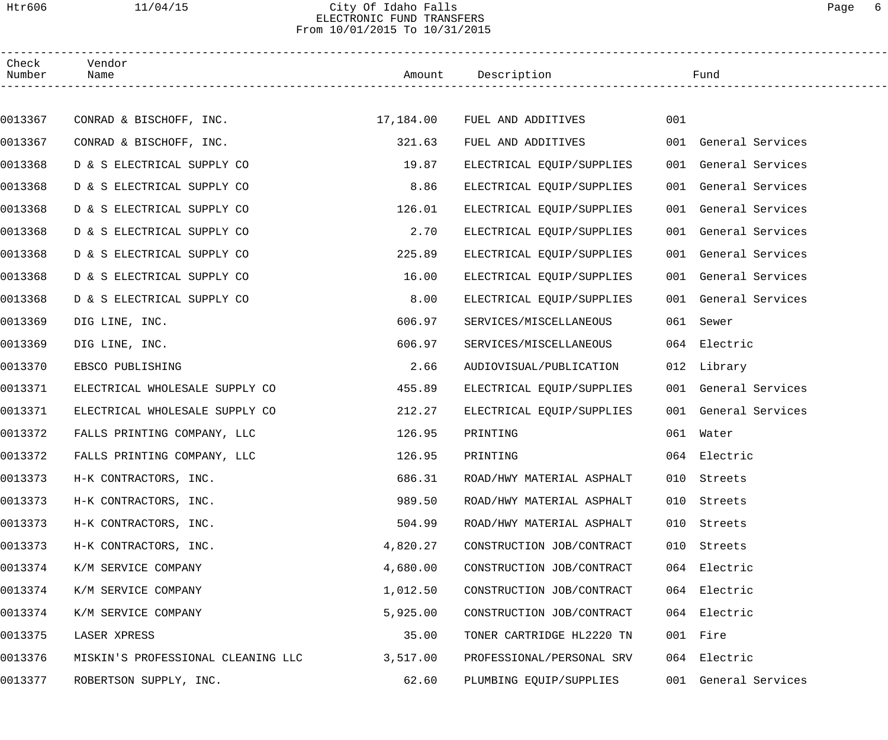## Htr606 11/04/15 City Of Idaho Falls Page 6 ELECTRONIC FUND TRANSFERS From 10/01/2015 To 10/31/2015

| Check<br>Number | Vendor<br>Name                     |          | Amount Description           |     | Fund                 |
|-----------------|------------------------------------|----------|------------------------------|-----|----------------------|
|                 |                                    |          |                              |     |                      |
| 0013367         | CONRAD & BISCHOFF, INC.            |          | 17,184.00 FUEL AND ADDITIVES | 001 |                      |
| 0013367         | CONRAD & BISCHOFF, INC.            | 321.63   | FUEL AND ADDITIVES           |     | 001 General Services |
| 0013368         | D & S ELECTRICAL SUPPLY CO         | 19.87    | ELECTRICAL EQUIP/SUPPLIES    |     | 001 General Services |
| 0013368         | D & S ELECTRICAL SUPPLY CO         | 8.86     | ELECTRICAL EQUIP/SUPPLIES    |     | 001 General Services |
| 0013368         | D & S ELECTRICAL SUPPLY CO         | 126.01   | ELECTRICAL EQUIP/SUPPLIES    |     | 001 General Services |
| 0013368         | D & S ELECTRICAL SUPPLY CO         | 2.70     | ELECTRICAL EQUIP/SUPPLIES    |     | 001 General Services |
| 0013368         | D & S ELECTRICAL SUPPLY CO         | 225.89   | ELECTRICAL EQUIP/SUPPLIES    |     | 001 General Services |
| 0013368         | D & S ELECTRICAL SUPPLY CO         | 16.00    | ELECTRICAL EQUIP/SUPPLIES    |     | 001 General Services |
| 0013368         | D & S ELECTRICAL SUPPLY CO         | 8.00     | ELECTRICAL EQUIP/SUPPLIES    |     | 001 General Services |
| 0013369         | DIG LINE, INC.                     | 606.97   | SERVICES/MISCELLANEOUS       | 061 | Sewer                |
| 0013369         | DIG LINE, INC.                     | 606.97   | SERVICES/MISCELLANEOUS       |     | 064 Electric         |
| 0013370         | EBSCO PUBLISHING                   | 2.66     | AUDIOVISUAL/PUBLICATION      |     | 012 Library          |
| 0013371         | ELECTRICAL WHOLESALE SUPPLY CO     | 455.89   | ELECTRICAL EQUIP/SUPPLIES    |     | 001 General Services |
| 0013371         | ELECTRICAL WHOLESALE SUPPLY CO     | 212.27   | ELECTRICAL EQUIP/SUPPLIES    |     | 001 General Services |
| 0013372         | FALLS PRINTING COMPANY, LLC        | 126.95   | PRINTING                     |     | 061 Water            |
| 0013372         | FALLS PRINTING COMPANY, LLC        | 126.95   | PRINTING                     |     | 064 Electric         |
| 0013373         | H-K CONTRACTORS, INC.              | 686.31   | ROAD/HWY MATERIAL ASPHALT    |     | 010 Streets          |
| 0013373         | H-K CONTRACTORS, INC.              | 989.50   | ROAD/HWY MATERIAL ASPHALT    | 010 | Streets              |
| 0013373         | H-K CONTRACTORS, INC.              | 504.99   | ROAD/HWY MATERIAL ASPHALT    | 010 | Streets              |
| 0013373         | H-K CONTRACTORS, INC.              | 4,820.27 | CONSTRUCTION JOB/CONTRACT    | 010 | Streets              |
| 0013374         | K/M SERVICE COMPANY                | 4,680.00 | CONSTRUCTION JOB/CONTRACT    | 064 | Electric             |
| 0013374         | K/M SERVICE COMPANY                | 1,012.50 | CONSTRUCTION JOB/CONTRACT    | 064 | Electric             |
| 0013374         | K/M SERVICE COMPANY                | 5,925.00 | CONSTRUCTION JOB/CONTRACT    |     | 064 Electric         |
| 0013375         | LASER XPRESS                       | 35.00    | TONER CARTRIDGE HL2220 TN    |     | 001 Fire             |
| 0013376         | MISKIN'S PROFESSIONAL CLEANING LLC | 3,517.00 | PROFESSIONAL/PERSONAL SRV    | 064 | Electric             |
| 0013377         | ROBERTSON SUPPLY, INC.             | 62.60    | PLUMBING EQUIP/SUPPLIES      |     | 001 General Services |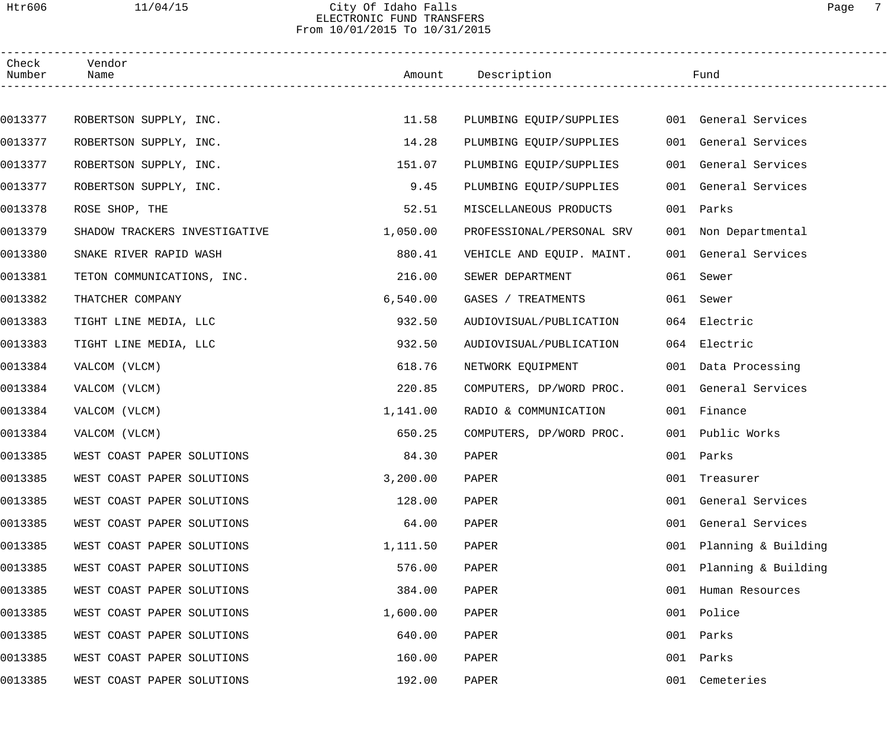#### Htr606 11/04/15 City Of Idaho Falls Page 7 ELECTRONIC FUND TRANSFERS From 10/01/2015 To 10/31/2015

| Check<br>Number | Vendor<br>Name                |          | Amount Description        |     | Fund                 |
|-----------------|-------------------------------|----------|---------------------------|-----|----------------------|
|                 |                               |          |                           |     |                      |
| 0013377         | ROBERTSON SUPPLY, INC.        | 11.58    | PLUMBING EQUIP/SUPPLIES   |     | 001 General Services |
| 0013377         | ROBERTSON SUPPLY, INC.        | 14.28    | PLUMBING EQUIP/SUPPLIES   |     | 001 General Services |
| 0013377         | ROBERTSON SUPPLY, INC.        | 151.07   | PLUMBING EQUIP/SUPPLIES   |     | 001 General Services |
| 0013377         | ROBERTSON SUPPLY, INC.        | 9.45     | PLUMBING EQUIP/SUPPLIES   |     | 001 General Services |
| 0013378         | ROSE SHOP, THE                | 52.51    | MISCELLANEOUS PRODUCTS    |     | 001 Parks            |
| 0013379         | SHADOW TRACKERS INVESTIGATIVE | 1,050.00 | PROFESSIONAL/PERSONAL SRV |     | 001 Non Departmental |
| 0013380         | SNAKE RIVER RAPID WASH        | 880.41   | VEHICLE AND EQUIP. MAINT. |     | 001 General Services |
| 0013381         | TETON COMMUNICATIONS, INC.    | 216.00   | SEWER DEPARTMENT          |     | 061 Sewer            |
| 0013382         | THATCHER COMPANY              | 6,540.00 | GASES / TREATMENTS        |     | 061 Sewer            |
| 0013383         | TIGHT LINE MEDIA, LLC         | 932.50   | AUDIOVISUAL/PUBLICATION   |     | 064 Electric         |
| 0013383         | TIGHT LINE MEDIA, LLC         | 932.50   | AUDIOVISUAL/PUBLICATION   |     | 064 Electric         |
| 0013384         | VALCOM (VLCM)                 | 618.76   | NETWORK EQUIPMENT         |     | 001 Data Processing  |
| 0013384         | VALCOM (VLCM)                 | 220.85   | COMPUTERS, DP/WORD PROC.  |     | 001 General Services |
| 0013384         | VALCOM (VLCM)                 | 1,141.00 | RADIO & COMMUNICATION     |     | 001 Finance          |
| 0013384         | VALCOM (VLCM)                 | 650.25   | COMPUTERS, DP/WORD PROC.  |     | 001 Public Works     |
| 0013385         | WEST COAST PAPER SOLUTIONS    | 84.30    | PAPER                     |     | 001 Parks            |
| 0013385         | WEST COAST PAPER SOLUTIONS    | 3,200.00 | PAPER                     |     | 001 Treasurer        |
| 0013385         | WEST COAST PAPER SOLUTIONS    | 128.00   | PAPER                     | 001 | General Services     |
| 0013385         | WEST COAST PAPER SOLUTIONS    | 64.00    | PAPER                     | 001 | General Services     |
| 0013385         | WEST COAST PAPER SOLUTIONS    | 1,111.50 | PAPER                     | 001 | Planning & Building  |
| 0013385         | WEST COAST PAPER SOLUTIONS    | 576.00   | PAPER                     | 001 | Planning & Building  |
| 0013385         | WEST COAST PAPER SOLUTIONS    | 384.00   | PAPER                     | 001 | Human Resources      |
| 0013385         | WEST COAST PAPER SOLUTIONS    | 1,600.00 | PAPER                     | 001 | Police               |
| 0013385         | WEST COAST PAPER SOLUTIONS    | 640.00   | PAPER                     | 001 | Parks                |
| 0013385         | WEST COAST PAPER SOLUTIONS    | 160.00   | PAPER                     | 001 | Parks                |
| 0013385         | WEST COAST PAPER SOLUTIONS    | 192.00   | PAPER                     | 001 | Cemeteries           |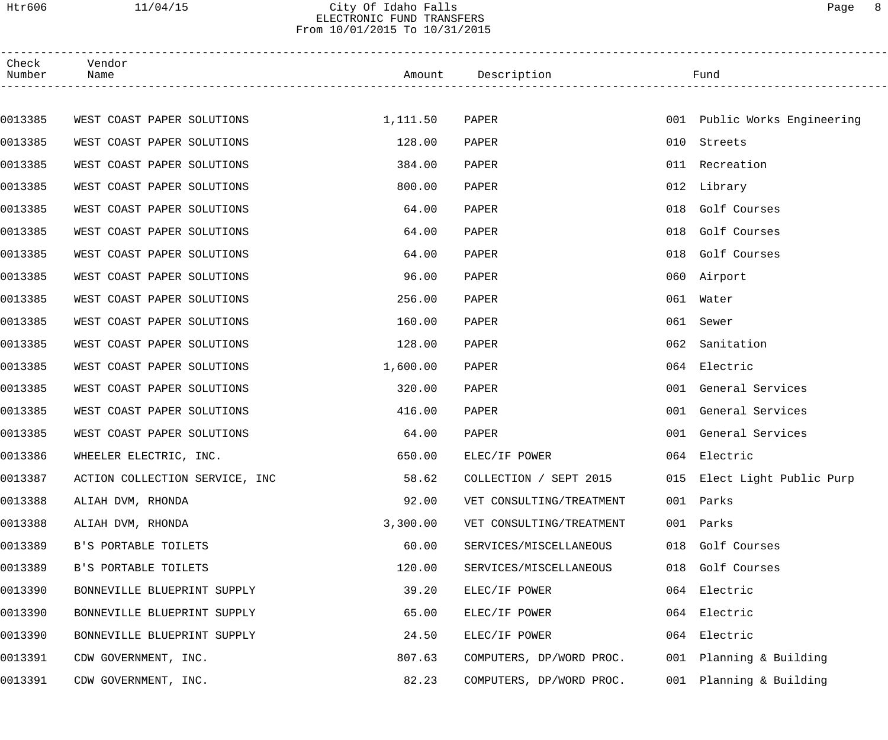Htr606 11/04/15 City Of Idaho Falls Page 8 ELECTRONIC FUND TRANSFERS

From 10/01/2015 To 10/31/2015

| Check<br>Number | Vendor<br>Name                 |          | Amount Description       |     | Fund                         |  |
|-----------------|--------------------------------|----------|--------------------------|-----|------------------------------|--|
|                 |                                |          |                          |     |                              |  |
| 0013385         | WEST COAST PAPER SOLUTIONS     | 1,111.50 | PAPER                    |     | 001 Public Works Engineering |  |
| 0013385         | WEST COAST PAPER SOLUTIONS     | 128.00   | PAPER                    | 010 | Streets                      |  |
| 0013385         | WEST COAST PAPER SOLUTIONS     | 384.00   | PAPER                    | 011 | Recreation                   |  |
| 0013385         | WEST COAST PAPER SOLUTIONS     | 800.00   | PAPER                    |     | 012 Library                  |  |
| 0013385         | WEST COAST PAPER SOLUTIONS     | 64.00    | PAPER                    | 018 | Golf Courses                 |  |
| 0013385         | WEST COAST PAPER SOLUTIONS     | 64.00    | PAPER                    | 018 | Golf Courses                 |  |
| 0013385         | WEST COAST PAPER SOLUTIONS     | 64.00    | PAPER                    | 018 | Golf Courses                 |  |
| 0013385         | WEST COAST PAPER SOLUTIONS     | 96.00    | PAPER                    | 060 | Airport                      |  |
| 0013385         | WEST COAST PAPER SOLUTIONS     | 256.00   | PAPER                    | 061 | Water                        |  |
| 0013385         | WEST COAST PAPER SOLUTIONS     | 160.00   | PAPER                    | 061 | Sewer                        |  |
| 0013385         | WEST COAST PAPER SOLUTIONS     | 128.00   | PAPER                    | 062 | Sanitation                   |  |
| 0013385         | WEST COAST PAPER SOLUTIONS     | 1,600.00 | PAPER                    | 064 | Electric                     |  |
| 0013385         | WEST COAST PAPER SOLUTIONS     | 320.00   | PAPER                    | 001 | General Services             |  |
| 0013385         | WEST COAST PAPER SOLUTIONS     | 416.00   | PAPER                    | 001 | General Services             |  |
| 0013385         | WEST COAST PAPER SOLUTIONS     | 64.00    | PAPER                    | 001 | General Services             |  |
| 0013386         | WHEELER ELECTRIC, INC.         | 650.00   | ELEC/IF POWER            |     | 064 Electric                 |  |
| 0013387         | ACTION COLLECTION SERVICE, INC | 58.62    | COLLECTION / SEPT 2015   |     | 015 Elect Light Public Purp  |  |
| 0013388         | ALIAH DVM, RHONDA              | 92.00    | VET CONSULTING/TREATMENT |     | 001 Parks                    |  |
| 0013388         | ALIAH DVM, RHONDA              | 3,300.00 | VET CONSULTING/TREATMENT | 001 | Parks                        |  |
| 0013389         | B'S PORTABLE TOILETS           | 60.00    | SERVICES/MISCELLANEOUS   | 018 | Golf Courses                 |  |
| 0013389         | B'S PORTABLE TOILETS           | 120.00   | SERVICES/MISCELLANEOUS   | 018 | Golf Courses                 |  |
| 0013390         | BONNEVILLE BLUEPRINT SUPPLY    | 39.20    | ELEC/IF POWER            | 064 | Electric                     |  |
| 0013390         | BONNEVILLE BLUEPRINT SUPPLY    | 65.00    | ELEC/IF POWER            | 064 | Electric                     |  |
| 0013390         | BONNEVILLE BLUEPRINT SUPPLY    | 24.50    | ELEC/IF POWER            | 064 | Electric                     |  |
| 0013391         | CDW GOVERNMENT, INC.           | 807.63   | COMPUTERS, DP/WORD PROC. | 001 | Planning & Building          |  |
| 0013391         | CDW GOVERNMENT, INC.           | 82.23    | COMPUTERS, DP/WORD PROC. | 001 | Planning & Building          |  |
|                 |                                |          |                          |     |                              |  |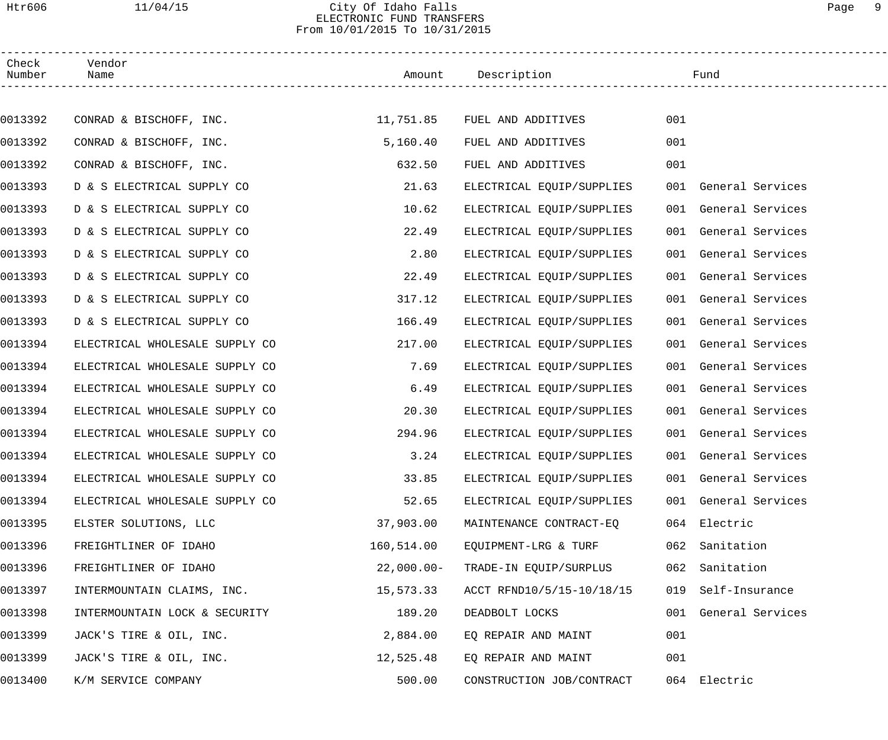## Htr606 11/04/15 City Of Idaho Falls Page 9 ELECTRONIC FUND TRANSFERS From 10/01/2015 To 10/31/2015

------------------------------------------------------------------------------------------------------------------------------------

| Check<br>Number | Vendor<br>Name                 | Amount       | Description                     |     | Fund                 |
|-----------------|--------------------------------|--------------|---------------------------------|-----|----------------------|
|                 |                                |              |                                 |     |                      |
| 0013392         | CONRAD & BISCHOFF, INC.        | 11,751.85    | FUEL AND ADDITIVES              | 001 |                      |
| 0013392         | CONRAD & BISCHOFF, INC.        | 5,160.40     | FUEL AND ADDITIVES              | 001 |                      |
| 0013392         | CONRAD & BISCHOFF, INC.        | 632.50       | FUEL AND ADDITIVES              | 001 |                      |
| 0013393         | D & S ELECTRICAL SUPPLY CO     | 21.63        | ELECTRICAL EQUIP/SUPPLIES       |     | 001 General Services |
| 0013393         | D & S ELECTRICAL SUPPLY CO     | 10.62        | ELECTRICAL EQUIP/SUPPLIES       |     | 001 General Services |
| 0013393         | D & S ELECTRICAL SUPPLY CO     | 22.49        | ELECTRICAL EQUIP/SUPPLIES       |     | 001 General Services |
| 0013393         | D & S ELECTRICAL SUPPLY CO     | 2.80         | ELECTRICAL EQUIP/SUPPLIES       |     | 001 General Services |
| 0013393         | D & S ELECTRICAL SUPPLY CO     | 22.49        | ELECTRICAL EQUIP/SUPPLIES       |     | 001 General Services |
| 0013393         | D & S ELECTRICAL SUPPLY CO     | 317.12       | ELECTRICAL EQUIP/SUPPLIES       |     | 001 General Services |
| 0013393         | D & S ELECTRICAL SUPPLY CO     | 166.49       | ELECTRICAL EQUIP/SUPPLIES       |     | 001 General Services |
| 0013394         | ELECTRICAL WHOLESALE SUPPLY CO | 217.00       | ELECTRICAL EQUIP/SUPPLIES       |     | 001 General Services |
| 0013394         | ELECTRICAL WHOLESALE SUPPLY CO | 7.69         | ELECTRICAL EQUIP/SUPPLIES       |     | 001 General Services |
| 0013394         | ELECTRICAL WHOLESALE SUPPLY CO | 6.49         | ELECTRICAL EQUIP/SUPPLIES       |     | 001 General Services |
| 0013394         | ELECTRICAL WHOLESALE SUPPLY CO | 20.30        | ELECTRICAL EQUIP/SUPPLIES       |     | 001 General Services |
| 0013394         | ELECTRICAL WHOLESALE SUPPLY CO | 294.96       | ELECTRICAL EQUIP/SUPPLIES       |     | 001 General Services |
| 0013394         | ELECTRICAL WHOLESALE SUPPLY CO | 3.24         | ELECTRICAL EQUIP/SUPPLIES       |     | 001 General Services |
| 0013394         | ELECTRICAL WHOLESALE SUPPLY CO |              | 33.85 ELECTRICAL EQUIP/SUPPLIES |     | 001 General Services |
| 0013394         | ELECTRICAL WHOLESALE SUPPLY CO | 52.65        | ELECTRICAL EQUIP/SUPPLIES       |     | 001 General Services |
| 0013395         | ELSTER SOLUTIONS, LLC          | 37,903.00    | MAINTENANCE CONTRACT-EQ         |     | 064 Electric         |
| 0013396         | FREIGHTLINER OF IDAHO          | 160,514.00   | EQUIPMENT-LRG & TURF            | 062 | Sanitation           |
| 0013396         | FREIGHTLINER OF IDAHO          | $22,000.00-$ | TRADE-IN EQUIP/SURPLUS          | 062 | Sanitation           |
| 0013397         | INTERMOUNTAIN CLAIMS, INC.     | 15,573.33    | ACCT RFND10/5/15-10/18/15       | 019 | Self-Insurance       |
| 0013398         | INTERMOUNTAIN LOCK & SECURITY  | 189.20       | DEADBOLT LOCKS                  | 001 | General Services     |
| 0013399         | JACK'S TIRE & OIL, INC.        | 2,884.00     | EQ REPAIR AND MAINT             | 001 |                      |
| 0013399         | JACK'S TIRE & OIL, INC.        | 12,525.48    | EQ REPAIR AND MAINT             | 001 |                      |
| 0013400         | K/M SERVICE COMPANY            | 500.00       | CONSTRUCTION JOB/CONTRACT       |     | 064 Electric         |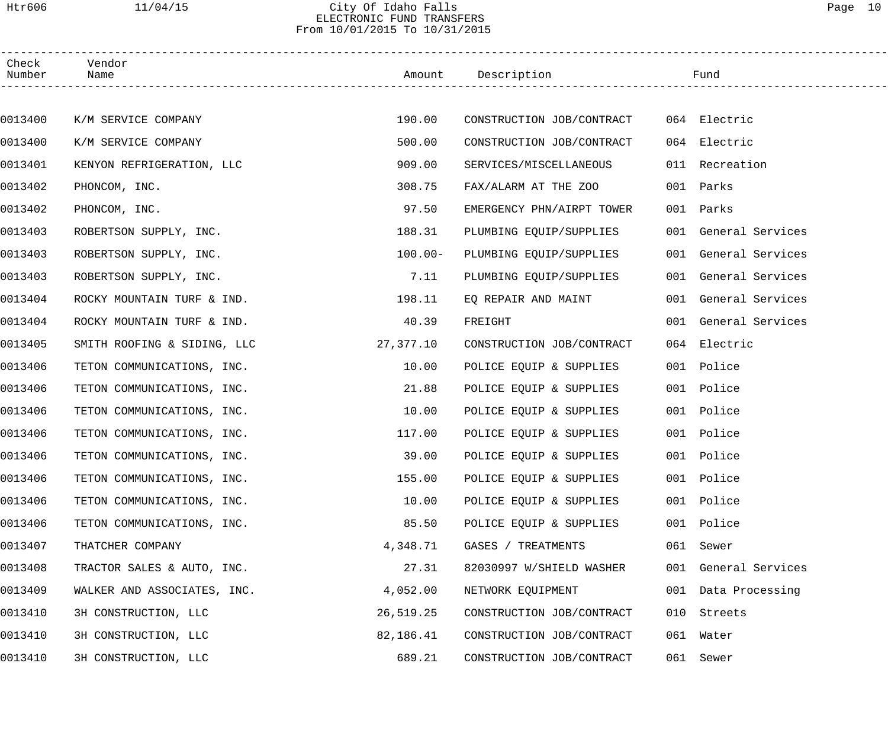## Htr606 11/04/15 City Of Idaho Falls Page 10 ELECTRONIC FUND TRANSFERS From 10/01/2015 To 10/31/2015

| Check<br>Number | Vendor<br>Name              |            | Amount Description        |     | Fund                 |  |
|-----------------|-----------------------------|------------|---------------------------|-----|----------------------|--|
|                 |                             |            |                           |     |                      |  |
| 0013400         | K/M SERVICE COMPANY         | 190.00     | CONSTRUCTION JOB/CONTRACT |     | 064 Electric         |  |
| 0013400         | K/M SERVICE COMPANY         | 500.00     | CONSTRUCTION JOB/CONTRACT |     | 064 Electric         |  |
| 0013401         | KENYON REFRIGERATION, LLC   | 909.00     | SERVICES/MISCELLANEOUS    | 011 | Recreation           |  |
| 0013402         | PHONCOM, INC.               | 308.75     | FAX/ALARM AT THE ZOO      |     | 001 Parks            |  |
| 0013402         | PHONCOM, INC.               | 97.50      | EMERGENCY PHN/AIRPT TOWER |     | 001 Parks            |  |
| 0013403         | ROBERTSON SUPPLY, INC.      | 188.31     | PLUMBING EQUIP/SUPPLIES   |     | 001 General Services |  |
| 0013403         | ROBERTSON SUPPLY, INC.      | $100.00 -$ | PLUMBING EQUIP/SUPPLIES   |     | 001 General Services |  |
| 0013403         | ROBERTSON SUPPLY, INC.      | 7.11       | PLUMBING EQUIP/SUPPLIES   |     | 001 General Services |  |
| 0013404         | ROCKY MOUNTAIN TURF & IND.  | 198.11     | EQ REPAIR AND MAINT       |     | 001 General Services |  |
| 0013404         | ROCKY MOUNTAIN TURF & IND.  | 40.39      | FREIGHT                   |     | 001 General Services |  |
| 0013405         | SMITH ROOFING & SIDING, LLC | 27,377.10  | CONSTRUCTION JOB/CONTRACT |     | 064 Electric         |  |
| 0013406         | TETON COMMUNICATIONS, INC.  | 10.00      | POLICE EQUIP & SUPPLIES   |     | 001 Police           |  |
| 0013406         | TETON COMMUNICATIONS, INC.  | 21.88      | POLICE EQUIP & SUPPLIES   |     | 001 Police           |  |
| 0013406         | TETON COMMUNICATIONS, INC.  | 10.00      | POLICE EQUIP & SUPPLIES   |     | 001 Police           |  |
| 0013406         | TETON COMMUNICATIONS, INC.  | 117.00     | POLICE EQUIP & SUPPLIES   |     | 001 Police           |  |
| 0013406         | TETON COMMUNICATIONS, INC.  | 39.00      | POLICE EQUIP & SUPPLIES   |     | 001 Police           |  |
| 0013406         | TETON COMMUNICATIONS, INC.  | 155.00     | POLICE EQUIP & SUPPLIES   |     | 001 Police           |  |
| 0013406         | TETON COMMUNICATIONS, INC.  | 10.00      | POLICE EQUIP & SUPPLIES   |     | 001 Police           |  |
| 0013406         | TETON COMMUNICATIONS, INC.  | 85.50      | POLICE EQUIP & SUPPLIES   |     | 001 Police           |  |
| 0013407         | THATCHER COMPANY            | 4,348.71   | GASES / TREATMENTS        |     | 061 Sewer            |  |
| 0013408         | TRACTOR SALES & AUTO, INC.  | 27.31      | 82030997 W/SHIELD WASHER  |     | 001 General Services |  |
| 0013409         | WALKER AND ASSOCIATES, INC. | 4,052.00   | NETWORK EQUIPMENT         |     | 001 Data Processing  |  |
| 0013410         | 3H CONSTRUCTION, LLC        | 26,519.25  | CONSTRUCTION JOB/CONTRACT |     | 010 Streets          |  |
| 0013410         | 3H CONSTRUCTION, LLC        | 82,186.41  | CONSTRUCTION JOB/CONTRACT |     | 061 Water            |  |
| 0013410         | 3H CONSTRUCTION, LLC        | 689.21     | CONSTRUCTION JOB/CONTRACT |     | 061 Sewer            |  |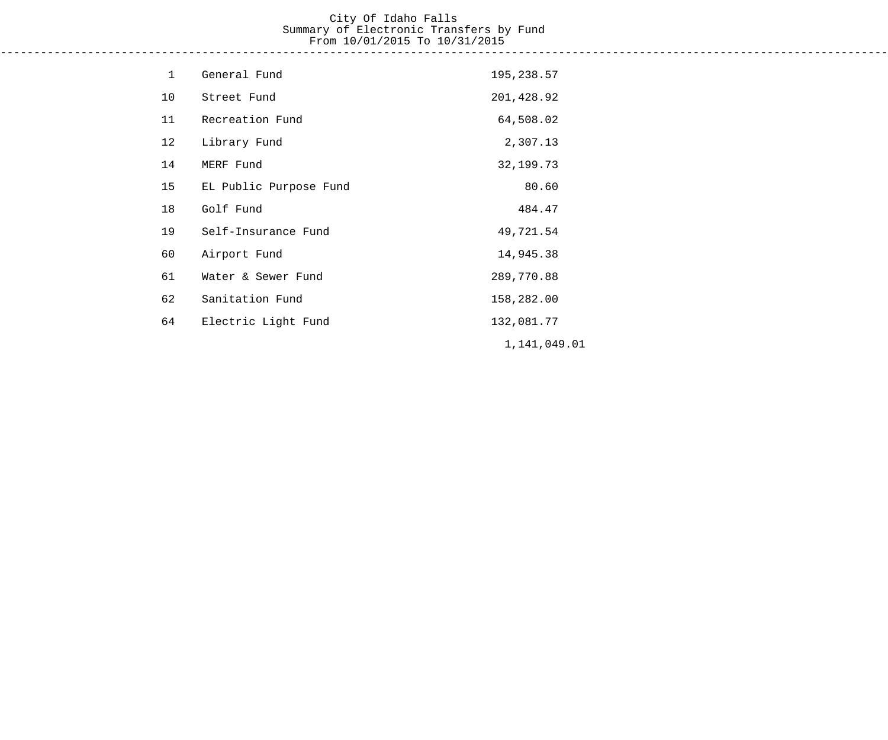## City Of Idaho Falls Summary of Electronic Transfers by Fund From 10/01/2015 To 10/31/2015 ------------------------------------------------------------------------------------------------------------------------------------

| $\mathbf{1}$ | General Fund           | 195,238.57   |
|--------------|------------------------|--------------|
| 10           | Street Fund            | 201,428.92   |
| 11           | Recreation Fund        | 64,508.02    |
| 12           | Library Fund           | 2,307.13     |
| 14           | MERF Fund              | 32, 199. 73  |
| 15           | EL Public Purpose Fund | 80.60        |
| 18           | Golf Fund              | 484.47       |
| 19           | Self-Insurance Fund    | 49,721.54    |
| 60           | Airport Fund           | 14,945.38    |
| 61           | Water & Sewer Fund     | 289,770.88   |
| 62           | Sanitation Fund        | 158,282.00   |
| 64           | Electric Light Fund    | 132,081.77   |
|              |                        | 1,141,049.01 |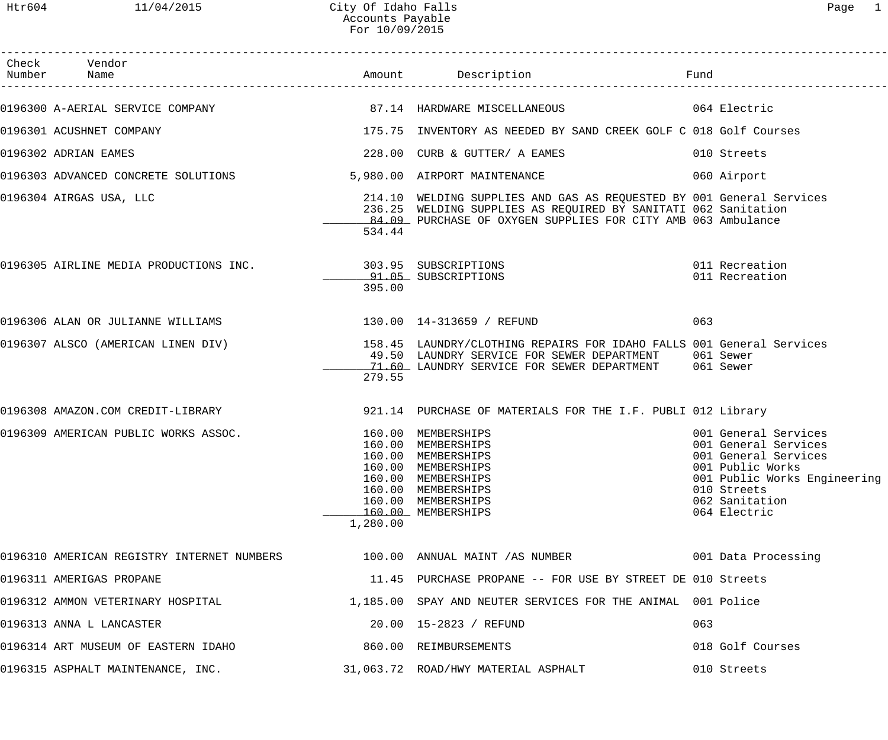| Check Vendor<br>Number Name                                                                             |          | Amount Description                                                                                                                                                                                     |     |                                                                                                                                                                           |
|---------------------------------------------------------------------------------------------------------|----------|--------------------------------------------------------------------------------------------------------------------------------------------------------------------------------------------------------|-----|---------------------------------------------------------------------------------------------------------------------------------------------------------------------------|
| 0196300 A-AERIAL SERVICE COMPANY 67.14 HARDWARE MISCELLANEOUS 064 Electric                              |          |                                                                                                                                                                                                        |     |                                                                                                                                                                           |
| 0196301 ACUSHNET COMPANY                                                                                |          | 175.75 INVENTORY AS NEEDED BY SAND CREEK GOLF C 018 Golf Courses                                                                                                                                       |     |                                                                                                                                                                           |
| 0196302 ADRIAN EAMES                                                                                    |          | 228.00 CURB & GUTTER/ A EAMES                                                                                                                                                                          |     | 010 Streets                                                                                                                                                               |
| 0196303 ADVANCED CONCRETE SOLUTIONS                                                                     |          | 5,980.00 AIRPORT MAINTENANCE                                                                                                                                                                           |     | 060 Airport                                                                                                                                                               |
| 0196304 AIRGAS USA, LLC                                                                                 | 534.44   | 214.10 WELDING SUPPLIES AND GAS AS REQUESTED BY 001 General Services<br>236.25 WELDING SUPPLIES AS REQUIRED BY SANITATI 062 Sanitation<br>84.09 PURCHASE OF OXYGEN SUPPLIES FOR CITY AMB 063 Ambulance |     |                                                                                                                                                                           |
| 0196305 AIRLINE MEDIA PRODUCTIONS INC. 303.95 SUBSCRIPTIONS                                             | 395.00   | 91.05 SUBSCRIPTIONS                                                                                                                                                                                    |     | 011 Recreation<br>011 Recreation                                                                                                                                          |
| 0196306 ALAN OR JULIANNE WILLIAMS                                                                       |          | 130.00  14-313659 / REFUND                                                                                                                                                                             | 063 |                                                                                                                                                                           |
| 0196307 ALSCO (AMERICAN LINEN DIV) 158.45 LAUNDRY/CLOTHING REPAIRS FOR IDAHO FALLS 001 General Services | 279.55   | 49.50 LAUNDRY SERVICE FOR SEWER DEPARTMENT 061 Sewer<br>71.60 LAUNDRY SERVICE FOR SEWER DEPARTMENT 061 Sewer                                                                                           |     |                                                                                                                                                                           |
| 0196308 AMAZON.COM CREDIT-LIBRARY 1921.14 PURCHASE OF MATERIALS FOR THE I.F. PUBLI 012 Library          |          |                                                                                                                                                                                                        |     |                                                                                                                                                                           |
| 0196309 AMERICAN PUBLIC WORKS ASSOC.                                                                    | 1,280.00 | 160.00 MEMBERSHIPS<br>160.00 MEMBERSHIPS<br>160.00 MEMBERSHIPS<br>160.00 MEMBERSHIPS<br>160.00 MEMBERSHIPS<br>160.00 MEMBERSHIPS<br>160.00 MEMBERSHIPS<br>160.00 MEMBERSHIPS                           |     | 001 General Services<br>001 General Services<br>001 General Services<br>001 Public Works<br>001 Public Works Engineering<br>010 Streets<br>062 Sanitation<br>064 Electric |
| 0196310 AMERICAN REGISTRY INTERNET NUMBERS 100.00 ANNUAL MAINT /AS NUMBER                               |          |                                                                                                                                                                                                        |     | 001 Data Processing                                                                                                                                                       |
| 0196311 AMERIGAS PROPANE                                                                                |          | 11.45 PURCHASE PROPANE -- FOR USE BY STREET DE 010 Streets                                                                                                                                             |     |                                                                                                                                                                           |
| 0196312 AMMON VETERINARY HOSPITAL                                                                       |          | 1,185.00 SPAY AND NEUTER SERVICES FOR THE ANIMAL 001 Police                                                                                                                                            |     |                                                                                                                                                                           |
| 0196313 ANNA L LANCASTER                                                                                |          | 20.00 15-2823 / REFUND                                                                                                                                                                                 | 063 |                                                                                                                                                                           |
| 0196314 ART MUSEUM OF EASTERN IDAHO                                                                     |          | 860.00 REIMBURSEMENTS                                                                                                                                                                                  |     | 018 Golf Courses                                                                                                                                                          |
| 0196315 ASPHALT MAINTENANCE, INC.                                                                       |          | 31,063.72 ROAD/HWY MATERIAL ASPHALT                                                                                                                                                                    |     | 010 Streets                                                                                                                                                               |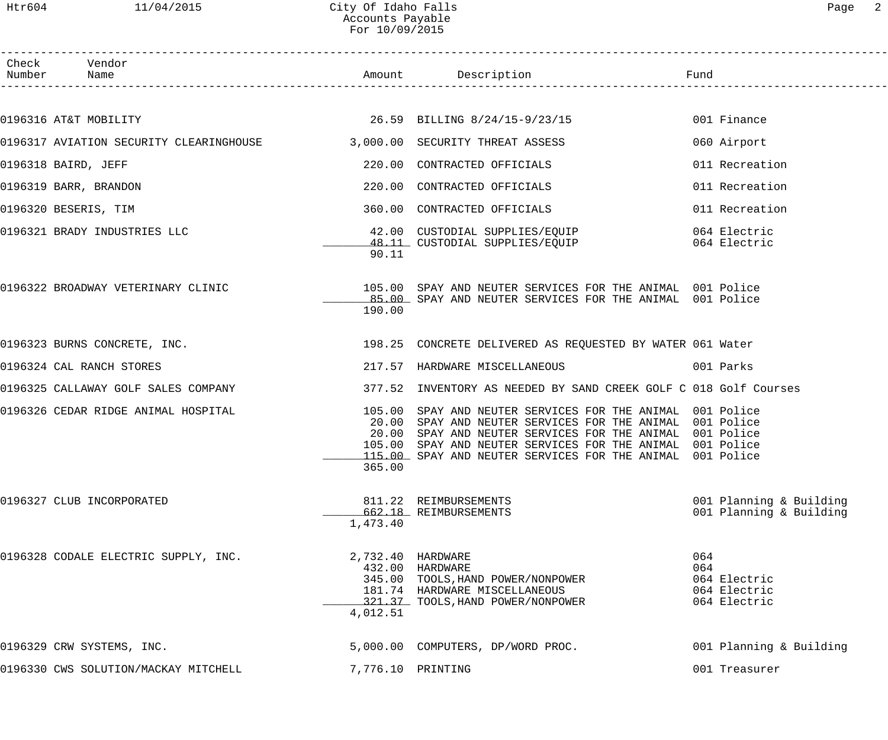Htr604 11/04/2015 City Of Idaho Falls Page 2 Accounts Payable For 10/09/2015

| ⊖מ⊿ |  |
|-----|--|
|     |  |

| Check Vendor<br>Number Name                                             |                               |                                                                                                                                                                                                                                                                                                             |                                                            |
|-------------------------------------------------------------------------|-------------------------------|-------------------------------------------------------------------------------------------------------------------------------------------------------------------------------------------------------------------------------------------------------------------------------------------------------------|------------------------------------------------------------|
|                                                                         |                               |                                                                                                                                                                                                                                                                                                             |                                                            |
| 0196316 AT&T MOBILITY                                                   |                               | 26.59 BILLING 8/24/15-9/23/15                                                                                                                                                                                                                                                                               | 001 Finance                                                |
| 0196317 AVIATION SECURITY CLEARINGHOUSE 3,000.00 SECURITY THREAT ASSESS |                               |                                                                                                                                                                                                                                                                                                             | 060 Airport                                                |
| 0196318 BAIRD, JEFF                                                     |                               | 220.00 CONTRACTED OFFICIALS                                                                                                                                                                                                                                                                                 | 011 Recreation                                             |
| 0196319 BARR, BRANDON                                                   |                               | 220.00 CONTRACTED OFFICIALS                                                                                                                                                                                                                                                                                 | 011 Recreation                                             |
| 0196320 BESERIS, TIM                                                    |                               | 360.00 CONTRACTED OFFICIALS                                                                                                                                                                                                                                                                                 | 011 Recreation                                             |
| 0196321 BRADY INDUSTRIES LLC                                            | 90.11                         | 42.00 CUSTODIAL SUPPLIES/EQUIP 064 Electric<br>48.11 CUSTODIAL SUPPLIES/EQUIP 064 Electric                                                                                                                                                                                                                  |                                                            |
|                                                                         | 190.00                        | 0196322 BROADWAY VETERINARY CLINIC <b>105.00</b> SPAY AND NEUTER SERVICES FOR THE ANIMAL 001 Police<br>85.00 SPAY AND NEUTER SERVICES FOR THE ANIMAL 001 Police                                                                                                                                             |                                                            |
|                                                                         |                               | 0196323 BURNS CONCRETE, INC. THE SALE RESERVED AS REQUESTED BY WATER 061 Water                                                                                                                                                                                                                              |                                                            |
| 0196324 CAL RANCH STORES                                                |                               | 217.57 HARDWARE MISCELLANEOUS 6001 Parks                                                                                                                                                                                                                                                                    |                                                            |
|                                                                         |                               | 0196325 CALLAWAY GOLF SALES COMPANY 377.52 INVENTORY AS NEEDED BY SAND CREEK GOLF C 018 Golf Courses                                                                                                                                                                                                        |                                                            |
| 0196326 CEDAR RIDGE ANIMAL HOSPITAL                                     | 365.00                        | 105.00 SPAY AND NEUTER SERVICES FOR THE ANIMAL 001 Police<br>20.00 SPAY AND NEUTER SERVICES FOR THE ANIMAL 001 Police<br>20.00 SPAY AND NEUTER SERVICES FOR THE ANIMAL 001 Police<br>105.00 SPAY AND NEUTER SERVICES FOR THE ANIMAL 001 Police<br>115.00 SPAY AND NEUTER SERVICES FOR THE ANIMAL 001 Police |                                                            |
| 0196327 CLUB INCORPORATED                                               | 1,473.40                      | 811.22 REIMBURSEMENTS<br>662.18 REIMBURSEMENTS                                                                                                                                                                                                                                                              | 001 Planning & Building<br>001 Planning & Building         |
| 0196328 CODALE ELECTRIC SUPPLY, INC.                                    | 2,732.40 HARDWARE<br>4,012.51 | 432.00 HARDWARE<br>345.00 TOOLS, HAND POWER/NONPOWER<br>181.74 HARDWARE MISCELLANEOUS<br>321.37 TOOLS, HAND POWER/NONPOWER                                                                                                                                                                                  | 064<br>064<br>064 Electric<br>064 Electric<br>064 Electric |
| 0196329 CRW SYSTEMS, INC.                                               |                               | 5,000.00 COMPUTERS, DP/WORD PROC.                                                                                                                                                                                                                                                                           | 001 Planning & Building                                    |
| 0196330 CWS SOLUTION/MACKAY MITCHELL                                    | 7,776.10 PRINTING             |                                                                                                                                                                                                                                                                                                             | 001 Treasurer                                              |
|                                                                         |                               |                                                                                                                                                                                                                                                                                                             |                                                            |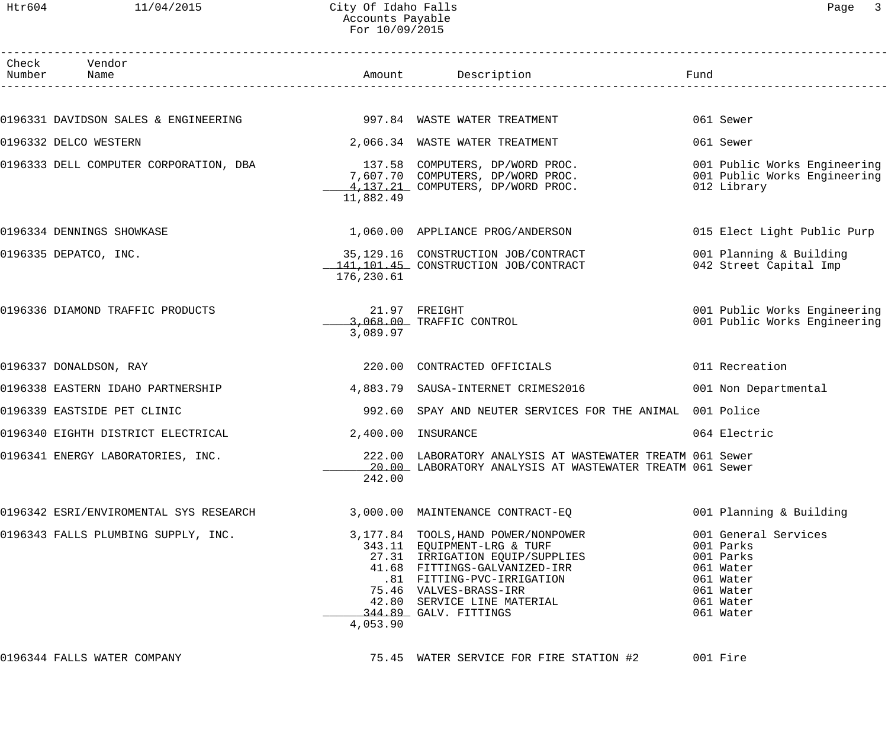## Htr604 11/04/2015 City Of Idaho Falls 2007 City Of Idaho Falls Accounts Payable For 10/09/2015

| Check Vendor<br>Number Name            |            | Amount Description                                                                                                                                                                                                                                     | Fund |                                                                                                                 |
|----------------------------------------|------------|--------------------------------------------------------------------------------------------------------------------------------------------------------------------------------------------------------------------------------------------------------|------|-----------------------------------------------------------------------------------------------------------------|
|                                        |            |                                                                                                                                                                                                                                                        |      |                                                                                                                 |
|                                        |            |                                                                                                                                                                                                                                                        |      | 061 Sewer                                                                                                       |
| 0196332 DELCO WESTERN                  |            | 2,066.34 WASTE WATER TREATMENT                                                                                                                                                                                                                         |      | 061 Sewer                                                                                                       |
| 0196333 DELL COMPUTER CORPORATION, DBA | 11,882.49  | 137.58 COMPUTERS, DP/WORD PROC.<br>7,607.70 COMPUTERS, DP/WORD PROC.<br>4.137.31 COMPUTERS, DP/WORD PROC.<br>4,137.21 COMPUTERS, DP/WORD PROC.                                                                                                         |      | 001 Public Works Engineering<br>001 Public Works Engineering<br>012 Library                                     |
| 0196334 DENNINGS SHOWKASE              |            | 1,060.00 APPLIANCE PROG/ANDERSON                                                                                                                                                                                                                       |      | 015 Elect Light Public Purp                                                                                     |
| 0196335 DEPATCO, INC.                  | 176,230.61 | 35,129.16 CONSTRUCTION JOB/CONTRACT<br>141,101.45 CONSTRUCTION JOB/CONTRACT                                                                                                                                                                            |      | 001 Planning & Building<br>042 Street Capital Imp                                                               |
| 0196336 DIAMOND TRAFFIC PRODUCTS       | 3,089.97   | 21.97 FREIGHT<br>3,068.00 TRAFFIC CONTROL                                                                                                                                                                                                              |      | 001 Public Works Engineering<br>001 Public Works Engineering                                                    |
| 0196337 DONALDSON, RAY                 |            | 220.00 CONTRACTED OFFICIALS                                                                                                                                                                                                                            |      | 011 Recreation                                                                                                  |
| 0196338 EASTERN IDAHO PARTNERSHIP      |            | 4,883.79 SAUSA-INTERNET CRIMES2016                                                                                                                                                                                                                     |      | 001 Non Departmental                                                                                            |
| 0196339 EASTSIDE PET CLINIC            |            | 992.60 SPAY AND NEUTER SERVICES FOR THE ANIMAL 001 Police                                                                                                                                                                                              |      |                                                                                                                 |
| 0196340 EIGHTH DISTRICT ELECTRICAL     |            | 2,400.00 INSURANCE                                                                                                                                                                                                                                     |      | 064 Electric                                                                                                    |
| 0196341 ENERGY LABORATORIES, INC.      | 242.00     | 222.00 LABORATORY ANALYSIS AT WASTEWATER TREATM 061 Sewer<br>20.00 LABORATORY ANALYSIS AT WASTEWATER TREATM 061 Sewer                                                                                                                                  |      |                                                                                                                 |
| 0196342 ESRI/ENVIROMENTAL SYS RESEARCH |            | 3,000.00 MAINTENANCE CONTRACT-EQ                                                                                                                                                                                                                       |      | 001 Planning & Building                                                                                         |
| 0196343 FALLS PLUMBING SUPPLY, INC.    | 4,053.90   | 3,177.84 TOOLS, HAND POWER/NONPOWER<br>343.11 EQUIPMENT-LRG & TURF<br>27.31 IRRIGATION EQUIP/SUPPLIES<br>41.68 FITTINGS-GALVANIZED-IRR<br>.81 FITTING-PVC-IRRIGATION<br>75.46 VALVES-BRASS-IRR<br>42.80 SERVICE LINE MATERIAL<br>344.89 GALV. FITTINGS |      | 001 General Services<br>001 Parks<br>001 Parks<br>061 Water<br>061 Water<br>061 Water<br>061 Water<br>061 Water |
|                                        |            |                                                                                                                                                                                                                                                        |      |                                                                                                                 |

0196344 FALLS WATER COMPANY 75.45 WATER SERVICE FOR FIRE STATION #2 001 Fire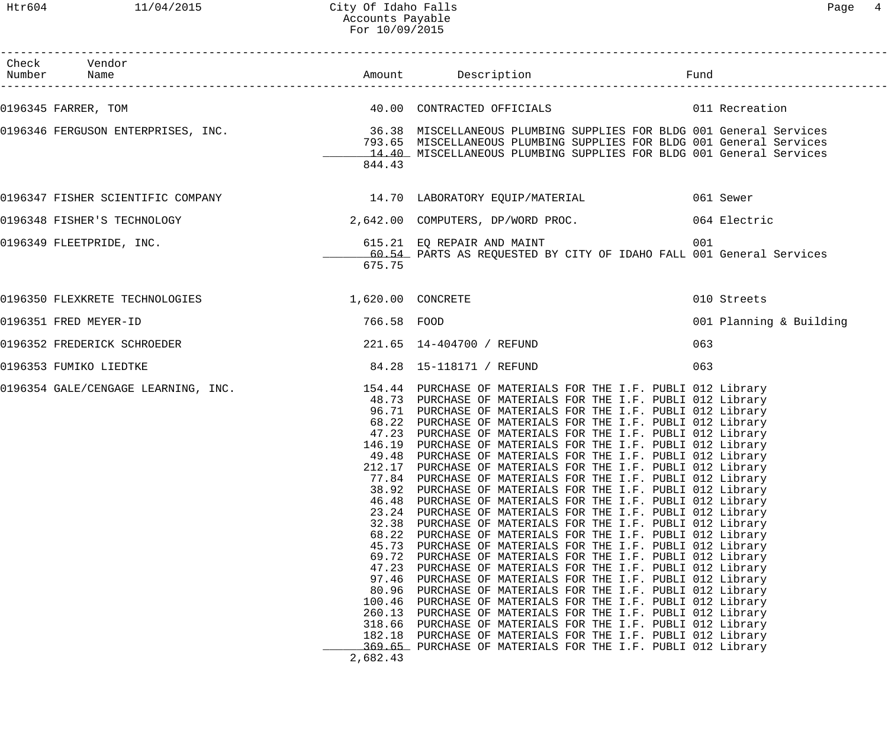| Check Vendor                                          |                                                                                                                                                     |                                                                                                                                                                                                                                                                                                                                                                                                                                                                                                                                                                                                                                                                                                                                                                                                                                                                                                                                                                                                                                                                                                                                                                                                                                                                                                                                                                                                                                                                                            |                         |
|-------------------------------------------------------|-----------------------------------------------------------------------------------------------------------------------------------------------------|--------------------------------------------------------------------------------------------------------------------------------------------------------------------------------------------------------------------------------------------------------------------------------------------------------------------------------------------------------------------------------------------------------------------------------------------------------------------------------------------------------------------------------------------------------------------------------------------------------------------------------------------------------------------------------------------------------------------------------------------------------------------------------------------------------------------------------------------------------------------------------------------------------------------------------------------------------------------------------------------------------------------------------------------------------------------------------------------------------------------------------------------------------------------------------------------------------------------------------------------------------------------------------------------------------------------------------------------------------------------------------------------------------------------------------------------------------------------------------------------|-------------------------|
| 0196345 FARRER, TOM                                   |                                                                                                                                                     | 40.00 CONTRACTED OFFICIALS 6011 Recreation                                                                                                                                                                                                                                                                                                                                                                                                                                                                                                                                                                                                                                                                                                                                                                                                                                                                                                                                                                                                                                                                                                                                                                                                                                                                                                                                                                                                                                                 |                         |
|                                                       | 844.43                                                                                                                                              | 0196346 FERGUSON ENTERPRISES, INC. 36.38 MISCELLANEOUS PLUMBING SUPPLIES FOR BLDG 001 General Services<br>793.65 MISCELLANEOUS PLUMBING SUPPLIES FOR BLDG 001 General Services<br>14.40 MISCELLANEOUS PLUMBING SUPPLIES FOR BLDG 001 General Services                                                                                                                                                                                                                                                                                                                                                                                                                                                                                                                                                                                                                                                                                                                                                                                                                                                                                                                                                                                                                                                                                                                                                                                                                                      |                         |
|                                                       |                                                                                                                                                     | 0196347 FISHER SCIENTIFIC COMPANY 14.70 LABORATORY EQUIP/MATERIAL 661 Sewer                                                                                                                                                                                                                                                                                                                                                                                                                                                                                                                                                                                                                                                                                                                                                                                                                                                                                                                                                                                                                                                                                                                                                                                                                                                                                                                                                                                                                |                         |
|                                                       |                                                                                                                                                     | 0196348 FISHER'S TECHNOLOGY 2,642.00 COMPUTERS, DP/WORD PROC. 064 Electric                                                                                                                                                                                                                                                                                                                                                                                                                                                                                                                                                                                                                                                                                                                                                                                                                                                                                                                                                                                                                                                                                                                                                                                                                                                                                                                                                                                                                 |                         |
| 0196349 FLEETPRIDE, INC.                              | 675.75                                                                                                                                              | 615.21 EQ REPAIR AND MAINT<br>60.54 PARTS AS REQUESTED BY CITY OF IDAHO FALL 001 General Services                                                                                                                                                                                                                                                                                                                                                                                                                                                                                                                                                                                                                                                                                                                                                                                                                                                                                                                                                                                                                                                                                                                                                                                                                                                                                                                                                                                          | 001                     |
| 0196350 FLEXKRETE TECHNOLOGIES 1,620.00 CONCRETE      |                                                                                                                                                     |                                                                                                                                                                                                                                                                                                                                                                                                                                                                                                                                                                                                                                                                                                                                                                                                                                                                                                                                                                                                                                                                                                                                                                                                                                                                                                                                                                                                                                                                                            | 010 Streets             |
| 0196351 FRED MEYER-ID                                 | 766.58 FOOD                                                                                                                                         |                                                                                                                                                                                                                                                                                                                                                                                                                                                                                                                                                                                                                                                                                                                                                                                                                                                                                                                                                                                                                                                                                                                                                                                                                                                                                                                                                                                                                                                                                            | 001 Planning & Building |
| 0196352 FREDERICK SCHROEDER 221.65 14-404700 / REFUND |                                                                                                                                                     |                                                                                                                                                                                                                                                                                                                                                                                                                                                                                                                                                                                                                                                                                                                                                                                                                                                                                                                                                                                                                                                                                                                                                                                                                                                                                                                                                                                                                                                                                            | 063                     |
| 0196353 FUMIKO LIEDTKE                                |                                                                                                                                                     | 84.28  15-118171 / REFUND                                                                                                                                                                                                                                                                                                                                                                                                                                                                                                                                                                                                                                                                                                                                                                                                                                                                                                                                                                                                                                                                                                                                                                                                                                                                                                                                                                                                                                                                  | 063                     |
|                                                       | 77.84<br>38.92<br>46.48<br>23.24<br>32.38<br>68.22<br>45.73<br>69.72<br>47.23<br>97.46<br>80.96<br>100.46<br>260.13<br>318.66<br>182.18<br>2,682.43 | 0196354 GALE/CENGAGE LEARNING, INC. 154.44 PURCHASE OF MATERIALS FOR THE I.F. PUBLI 012 Library<br>48.73 PURCHASE OF MATERIALS FOR THE I.F. PUBLI 012 Library<br>96.71 PURCHASE OF MATERIALS FOR THE I.F. PUBLI 012 Library<br>68.22 PURCHASE OF MATERIALS FOR THE I.F. PUBLI 012 Library<br>47.23 PURCHASE OF MATERIALS FOR THE I.F. PUBLI 012 Library<br>146.19 PURCHASE OF MATERIALS FOR THE I.F. PUBLI 012 Library<br>49.48 PURCHASE OF MATERIALS FOR THE I.F. PUBLI 012 Library<br>212.17 PURCHASE OF MATERIALS FOR THE I.F. PUBLI 012 Library<br>PURCHASE OF MATERIALS FOR THE I.F. PUBLI 012 Library<br>PURCHASE OF MATERIALS FOR THE I.F. PUBLI 012 Library<br>PURCHASE OF MATERIALS FOR THE I.F. PUBLI 012 Library<br>PURCHASE OF MATERIALS FOR THE I.F. PUBLI 012 Library<br>PURCHASE OF MATERIALS FOR THE I.F. PUBLI 012 Library<br>PURCHASE OF MATERIALS FOR THE I.F. PUBLI 012 Library<br>PURCHASE OF MATERIALS FOR THE I.F. PUBLI 012 Library<br>PURCHASE OF MATERIALS FOR THE I.F. PUBLI 012 Library<br>PURCHASE OF MATERIALS FOR THE I.F. PUBLI 012 Library<br>PURCHASE OF MATERIALS FOR THE I.F. PUBLI 012 Library<br>PURCHASE OF MATERIALS FOR THE I.F. PUBLI 012 Library<br>PURCHASE OF MATERIALS FOR THE I.F. PUBLI 012 Library<br>PURCHASE OF MATERIALS FOR THE I.F. PUBLI 012 Library<br>PURCHASE OF MATERIALS FOR THE I.F. PUBLI 012 Library<br>PURCHASE OF MATERIALS FOR THE I.F. PUBLI 012 Library<br>369.65 PURCHASE OF MATERIALS FOR THE I.F. PUBLI 012 Library |                         |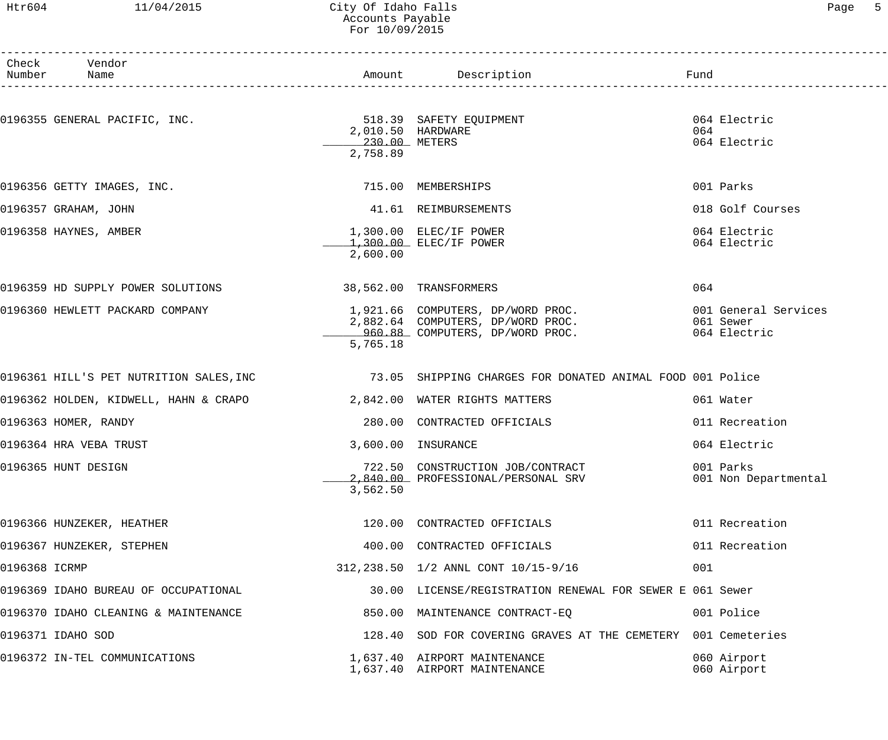#### Htr604 11/04/2015 City Of Idaho Falls Page 5 Accounts Payable For 10/09/2015

|               | Check Vendor<br>Number Name                                           |                           | Amount Description Description and Fund                                                                   |                                                   |
|---------------|-----------------------------------------------------------------------|---------------------------|-----------------------------------------------------------------------------------------------------------|---------------------------------------------------|
|               | 0196355 GENERAL PACIFIC, INC.                                         | 230.00 METERS<br>2,758.89 | 518.39 SAFETY EQUIPMENT<br>2,010.50 HARDWARE                                                              | 064 Electric<br>064<br>064 Electric               |
|               | 0196356 GETTY IMAGES, INC.                                            |                           | 715.00 MEMBERSHIPS                                                                                        | 001 Parks                                         |
|               | 0196357 GRAHAM, JOHN                                                  |                           | 41.61 REIMBURSEMENTS                                                                                      | 018 Golf Courses                                  |
|               | 0196358 HAYNES, AMBER                                                 | 2,600.00                  | $1,300.00$ ELEC/IF POWER<br>$1,300.00$ ELEC/IF POWER                                                      | 064 Electric<br>064 Electric                      |
|               | 0196359 HD SUPPLY POWER SOLUTIONS                                     |                           | 38,562.00 TRANSFORMERS                                                                                    | 064                                               |
|               | 0196360 HEWLETT PACKARD COMPANY                                       | 5,765.18                  | 1,921.66 COMPUTERS, DP/WORD PROC.<br>2,882.64 COMPUTERS, DP/WORD PROC.<br>960.88 COMPUTERS, DP/WORD PROC. | 001 General Services<br>061 Sewer<br>064 Electric |
|               |                                                                       |                           | 0196361 HILL'S PET NUTRITION SALES, INC 73.05 SHIPPING CHARGES FOR DONATED ANIMAL FOOD 001 Police         |                                                   |
|               | 0196362 HOLDEN, KIDWELL, HAHN & CRAPO $2,842.00$ WATER RIGHTS MATTERS |                           |                                                                                                           | 061 Water                                         |
|               | 0196363 HOMER, RANDY                                                  |                           | 280.00 CONTRACTED OFFICIALS                                                                               | 011 Recreation                                    |
|               | 0196364 HRA VEBA TRUST                                                |                           | 3,600.00 INSURANCE                                                                                        | 064 Electric                                      |
|               | 0196365 HUNT DESIGN                                                   | 3,562.50                  | 722.50 CONSTRUCTION JOB/CONTRACT<br>2,840.00 PROFESSIONAL/PERSONAL SRV                                    | 001 Parks<br>001 Non Departmental                 |
|               | 0196366 HUNZEKER, HEATHER                                             |                           | 120.00 CONTRACTED OFFICIALS                                                                               | 011 Recreation                                    |
|               | 0196367 HUNZEKER, STEPHEN                                             |                           | 400.00 CONTRACTED OFFICIALS                                                                               | 011 Recreation                                    |
| 0196368 ICRMP |                                                                       |                           | 312, 238.50 1/2 ANNL CONT 10/15-9/16                                                                      | 001                                               |
|               | 0196369 IDAHO BUREAU OF OCCUPATIONAL                                  |                           | 30.00 LICENSE/REGISTRATION RENEWAL FOR SEWER E 061 Sewer                                                  |                                                   |
|               | 0196370 IDAHO CLEANING & MAINTENANCE                                  |                           | 850.00 MAINTENANCE CONTRACT-EQ                                                                            | 001 Police                                        |
|               | 0196371 IDAHO SOD                                                     |                           | 128.40 SOD FOR COVERING GRAVES AT THE CEMETERY 001 Cemeteries                                             |                                                   |
|               | 0196372 IN-TEL COMMUNICATIONS                                         |                           | 1,637.40 AIRPORT MAINTENANCE<br>1,637.40 AIRPORT MAINTENANCE                                              | 060 Airport<br>060 Airport                        |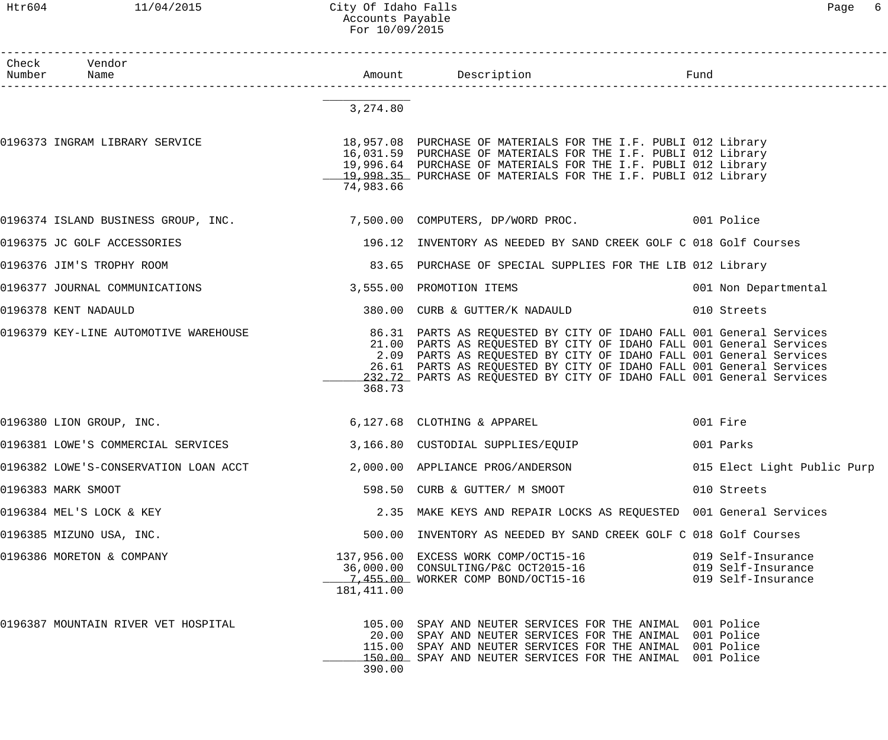#### Htr604 11/04/2015 City Of Idaho Falls Page 6 Accounts Payable For 10/09/2015

| Check Vendor<br>Number Name           |            | 1<br>---------------------------                                                                                                                                                                                                                                                                                                                                | Fund                                                           |
|---------------------------------------|------------|-----------------------------------------------------------------------------------------------------------------------------------------------------------------------------------------------------------------------------------------------------------------------------------------------------------------------------------------------------------------|----------------------------------------------------------------|
|                                       | 3,274.80   |                                                                                                                                                                                                                                                                                                                                                                 |                                                                |
| 0196373 INGRAM LIBRARY SERVICE        | 74,983.66  | 18,957.08 PURCHASE OF MATERIALS FOR THE I.F. PUBLI 012 Library<br>16,031.59 PURCHASE OF MATERIALS FOR THE I.F. PUBLI 012 Library<br>19,996.64 PURCHASE OF MATERIALS FOR THE I.F. PUBLI 012 Library<br>19,998.35 PURCHASE OF MATERIALS FOR THE I.F. PUBLI 012 Library                                                                                            |                                                                |
|                                       |            | 0196374 ISLAND BUSINESS GROUP, INC. 2010 7,500.00 COMPUTERS, DP/WORD PROC. 2001 Police                                                                                                                                                                                                                                                                          |                                                                |
| 0196375 JC GOLF ACCESSORIES           |            | 196.12 INVENTORY AS NEEDED BY SAND CREEK GOLF C 018 Golf Courses                                                                                                                                                                                                                                                                                                |                                                                |
| 0196376 JIM'S TROPHY ROOM             |            | 83.65 PURCHASE OF SPECIAL SUPPLIES FOR THE LIB 012 Library                                                                                                                                                                                                                                                                                                      |                                                                |
| 0196377 JOURNAL COMMUNICATIONS        |            | 3,555.00 PROMOTION ITEMS                                                                                                                                                                                                                                                                                                                                        | 001 Non Departmental                                           |
| 0196378 KENT NADAULD                  |            | 380.00 CURB & GUTTER/K NADAULD                                                                                                                                                                                                                                                                                                                                  | 010 Streets                                                    |
| 0196379 KEY-LINE AUTOMOTIVE WAREHOUSE | 368.73     | 86.31 PARTS AS REQUESTED BY CITY OF IDAHO FALL 001 General Services<br>21.00 PARTS AS REQUESTED BY CITY OF IDAHO FALL 001 General Services<br>2.09 PARTS AS REQUESTED BY CITY OF IDAHO FALL 001 General Services<br>26.61 PARTS AS REQUESTED BY CITY OF IDAHO FALL 001 General Services<br>232.72 PARTS AS REQUESTED BY CITY OF IDAHO FALL 001 General Services |                                                                |
| 0196380 LION GROUP, INC.              |            | 6,127.68 CLOTHING & APPAREL                                                                                                                                                                                                                                                                                                                                     | 001 Fire                                                       |
|                                       |            | 0196381 LOWE'S COMMERCIAL SERVICES 3,166.80 CUSTODIAL SUPPLIES/EQUIP                                                                                                                                                                                                                                                                                            | 001 Parks                                                      |
| 0196382 LOWE'S-CONSERVATION LOAN ACCT |            | 2,000.00 APPLIANCE PROG/ANDERSON                                                                                                                                                                                                                                                                                                                                | 015 Elect Light Public Purp                                    |
| 0196383 MARK SMOOT                    |            | 598.50 CURB & GUTTER/ M SMOOT                                                                                                                                                                                                                                                                                                                                   | 010 Streets                                                    |
| 0196384 MEL'S LOCK & KEY              |            | 2.35 MAKE KEYS AND REPAIR LOCKS AS REQUESTED 001 General Services                                                                                                                                                                                                                                                                                               |                                                                |
| 0196385 MIZUNO USA, INC.              |            | 500.00 INVENTORY AS NEEDED BY SAND CREEK GOLF C 018 Golf Courses                                                                                                                                                                                                                                                                                                |                                                                |
| 0196386 MORETON & COMPANY             | 181,411.00 | 137,956.00 EXCESS WORK COMP/OCT15-16<br>36,000.00 CONSULTING/P&C OCT2015-16<br>7,455.00 WORKER COMP BOND/OCT15-16                                                                                                                                                                                                                                               | 019 Self-Insurance<br>019 Self-Insurance<br>019 Self-Insurance |
| 0196387 MOUNTAIN RIVER VET HOSPITAL   | 390.00     | 105.00 SPAY AND NEUTER SERVICES FOR THE ANIMAL 001 Police<br>20.00 SPAY AND NEUTER SERVICES FOR THE ANIMAL 001 Police<br>115.00 SPAY AND NEUTER SERVICES FOR THE ANIMAL 001 Police<br>150.00 SPAY AND NEUTER SERVICES FOR THE ANIMAL 001 Police                                                                                                                 |                                                                |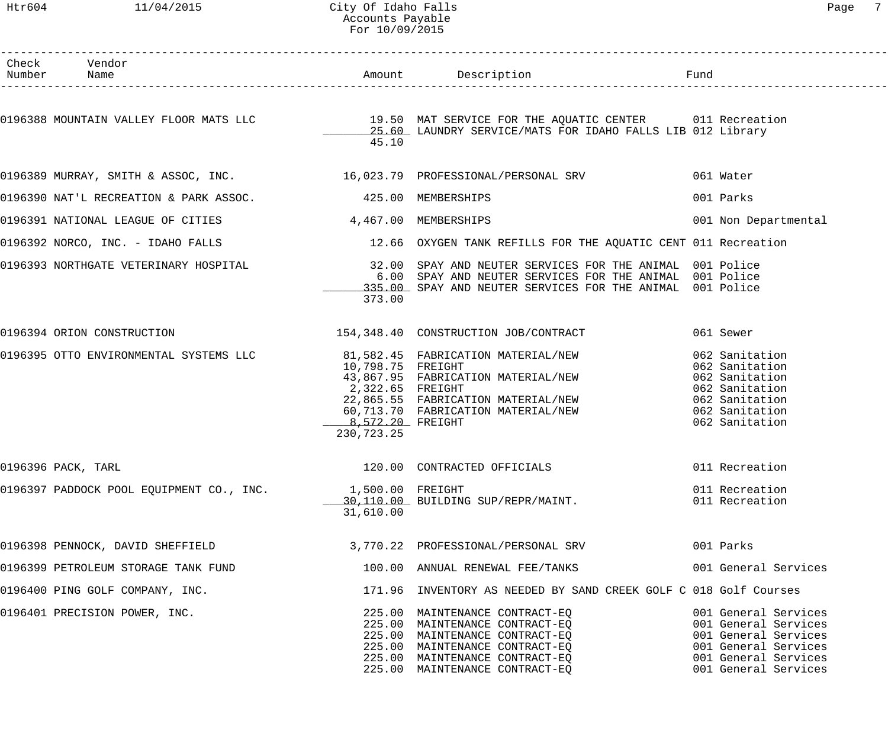#### Htr604 11/04/2015 City Of Idaho Falls Page 7 Accounts Payable For 10/09/2015

| Check Vendor<br>Number Name                               |                                                                         |                                                                                                                                                                                                                           |                                                                                                                                              |
|-----------------------------------------------------------|-------------------------------------------------------------------------|---------------------------------------------------------------------------------------------------------------------------------------------------------------------------------------------------------------------------|----------------------------------------------------------------------------------------------------------------------------------------------|
|                                                           | 45.10                                                                   | 0196388 MOUNTAIN VALLEY FLOOR MATS LLC <sup>19.50</sup> MAT SERVICE FOR THE AQUATIC CENTER 011 Recreation<br>25.60 LAUNDRY SERVICE/MATS FOR IDAHO FALLS LIB 012 Library                                                   |                                                                                                                                              |
|                                                           |                                                                         | 0196389 MURRAY, SMITH & ASSOC, INC. 16,023.79 PROFESSIONAL/PERSONAL SRV 061 Water                                                                                                                                         |                                                                                                                                              |
| 0196390 NAT'L RECREATION & PARK ASSOC. 425.00 MEMBERSHIPS |                                                                         |                                                                                                                                                                                                                           | 001 Parks                                                                                                                                    |
| 0196391 NATIONAL LEAGUE OF CITIES 4,467.00 MEMBERSHIPS    |                                                                         |                                                                                                                                                                                                                           | 001 Non Departmental                                                                                                                         |
|                                                           |                                                                         | 0196392 NORCO, INC. - IDAHO FALLS (2008) 22.66 OXYGEN TANK REFILLS FOR THE AQUATIC CENT 011 Recreation                                                                                                                    |                                                                                                                                              |
|                                                           | 373.00                                                                  | 0196393 NORTHGATE VETERINARY HOSPITAL TALL THE SEAV AND NEUTER SERVICES FOR THE ANIMAL 001 Police<br>6.00 SPAY AND NEUTER SERVICES FOR THE ANIMAL 001 Police<br>335.00 SPAY AND NEUTER SERVICES FOR THE ANIMAL 001 Police |                                                                                                                                              |
| 0196394 ORION CONSTRUCTION                                |                                                                         | 154,348.40 CONSTRUCTION JOB/CONTRACT                                                                                                                                                                                      | 061 Sewer                                                                                                                                    |
|                                                           | 10,798.75 FREIGHT<br>2,322.65 FREIGHT<br>8,572.20 FREIGHT<br>230,723.25 | 0196395 OTTO ENVIRONMENTAL SYSTEMS LLC 681,582.45 FABRICATION MATERIAL/NEW<br>43,867.95 FABRICATION MATERIAL/NEW<br>22,865.55 FABRICATION MATERIAL/NEW<br>60,713.70 FABRICATION MATERIAL/NEW                              | 062 Sanitation<br>062 Sanitation<br>062 Sanitation<br>062 Sanitation<br>062 Sanitation<br>062 Sanitation<br>062 Sanitation                   |
| 0196396 PACK, TARL                                        |                                                                         | 120.00 CONTRACTED OFFICIALS 6011 Recreation                                                                                                                                                                               |                                                                                                                                              |
| 0196397 PADDOCK POOL EQUIPMENT CO., INC. 1,500.00 FREIGHT | 31,610.00                                                               | 1,500.00 PREFORM<br>30,110.00 BUILDING SUP/REPR/MAINT.                                                                                                                                                                    | 011 Recreation<br>011 Recreation                                                                                                             |
|                                                           |                                                                         | 0196398 PENNOCK, DAVID SHEFFIELD 3,770.22 PROFESSIONAL/PERSONAL SRV 001 Parks                                                                                                                                             |                                                                                                                                              |
| 0196399 PETROLEUM STORAGE TANK FUND                       |                                                                         | 100.00 ANNUAL RENEWAL FEE/TANKS 6001 General Services                                                                                                                                                                     |                                                                                                                                              |
| 0196400 PING GOLF COMPANY, INC.                           |                                                                         | 171.96 INVENTORY AS NEEDED BY SAND CREEK GOLF C 018 Golf Courses                                                                                                                                                          |                                                                                                                                              |
| 0196401 PRECISION POWER, INC.                             |                                                                         | 225.00 MAINTENANCE CONTRACT-EQ<br>225.00 MAINTENANCE CONTRACT-EQ<br>225.00 MAINTENANCE CONTRACT-EQ<br>225.00 MAINTENANCE CONTRACT-EQ<br>225.00 MAINTENANCE CONTRACT-EQ<br>225.00 MAINTENANCE CONTRACT-EQ                  | 001 General Services<br>001 General Services<br>001 General Services<br>001 General Services<br>001 General Services<br>001 General Services |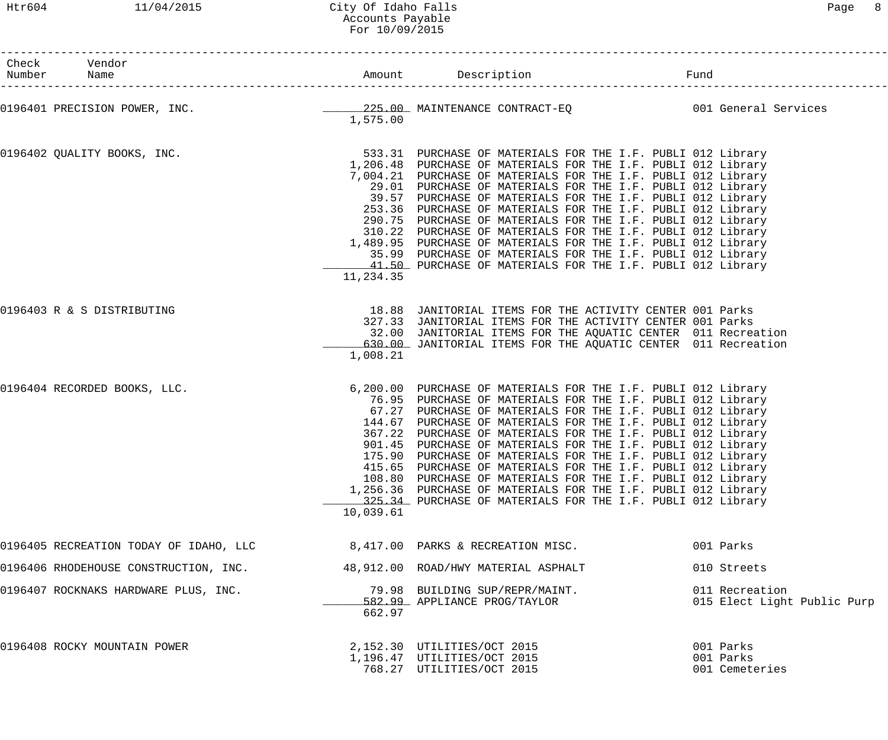## Htr604 11/04/2015 City Of Idaho Falls Page 8 Accounts Payable For 10/09/2015

| Check Vendor<br>Number Name                                                                   |           |                                                                                                                                                                                                                                                                                                                                                                                                                                                                                                                                                                                                                                                                                                                     |                                               |
|-----------------------------------------------------------------------------------------------|-----------|---------------------------------------------------------------------------------------------------------------------------------------------------------------------------------------------------------------------------------------------------------------------------------------------------------------------------------------------------------------------------------------------------------------------------------------------------------------------------------------------------------------------------------------------------------------------------------------------------------------------------------------------------------------------------------------------------------------------|-----------------------------------------------|
| 0196401 PRECISION POWER, INC. THE REAL MAINTENANCE CONTRACT-EQ CONTROLLER CONTROLLER Services | 1,575.00  |                                                                                                                                                                                                                                                                                                                                                                                                                                                                                                                                                                                                                                                                                                                     |                                               |
| 0196402 QUALITY BOOKS, INC.                                                                   | 11,234.35 | 533.31 PURCHASE OF MATERIALS FOR THE I.F. PUBLI 012 Library<br>1,206.48 PURCHASE OF MATERIALS FOR THE I.F. PUBLI 012 Library<br>7,004.21 PURCHASE OF MATERIALS FOR THE I.F. PUBLI 012 Library<br>29.01 PURCHASE OF MATERIALS FOR THE I.F. PUBLI 012 Library<br>39.57 PURCHASE OF MATERIALS FOR THE I.F. PUBLI 012 Library<br>253.36 PURCHASE OF MATERIALS FOR THE I.F. PUBLI 012 Library<br>290.75 PURCHASE OF MATERIALS FOR THE I.F. PUBLI 012 Library<br>310.22 PURCHASE OF MATERIALS FOR THE I.F. PUBLI 012 Library<br>1,489.95 PURCHASE OF MATERIALS FOR THE I.F. PUBLI 012 Library<br>35.99 PURCHASE OF MATERIALS FOR THE I.F. PUBLI 012 Library<br>41.50 PURCHASE OF MATERIALS FOR THE I.F. PUBLI 012 Library |                                               |
| 0196403 R & S DISTRIBUTING                                                                    | 1,008.21  | 18.88 JANITORIAL ITEMS FOR THE ACTIVITY CENTER 001 Parks<br>327.33 JANITORIAL ITEMS FOR THE ACTIVITY CENTER 001 Parks<br>32.00 JANITORIAL ITEMS FOR THE AQUATIC CENTER 011 Recreation<br>630.00 JANITORIAL ITEMS FOR THE AQUATIC CENTER 011 Recreation                                                                                                                                                                                                                                                                                                                                                                                                                                                              |                                               |
| 0196404 RECORDED BOOKS, LLC.                                                                  | 10,039.61 | 6,200.00 PURCHASE OF MATERIALS FOR THE I.F. PUBLI 012 Library<br>76.95 PURCHASE OF MATERIALS FOR THE I.F. PUBLI 012 Library<br>67.27 PURCHASE OF MATERIALS FOR THE I.F. PUBLI 012 Library<br>144.67 PURCHASE OF MATERIALS FOR THE I.F. PUBLI 012 Library<br>367.22 PURCHASE OF MATERIALS FOR THE I.F. PUBLI 012 Library<br>901.45 PURCHASE OF MATERIALS FOR THE I.F. PUBLI 012 Library<br>175.90 PURCHASE OF MATERIALS FOR THE I.F. PUBLI 012 Library<br>415.65 PURCHASE OF MATERIALS FOR THE I.F. PUBLI 012 Library<br>108.80 PURCHASE OF MATERIALS FOR THE I.F. PUBLI 012 Library<br>1,256.36 PURCHASE OF MATERIALS FOR THE I.F. PUBLI 012 Library<br>325.34 PURCHASE OF MATERIALS FOR THE I.F. PUBLI 012 Library |                                               |
| 0196405 RECREATION TODAY OF IDAHO, LLC                                                        |           | 8,417.00 PARKS & RECREATION MISC.                                                                                                                                                                                                                                                                                                                                                                                                                                                                                                                                                                                                                                                                                   | 001 Parks                                     |
| 0196406 RHODEHOUSE CONSTRUCTION, INC.                                                         |           | 48,912.00 ROAD/HWY MATERIAL ASPHALT                                                                                                                                                                                                                                                                                                                                                                                                                                                                                                                                                                                                                                                                                 | 010 Streets                                   |
| 0196407 ROCKNAKS HARDWARE PLUS, INC.                                                          | 662.97    | 79.98 BUILDING SUP/REPR/MAINT.<br>582.99 APPLIANCE PROG/TAYLOR                                                                                                                                                                                                                                                                                                                                                                                                                                                                                                                                                                                                                                                      | 011 Recreation<br>015 Elect Light Public Purp |
| 0196408 ROCKY MOUNTAIN POWER                                                                  |           | 2,152.30 UTILITIES/OCT 2015<br>1,196.47 UTILITIES/OCT 2015<br>768.27 UTILITIES/OCT 2015                                                                                                                                                                                                                                                                                                                                                                                                                                                                                                                                                                                                                             | 001 Parks<br>001 Parks<br>001 Cemeteries      |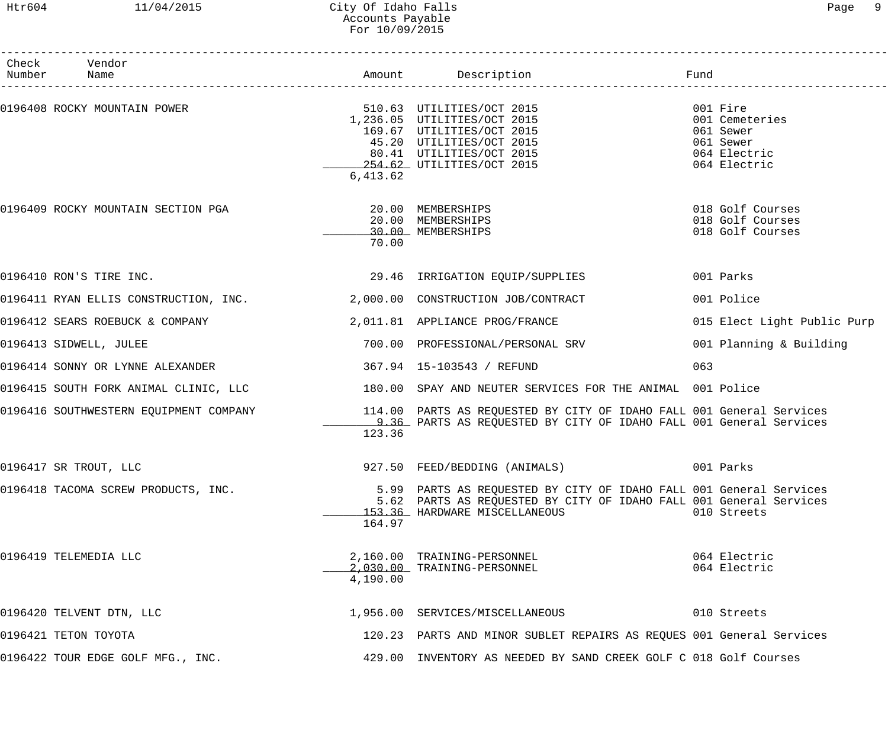## Htr604 11/04/2015 City Of Idaho Falls Page 9 Accounts Payable For 10/09/2015

| Check<br>Number | Vendor                                                 |          |                                                                                                                                                                                       | Fund                                                                                                                 |
|-----------------|--------------------------------------------------------|----------|---------------------------------------------------------------------------------------------------------------------------------------------------------------------------------------|----------------------------------------------------------------------------------------------------------------------|
|                 | 0196408 ROCKY MOUNTAIN POWER                           | 6,413.62 | 510.63 UTILITIES/OCT 2015<br>1,236.05 UTILITIES/OCT 2015<br>169.67 UTILITIES/OCT 2015<br>45.20 UTILITIES/OCT 2015<br>80.41 UTILITIES/OCT 2015<br>254.62 UTILITIES/OCT 2015            | ____________________________<br>001 Fire<br>001 Cemeteries<br>061 Sewer<br>061 Sewer<br>064 Electric<br>064 Electric |
|                 | 0196409 ROCKY MOUNTAIN SECTION PGA $20.00$ MEMBERSHIPS | 70.00    | 20.00 MEMBERSHIPS<br>30.00 MEMBERSHIPS                                                                                                                                                | 018 Golf Courses<br>018 Golf Courses<br>018 Golf Courses                                                             |
|                 |                                                        |          | 0196410 RON'S TIRE INC. 29.46 IRRIGATION EQUIP/SUPPLIES                                                                                                                               | 001 Parks                                                                                                            |
|                 |                                                        |          | 0196411 RYAN ELLIS CONSTRUCTION, INC. 2,000.00 CONSTRUCTION JOB/CONTRACT                                                                                                              | 001 Police                                                                                                           |
|                 | 0196412 SEARS ROEBUCK & COMPANY                        |          | 2,011.81 APPLIANCE PROG/FRANCE                                                                                                                                                        | 015 Elect Light Public Purp                                                                                          |
|                 | 0196413 SIDWELL, JULEE                                 |          | 700.00 PROFESSIONAL/PERSONAL SRV                                                                                                                                                      | 001 Planning & Building                                                                                              |
|                 | 0196414 SONNY OR LYNNE ALEXANDER                       |          | 367.94   15-103543   / REFUND                                                                                                                                                         | 063                                                                                                                  |
|                 |                                                        |          | 0196415 SOUTH FORK ANIMAL CLINIC, LLC 180.00 SPAY AND NEUTER SERVICES FOR THE ANIMAL 001 Police                                                                                       |                                                                                                                      |
|                 |                                                        | 123.36   | 0196416 SOUTHWESTERN EQUIPMENT COMPANY     114.00 PARTS AS REQUESTED BY CITY OF IDAHO FALL 001 General Services<br>9.36 PARTS AS REQUESTED BY CITY OF IDAHO FALL 001 General Services |                                                                                                                      |
|                 | 0196417 SR TROUT, LLC                                  |          | 927.50 FEED/BEDDING (ANIMALS)                                                                                                                                                         | 001 Parks                                                                                                            |
|                 | 0196418 TACOMA SCREW PRODUCTS, INC.                    | 164.97   | 5.99 PARTS AS REQUESTED BY CITY OF IDAHO FALL 001 General Services<br>5.62 PARTS AS REQUESTED BY CITY OF IDAHO FALL 001 General Services<br>153.36 HARDWARE MISCELLANEOUS             | 010 Streets                                                                                                          |
|                 | 0196419 TELEMEDIA LLC                                  | 4,190.00 | 2,160.00 TRAINING-PERSONNEL<br>2,030.00 TRAINING-PERSONNEL                                                                                                                            | 064 Electric<br>064 Electric                                                                                         |
|                 | 0196420 TELVENT DTN, LLC                               |          | 1,956.00 SERVICES/MISCELLANEOUS 010 Streets                                                                                                                                           |                                                                                                                      |
|                 | 0196421 TETON TOYOTA                                   |          | 120.23 PARTS AND MINOR SUBLET REPAIRS AS REQUES 001 General Services                                                                                                                  |                                                                                                                      |
|                 | 0196422 TOUR EDGE GOLF MFG., INC.                      |          | 429.00 INVENTORY AS NEEDED BY SAND CREEK GOLF C 018 Golf Courses                                                                                                                      |                                                                                                                      |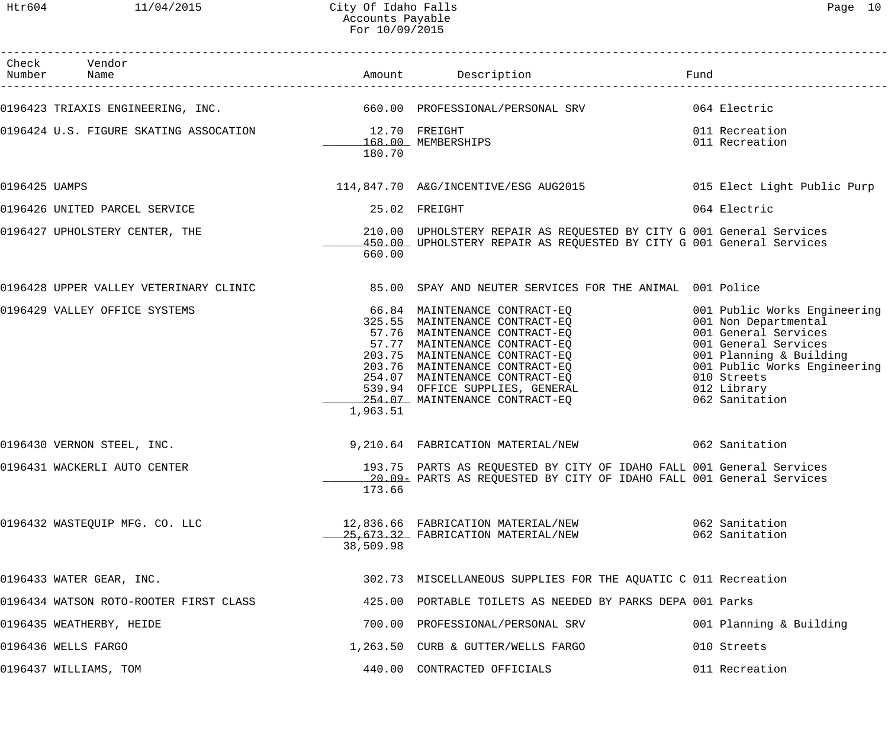Htr604 11/04/2015 City Of Idaho Falls Page 10 Accounts Payable For 10/09/2015

|               | Check Vendor<br>Number Name                                                                     |           |                                                                                                                                                                                                                                                                                                                                                                                  | Fund                                                                                                                                                                                                            |
|---------------|-------------------------------------------------------------------------------------------------|-----------|----------------------------------------------------------------------------------------------------------------------------------------------------------------------------------------------------------------------------------------------------------------------------------------------------------------------------------------------------------------------------------|-----------------------------------------------------------------------------------------------------------------------------------------------------------------------------------------------------------------|
|               | 0196423 TRIAXIS ENGINEERING, INC. 660.00 PROFESSIONAL/PERSONAL SRV 664 Electric                 |           |                                                                                                                                                                                                                                                                                                                                                                                  |                                                                                                                                                                                                                 |
|               | 0196424 U.S. FIGURE SKATING ASSOCATION 12.70 FREIGHT                                            | 180.70    | 168.00 MEMBERSHIPS                                                                                                                                                                                                                                                                                                                                                               | 011 Recreation<br>011 Recreation                                                                                                                                                                                |
| 0196425 UAMPS |                                                                                                 |           | 114,847.70 A&G/INCENTIVE/ESG AUG2015 6015 Elect Light Public Purp                                                                                                                                                                                                                                                                                                                |                                                                                                                                                                                                                 |
|               | 0196426 UNITED PARCEL SERVICE                                                                   |           | 25.02 FREIGHT                                                                                                                                                                                                                                                                                                                                                                    | 064 Electric                                                                                                                                                                                                    |
|               | 0196427 UPHOLSTERY CENTER, THE                                                                  | 660.00    | 210.00 UPHOLSTERY REPAIR AS REQUESTED BY CITY G 001 General Services<br>450.00 UPHOLSTERY REPAIR AS REQUESTED BY CITY G 001 General Services                                                                                                                                                                                                                                     |                                                                                                                                                                                                                 |
|               | 0196428 UPPER VALLEY VETERINARY CLINIC 35.00 SPAY AND NEUTER SERVICES FOR THE ANIMAL 001 Police |           |                                                                                                                                                                                                                                                                                                                                                                                  |                                                                                                                                                                                                                 |
|               | 0196429 VALLEY OFFICE SYSTEMS                                                                   | 1,963.51  | 66.84 MAINTENANCE CONTRACT-EQ<br>325.55 MAINTENANCE CONTRACT-EQ<br>57.76 MAINTENANCE CONTRACT-EQ<br>57.77 MAINTENANCE CONTRACT-EQ<br>203.75 MAINTENANCE CONTRACT-EQ<br>203.76 MAINTENANCE CONTRACT-EQ<br>203.76 MAINTENANCE CONTRACT-EQ<br>203.76 MAINTENANCE CONTRACT-EQ<br>254.07 MAINTENANCE CONTRACT-EQ<br>539.94 OFFICE SUPPLIES, GENERAL<br>254.07 MAINTENANCE CONTRACT-EQ | 001 Public Works Engineering<br>001 Non Departmental<br>001 General Services<br>001 General Services<br>001 Planning & Building<br>001 Public Works Engineering<br>010 Streets<br>012 Library<br>062 Sanitation |
|               | 0196430 VERNON STEEL, INC.                                                                      |           | 9,210.64 FABRICATION MATERIAL/NEW 1062 Sanitation                                                                                                                                                                                                                                                                                                                                |                                                                                                                                                                                                                 |
|               | 0196431 WACKERLI AUTO CENTER                                                                    | 173.66    | 193.75 PARTS AS REQUESTED BY CITY OF IDAHO FALL 001 General Services<br>20.09 PARTS AS REQUESTED BY CITY OF IDAHO FALL 001 General Services                                                                                                                                                                                                                                      |                                                                                                                                                                                                                 |
|               | 0196432 WASTEQUIP MFG. CO. LLC                                                                  | 38,509.98 | 12,836.66 FABRICATION MATERIAL/NEW<br>25,673.32 FABRICATION MATERIAL/NEW                                                                                                                                                                                                                                                                                                         | 062 Sanitation<br>062 Sanitation                                                                                                                                                                                |
|               | 0196433 WATER GEAR, INC.                                                                        |           | 302.73 MISCELLANEOUS SUPPLIES FOR THE AQUATIC C 011 Recreation                                                                                                                                                                                                                                                                                                                   |                                                                                                                                                                                                                 |
|               | 0196434 WATSON ROTO-ROOTER FIRST CLASS                                                          |           | 425.00 PORTABLE TOILETS AS NEEDED BY PARKS DEPA 001 Parks                                                                                                                                                                                                                                                                                                                        |                                                                                                                                                                                                                 |
|               | 0196435 WEATHERBY, HEIDE                                                                        |           | 700.00 PROFESSIONAL/PERSONAL SRV                                                                                                                                                                                                                                                                                                                                                 | 001 Planning & Building                                                                                                                                                                                         |
|               | 0196436 WELLS FARGO                                                                             |           | 1,263.50 CURB & GUTTER/WELLS FARGO                                                                                                                                                                                                                                                                                                                                               | 010 Streets                                                                                                                                                                                                     |
|               | 0196437 WILLIAMS, TOM                                                                           |           | 440.00 CONTRACTED OFFICIALS                                                                                                                                                                                                                                                                                                                                                      | 011 Recreation                                                                                                                                                                                                  |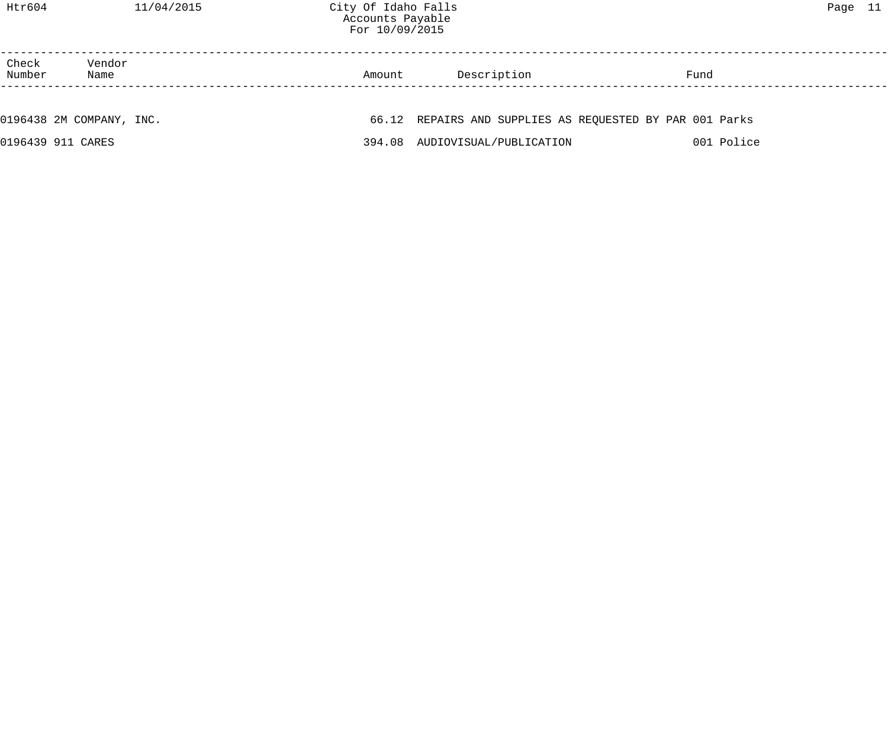| Check<br>Number | Vendor<br>Name           | Amount | Description                                              | Fund |            |
|-----------------|--------------------------|--------|----------------------------------------------------------|------|------------|
|                 |                          |        |                                                          |      |            |
|                 | 0196438 2M COMPANY, INC. |        | 66.12 REPAIRS AND SUPPLIES AS REQUESTED BY PAR 001 Parks |      |            |
|                 | 0196439 911 CARES        |        | 394.08 AUDIOVISUAL/PUBLICATION                           |      | 001 Police |
|                 |                          |        |                                                          |      |            |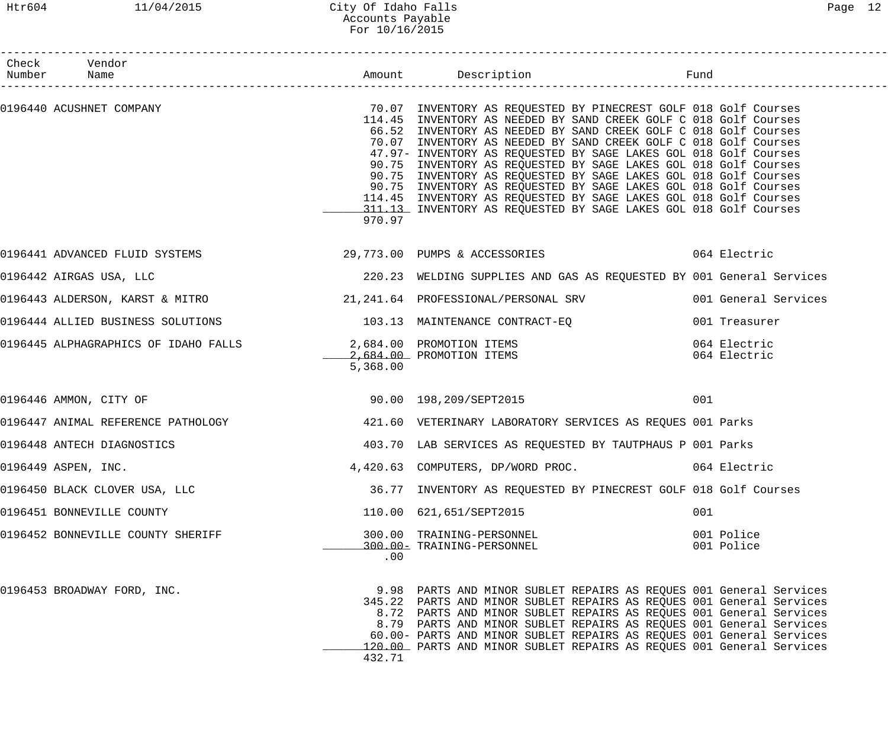## Htr604 11/04/2015 City Of Idaho Falls Page 12 Accounts Payable For 10/16/2015

| Check Vendor<br>Number Name                                      |          |                                                                                                                                                                                                                                                                                                                                                                                                                                                                                                                                                                                                                                                                                                                                     |                              |
|------------------------------------------------------------------|----------|-------------------------------------------------------------------------------------------------------------------------------------------------------------------------------------------------------------------------------------------------------------------------------------------------------------------------------------------------------------------------------------------------------------------------------------------------------------------------------------------------------------------------------------------------------------------------------------------------------------------------------------------------------------------------------------------------------------------------------------|------------------------------|
|                                                                  | 970.97   | 0196440 ACUSHNET COMPANY COMPANY STATES AND TRINGERY AS REQUESTED BY PINECREST GOLF 018 Golf Courses<br>114.45 INVENTORY AS NEEDED BY SAND CREEK GOLF C 018 Golf Courses<br>66.52 INVENTORY AS NEEDED BY SAND CREEK GOLF C 018 Golf Courses<br>70.07 INVENTORY AS NEEDED BY SAND CREEK GOLF C 018 Golf Courses<br>47.97- INVENTORY AS REQUESTED BY SAGE LAKES GOL 018 Golf Courses<br>90.75 INVENTORY AS REQUESTED BY SAGE LAKES GOL 018 Golf Courses<br>90.75 INVENTORY AS REQUESTED BY SAGE LAKES GOL 018 Golf Courses<br>90.75 INVENTORY AS REQUESTED BY SAGE LAKES GOL 018 Golf Courses<br>114.45 INVENTORY AS REQUESTED BY SAGE LAKES GOL 018 Golf Courses<br>311.13 INVENTORY AS REQUESTED BY SAGE LAKES GOL 018 Golf Courses |                              |
|                                                                  |          | 0196441 ADVANCED FLUID SYSTEMS 6 29,773.00 PUMPS & ACCESSORIES 6 064 Electric                                                                                                                                                                                                                                                                                                                                                                                                                                                                                                                                                                                                                                                       |                              |
| 0196442 AIRGAS USA, LLC                                          |          | 220.23 WELDING SUPPLIES AND GAS AS REQUESTED BY 001 General Services                                                                                                                                                                                                                                                                                                                                                                                                                                                                                                                                                                                                                                                                |                              |
|                                                                  |          | 0196443 ALDERSON, KARST & MITRO 21,241.64 PROFESSIONAL/PERSONAL SRV 001 General Services                                                                                                                                                                                                                                                                                                                                                                                                                                                                                                                                                                                                                                            |                              |
| 0196444 ALLIED BUSINESS SOLUTIONS 103.13 MAINTENANCE CONTRACT-EQ |          |                                                                                                                                                                                                                                                                                                                                                                                                                                                                                                                                                                                                                                                                                                                                     | 001 Treasurer                |
| 0196445 ALPHAGRAPHICS OF IDAHO FALLS 2,684.00 PROMOTION ITEMS    | 5,368.00 | 2,684.00 PROMOTION ITEMS                                                                                                                                                                                                                                                                                                                                                                                                                                                                                                                                                                                                                                                                                                            | 064 Electric<br>064 Electric |
| 0196446 AMMON, CITY OF                                           |          | 90.00 198,209/SEPT2015                                                                                                                                                                                                                                                                                                                                                                                                                                                                                                                                                                                                                                                                                                              | 001                          |
|                                                                  |          | 0196447 ANIMAL REFERENCE PATHOLOGY 121.60 VETERINARY LABORATORY SERVICES AS REQUES 001 Parks                                                                                                                                                                                                                                                                                                                                                                                                                                                                                                                                                                                                                                        |                              |
| 0196448 ANTECH DIAGNOSTICS                                       |          | 403.70 LAB SERVICES AS REQUESTED BY TAUTPHAUS P 001 Parks                                                                                                                                                                                                                                                                                                                                                                                                                                                                                                                                                                                                                                                                           |                              |
| 0196449 ASPEN, INC.                                              |          | 4,420.63 COMPUTERS, DP/WORD PROC.                                                                                                                                                                                                                                                                                                                                                                                                                                                                                                                                                                                                                                                                                                   | 064 Electric                 |
| 0196450 BLACK CLOVER USA, LLC                                    |          | 36.77 INVENTORY AS REQUESTED BY PINECREST GOLF 018 Golf Courses                                                                                                                                                                                                                                                                                                                                                                                                                                                                                                                                                                                                                                                                     |                              |
| 0196451 BONNEVILLE COUNTY                                        |          | 110.00 621,651/SEPT2015                                                                                                                                                                                                                                                                                                                                                                                                                                                                                                                                                                                                                                                                                                             | 001                          |
| 0196452 BONNEVILLE COUNTY SHERIFF                                | .00      | 300.00 TRAINING-PERSONNEL<br>300.00- TRAINING-PERSONNEL                                                                                                                                                                                                                                                                                                                                                                                                                                                                                                                                                                                                                                                                             | 001 Police<br>001 Police     |
| 0196453 BROADWAY FORD, INC.                                      | 432.71   | 9.98 PARTS AND MINOR SUBLET REPAIRS AS REQUES 001 General Services<br>345.22 PARTS AND MINOR SUBLET REPAIRS AS REQUES 001 General Services<br>8.72 PARTS AND MINOR SUBLET REPAIRS AS REQUES 001 General Services<br>8.79 PARTS AND MINOR SUBLET REPAIRS AS REQUES 001 General Services<br>60.00- PARTS AND MINOR SUBLET REPAIRS AS REQUES 001 General Services<br>120.00 PARTS AND MINOR SUBLET REPAIRS AS REQUES 001 General Services                                                                                                                                                                                                                                                                                              |                              |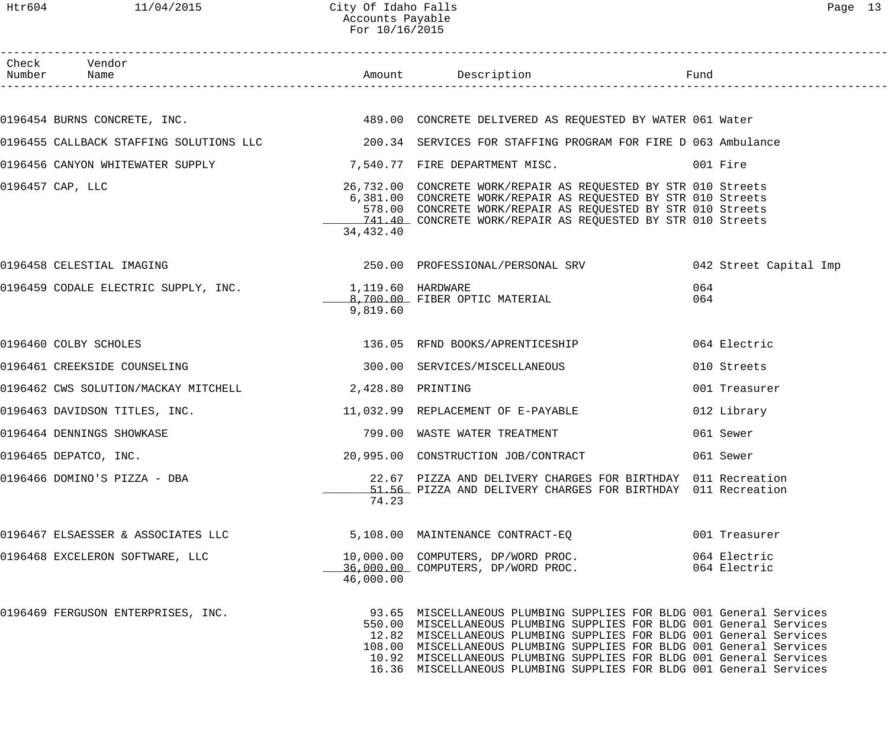| Check Vendor                                           |           |                                                                                                                                                                                                                                                                                                                                                                                                                                          |                              |
|--------------------------------------------------------|-----------|------------------------------------------------------------------------------------------------------------------------------------------------------------------------------------------------------------------------------------------------------------------------------------------------------------------------------------------------------------------------------------------------------------------------------------------|------------------------------|
|                                                        |           |                                                                                                                                                                                                                                                                                                                                                                                                                                          |                              |
|                                                        |           | 0196454 BURNS CONCRETE, INC. THE SAME RESOLUTE AND CONCRETE DELIVERED AS REQUESTED BY WATER 061 Water                                                                                                                                                                                                                                                                                                                                    |                              |
|                                                        |           | 0196455 CALLBACK STAFFING SOLUTIONS LLC 200.34 SERVICES FOR STAFFING PROGRAM FOR FIRE D 063 Ambulance                                                                                                                                                                                                                                                                                                                                    |                              |
|                                                        |           | 0196456 CANYON WHITEWATER SUPPLY 3 7,540.77 FIRE DEPARTMENT MISC.                                                                                                                                                                                                                                                                                                                                                                        |                              |
| 0196457 CAP, LLC                                       | 34,432.40 | 26,732.00 CONCRETE WORK/REPAIR AS REQUESTED BY STR 010 Streets<br>6,381.00 CONCRETE WORK/REPAIR AS REQUESTED BY STR 010 Streets<br>578.00 CONCRETE WORK/REPAIR AS REQUESTED BY STR 010 Streets<br>741.40 CONCRETE WORK/REPAIR AS REQUESTED BY STR 010 Streets                                                                                                                                                                            |                              |
| 0196458 CELESTIAL IMAGING                              |           |                                                                                                                                                                                                                                                                                                                                                                                                                                          |                              |
| 0196459 CODALE ELECTRIC SUPPLY, INC. 1,119.60 HARDWARE | 9,819.60  | 8,700.00 FIBER OPTIC MATERIAL                                                                                                                                                                                                                                                                                                                                                                                                            | 064<br>064                   |
| 0196460 COLBY SCHOLES                                  |           | 136.05 RFND BOOKS/APRENTICESHIP                                                                                                                                                                                                                                                                                                                                                                                                          | 064 Electric                 |
| 0196461 CREEKSIDE COUNSELING                           |           | 300.00 SERVICES/MISCELLANEOUS                                                                                                                                                                                                                                                                                                                                                                                                            | 010 Streets                  |
| 0196462 CWS SOLUTION/MACKAY MITCHELL 2,428.80 PRINTING |           |                                                                                                                                                                                                                                                                                                                                                                                                                                          | 001 Treasurer                |
| 0196463 DAVIDSON TITLES, INC.                          |           | 11,032.99 REPLACEMENT OF E-PAYABLE                                                                                                                                                                                                                                                                                                                                                                                                       | 012 Library                  |
| 0196464 DENNINGS SHOWKASE                              |           | 799.00 WASTE WATER TREATMENT                                                                                                                                                                                                                                                                                                                                                                                                             | 061 Sewer                    |
| 0196465 DEPATCO, INC.                                  |           | 20,995.00 CONSTRUCTION JOB/CONTRACT                                                                                                                                                                                                                                                                                                                                                                                                      | 061 Sewer                    |
| 0196466 DOMINO'S PIZZA - DBA                           | 74.23     | 22.67 PIZZA AND DELIVERY CHARGES FOR BIRTHDAY 011 Recreation<br>51.56 PIZZA AND DELIVERY CHARGES FOR BIRTHDAY 011 Recreation                                                                                                                                                                                                                                                                                                             |                              |
| 0196467 ELSAESSER & ASSOCIATES LLC                     |           | 5,108.00 MAINTENANCE CONTRACT-EQ                                                                                                                                                                                                                                                                                                                                                                                                         | 001 Treasurer                |
| 0196468 EXCELERON SOFTWARE, LLC                        | 46,000.00 | 10,000.00 COMPUTERS, DP/WORD PROC.<br>36,000.00 COMPUTERS, DP/WORD PROC.                                                                                                                                                                                                                                                                                                                                                                 | 064 Electric<br>064 Electric |
| 0196469 FERGUSON ENTERPRISES, INC.                     |           | 93.65 MISCELLANEOUS PLUMBING SUPPLIES FOR BLDG 001 General Services<br>550.00 MISCELLANEOUS PLUMBING SUPPLIES FOR BLDG 001 General Services<br>12.82 MISCELLANEOUS PLUMBING SUPPLIES FOR BLDG 001 General Services<br>108.00 MISCELLANEOUS PLUMBING SUPPLIES FOR BLDG 001 General Services<br>10.92 MISCELLANEOUS PLUMBING SUPPLIES FOR BLDG 001 General Services<br>16.36 MISCELLANEOUS PLUMBING SUPPLIES FOR BLDG 001 General Services |                              |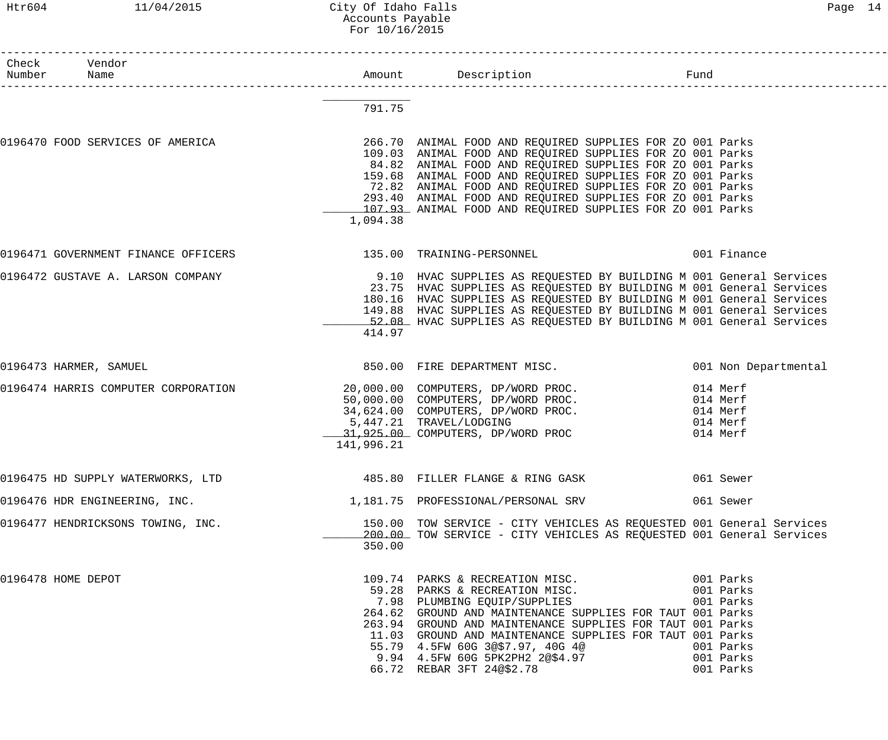#### Htr604 11/04/2015 City Of Idaho Falls Page 14 Accounts Payable For 10/16/2015

| Раае |  |
|------|--|
|------|--|

| Check Vendor<br>Number Name |                                                                                                                 |            | Amount Description Description Fund                                                                                                                                                                                                                                                                                                                                      |           |                                                          |
|-----------------------------|-----------------------------------------------------------------------------------------------------------------|------------|--------------------------------------------------------------------------------------------------------------------------------------------------------------------------------------------------------------------------------------------------------------------------------------------------------------------------------------------------------------------------|-----------|----------------------------------------------------------|
|                             |                                                                                                                 | 791.75     |                                                                                                                                                                                                                                                                                                                                                                          |           |                                                          |
|                             | 0196470 FOOD SERVICES OF AMERICA THE RELEVIE SERVICES 266.70 ANIMAL FOOD AND REQUIRED SUPPLIES FOR ZO 001 Parks | 1,094.38   | 109.03 ANIMAL FOOD AND REQUIRED SUPPLIES FOR ZO 001 Parks<br>84.82 ANIMAL FOOD AND REQUIRED SUPPLIES FOR ZO 001 Parks<br>159.68 ANIMAL FOOD AND REQUIRED SUPPLIES FOR ZO 001 Parks<br>72.82 ANIMAL FOOD AND REQUIRED SUPPLIES FOR ZO 001 Parks<br>293.40 ANIMAL FOOD AND REQUIRED SUPPLIES FOR ZO 001 Parks<br>107.93 ANIMAL FOOD AND REQUIRED SUPPLIES FOR ZO 001 Parks |           |                                                          |
|                             | 0196471 GOVERNMENT FINANCE OFFICERS                                                                             |            |                                                                                                                                                                                                                                                                                                                                                                          |           |                                                          |
|                             | 0196472 GUSTAVE A. LARSON COMPANY 30 10 HVAC SUPPLIES AS REQUESTED BY BUILDING M 001 General Services           | 414.97     | 23.75 HVAC SUPPLIES AS REQUESTED BY BUILDING M 001 General Services<br>180.16 HVAC SUPPLIES AS REQUESTED BY BUILDING M 001 General Services<br>149.88 HVAC SUPPLIES AS REQUESTED BY BUILDING M 001 General Services<br>52.08 HVAC SUPPLIES AS REQUESTED BY BUILDING M 001 General Services                                                                               |           |                                                          |
| 0196473 HARMER, SAMUEL      |                                                                                                                 |            | 850.00 FIRE DEPARTMENT MISC.                                                                                                                                                                                                                                                                                                                                             |           | 001 Non Departmental                                     |
|                             | 0196474 HARRIS COMPUTER CORPORATION                                                                             | 141,996.21 | 20,000.00 COMPUTERS, DP/WORD PROC.<br>50,000.00 COMPUTERS, DP/WORD PROC.<br>34,624.00 COMPUTERS, DP/WORD PROC.<br>5,447.21 TRAVEL/LODGING<br>31,925.00 COMPUTERS, DP/WORD PROC                                                                                                                                                                                           |           | 014 Merf<br>014 Merf<br>014 Merf<br>014 Merf<br>014 Merf |
|                             | 0196475 HD SUPPLY WATERWORKS, LTD 30 2000 185.80 FILLER FLANGE & RING GASK                                      |            |                                                                                                                                                                                                                                                                                                                                                                          |           |                                                          |
|                             | 0196476 HDR ENGINEERING, INC. 1.181.75 PROFESSIONAL/PERSONAL SRV 061 Sewer                                      |            |                                                                                                                                                                                                                                                                                                                                                                          |           |                                                          |
|                             | 0196477 HENDRICKSONS TOWING, INC.                                                                               | 350.00     | 150.00 TOW SERVICE - CITY VEHICLES AS REQUESTED 001 General Services<br>200.00 TOW SERVICE - CITY VEHICLES AS REQUESTED 001 General Services                                                                                                                                                                                                                             |           |                                                          |
| 0196478 HOME DEPOT          |                                                                                                                 |            | 264.62 GROUND AND MAINTENANCE SUPPLIES FOR TAUT 001 Parks<br>263.94 GROUND AND MAINTENANCE SUPPLIES FOR TAUT 001 Parks<br>11.03 GROUND AND MAINTENANCE SUPPLIES FOR TAUT 001 Parks<br>55.79 4.5FW 60G 3@\$7.97, 40G 4@<br>9.94 4.5FW 60G 5PK2PH2 2@\$4.97<br>66.72 REPAR 25T 3663.30<br>66.72 REBAR 3FT 24@\$2.78 001 Parks                                              | 001 Parks | 001 Parks                                                |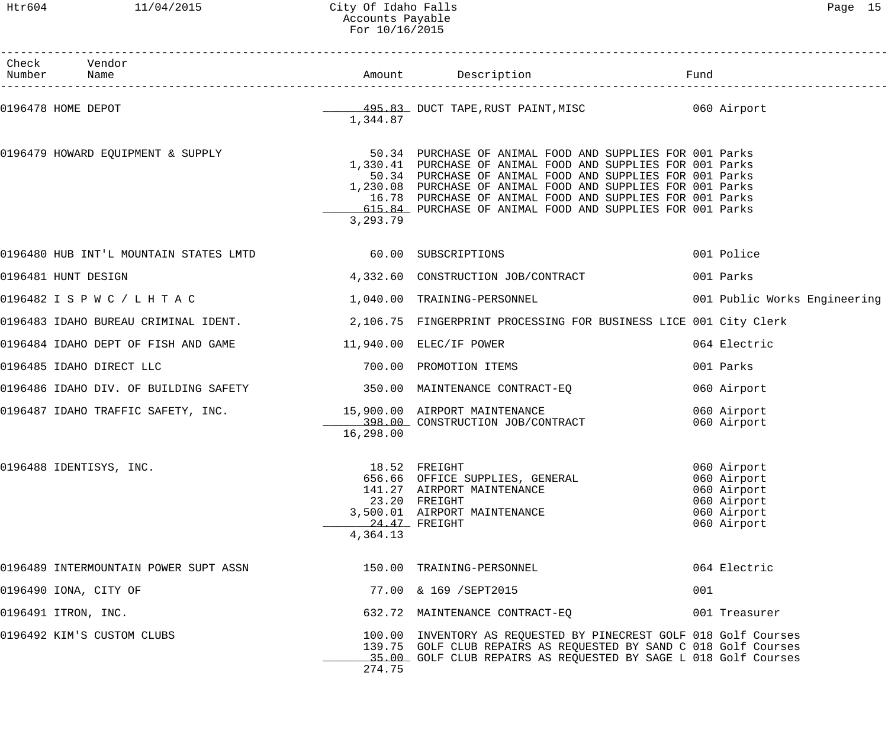# Htr604 11/04/2015 City Of Idaho Falls Content Content of Page 15 Accounts Payable For 10/16/2015

| Check Vendor<br>Number Name                                                                            |                           |                                                                                                                                                                                                                                                                                                                                                                             | Fund                                                                                   | <br>_____________________________ |
|--------------------------------------------------------------------------------------------------------|---------------------------|-----------------------------------------------------------------------------------------------------------------------------------------------------------------------------------------------------------------------------------------------------------------------------------------------------------------------------------------------------------------------------|----------------------------------------------------------------------------------------|-----------------------------------|
| 0196478 HOME DEPOT                                                                                     | 1,344.87                  | 495.83 DUCT TAPE, RUST PAINT, MISC 60 Airport                                                                                                                                                                                                                                                                                                                               |                                                                                        |                                   |
| 0196479 HOWARD EQUIPMENT & SUPPLY                                                                      | 3,293.79                  | 50.34 PURCHASE OF ANIMAL FOOD AND SUPPLIES FOR 001 Parks<br>1,330.41 PURCHASE OF ANIMAL FOOD AND SUPPLIES FOR 001 Parks<br>50.34 PURCHASE OF ANIMAL FOOD AND SUPPLIES FOR 001 Parks<br>1,230.08 PURCHASE OF ANIMAL FOOD AND SUPPLIES FOR 001 Parks<br>16.78 PURCHASE OF ANIMAL FOOD AND SUPPLIES FOR 001 Parks<br>615.84 PURCHASE OF ANIMAL FOOD AND SUPPLIES FOR 001 Parks |                                                                                        |                                   |
| 0196480 HUB INT'L MOUNTAIN STATES LMTD 60.00 SUBSCRIPTIONS                                             |                           |                                                                                                                                                                                                                                                                                                                                                                             | 001 Police                                                                             |                                   |
| 0196481 HUNT DESIGN                                                                                    |                           | 4,332.60 CONSTRUCTION JOB/CONTRACT                                                                                                                                                                                                                                                                                                                                          | 001 Parks                                                                              |                                   |
| 0196482 I S P W C / L H T A C                                                                          |                           | 1,040.00 TRAINING-PERSONNEL 1,040.00 TRAINING-PERSONNEL                                                                                                                                                                                                                                                                                                                     |                                                                                        |                                   |
| 0196483 IDAHO BUREAU CRIMINAL IDENT. 2,106.75 FINGERPRINT PROCESSING FOR BUSINESS LICE 001 City Clerk  |                           |                                                                                                                                                                                                                                                                                                                                                                             |                                                                                        |                                   |
|                                                                                                        |                           |                                                                                                                                                                                                                                                                                                                                                                             | 064 Electric                                                                           |                                   |
| 0196485 IDAHO DIRECT LLC                                                                               |                           | 700.00 PROMOTION ITEMS                                                                                                                                                                                                                                                                                                                                                      | 001 Parks                                                                              |                                   |
| 0196486 IDAHO DIV. OF BUILDING SAFETY 1999 1999 1999.00 MAINTENANCE CONTRACT-EQ                        |                           |                                                                                                                                                                                                                                                                                                                                                                             | 060 Airport                                                                            |                                   |
| 0196487 IDAHO TRAFFIC SAFETY, INC. $15,900.00$ AIRPORT MAINTENANCE<br>398.00 CONSTRUCTION JOB/CONTRACT | 16,298.00                 |                                                                                                                                                                                                                                                                                                                                                                             | 060 Airport<br>060 Airport                                                             |                                   |
| 0196488 IDENTISYS, INC.                                                                                | 24.47 FREIGHT<br>4,364.13 | 18.52 FREIGHT<br>656.66 OFFICE SUPPLIES, GENERAL<br>141.27 AIRPORT MAINTENANCE<br>23.20 FREIGHT<br>3,500.01 AIRPORT MAINTENANCE                                                                                                                                                                                                                                             | 060 Airport<br>060 Airport<br>060 Airport<br>060 Airport<br>060 Airport<br>060 Airport |                                   |
| 0196489 INTERMOUNTAIN POWER SUPT ASSN                                                                  |                           | 150.00 TRAINING-PERSONNEL                                                                                                                                                                                                                                                                                                                                                   | 064 Electric                                                                           |                                   |
| 0196490 IONA, CITY OF                                                                                  |                           | 77.00 & 169 / SEPT2015                                                                                                                                                                                                                                                                                                                                                      | 001                                                                                    |                                   |
| 0196491 ITRON, INC.                                                                                    |                           | 632.72 MAINTENANCE CONTRACT-EQ                                                                                                                                                                                                                                                                                                                                              | 001 Treasurer                                                                          |                                   |
| 0196492 KIM'S CUSTOM CLUBS                                                                             | 274.75                    | 100.00 INVENTORY AS REQUESTED BY PINECREST GOLF 018 Golf Courses<br>139.75 GOLF CLUB REPAIRS AS REQUESTED BY SAND C 018 Golf Courses<br>35.00 GOLF CLUB REPAIRS AS REQUESTED BY SAGE L 018 Golf Courses                                                                                                                                                                     |                                                                                        |                                   |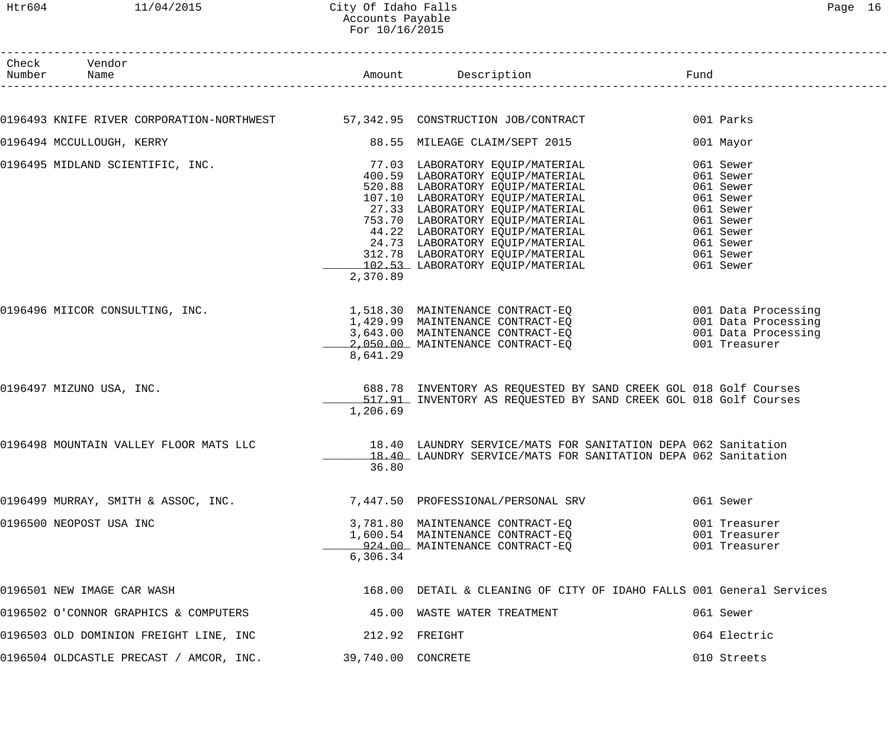#### Htr604 11/04/2015 City Of Idaho Falls Page 16 Accounts Payable For 10/16/2015

| Check Vendor<br>Number Name                                                   |                    | Amount Description Description Fund                                                                                                                                                                                                                                                                                                                                                                        |                                                                                                                                |
|-------------------------------------------------------------------------------|--------------------|------------------------------------------------------------------------------------------------------------------------------------------------------------------------------------------------------------------------------------------------------------------------------------------------------------------------------------------------------------------------------------------------------------|--------------------------------------------------------------------------------------------------------------------------------|
|                                                                               |                    |                                                                                                                                                                                                                                                                                                                                                                                                            |                                                                                                                                |
| 0196493 KNIFE RIVER CORPORATION-NORTHWEST 57,342.95 CONSTRUCTION JOB/CONTRACT |                    |                                                                                                                                                                                                                                                                                                                                                                                                            | 001 Parks                                                                                                                      |
| 0196494 MCCULLOUGH, KERRY                                                     |                    | 88.55 MILEAGE CLAIM/SEPT 2015                                                                                                                                                                                                                                                                                                                                                                              | 001 Mayor                                                                                                                      |
|                                                                               | 2,370.89           | 0196495 MIDLAND SCIENTIFIC, INC.<br>$\footnotesize\begin{array}{r}77.03\text{ LABORATORY EQUIP/MATERIAL}\ 400.59\text{ LABORATORY EQUIP/MATERIAL}\ 520.88\text{ LABORATORY EQUIP/MATERIAL}\ 107.10\text{ LABORATORY EQUIP/MATERIAL}\ 27.33\text{ LABORATORY EQUIP/MATERIAL}\ 27.33\text{ LABORATORY EQUIP/MATERIAL}\ 44.22\text{ LABORATORY EQUIP/MATERIAL}\ 44.22\text{ LABORATORY EQUIP/MATERIAL}\ 24.7$ | 061 Sewer<br>061 Sewer<br>061 Sewer<br>061 Sewer<br>061 Sewer<br>061 Sewer<br>061 Sewer<br>061 Sewer<br>061 Sewer<br>061 Sewer |
| 0196496 MIICOR CONSULTING, INC.                                               | 8,641.29           | 1,518.30 MAINTENANCE CONTRACT-EQ                            001 Data Processing<br>1,429.99  MAINTENANCE CONTRACT-EQ                          001 Data Processing<br>3,643.00  MAINTENANCE CONTRACT-EQ                         001 D<br>2,050.00 MAINTENANCE CONTRACT-EQ                                                                                                                                   | 001 Treasurer                                                                                                                  |
| 0196497 MIZUNO USA, INC.                                                      | 1,206.69           | 688.78 INVENTORY AS REQUESTED BY SAND CREEK GOL 018 Golf Courses<br>517.91 INVENTORY AS REQUESTED BY SAND CREEK GOL 018 Golf Courses                                                                                                                                                                                                                                                                       |                                                                                                                                |
| 0196498 MOUNTAIN VALLEY FLOOR MATS LLC                                        | 36.80              | 18.40 LAUNDRY SERVICE/MATS FOR SANITATION DEPA 062 Sanitation<br>18.40 LAUNDRY SERVICE/MATS FOR SANITATION DEPA 062 Sanitation                                                                                                                                                                                                                                                                             |                                                                                                                                |
| 0196499 MURRAY, SMITH & ASSOC, INC. $7,447.50$ PROFESSIONAL/PERSONAL SRV      |                    |                                                                                                                                                                                                                                                                                                                                                                                                            | 061 Sewer                                                                                                                      |
| 0196500 NEOPOST USA INC                                                       | 6,306.34           | 3,781.80 MAINTENANCE CONTRACT-EQ<br>1,600.54 MAINTENANCE CONTRACT-EQ<br>924.00 MAINTENANCE CONTRACT-EQ                                                                                                                                                                                                                                                                                                     | 001 Treasurer<br>001 Treasurer<br>001 Treasurer                                                                                |
| 0196501 NEW IMAGE CAR WASH                                                    |                    | 168.00 DETAIL & CLEANING OF CITY OF IDAHO FALLS 001 General Services                                                                                                                                                                                                                                                                                                                                       |                                                                                                                                |
| 0196502 O'CONNOR GRAPHICS & COMPUTERS                                         |                    | 45.00 WASTE WATER TREATMENT                                                                                                                                                                                                                                                                                                                                                                                | 061 Sewer                                                                                                                      |
| 0196503 OLD DOMINION FREIGHT LINE, INC                                        |                    | 212.92 FREIGHT                                                                                                                                                                                                                                                                                                                                                                                             | 064 Electric                                                                                                                   |
| 0196504 OLDCASTLE PRECAST / AMCOR, INC.                                       | 39,740.00 CONCRETE |                                                                                                                                                                                                                                                                                                                                                                                                            | 010 Streets                                                                                                                    |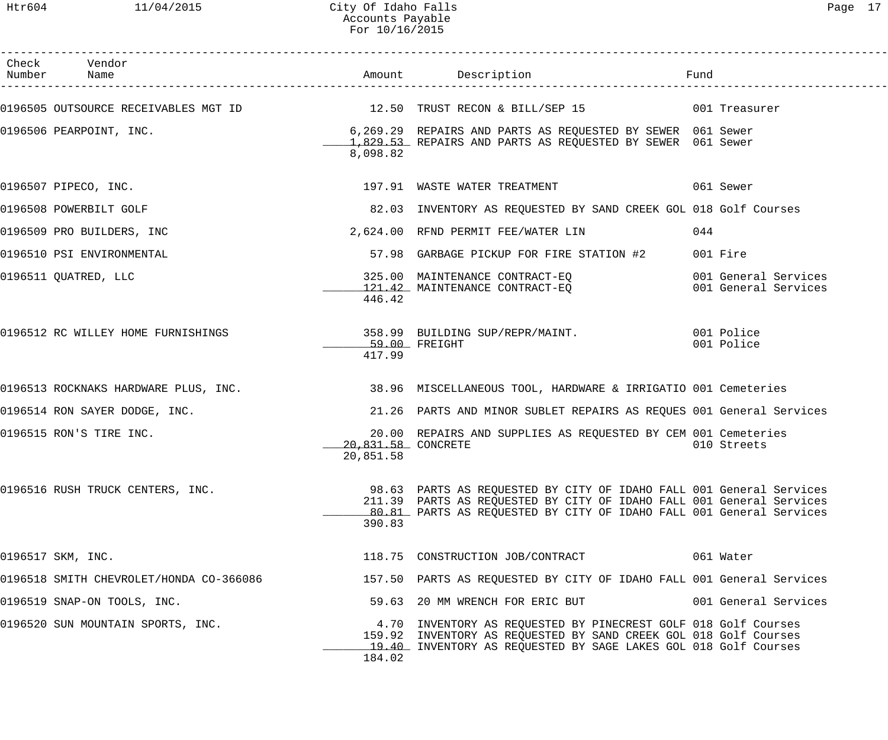| Check Vendor                            |                                 |                                                                                                                                                                                                                    |                                              |
|-----------------------------------------|---------------------------------|--------------------------------------------------------------------------------------------------------------------------------------------------------------------------------------------------------------------|----------------------------------------------|
|                                         |                                 |                                                                                                                                                                                                                    |                                              |
| 0196506 PEARPOINT, INC.                 | 8,098.82                        | 6,269.29 REPAIRS AND PARTS AS REQUESTED BY SEWER 061 Sewer<br>1,829.53 REPAIRS AND PARTS AS REQUESTED BY SEWER 061 Sewer                                                                                           |                                              |
| 0196507 PIPECO, INC.                    |                                 | 197.91 WASTE WATER TREATMENT THE SERIES OF SERIES OF SERIES                                                                                                                                                        |                                              |
| 0196508 POWERBILT GOLF                  |                                 | 82.03 INVENTORY AS REQUESTED BY SAND CREEK GOL 018 Golf Courses                                                                                                                                                    |                                              |
| 0196509 PRO BUILDERS, INC               |                                 | 2,624.00 RFND PERMIT FEE/WATER LIN                                                                                                                                                                                 | 044                                          |
| 0196510 PSI ENVIRONMENTAL               |                                 | 57.98 GARBAGE PICKUP FOR FIRE STATION #2                                                                                                                                                                           | 001 Fire                                     |
| 0196511 QUATRED, LLC                    | 446.42                          | 325.00 MAINTENANCE CONTRACT-EQ<br>121.42 MAINTENANCE CONTRACT-EQ                                                                                                                                                   | 001 General Services<br>001 General Services |
| 0196512 RC WILLEY HOME FURNISHINGS      | 59.00 FREIGHT<br>417.99         | 358.99 BUILDING SUP/REPR/MAINT. 001 Police                                                                                                                                                                         | 001 Police                                   |
|                                         |                                 | 0196513 ROCKNAKS HARDWARE PLUS, INC. 38.96 MISCELLANEOUS TOOL, HARDWARE & IRRIGATIO 001 Cemeteries                                                                                                                 |                                              |
| 0196514 RON SAYER DODGE, INC.           |                                 | 21.26 PARTS AND MINOR SUBLET REPAIRS AS REQUES 001 General Services                                                                                                                                                |                                              |
| 0196515 RON'S TIRE INC.                 | 20.831.58 CONCRETE<br>20,851.58 | 20.00 REPAIRS AND SUPPLIES AS REQUESTED BY CEM 001 Cemeteries                                                                                                                                                      | 010 Streets                                  |
| 0196516 RUSH TRUCK CENTERS, INC.        | 390.83                          | 98.63 PARTS AS REQUESTED BY CITY OF IDAHO FALL 001 General Services<br>211.39 PARTS AS REQUESTED BY CITY OF IDAHO FALL 001 General Services<br>80.81 PARTS AS REQUESTED BY CITY OF IDAHO FALL 001 General Services |                                              |
| 0196517 SKM, INC.                       |                                 | 118.75 CONSTRUCTION JOB/CONTRACT                                                                                                                                                                                   | 061 Water                                    |
| 0196518 SMITH CHEVROLET/HONDA CO-366086 |                                 | 157.50 PARTS AS REQUESTED BY CITY OF IDAHO FALL 001 General Services                                                                                                                                               |                                              |
| 0196519 SNAP-ON TOOLS, INC.             |                                 | 59.63 20 MM WRENCH FOR ERIC BUT                                                                                                                                                                                    | 001 General Services                         |
| 0196520 SUN MOUNTAIN SPORTS, INC.       | 184.02                          | 4.70 INVENTORY AS REQUESTED BY PINECREST GOLF 018 Golf Courses<br>159.92 INVENTORY AS REQUESTED BY SAND CREEK GOL 018 Golf Courses<br>19.40 INVENTORY AS REQUESTED BY SAGE LAKES GOL 018 Golf Courses              |                                              |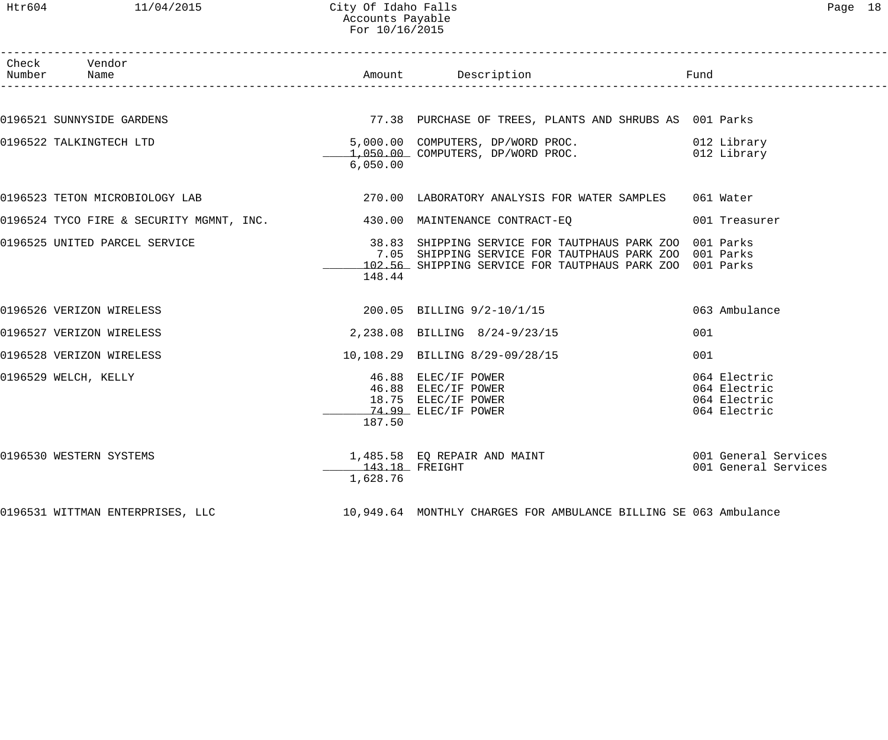## Htr604 11/04/2015 City Of Idaho Falls Page 18 Accounts Payable For 10/16/2015

| Check Vendor<br>Number Name    |                            | Amount Description                                                                                                                                                            | Fund                                                         |
|--------------------------------|----------------------------|-------------------------------------------------------------------------------------------------------------------------------------------------------------------------------|--------------------------------------------------------------|
|                                |                            |                                                                                                                                                                               |                                                              |
| 0196521 SUNNYSIDE GARDENS      |                            | 77.38 PURCHASE OF TREES, PLANTS AND SHRUBS AS 001 Parks                                                                                                                       |                                                              |
| 0196522 TALKINGTECH LTD        | 6,050.00                   | 5,000.00 COMPUTERS, DP/WORD PROC. 012 Library<br>1,050.00 COMPUTERS, DP/WORD PROC. 012 Library                                                                                |                                                              |
| 0196523 TETON MICROBIOLOGY LAB |                            | 270.00 LABORATORY ANALYSIS FOR WATER SAMPLES 061 Water                                                                                                                        |                                                              |
|                                |                            | 0196524 TYCO FIRE & SECURITY MGMNT, INC. 430.00 MAINTENANCE CONTRACT-EQ                                                                                                       | 001 Treasurer                                                |
| 0196525 UNITED PARCEL SERVICE  | 148.44                     | 38.83 SHIPPING SERVICE FOR TAUTPHAUS PARK ZOO 001 Parks<br>7.05 SHIPPING SERVICE FOR TAUTPHAUS PARK ZOO 001 Parks<br>102.56 SHIPPING SERVICE FOR TAUTPHAUS PARK ZOO 001 Parks |                                                              |
| 0196526 VERIZON WIRELESS       |                            | 200.05 BILLING 9/2-10/1/15                                                                                                                                                    | 063 Ambulance                                                |
| 0196527 VERIZON WIRELESS       |                            | 2,238.08 BILLING 8/24-9/23/15                                                                                                                                                 | 001                                                          |
| 0196528 VERIZON WIRELESS       |                            | 10,108.29 BILLING 8/29-09/28/15                                                                                                                                               | 001                                                          |
| 0196529 WELCH, KELLY           | 187.50                     | 46.88 ELEC/IF POWER<br>16.88 ELEC/IF POWER<br>18.75 ELEC/IF POWER<br>74.99 FIFC/IF POWER<br>74.99 ELEC/IF POWER                                                               | 064 Electric<br>064 Electric<br>064 Electric<br>064 Electric |
| 0196530 WESTERN SYSTEMS        | 143.18 FREIGHT<br>1,628.76 | 1,485.58 EQ REPAIR AND MAINT                                                                                                                                                  | 001 General Services<br>001 General Services                 |
|                                |                            | 0196531 WITTMAN ENTERPRISES, LLC 10,949.64 MONTHLY CHARGES FOR AMBULANCE BILLING SE 063 Ambulance                                                                             |                                                              |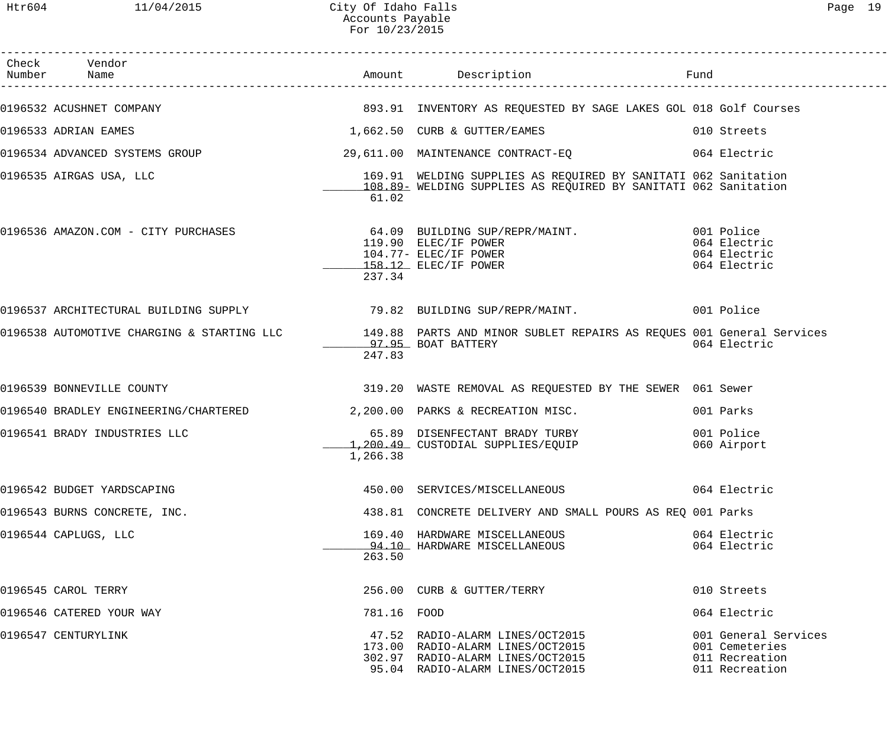| Check Vendor                 |             |                                                                                                                                                         |                                                                            |
|------------------------------|-------------|---------------------------------------------------------------------------------------------------------------------------------------------------------|----------------------------------------------------------------------------|
|                              |             | 0196532 ACUSHNET COMPANY                                  893.91 INVENTORY AS REQUESTED BY SAGE LAKES GOL 018 Golf Courses                              |                                                                            |
| 0196533 ADRIAN EAMES         |             | 1,662.50 CURB & GUTTER/EAMES                                                                                                                            | 010 Streets                                                                |
|                              |             | 0196534 ADVANCED SYSTEMS GROUP 39,611.00 MAINTENANCE CONTRACT-EQ 664 Electric                                                                           |                                                                            |
| 0196535 AIRGAS USA, LLC      | 61.02       | 169.91 WELDING SUPPLIES AS REQUIRED BY SANITATI 062 Sanitation<br>108.89- WELDING SUPPLIES AS REQUIRED BY SANITATI 062 Sanitation                       |                                                                            |
|                              | 237.34      | 0196536 AMAZON.COM - CITY PURCHASES (64.09 BUILDING SUP/REPR/MAINT. 601 Police<br>119.90 ELEC/IF POWER<br>104.77- ELEC/IF POWER<br>158.12 ELEC/IF POWER | 064 Electric<br>064 Electric<br>064 Electric                               |
|                              |             | 0196537 ARCHITECTURAL BUILDING SUPPLY                        79.82 BUILDING SUP/REPR/MAINT.                     001 Police                              |                                                                            |
|                              | 247.83      | 0196538 AUTOMOTIVE CHARGING & STARTING LLC 149.88 PARTS AND MINOR SUBLET REPAIRS AS REQUES 001 General Services<br>97.95 BOAT BATTERY                   | 064 Electric                                                               |
| 0196539 BONNEVILLE COUNTY    |             | 319.20 WASTE REMOVAL AS REQUESTED BY THE SEWER 061 Sewer                                                                                                |                                                                            |
|                              |             | 0196540 BRADLEY ENGINEERING/CHARTERED 2,200.00 PARKS & RECREATION MISC.                                                                                 | 001 Parks                                                                  |
| 0196541 BRADY INDUSTRIES LLC | 1,266.38    | 65.89 DISENFECTANT BRADY TURBY<br>1,200.49 CUSTODIAL SUPPLIES/EQUIP                                                                                     | 001 Police<br>060 Airport                                                  |
| 0196542 BUDGET YARDSCAPING   |             | 450.00 SERVICES/MISCELLANEOUS                                                                                                                           | 064 Electric                                                               |
| 0196543 BURNS CONCRETE, INC. |             | 438.81 CONCRETE DELIVERY AND SMALL POURS AS REO 001 Parks                                                                                               |                                                                            |
| 0196544 CAPLUGS, LLC         | 263.50      | 169.40 HARDWARE MISCELLANEOUS<br>94.10 HARDWARE MISCELLANEOUS                                                                                           | 064 Electric<br>064 Electric                                               |
| 0196545 CAROL TERRY          |             | 256.00 CURB & GUTTER/TERRY                                                                                                                              | 010 Streets                                                                |
| 0196546 CATERED YOUR WAY     | 781.16 FOOD |                                                                                                                                                         | 064 Electric                                                               |
| 0196547 CENTURYLINK          |             | 47.52 RADIO-ALARM LINES/OCT2015<br>173.00 RADIO-ALARM LINES/OCT2015<br>302.97 RADIO-ALARM LINES/OCT2015<br>95.04 RADIO-ALARM LINES/OCT2015              | 001 General Services<br>001 Cemeteries<br>011 Recreation<br>011 Recreation |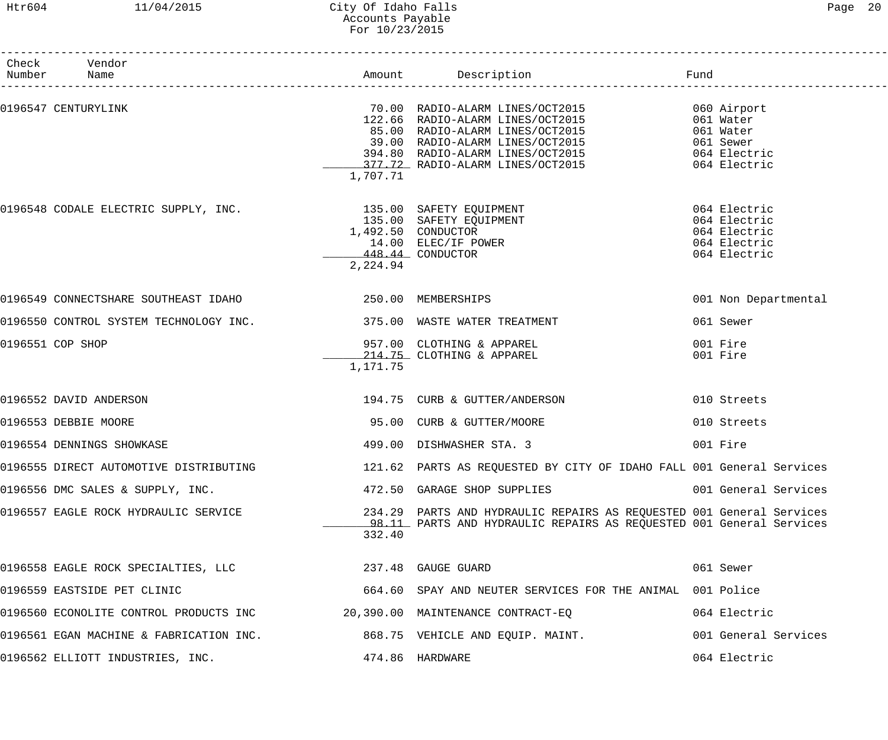## Htr604 11/04/2015 City Of Idaho Falls Page 20 Accounts Payable For 10/23/2015

| Check Vendor<br>Number Name                                                           |          |                                                                                                                                                                                                                                                                  |                                                                              |
|---------------------------------------------------------------------------------------|----------|------------------------------------------------------------------------------------------------------------------------------------------------------------------------------------------------------------------------------------------------------------------|------------------------------------------------------------------------------|
| 0196547 CENTURYLINK                                                                   | 1,707.71 | 70.00 RADIO-ALARM LINES/OCT2015 600 Airport<br>70.00 RADIO-ALARM LINES/OCI2015<br>122.66 RADIO-ALARM LINES/OCT2015<br>85.00 RADIO-ALARM LINES/OCT2015<br>39.00 RADIO-ALARM LINES/OCT2015<br>394.80 RADIO-ALARM LINES/OCT2015<br>377.72 RADIO-ALARM LINES/OCT2015 | 061 Water<br>061 Water<br>061 Sewer<br>064 Electric<br>064 Electric          |
| 0196548 CODALE ELECTRIC SUPPLY, INC.<br>135.00 SAFETY EQUIPMENT<br>1,492.50 CONDUCTOR | 2,224.94 | 14.00 ELEC/IF POWER<br>448.44 CONDUCTOR                                                                                                                                                                                                                          | 064 Electric<br>064 Electric<br>064 Electric<br>064 Electric<br>064 Electric |
| 0196549 CONNECTSHARE SOUTHEAST IDAHO $250.00$ MEMBERSHIPS                             |          |                                                                                                                                                                                                                                                                  | 001 Non Departmental                                                         |
| 0196550 CONTROL SYSTEM TECHNOLOGY INC. 420 1875.00 WASTE WATER TREATMENT              |          |                                                                                                                                                                                                                                                                  | 061 Sewer                                                                    |
| 0196551 COP SHOP                                                                      | 1,171.75 | 957.00 CLOTHING & APPAREL<br>214.75 CLOTHING & APPAREL                                                                                                                                                                                                           | 001 Fire<br>001 Fire                                                         |
| 0196552 DAVID ANDERSON                                                                |          | 194.75 CURB & GUTTER/ANDERSON                                                                                                                                                                                                                                    | 010 Streets                                                                  |
| 0196553 DEBBIE MOORE                                                                  |          | 95.00 CURB & GUTTER/MOORE                                                                                                                                                                                                                                        | 010 Streets                                                                  |
| 0196554 DENNINGS SHOWKASE                                                             |          | 499.00 DISHWASHER STA. 3                                                                                                                                                                                                                                         | 001 Fire                                                                     |
| 0196555 DIRECT AUTOMOTIVE DISTRIBUTING                                                |          | 121.62 PARTS AS REQUESTED BY CITY OF IDAHO FALL 001 General Services                                                                                                                                                                                             |                                                                              |
| 0196556 DMC SALES & SUPPLY, INC.                                                      |          | 472.50 GARAGE SHOP SUPPLIES                                                                                                                                                                                                                                      | 001 General Services                                                         |
| 0196557 EAGLE ROCK HYDRAULIC SERVICE                                                  | 332.40   | 234.29 PARTS AND HYDRAULIC REPAIRS AS REQUESTED 001 General Services<br>98.11 PARTS AND HYDRAULIC REPAIRS AS REQUESTED 001 General Services                                                                                                                      |                                                                              |
| 0196558 EAGLE ROCK SPECIALTIES, LLC 237.48 GAUGE GUARD                                |          |                                                                                                                                                                                                                                                                  | 061 Sewer                                                                    |
| 0196559 EASTSIDE PET CLINIC                                                           |          | 664.60 SPAY AND NEUTER SERVICES FOR THE ANIMAL 001 Police                                                                                                                                                                                                        |                                                                              |
| 0196560 ECONOLITE CONTROL PRODUCTS INC $20,390.00$ MAINTENANCE CONTRACT-EQ            |          |                                                                                                                                                                                                                                                                  | 064 Electric                                                                 |
| 0196561 EGAN MACHINE & FABRICATION INC.                                               |          | 868.75 VEHICLE AND EQUIP. MAINT.                                                                                                                                                                                                                                 | 001 General Services                                                         |
| 0196562 ELLIOTT INDUSTRIES, INC.                                                      |          | 474.86 HARDWARE                                                                                                                                                                                                                                                  | 064 Electric                                                                 |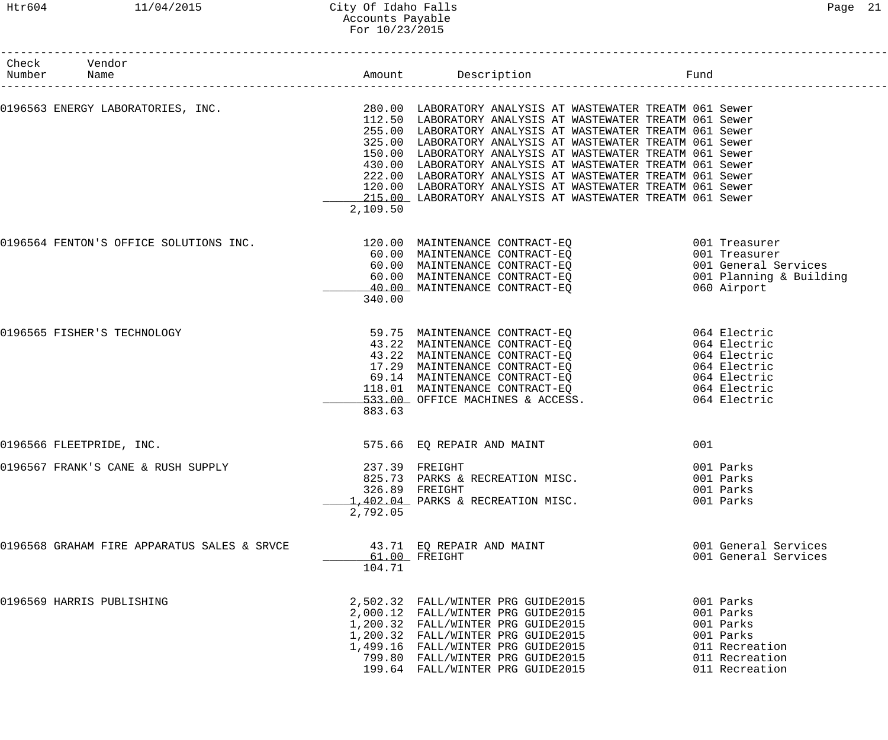| Check Vendor<br>Number Name                                                                                         |                           | Amount Description Tund                                                                                                |              |                                                 |
|---------------------------------------------------------------------------------------------------------------------|---------------------------|------------------------------------------------------------------------------------------------------------------------|--------------|-------------------------------------------------|
| 0196563 ENERGY LABORATORIES, INC.                         280.00 LABORATORY ANALYSIS AT WASTEWATER TREATM 061 Sewer |                           | 112.50 LABORATORY ANALYSIS AT WASTEWATER TREATM 061 Sewer                                                              |              |                                                 |
|                                                                                                                     |                           | 255.00 LABORATORY ANALYSIS AT WASTEWATER TREATM 061 Sewer                                                              |              |                                                 |
|                                                                                                                     |                           | 325.00 LABORATORY ANALYSIS AT WASTEWATER TREATM 061 Sewer<br>150.00 LABORATORY ANALYSIS AT WASTEWATER TREATM 061 Sewer |              |                                                 |
|                                                                                                                     |                           | 430.00 LABORATORY ANALYSIS AT WASTEWATER TREATM 061 Sewer                                                              |              |                                                 |
|                                                                                                                     |                           | 222.00 LABORATORY ANALYSIS AT WASTEWATER TREATM 061 Sewer                                                              |              |                                                 |
|                                                                                                                     |                           | 120.00 LABORATORY ANALYSIS AT WASTEWATER TREATM 061 Sewer                                                              |              |                                                 |
|                                                                                                                     | 2,109.50                  | 215.00 LABORATORY ANALYSIS AT WASTEWATER TREATM 061 Sewer                                                              |              |                                                 |
|                                                                                                                     |                           |                                                                                                                        |              |                                                 |
| 0196564 FENTON'S OFFICE SOLUTIONS INC.                                                                              |                           | 120.00 MAINTENANCE CONTRACT-EQ 001 Treasurer<br>60.00 MAINTENANCE CONTRACT-EQ                                          |              | 001 Treasurer                                   |
|                                                                                                                     |                           | $60.00$ MAINTENANCE CONTRACT-EQ                                                                                        |              |                                                 |
|                                                                                                                     |                           | 60.00 MAINTENANCE CONTRACT-EQ                                                                                          |              | 001 General Services<br>001 Planning & Building |
|                                                                                                                     |                           | 40.00 MAINTENANCE CONTRACT-EO                                                                                          |              | 060 Airport                                     |
|                                                                                                                     | 340.00                    |                                                                                                                        |              |                                                 |
| 0196565 FISHER'S TECHNOLOGY                                                                                         |                           | 59.75 MAINTENANCE CONTRACT-EQ                                                                                          | 064 Electric |                                                 |
|                                                                                                                     |                           | 43.22 MAINTENANCE CONTRACT-EQ                                                                                          |              | 064 Electric                                    |
|                                                                                                                     |                           | 43.22 MAINTENANCE CONTRACT-EQ<br>17.29 MAINTENANCE CONTRACT-EQ                                                         |              | 064 Electric<br>064 Electric                    |
|                                                                                                                     |                           |                                                                                                                        |              | 064 Electric                                    |
|                                                                                                                     |                           | 69.14 MAINTENANCE CONTRACT-EQ<br>118.01 MAINTENANCE CONTRACT-EQ<br>533.00 OFFICE MACHINES & ACCESS.                    |              | 064 Electric                                    |
|                                                                                                                     |                           |                                                                                                                        |              | 064 Electric                                    |
|                                                                                                                     | 883.63                    |                                                                                                                        |              |                                                 |
| 0196566 FLEETPRIDE, INC.                                                                                            |                           | 575.66 EQ REPAIR AND MAINT                                                                                             | 001          |                                                 |
| 0196567 FRANK'S CANE & RUSH SUPPLY                                                                                  |                           | 237.39 FREIGHT                                                                                                         |              | 001 Parks                                       |
|                                                                                                                     |                           | 825.73 PARKS & RECREATION MISC.                                                                                        |              | 001 Parks                                       |
|                                                                                                                     |                           | 326.89 FREIGHT                                                                                                         |              | 001 Parks                                       |
|                                                                                                                     |                           | 1,402.04 PARKS & RECREATION MISC.                                                                                      |              | 001 Parks                                       |
|                                                                                                                     | 2,792.05                  |                                                                                                                        |              |                                                 |
| 0196568 GRAHAM FIRE APPARATUS SALES & SRVCE                                                                         |                           | 43.71 EQ REPAIR AND MAINT                                                                                              |              | 001 General Services                            |
|                                                                                                                     | $61.00$ FREIGHT<br>104.71 |                                                                                                                        |              | 001 General Services                            |
| 0196569 HARRIS PUBLISHING                                                                                           |                           | 2,502.32 FALL/WINTER PRG GUIDE2015                                                                                     |              | 001 Parks                                       |
|                                                                                                                     |                           | 2,000.12 FALL/WINTER PRG GUIDE2015                                                                                     |              | 001 Parks                                       |
|                                                                                                                     |                           | 1,200.32 FALL/WINTER PRG GUIDE2015                                                                                     |              | 001 Parks                                       |
|                                                                                                                     |                           | 1,200.32 FALL/WINTER PRG GUIDE2015                                                                                     |              | 001 Parks                                       |
|                                                                                                                     |                           | 1,499.16 FALL/WINTER PRG GUIDE2015                                                                                     |              | 011 Recreation                                  |
|                                                                                                                     |                           | 799.80 FALL/WINTER PRG GUIDE2015<br>199.64 FALL/WINTER PRG GUIDE2015                                                   |              | 011 Recreation<br>011 Recreation                |
|                                                                                                                     |                           |                                                                                                                        |              |                                                 |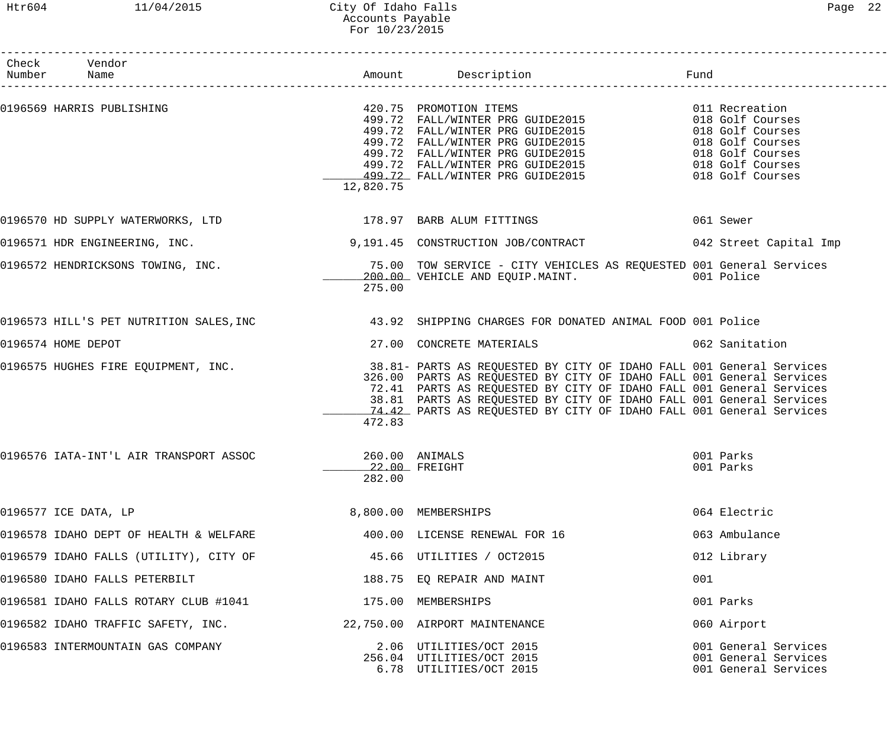#### Htr604 11/04/2015 City Of Idaho Falls Page 22 Accounts Payable For 10/23/2015

| Check Vendor<br>Number Name                                 |                          |                                                                                                                                                                                                                                                                                                                                                                                                           |                                                                                                                                        |
|-------------------------------------------------------------|--------------------------|-----------------------------------------------------------------------------------------------------------------------------------------------------------------------------------------------------------------------------------------------------------------------------------------------------------------------------------------------------------------------------------------------------------|----------------------------------------------------------------------------------------------------------------------------------------|
| 0196569 HARRIS PUBLISHING                                   | 12,820.75                | 420.75 PROMOTION ITEMS<br>499.72 FALL/WINTER PRG GUIDE2015<br>499.72 FALL/WINTER PRG GUIDE2015<br>499.72 FALL/WINTER PRG GUIDE2015<br>499.72 FALL/WINTER PRG GUIDE2015<br>499.72 FALL/WINTER PRG GUIDE2015<br>499.72 FALL/WINTER PRG GUIDE2015<br>499.72 FALL/WINTER PRG GUIDE2015                                                                                                                        | 011 Recreation<br>018 Golf Courses<br>018 Golf Courses<br>018 Golf Courses<br>018 Golf Courses<br>018 Golf Courses<br>018 Golf Courses |
| 0196570 HD SUPPLY WATERWORKS, LTD 178.97 BARB ALUM FITTINGS |                          |                                                                                                                                                                                                                                                                                                                                                                                                           | 061 Sewer                                                                                                                              |
| 0196571 HDR ENGINEERING, INC.                               |                          | 9,191.45 CONSTRUCTION JOB/CONTRACT 642 Street Capital Imp                                                                                                                                                                                                                                                                                                                                                 |                                                                                                                                        |
|                                                             | 275.00                   | 0196572 HENDRICKSONS TOWING, INC. THE REAR MANUSIC SERVICE - CITY VEHICLES AS REQUESTED 001 General Services<br>200.00 VEHICLE AND EQUIP.MAINT. 001 Police                                                                                                                                                                                                                                                |                                                                                                                                        |
|                                                             |                          | 0196573 HILL'S PET NUTRITION SALES, INC 43.92 SHIPPING CHARGES FOR DONATED ANIMAL FOOD 001 Police                                                                                                                                                                                                                                                                                                         |                                                                                                                                        |
| 0196574 HOME DEPOT                                          |                          | 27.00 CONCRETE MATERIALS                                                                                                                                                                                                                                                                                                                                                                                  | 062 Sanitation                                                                                                                         |
|                                                             | 472.83                   | 0196575 HUGHES FIRE EQUIPMENT, INC. THE SALLE REARTS AS REQUESTED BY CITY OF IDAHO FALL 001 General Services<br>326.00 PARTS AS REQUESTED BY CITY OF IDAHO FALL 001 General Services<br>72.41 PARTS AS REQUESTED BY CITY OF IDAHO FALL 001 General Services<br>38.81 PARTS AS REQUESTED BY CITY OF IDAHO FALL 001 General Services<br>74.42 PARTS AS REQUESTED BY CITY OF IDAHO FALL 001 General Services |                                                                                                                                        |
| 0196576 IATA-INT'L AIR TRANSPORT ASSOC                      | 260.00 ANIMALS<br>282.00 | 22.00 FREIGHT                                                                                                                                                                                                                                                                                                                                                                                             | 001 Parks<br>001 Parks                                                                                                                 |
| 0196577 ICE DATA, LP                                        |                          | 8,800.00 MEMBERSHIPS                                                                                                                                                                                                                                                                                                                                                                                      | 064 Electric                                                                                                                           |
| 0196578 IDAHO DEPT OF HEALTH & WELFARE                      |                          | 400.00 LICENSE RENEWAL FOR 16                                                                                                                                                                                                                                                                                                                                                                             | 063 Ambulance                                                                                                                          |
| 0196579 IDAHO FALLS (UTILITY), CITY OF                      |                          | 45.66 UTILITIES / OCT2015                                                                                                                                                                                                                                                                                                                                                                                 | 012 Library                                                                                                                            |
| 0196580 IDAHO FALLS PETERBILT                               |                          | 188.75 EQ REPAIR AND MAINT                                                                                                                                                                                                                                                                                                                                                                                | 001                                                                                                                                    |
| 0196581 IDAHO FALLS ROTARY CLUB #1041                       |                          | 175.00 MEMBERSHIPS                                                                                                                                                                                                                                                                                                                                                                                        | 001 Parks                                                                                                                              |
| 0196582 IDAHO TRAFFIC SAFETY, INC.                          |                          | 22,750.00 AIRPORT MAINTENANCE                                                                                                                                                                                                                                                                                                                                                                             | 060 Airport                                                                                                                            |
| 0196583 INTERMOUNTAIN GAS COMPANY                           |                          | 2.06 UTILITIES/OCT 2015<br>256.04 UTILITIES/OCT 2015<br>6.78 UTILITIES/OCT 2015                                                                                                                                                                                                                                                                                                                           | 001 General Services<br>001 General Services<br>001 General Services                                                                   |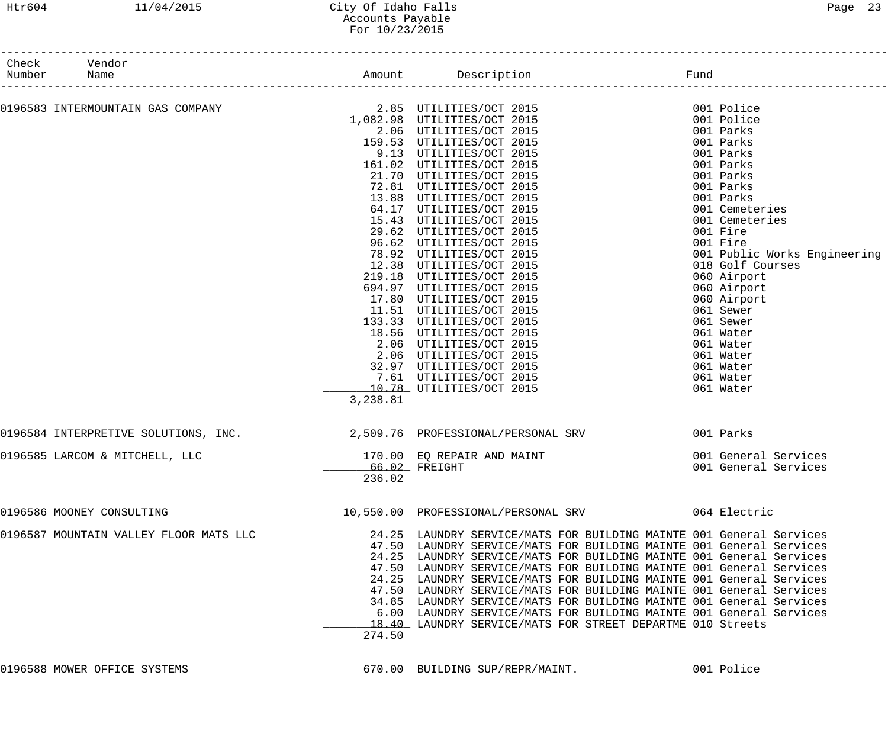| Number | Check Vendor<br>Name                                                    |               |                                                                                                         |                              |
|--------|-------------------------------------------------------------------------|---------------|---------------------------------------------------------------------------------------------------------|------------------------------|
|        |                                                                         |               |                                                                                                         | 001 Police                   |
|        |                                                                         |               | 0196583 INTERMOUNTAIN GAS COMPANY              2.85  UTILITIES/OCT 2015<br>1,082.98  UTILITIES/OCT 2015 | 001 Police                   |
|        |                                                                         |               | 2.06 UTILITIES/OCT 2015                                                                                 | 001 Parks                    |
|        |                                                                         |               | 159.53 UTILITIES/OCT 2015                                                                               | 001 Parks                    |
|        |                                                                         |               | 9.13 UTILITIES/OCT 2015                                                                                 | 001 Parks                    |
|        |                                                                         |               | 161.02 UTILITIES/OCT 2015                                                                               | 001 Parks                    |
|        |                                                                         |               | 21.70 UTILITIES/OCT 2015                                                                                | 001 Parks                    |
|        |                                                                         |               | 72.81 UTILITIES/OCT 2015                                                                                | 001 Parks                    |
|        |                                                                         |               | 13.88 UTILITIES/OCT 2015                                                                                | 001 Parks                    |
|        |                                                                         |               | 64.17 UTILITIES/OCT 2015                                                                                | 001 Cemeteries               |
|        |                                                                         |               | 15.43 UTILITIES/OCT 2015                                                                                | 001 Cemeteries               |
|        |                                                                         |               | 29.62 UTILITIES/OCT 2015                                                                                | 001 Fire                     |
|        |                                                                         |               | 96.62 UTILITIES/OCT 2015                                                                                | 001 Fire                     |
|        |                                                                         |               | 78.92 UTILITIES/OCT 2015                                                                                | 001 Public Works Engineering |
|        |                                                                         |               | 12.38 UTILITIES/OCT 2015                                                                                | 018 Golf Courses             |
|        |                                                                         |               | 219.18 UTILITIES/OCT 2015                                                                               | 060 Airport                  |
|        |                                                                         |               | 694.97 UTILITIES/OCT 2015                                                                               | 060 Airport                  |
|        |                                                                         |               | 17.80 UTILITIES/OCT 2015                                                                                | 060 Airport                  |
|        |                                                                         |               | 11.51 UTILITIES/OCT 2015                                                                                | 061 Sewer                    |
|        |                                                                         |               | 133.33 UTILITIES/OCT 2015                                                                               | 061 Sewer                    |
|        |                                                                         |               | 18.56 UTILITIES/OCT 2015                                                                                | 061 Water                    |
|        |                                                                         |               | 2.06 UTILITIES/OCT 2015                                                                                 | 061 Water                    |
|        |                                                                         |               | 2.06 UTILITIES/OCT 2015<br>32.97 UTILITIES/OCT 2015                                                     | 061 Water                    |
|        |                                                                         |               | 7.61 UTILITIES/OCT 2015                                                                                 | 061 Water<br>061 Water       |
|        |                                                                         |               | 10.78 UTILITIES/OCT 2015                                                                                | 061 Water                    |
|        |                                                                         | 3,238.81      |                                                                                                         |                              |
|        | 0196584 INTERPRETIVE SOLUTIONS, INC. 2,509.76 PROFESSIONAL/PERSONAL SRV |               |                                                                                                         | 001 Parks                    |
|        | 0196585 LARCOM & MITCHELL, LLC                                          |               | 170.00 EQ REPAIR AND MAINT                                                                              | 001 General Services         |
|        |                                                                         | 66.02 FREIGHT |                                                                                                         | 001 General Services         |
|        |                                                                         | 236.02        |                                                                                                         |                              |
|        | 0196586 MOONEY CONSULTING                                               |               | 10,550.00 PROFESSIONAL/PERSONAL SRV 064 Electric                                                        |                              |
|        | 0196587 MOUNTAIN VALLEY FLOOR MATS LLC                                  |               | 24.25 LAUNDRY SERVICE/MATS FOR BUILDING MAINTE 001 General Services                                     |                              |
|        |                                                                         |               | 47.50 LAUNDRY SERVICE/MATS FOR BUILDING MAINTE 001 General Services                                     |                              |
|        |                                                                         |               | 24.25 LAUNDRY SERVICE/MATS FOR BUILDING MAINTE 001 General Services                                     |                              |
|        |                                                                         |               | 47.50 LAUNDRY SERVICE/MATS FOR BUILDING MAINTE 001 General Services                                     |                              |
|        |                                                                         |               | 24.25 LAUNDRY SERVICE/MATS FOR BUILDING MAINTE 001 General Services                                     |                              |
|        |                                                                         |               | 47.50 LAUNDRY SERVICE/MATS FOR BUILDING MAINTE 001 General Services                                     |                              |
|        |                                                                         |               | 34.85 LAUNDRY SERVICE/MATS FOR BUILDING MAINTE 001 General Services                                     |                              |
|        |                                                                         |               | 6.00 LAUNDRY SERVICE/MATS FOR BUILDING MAINTE 001 General Services                                      |                              |
|        |                                                                         |               | 18.40 LAUNDRY SERVICE/MATS FOR STREET DEPARTME 010 Streets                                              |                              |
|        |                                                                         | 274.50        |                                                                                                         |                              |
|        |                                                                         |               |                                                                                                         |                              |
|        |                                                                         |               |                                                                                                         |                              |

0196588 MOWER OFFICE SYSTEMS 670.00 BUILDING SUP/REPR/MAINT. 001 Police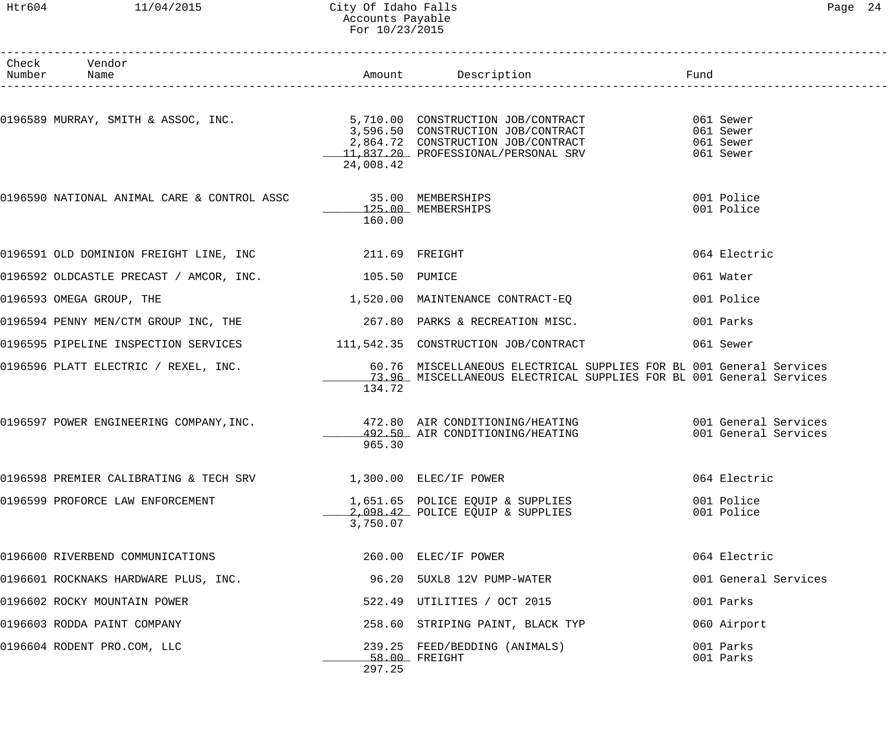#### Htr604 11/04/2015 City Of Idaho Falls Page 24 Accounts Payable For 10/23/2015

| Number | Check Vendor<br>Name                                                                                                                                                                                                                 |           |                                                                                                                                            | Fund |                          |
|--------|--------------------------------------------------------------------------------------------------------------------------------------------------------------------------------------------------------------------------------------|-----------|--------------------------------------------------------------------------------------------------------------------------------------------|------|--------------------------|
|        |                                                                                                                                                                                                                                      |           |                                                                                                                                            |      | _______________________  |
|        | 0196589 MURRAY, SMITH & ASSOC, INC.<br>3,596.50 CONSTRUCTION JOB/CONTRACT 061 Sewer<br>2,864.72 CONSTRUCTION JOB/CONTRACT 061 Sewer<br>2,864.72 CONSTRUCTION JOB/CONTRACT 061 Sewer<br>11,837.20 PROFESSIONAL/PERSONAL SRV 061 Sewer | 24,008.42 |                                                                                                                                            |      |                          |
|        | 0196590 NATIONAL ANIMAL CARE & CONTROL ASSC 35.00 MEMBERSHIPS                                                                                                                                                                        | 160.00    | 125.00 MEMBERSHIPS                                                                                                                         |      | 001 Police<br>001 Police |
|        |                                                                                                                                                                                                                                      |           |                                                                                                                                            |      | 064 Electric             |
|        | 0196592 OLDCASTLE PRECAST / AMCOR, INC. 405.50 PUMICE                                                                                                                                                                                |           |                                                                                                                                            |      | 061 Water                |
|        | 0196593 OMEGA GROUP, THE                                                                                                                                                                                                             |           | 1,520.00 MAINTENANCE CONTRACT-EQ                                                                                                           |      | 001 Police               |
|        | 0196594 PENNY MEN/CTM GROUP INC, THE 267.80 PARKS & RECREATION MISC.                                                                                                                                                                 |           |                                                                                                                                            |      | 001 Parks                |
|        | 0196595 PIPELINE INSPECTION SERVICES 111,542.35 CONSTRUCTION JOB/CONTRACT                                                                                                                                                            |           |                                                                                                                                            |      | 061 Sewer                |
|        | 0196596 PLATT ELECTRIC / REXEL, INC.                                                                                                                                                                                                 | 134.72    | 60.76 MISCELLANEOUS ELECTRICAL SUPPLIES FOR BL 001 General Services<br>13.96 MISCELLANEOUS ELECTRICAL SUPPLIES FOR BL 001 General Services |      |                          |
|        | 0196597 POWER ENGINEERING COMPANY, INC. 472.80 AIR CONDITIONING/HEATING 6001 General Services                                                                                                                                        | 965.30    | 492.50 AIR CONDITIONING/HEATING 601 General Services                                                                                       |      |                          |
|        | 0196598 PREMIER CALIBRATING & TECH SRV                    1,300.00 ELEC/IF POWER                                                                                                                                                     |           |                                                                                                                                            |      | 064 Electric             |
|        | 0196599 PROFORCE LAW ENFORCEMENT                                                                                                                                                                                                     | 3,750.07  | 1,651.65 POLICE EQUIP & SUPPLIES<br>2,098.42 POLICE EQUIP & SUPPLIES                                                                       |      | 001 Police<br>001 Police |
|        | 0196600 RIVERBEND COMMUNICATIONS                                                                                                                                                                                                     |           | 260.00 ELEC/IF POWER                                                                                                                       |      | 064 Electric             |
|        | 0196601 ROCKNAKS HARDWARE PLUS, INC.                                                                                                                                                                                                 |           | 96.20 5UXL8 12V PUMP-WATER                                                                                                                 |      | 001 General Services     |
|        | 0196602 ROCKY MOUNTAIN POWER                                                                                                                                                                                                         |           | 522.49 UTILITIES / OCT 2015                                                                                                                |      | 001 Parks                |
|        | 0196603 RODDA PAINT COMPANY                                                                                                                                                                                                          |           | 258.60 STRIPING PAINT, BLACK TYP                                                                                                           |      | 060 Airport              |
|        | 0196604 RODENT PRO.COM, LLC                                                                                                                                                                                                          | 297.25    | 239.25 FEED/BEDDING (ANIMALS)<br>58.00 FREIGHT                                                                                             |      | 001 Parks<br>001 Parks   |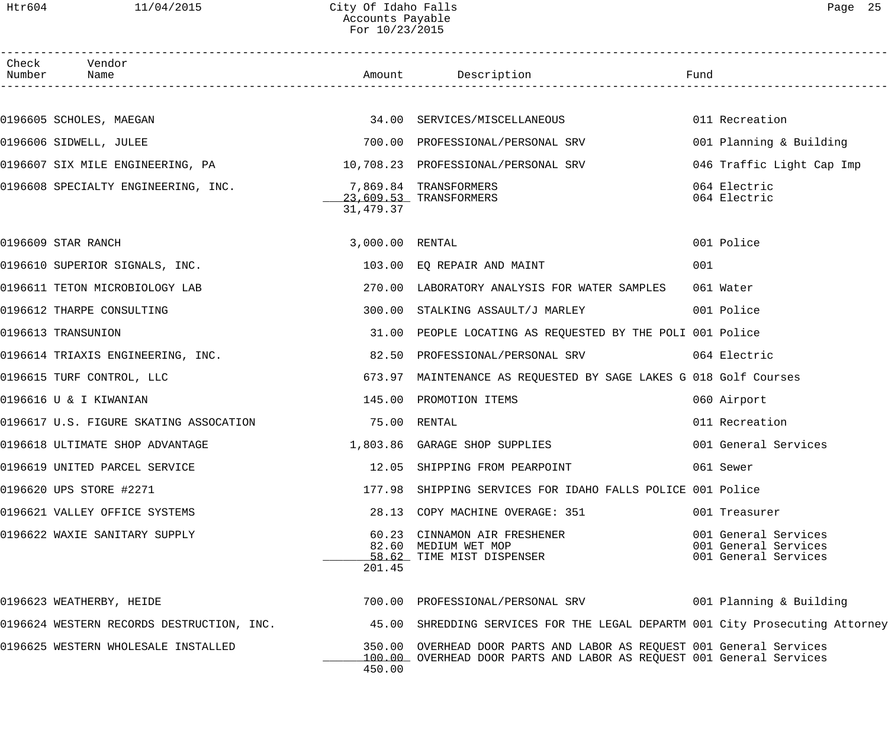#### Htr604 11/04/2015 City Of Idaho Falls Page 25 Accounts Payable For 10/23/2015

| . |  |  |  |
|---|--|--|--|

| Check<br>Number | Vendor<br>Name                                                                                                         |                 |                                                                                                                                              |                                                                      |
|-----------------|------------------------------------------------------------------------------------------------------------------------|-----------------|----------------------------------------------------------------------------------------------------------------------------------------------|----------------------------------------------------------------------|
|                 |                                                                                                                        |                 |                                                                                                                                              |                                                                      |
|                 | 0196605 SCHOLES, MAEGAN 600 CONTENTING SERVICES/MISCELLANEOUS 6011 Recreation                                          |                 |                                                                                                                                              |                                                                      |
|                 | 0196606 SIDWELL, JULEE                                                                                                 |                 | 700.00 PROFESSIONAL/PERSONAL SRV                                                                                                             | 001 Planning & Building                                              |
|                 |                                                                                                                        |                 |                                                                                                                                              | 046 Traffic Light Cap Imp                                            |
|                 | 0196608 SPECIALTY ENGINEERING, INC.                                                                                    | 31,479.37       | 7,869.84 TRANSFORMERS<br>23,609.53 TRANSFORMERS                                                                                              | 064 Electric<br>064 Electric                                         |
|                 | 0196609 STAR RANCH                                                                                                     | 3,000.00 RENTAL |                                                                                                                                              | 001 Police                                                           |
|                 | 0196610 SUPERIOR SIGNALS, INC.                                                                                         |                 | 103.00 EQ REPAIR AND MAINT                                                                                                                   | 001                                                                  |
|                 | 0196611 TETON MICROBIOLOGY LAB                                                                                         |                 | 270.00 LABORATORY ANALYSIS FOR WATER SAMPLES                                                                                                 | 061 Water                                                            |
|                 | 0196612 THARPE CONSULTING                                                                                              |                 | 300.00 STALKING ASSAULT/J MARLEY                                                                                                             | 001 Police                                                           |
|                 | 0196613 TRANSUNION                                                                                                     |                 | 31.00 PEOPLE LOCATING AS REQUESTED BY THE POLI 001 Police                                                                                    |                                                                      |
|                 | 0196614 TRIAXIS ENGINEERING, INC.                                                                                      |                 | 82.50 PROFESSIONAL/PERSONAL SRV 664 Electric                                                                                                 |                                                                      |
|                 | 0196615 TURF CONTROL, LLC                                                                                              |                 | 673.97 MAINTENANCE AS REQUESTED BY SAGE LAKES G 018 Golf Courses                                                                             |                                                                      |
|                 | 0196616 U & I KIWANIAN                                                                                                 | 145.00          | PROMOTION ITEMS                                                                                                                              | 060 Airport                                                          |
|                 | 0196617 U.S. FIGURE SKATING ASSOCATION                                                                                 | 75.00 RENTAL    |                                                                                                                                              | 011 Recreation                                                       |
|                 | 0196618 ULTIMATE SHOP ADVANTAGE                                   1,803.86  GARAGE SHOP SUPPLIES                       |                 |                                                                                                                                              | 001 General Services                                                 |
|                 | 0196619 UNITED PARCEL SERVICE                                                                                          |                 | 12.05 SHIPPING FROM PEARPOINT                                                                                                                | 061 Sewer                                                            |
|                 | 0196620 UPS STORE #2271                                                                                                |                 | 177.98 SHIPPING SERVICES FOR IDAHO FALLS POLICE 001 Police                                                                                   |                                                                      |
|                 | 0196621 VALLEY OFFICE SYSTEMS                                                                                          |                 | 28.13 COPY MACHINE OVERAGE: 351                                                                                                              | 001 Treasurer                                                        |
|                 | 0196622 WAXIE SANITARY SUPPLY                                                                                          | 201.45          | 60.23 CINNAMON AIR FRESHENER<br>82.60 MEDIUM WET MOP<br>58.62 TIME MIST DISPENSER                                                            | 001 General Services<br>001 General Services<br>001 General Services |
|                 | 0196623 WEATHERBY, HEIDE                                                                                               |                 | 700.00 PROFESSIONAL/PERSONAL SRV 601 Planning & Building                                                                                     |                                                                      |
|                 | 0196624 WESTERN RECORDS DESTRUCTION, INC. 45.00 SHREDDING SERVICES FOR THE LEGAL DEPARTM 001 City Prosecuting Attorney |                 |                                                                                                                                              |                                                                      |
|                 | 0196625 WESTERN WHOLESALE INSTALLED                                                                                    | 450.00          | 350.00 OVERHEAD DOOR PARTS AND LABOR AS REQUEST 001 General Services<br>100.00 OVERHEAD DOOR PARTS AND LABOR AS REQUEST 001 General Services |                                                                      |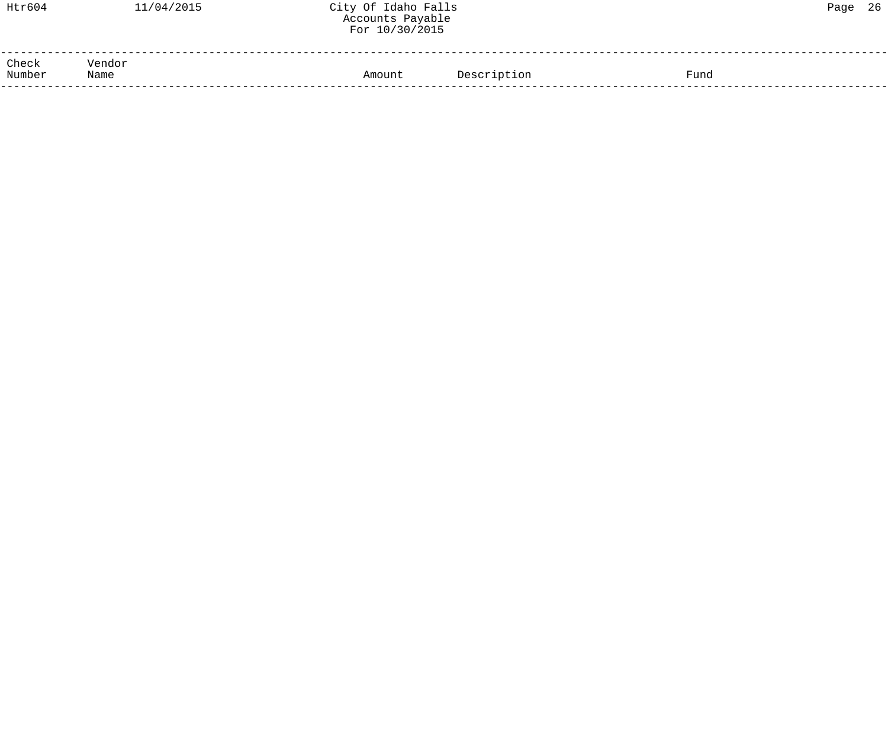| Htr604          | 11/04/2015     | City Of Idaho Falls<br>Accounts Payable<br>For 10/30/2015 |             |      | Page 26 |  |
|-----------------|----------------|-----------------------------------------------------------|-------------|------|---------|--|
| Check<br>Number | Vendor<br>Name | Amount                                                    | Description | Fund |         |  |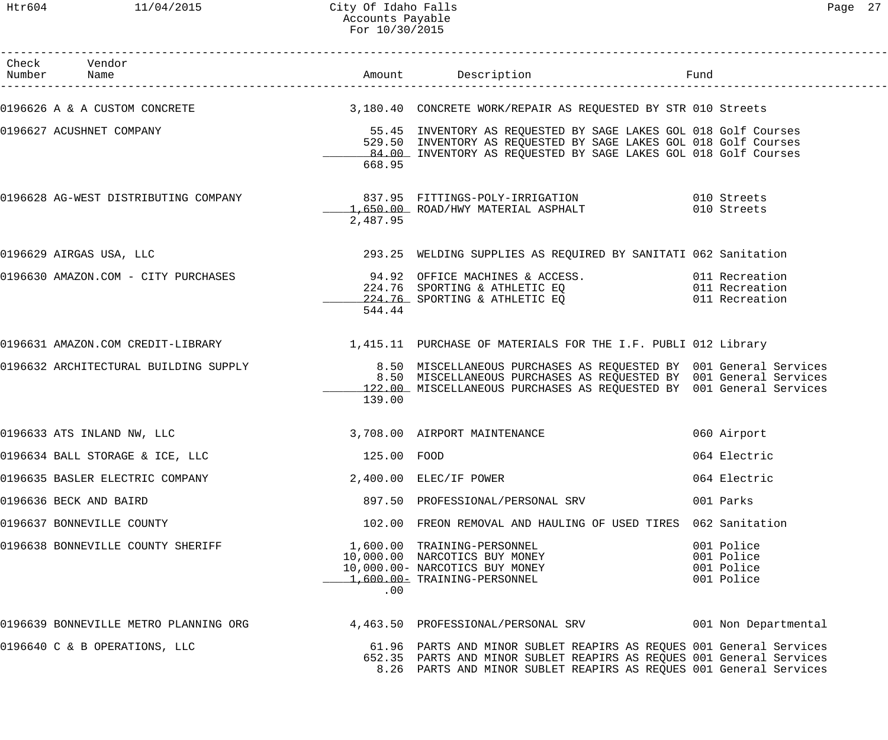| Check Vendor                                                                                                                                                                 |             |                                                                                                                                                                                                                   | Fund                                                 |
|------------------------------------------------------------------------------------------------------------------------------------------------------------------------------|-------------|-------------------------------------------------------------------------------------------------------------------------------------------------------------------------------------------------------------------|------------------------------------------------------|
| 0196626 A & A CUSTOM CONCRETE (2008) 3,180.40 CONCRETE WORK/REPAIR AS REQUESTED BY STR 010 Streets                                                                           |             |                                                                                                                                                                                                                   |                                                      |
| 0196627 ACUSHNET COMPANY                                                                                                                                                     | 668.95      | 55.45 INVENTORY AS REQUESTED BY SAGE LAKES GOL 018 Golf Courses<br>529.50 INVENTORY AS REQUESTED BY SAGE LAKES GOL 018 Golf Courses<br>84.00 INVENTORY AS REQUESTED BY SAGE LAKES GOL 018 Golf Courses            |                                                      |
| 0196628 AG-WEST DISTRIBUTING COMPANY 837.95 FITTINGS-POLY-IRRIGATION 610 Streets                                                                                             | 2,487.95    | 1,650.00 ROAD/HWY MATERIAL ASPHALT                                                                                                                                                                                | 010 Streets                                          |
| 0196629 AIRGAS USA, LLC                                                                                                                                                      |             | 293.25 WELDING SUPPLIES AS REQUIRED BY SANITATI 062 Sanitation                                                                                                                                                    |                                                      |
| 0196630 AMAZON.COM - CITY PURCHASES 6 (1998) 94.92 OFFICE MACHINES & ACCESS.<br>224.76 SPORTING & ATHLETIC EQ 011 Recreation<br>224.76 SPORTING & ATHLETIC EQ 011 Recreation | 544.44      |                                                                                                                                                                                                                   |                                                      |
| 0196631 AMAZON.COM CREDIT-LIBRARY 1990 1,415.11 PURCHASE OF MATERIALS FOR THE I.F. PUBLI 012 Library                                                                         |             |                                                                                                                                                                                                                   |                                                      |
| 0196632 ARCHITECTURAL BUILDING SUPPLY                                                                                                                                        | 139.00      | 8.50 MISCELLANEOUS PURCHASES AS REQUESTED BY 001 General Services<br>8.50 MISCELLANEOUS PURCHASES AS REQUESTED BY 001 General Services<br>122.00 MISCELLANEOUS PURCHASES AS REQUESTED BY 001 General Services     |                                                      |
| 0196633 ATS INLAND NW, LLC                                                                                                                                                   |             | 3,708.00 AIRPORT MAINTENANCE                                                                                                                                                                                      | 060 Airport                                          |
| 0196634 BALL STORAGE & ICE, LLC                                                                                                                                              | 125.00 FOOD |                                                                                                                                                                                                                   | 064 Electric                                         |
| 0196635 BASLER ELECTRIC COMPANY                                                                                                                                              |             | 2,400.00 ELEC/IF POWER                                                                                                                                                                                            | 064 Electric                                         |
| 0196636 BECK AND BAIRD                                                                                                                                                       |             | 897.50 PROFESSIONAL/PERSONAL SRV                                                                                                                                                                                  | 001 Parks                                            |
| 0196637 BONNEVILLE COUNTY                                                                                                                                                    |             | 102.00 FREON REMOVAL AND HAULING OF USED TIRES 062 Sanitation                                                                                                                                                     |                                                      |
| 0196638 BONNEVILLE COUNTY SHERIFF                                                                                                                                            | .00         | 1,600.00 TRAINING-PERSONNEL<br>10,000.00 NARCOTICS BUY MONEY<br>10,000.00- NARCOTICS BUY MONEY<br>1,600.00- TRAINING-PERSONNEL                                                                                    | 001 Police<br>001 Police<br>001 Police<br>001 Police |
| 0196639 BONNEVILLE METRO PLANNING ORG               4,463.50 PROFESSIONAL/PERSONAL SRV               001 Non Departmental                                                    |             |                                                                                                                                                                                                                   |                                                      |
| 0196640 C & B OPERATIONS, LLC                                                                                                                                                |             | 61.96 PARTS AND MINOR SUBLET REAPIRS AS REQUES 001 General Services<br>652.35 PARTS AND MINOR SUBLET REAPIRS AS REQUES 001 General Services<br>8.26 PARTS AND MINOR SUBLET REAPIRS AS REQUES 001 General Services |                                                      |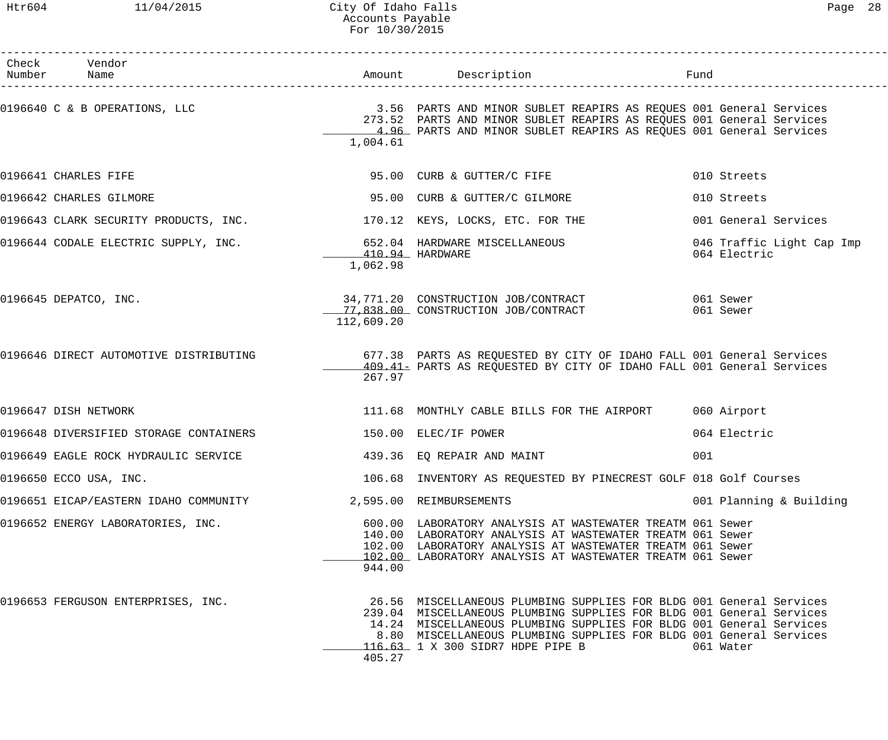Htr604 11/04/2015 City Of Idaho Falls Page 28 Accounts Payable For 10/30/2015

| Check Vendor<br>Number Name                                                                                              |                             | Amount Description                                                                                                                                                                                                                                                                                                           | Fund         |                           |
|--------------------------------------------------------------------------------------------------------------------------|-----------------------------|------------------------------------------------------------------------------------------------------------------------------------------------------------------------------------------------------------------------------------------------------------------------------------------------------------------------------|--------------|---------------------------|
| 0196640 C & B OPERATIONS, LLC                         3.56 PARTS AND MINOR SUBLET REAPIRS AS REQUES 001 General Services | 1,004.61                    | 273.52 PARTS AND MINOR SUBLET REAPIRS AS REQUES 001 General Services<br>4.96 PARTS AND MINOR SUBLET REAPIRS AS REQUES 001 General Services                                                                                                                                                                                   |              |                           |
| 0196641 CHARLES FIFE                                                                                                     |                             | 95.00 CURB & GUTTER/C FIFE                                                                                                                                                                                                                                                                                                   | 010 Streets  |                           |
| 0196642 CHARLES GILMORE                                                                                                  |                             | 95.00 CURB & GUTTER/C GILMORE                                                                                                                                                                                                                                                                                                | 010 Streets  |                           |
| $0196643$ CLARK SECURITY PRODUCTS, INC. $170.12$ KEYS, LOCKS, ETC. FOR THE                                               |                             |                                                                                                                                                                                                                                                                                                                              |              | 001 General Services      |
| 0196644 CODALE ELECTRIC SUPPLY, INC. 652.04 HARDWARE MISCELLANEOUS                                                       | 410.94 HARDWARE<br>1,062.98 |                                                                                                                                                                                                                                                                                                                              | 064 Electric | 046 Traffic Light Cap Imp |
| 0196645 DEPATCO, INC.                                                                                                    | 112,609.20                  | 34,771.20 CONSTRUCTION JOB/CONTRACT 061 Sewer<br>17,838.00 CONSTRUCTION JOB/CONTRACT                                                                                                                                                                                                                                         | 061 Sewer    |                           |
| 0196646 DIRECT AUTOMOTIVE DISTRIBUTING 677.38 PARTS AS REQUESTED BY CITY OF IDAHO FALL 001 General Services              | 267.97                      | 409.41 PARTS AS REQUESTED BY CITY OF IDAHO FALL 001 General Services                                                                                                                                                                                                                                                         |              |                           |
| 0196647 DISH NETWORK                                                                                                     |                             | 111.68 MONTHLY CABLE BILLS FOR THE AIRPORT 060 Airport                                                                                                                                                                                                                                                                       |              |                           |
| 0196648 DIVERSIFIED STORAGE CONTAINERS 6 150.00 ELEC/IF POWER                                                            |                             |                                                                                                                                                                                                                                                                                                                              | 064 Electric |                           |
| 0196649 EAGLE ROCK HYDRAULIC SERVICE                                                                                     |                             | 439.36 EQ REPAIR AND MAINT                                                                                                                                                                                                                                                                                                   | 001          |                           |
| 0196650 ECCO USA, INC.                                                                                                   |                             | 106.68 INVENTORY AS REQUESTED BY PINECREST GOLF 018 Golf Courses                                                                                                                                                                                                                                                             |              |                           |
| 0196651 EICAP/EASTERN IDAHO COMMUNITY                                                                                    |                             | 2,595.00 REIMBURSEMENTS                                                                                                                                                                                                                                                                                                      |              | 001 Planning & Building   |
| 0196652 ENERGY LABORATORIES, INC.                                                                                        | 944.00                      | 600.00 LABORATORY ANALYSIS AT WASTEWATER TREATM 061 Sewer<br>140.00 LABORATORY ANALYSIS AT WASTEWATER TREATM 061 Sewer<br>102.00 LABORATORY ANALYSIS AT WASTEWATER TREATM 061 Sewer<br>102.00 LABORATORY ANALYSIS AT WASTEWATER TREATM 061 Sewer                                                                             |              |                           |
| 0196653 FERGUSON ENTERPRISES, INC.                                                                                       | 405.27                      | 26.56 MISCELLANEOUS PLUMBING SUPPLIES FOR BLDG 001 General Services<br>239.04 MISCELLANEOUS PLUMBING SUPPLIES FOR BLDG 001 General Services<br>14.24 MISCELLANEOUS PLUMBING SUPPLIES FOR BLDG 001 General Services<br>8.80 MISCELLANEOUS PLUMBING SUPPLIES FOR BLDG 001 General Services<br>116.63 1 X 300 SIDR7 HDPE PIPE B | 061 Water    |                           |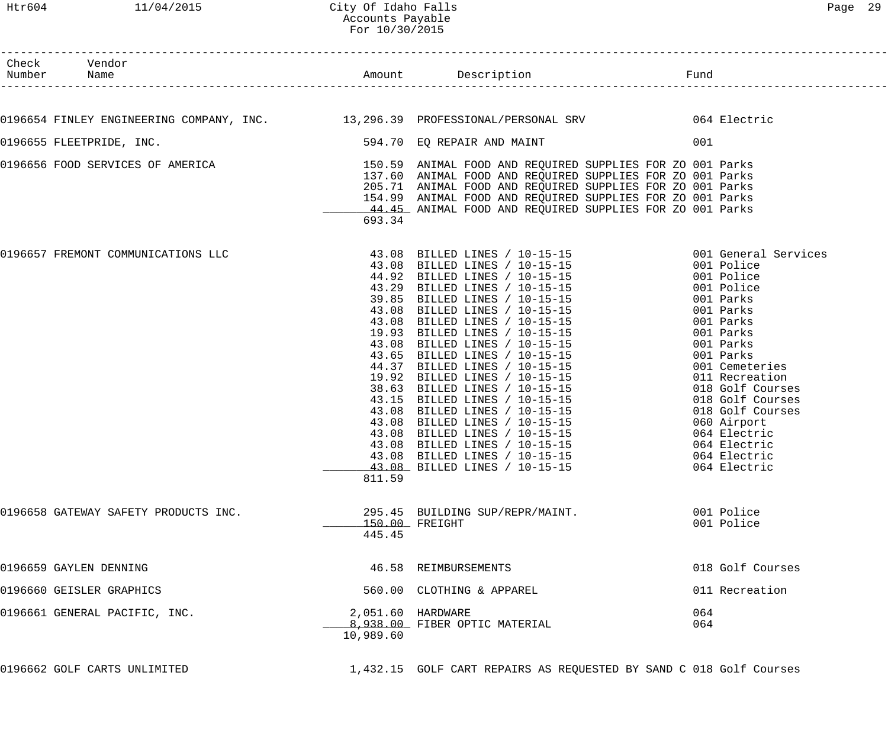|        |                                                                                           | FOL 10/30/2015                                                                                   |                                                                                                                                                                                                                                                                                                                                                                                                                                                                                                                                                                                                                                                 |                                                                                                                                                                                                                                                                                                     |
|--------|-------------------------------------------------------------------------------------------|--------------------------------------------------------------------------------------------------|-------------------------------------------------------------------------------------------------------------------------------------------------------------------------------------------------------------------------------------------------------------------------------------------------------------------------------------------------------------------------------------------------------------------------------------------------------------------------------------------------------------------------------------------------------------------------------------------------------------------------------------------------|-----------------------------------------------------------------------------------------------------------------------------------------------------------------------------------------------------------------------------------------------------------------------------------------------------|
| Number | Check Vendor<br>Name                                                                      |                                                                                                  | Amount Description                                                                                                                                                                                                                                                                                                                                                                                                                                                                                                                                                                                                                              | Fund                                                                                                                                                                                                                                                                                                |
|        | 0196654 FINLEY ENGINEERING COMPANY, INC. 13,296.39 PROFESSIONAL/PERSONAL SRV 664 Electric |                                                                                                  |                                                                                                                                                                                                                                                                                                                                                                                                                                                                                                                                                                                                                                                 |                                                                                                                                                                                                                                                                                                     |
|        | 0196655 FLEETPRIDE, INC.                                                                  |                                                                                                  | 594.70 EQ REPAIR AND MAINT                                                                                                                                                                                                                                                                                                                                                                                                                                                                                                                                                                                                                      | 001                                                                                                                                                                                                                                                                                                 |
|        | 0196656 FOOD SERVICES OF AMERICA                                                          | 693.34                                                                                           | 150.59 ANIMAL FOOD AND REQUIRED SUPPLIES FOR ZO 001 Parks<br>137.60 ANIMAL FOOD AND REQUIRED SUPPLIES FOR ZO 001 Parks<br>205.71 ANIMAL FOOD AND REQUIRED SUPPLIES FOR ZO 001 Parks<br>154.99 ANIMAL FOOD AND REQUIRED SUPPLIES FOR ZO 001 Parks<br>44.45 ANIMAL FOOD AND REQUIRED SUPPLIES FOR ZO 001 Parks                                                                                                                                                                                                                                                                                                                                    |                                                                                                                                                                                                                                                                                                     |
|        | 0196657 FREMONT COMMUNICATIONS LLC                                                        | 19.93<br>43.08<br>43.65<br>44.37<br>19.92<br>38.63<br>43.15<br>43.08<br>43.08<br>43.08<br>811.59 | $43.08$ BILLED LINES / $10-15-15$ $001$ General Services<br>43.08 BILLED LINES / 10-15-15<br>44.92 BILLED LINES / 10-15-15<br>43.29 BILLED LINES / 10-15-15<br>39.85 BILLED LINES / 10-15-15<br>43.08 BILLED LINES / 10-15-15<br>43.08 BILLED LINES / 10-15-15<br>BILLED LINES / 10-15-15<br>BILLED LINES / 10-15-15<br>BILLED LINES / 10-15-15<br>BILLED LINES / 10-15-15<br>BILLED LINES / 10-15-15<br>BILLED LINES / 10-15-15<br>BILLED LINES / 10-15-15<br>BILLED LINES / 10-15-15<br>BILLED LINES / 10-15-15<br>BILLED LINES / 10-15-15<br>43.08 BILLED LINES / 10-15-15<br>43.08 BILLED LINES / 10-15-15<br>43.08 BILLED LINES / 10-15-15 | 001 Police<br>001 Police<br>001 Police<br>001 Parks<br>001 Parks<br>001 Parks<br>001 Parks<br>001 Parks<br>001 Parks<br>001 Cemeteries<br>011 Recreation<br>018 Golf Courses<br>018 Golf Courses<br>018 Golf Courses<br>060 Airport<br>064 Electric<br>064 Electric<br>064 Electric<br>064 Electric |
|        | 0196658 GATEWAY SAFETY PRODUCTS INC.                                                      | 445.45                                                                                           | 295.45 BUILDING SUP/REPR/MAINT.<br>150.00 FREIGHT                                                                                                                                                                                                                                                                                                                                                                                                                                                                                                                                                                                               | 001 Police<br>001 Police                                                                                                                                                                                                                                                                            |
|        | 0196659 GAYLEN DENNING                                                                    |                                                                                                  | 46.58 REIMBURSEMENTS                                                                                                                                                                                                                                                                                                                                                                                                                                                                                                                                                                                                                            | 018 Golf Courses                                                                                                                                                                                                                                                                                    |
|        | 0196660 GEISLER GRAPHICS                                                                  |                                                                                                  | 560.00 CLOTHING & APPAREL                                                                                                                                                                                                                                                                                                                                                                                                                                                                                                                                                                                                                       | 011 Recreation                                                                                                                                                                                                                                                                                      |
|        | 0196661 GENERAL PACIFIC, INC.                                                             | 10,989.60                                                                                        | 2,051.60 HARDWARE<br>8,938.00 FIBER OPTIC MATERIAL                                                                                                                                                                                                                                                                                                                                                                                                                                                                                                                                                                                              | 064<br>064                                                                                                                                                                                                                                                                                          |
|        | 0196662 GOLF CARTS UNLIMITED                                                              |                                                                                                  | 1,432.15 GOLF CART REPAIRS AS REQUESTED BY SAND C 018 Golf Courses                                                                                                                                                                                                                                                                                                                                                                                                                                                                                                                                                                              |                                                                                                                                                                                                                                                                                                     |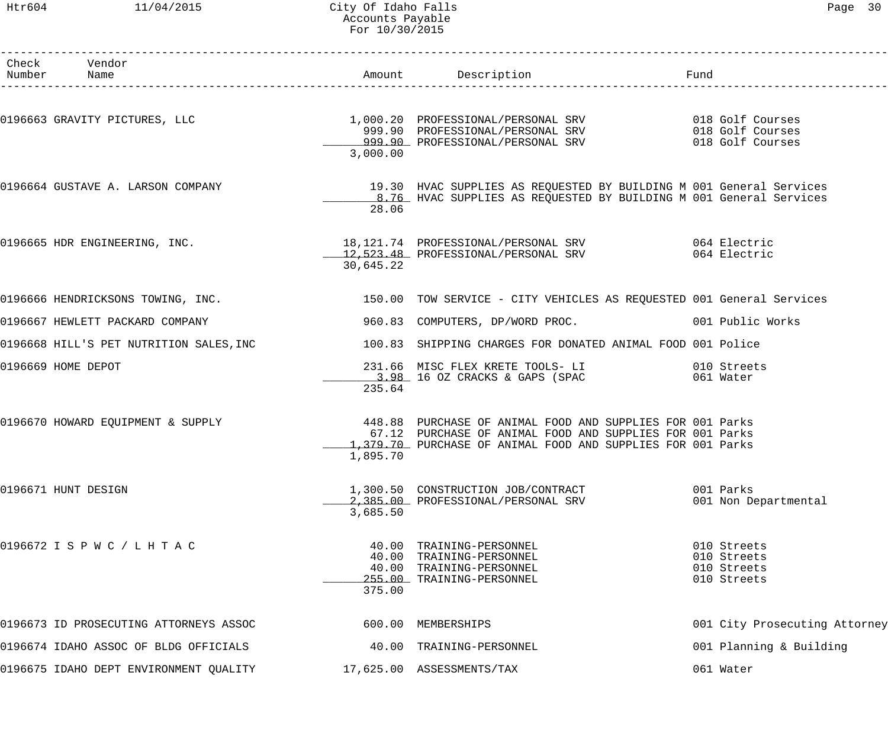#### Htr604 11/04/2015 City Of Idaho Falls Page 30 Accounts Payable For 10/30/2015

| Paqe | 30 |  |
|------|----|--|
|------|----|--|

| Check Vendor<br>Number Name            |           |                                                                                                                                                                                                                               |                                                          |
|----------------------------------------|-----------|-------------------------------------------------------------------------------------------------------------------------------------------------------------------------------------------------------------------------------|----------------------------------------------------------|
|                                        | 3,000.00  |                                                                                                                                                                                                                               | 018 Golf Courses<br>018 Golf Courses                     |
|                                        | 28.06     | 0196664 GUSTAVE A. LARSON COMPANY COMPANY 19.30 HVAC SUPPLIES AS REQUESTED BY BUILDING M 001 General Services<br>8.76 HVAC SUPPLIES AS REQUESTED BY BUILDING M 001 General Services                                           |                                                          |
|                                        | 30,645.22 | 0196665 HDR ENGINEERING, INC. 18,121.74 PROFESSIONAL/PERSONAL SRV 064 Electric<br>12,523.48 PROFESSIONAL/PERSONAL SRV 064 Electric                                                                                            | 064 Electric                                             |
|                                        |           | 0196666 HENDRICKSONS TOWING, INC. THE REAR MANUSIC SERVICE - CITY VEHICLES AS REQUESTED 001 General Services                                                                                                                  |                                                          |
| 0196667 HEWLETT PACKARD COMPANY        |           | 960.83 COMPUTERS, DP/WORD PROC. 001 Public Works                                                                                                                                                                              |                                                          |
|                                        |           | 0196668 HILL'S PET NUTRITION SALES, INC 100.83 SHIPPING CHARGES FOR DONATED ANIMAL FOOD 001 Police                                                                                                                            |                                                          |
| 0196669 HOME DEPOT                     | 235.64    | 231.66 MISC FLEX KRETE TOOLS- LI 010 Streets<br>$3.98$ 16 OZ CRACKS & GAPS (SPAC                                                                                                                                              | 061 Water                                                |
|                                        | 1,895.70  | 0196670 HOWARD EQUIPMENT & SUPPLY (1998) 448.88 PURCHASE OF ANIMAL FOOD AND SUPPLIES FOR 001 Parks<br>67.12 PURCHASE OF ANIMAL FOOD AND SUPPLIES FOR 001 Parks<br>1,379.70 PURCHASE OF ANIMAL FOOD AND SUPPLIES FOR 001 Parks |                                                          |
| 0196671 HUNT DESIGN                    | 3,685.50  | 1,300.50 CONSTRUCTION JOB/CONTRACT<br>2,385.00 PROFESSIONAL/PERSONAL SRV                                                                                                                                                      | 001 Parks<br>001 Non Departmental                        |
| 0196672 I S P W C / L H T A C          | 375.00    | 40.00 TRAINING-PERSONNEL<br>40.00 TRAINING-PERSONNEL<br>40.00 TRAINING-PERSONNEL<br>255.00 TRAINING-PERSONNEL                                                                                                                 | 010 Streets<br>010 Streets<br>010 Streets<br>010 Streets |
| 0196673 ID PROSECUTING ATTORNEYS ASSOC |           | 600.00 MEMBERSHIPS                                                                                                                                                                                                            | 001 City Prosecuting Attorney                            |
| 0196674 IDAHO ASSOC OF BLDG OFFICIALS  |           | 40.00 TRAINING-PERSONNEL                                                                                                                                                                                                      | 001 Planning & Building                                  |
| 0196675 IDAHO DEPT ENVIRONMENT QUALITY |           | 17,625.00 ASSESSMENTS/TAX                                                                                                                                                                                                     | 061 Water                                                |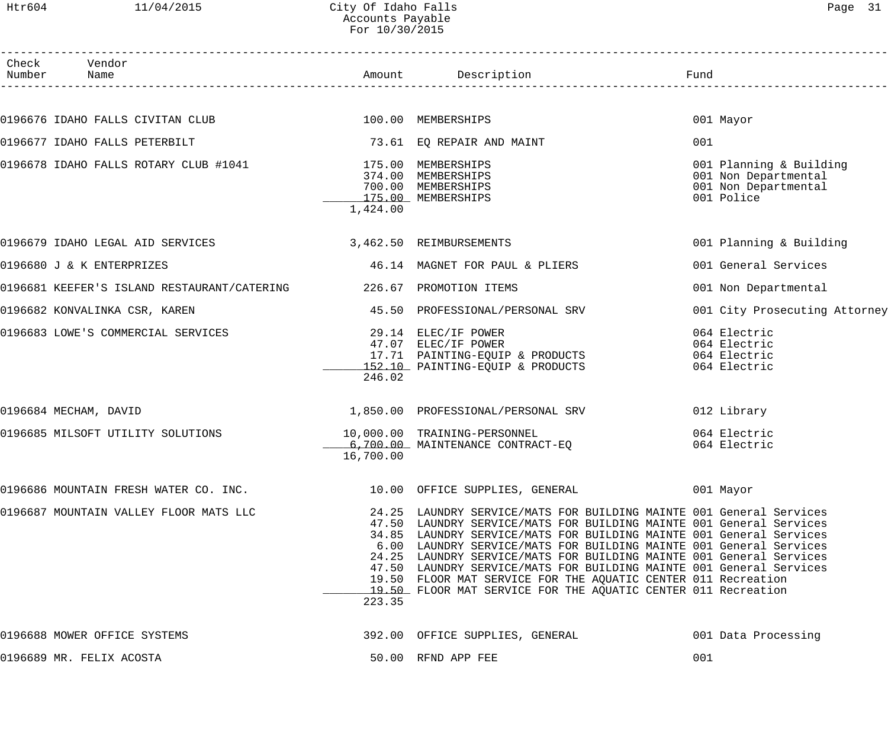| Htr604          |                               | 11/04/2015                                                         | City Of Idaho Falls<br>Accounts Payable<br>For 10/30/2015 |                                                                                                                                                                                                                                                                                                                                                                                                                                                                                                                                                                         |      | Page 31                                                                               |
|-----------------|-------------------------------|--------------------------------------------------------------------|-----------------------------------------------------------|-------------------------------------------------------------------------------------------------------------------------------------------------------------------------------------------------------------------------------------------------------------------------------------------------------------------------------------------------------------------------------------------------------------------------------------------------------------------------------------------------------------------------------------------------------------------------|------|---------------------------------------------------------------------------------------|
| Check<br>Number | Vendor<br>Name                |                                                                    |                                                           | Amount Description                                                                                                                                                                                                                                                                                                                                                                                                                                                                                                                                                      | Fund |                                                                                       |
|                 |                               |                                                                    |                                                           |                                                                                                                                                                                                                                                                                                                                                                                                                                                                                                                                                                         |      |                                                                                       |
|                 |                               | 0196676 IDAHO FALLS CIVITAN CLUB 100.00 MEMBERSHIPS                |                                                           |                                                                                                                                                                                                                                                                                                                                                                                                                                                                                                                                                                         |      | 001 Mayor                                                                             |
|                 | 0196677 IDAHO FALLS PETERBILT |                                                                    |                                                           | 73.61 EQ REPAIR AND MAINT                                                                                                                                                                                                                                                                                                                                                                                                                                                                                                                                               | 001  |                                                                                       |
|                 |                               | 0196678 IDAHO FALLS ROTARY CLUB #1041                              | 1,424.00                                                  | 175.00 MEMBERSHIPS<br>374.00 MEMBERSHIPS<br>700.00 MEMBERSHIPS<br>175.00 MEMBERSHIPS                                                                                                                                                                                                                                                                                                                                                                                                                                                                                    |      | 001 Planning & Building<br>001 Non Departmental<br>001 Non Departmental<br>001 Police |
|                 |                               | 0196679 IDAHO LEGAL AID SERVICES                                   |                                                           | 3,462.50 REIMBURSEMENTS                                                                                                                                                                                                                                                                                                                                                                                                                                                                                                                                                 |      | 001 Planning & Building                                                               |
|                 | 0196680 J & K ENTERPRIZES     |                                                                    |                                                           | 46.14 MAGNET FOR PAUL & PLIERS                                                                                                                                                                                                                                                                                                                                                                                                                                                                                                                                          |      | 001 General Services                                                                  |
|                 |                               | 0196681 KEEFER'S ISLAND RESTAURANT/CATERING 226.67 PROMOTION ITEMS |                                                           |                                                                                                                                                                                                                                                                                                                                                                                                                                                                                                                                                                         |      | 001 Non Departmental                                                                  |
|                 | 0196682 KONVALINKA CSR, KAREN |                                                                    |                                                           | 45.50 PROFESSIONAL/PERSONAL SRV                                                                                                                                                                                                                                                                                                                                                                                                                                                                                                                                         |      | 001 City Prosecuting Attorney                                                         |
|                 |                               | 0196683 LOWE'S COMMERCIAL SERVICES                                 | 29.14<br>47.07<br>246.02                                  | ELEC/IF POWER<br>ELEC/IF POWER<br>17.71 PAINTING-EQUIP & PRODUCTS<br>152.10 PAINTING-EQUIP & PRODUCTS                                                                                                                                                                                                                                                                                                                                                                                                                                                                   |      | 064 Electric<br>064 Electric<br>064 Electric<br>064 Electric                          |
|                 | 0196684 MECHAM, DAVID         |                                                                    |                                                           | 1,850.00 PROFESSIONAL/PERSONAL SRV                                                                                                                                                                                                                                                                                                                                                                                                                                                                                                                                      |      | 012 Library                                                                           |
|                 |                               | 0196685 MILSOFT UTILITY SOLUTIONS                                  | 16,700.00                                                 | 10,000.00 TRAINING-PERSONNEL<br>6,700.00 MAINTENANCE CONTRACT-EO                                                                                                                                                                                                                                                                                                                                                                                                                                                                                                        |      | 064 Electric<br>064 Electric                                                          |
|                 |                               | 0196686 MOUNTAIN FRESH WATER CO. INC.                              |                                                           | 10.00 OFFICE SUPPLIES, GENERAL                                                                                                                                                                                                                                                                                                                                                                                                                                                                                                                                          |      | 001 Mayor                                                                             |
|                 |                               | 0196687 MOUNTAIN VALLEY FLOOR MATS LLC                             | 223.35                                                    | 24.25 LAUNDRY SERVICE/MATS FOR BUILDING MAINTE 001 General Services<br>47.50 LAUNDRY SERVICE/MATS FOR BUILDING MAINTE 001 General Services<br>34.85 LAUNDRY SERVICE/MATS FOR BUILDING MAINTE 001 General Services<br>6.00 LAUNDRY SERVICE/MATS FOR BUILDING MAINTE 001 General Services<br>24.25 LAUNDRY SERVICE/MATS FOR BUILDING MAINTE 001 General Services<br>47.50 LAUNDRY SERVICE/MATS FOR BUILDING MAINTE 001 General Services<br>19.50 FLOOR MAT SERVICE FOR THE AQUATIC CENTER 011 Recreation<br>19.50 FLOOR MAT SERVICE FOR THE AQUATIC CENTER 011 Recreation |      |                                                                                       |
|                 | 0196688 MOWER OFFICE SYSTEMS  |                                                                    |                                                           | 392.00 OFFICE SUPPLIES, GENERAL                                                                                                                                                                                                                                                                                                                                                                                                                                                                                                                                         |      | 001 Data Processing                                                                   |

0196689 MR. FELIX ACOSTA 50.00 RFND APP FEE 001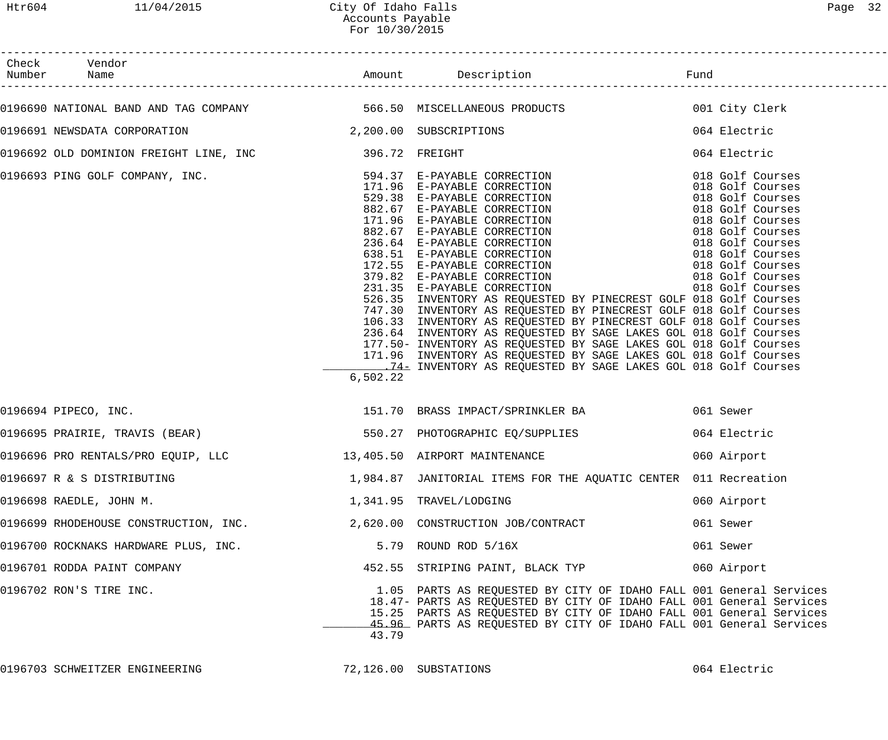| Page | ╱ |
|------|---|
|------|---|

| Check Vendor<br>Number Name                                      |          |                                                                                                                                                                                                                                                                                                                                                                                                                                                                                                                                                                                                                                                                                                                                                                                                                                                                                                                                     |              |
|------------------------------------------------------------------|----------|-------------------------------------------------------------------------------------------------------------------------------------------------------------------------------------------------------------------------------------------------------------------------------------------------------------------------------------------------------------------------------------------------------------------------------------------------------------------------------------------------------------------------------------------------------------------------------------------------------------------------------------------------------------------------------------------------------------------------------------------------------------------------------------------------------------------------------------------------------------------------------------------------------------------------------------|--------------|
|                                                                  |          | 0196690 NATIONAL BAND AND TAG COMPANY                   566.50 MISCELLANEOUS PRODUCTS                        001 City Clerk                                                                                                                                                                                                                                                                                                                                                                                                                                                                                                                                                                                                                                                                                                                                                                                                         |              |
| 0196691 NEWSDATA CORPORATION 2,200.00 SUBSCRIPTIONS              |          |                                                                                                                                                                                                                                                                                                                                                                                                                                                                                                                                                                                                                                                                                                                                                                                                                                                                                                                                     | 064 Electric |
| 0196692 OLD DOMINION FREIGHT LINE, INC 396.72 FREIGHT            |          |                                                                                                                                                                                                                                                                                                                                                                                                                                                                                                                                                                                                                                                                                                                                                                                                                                                                                                                                     | 064 Electric |
|                                                                  | 6,502.22 | 0196693 PING GOLF COMPANY, INC.<br>$\begin{array}{ccccccccc} 594.37 & E-PAYABLE \ CORRECTION & & & & & & & & & 018\text{ Golf} \text{ Course} \\ 171.96 & E-PAYABLE \ CORRECTION & & & & & & & & 018\text{ Golf} \text{ Course} \\ 529.38 & E-PAYABLE \ CORRECTION & & & & & & & 018\text{ Golf} \text{ Course} \\ 529.38 & E-PAYABLE \ CORRECTION & & & & & & 018\text{ Golf} \text{ Course} \\ 882.67 & E-PAYABLE \ CORRECTION & & &$<br>526.35 INVENTORY AS REQUESTED BY PINECREST GOLF 018 Golf Courses<br>747.30 INVENTORY AS REQUESTED BY PINECREST GOLF 018 Golf Courses<br>106.33 INVENTORY AS REQUESTED BY PINECREST GOLF 018 Golf Courses<br>236.64 INVENTORY AS REQUESTED BY SAGE LAKES GOL 018 Golf Courses<br>177.50- INVENTORY AS REQUESTED BY SAGE LAKES GOL 018 Golf Courses<br>171.96 INVENTORY AS REQUESTED BY SAGE LAKES GOL 018 Golf Courses<br>14- THE MULLERT AS REQUESTED BY SAGE LAKES GOL 018 Golf Courses |              |
| 0196694 PIPECO, INC.                                             |          | 151.70 BRASS IMPACT/SPRINKLER BA 661 Sewer                                                                                                                                                                                                                                                                                                                                                                                                                                                                                                                                                                                                                                                                                                                                                                                                                                                                                          |              |
|                                                                  |          |                                                                                                                                                                                                                                                                                                                                                                                                                                                                                                                                                                                                                                                                                                                                                                                                                                                                                                                                     | 064 Electric |
| 0196696 PRO RENTALS/PRO EQUIP, LLC 13,405.50 AIRPORT MAINTENANCE |          |                                                                                                                                                                                                                                                                                                                                                                                                                                                                                                                                                                                                                                                                                                                                                                                                                                                                                                                                     | 060 Airport  |
| 0196697 R & S DISTRIBUTING                                       |          | 1,984.87 JANITORIAL ITEMS FOR THE AQUATIC CENTER 011 Recreation                                                                                                                                                                                                                                                                                                                                                                                                                                                                                                                                                                                                                                                                                                                                                                                                                                                                     |              |
| 0196698 RAEDLE, JOHN M.                                          |          | 1,341.95 TRAVEL/LODGING                                                                                                                                                                                                                                                                                                                                                                                                                                                                                                                                                                                                                                                                                                                                                                                                                                                                                                             | 060 Airport  |
| 0196699 RHODEHOUSE CONSTRUCTION, INC.                            |          | 2,620.00 CONSTRUCTION JOB/CONTRACT                                                                                                                                                                                                                                                                                                                                                                                                                                                                                                                                                                                                                                                                                                                                                                                                                                                                                                  | 061 Sewer    |
| 0196700 ROCKNAKS HARDWARE PLUS, INC.                             |          | 5.79 ROUND ROD 5/16X                                                                                                                                                                                                                                                                                                                                                                                                                                                                                                                                                                                                                                                                                                                                                                                                                                                                                                                | 061 Sewer    |
| 0196701 RODDA PAINT COMPANY                                      |          | 452.55 STRIPING PAINT, BLACK TYP                                                                                                                                                                                                                                                                                                                                                                                                                                                                                                                                                                                                                                                                                                                                                                                                                                                                                                    | 060 Airport  |
| 0196702 RON'S TIRE INC.                                          | 43.79    | 1.05 PARTS AS REQUESTED BY CITY OF IDAHO FALL 001 General Services<br>18.47- PARTS AS REQUESTED BY CITY OF IDAHO FALL 001 General Services<br>15.25 PARTS AS REQUESTED BY CITY OF IDAHO FALL 001 General Services<br>45.96 PARTS AS REQUESTED BY CITY OF IDAHO FALL 001 General Services                                                                                                                                                                                                                                                                                                                                                                                                                                                                                                                                                                                                                                            |              |

0196703 SCHWEITZER ENGINEERING 72,126.00 SUBSTATIONS 064 Electric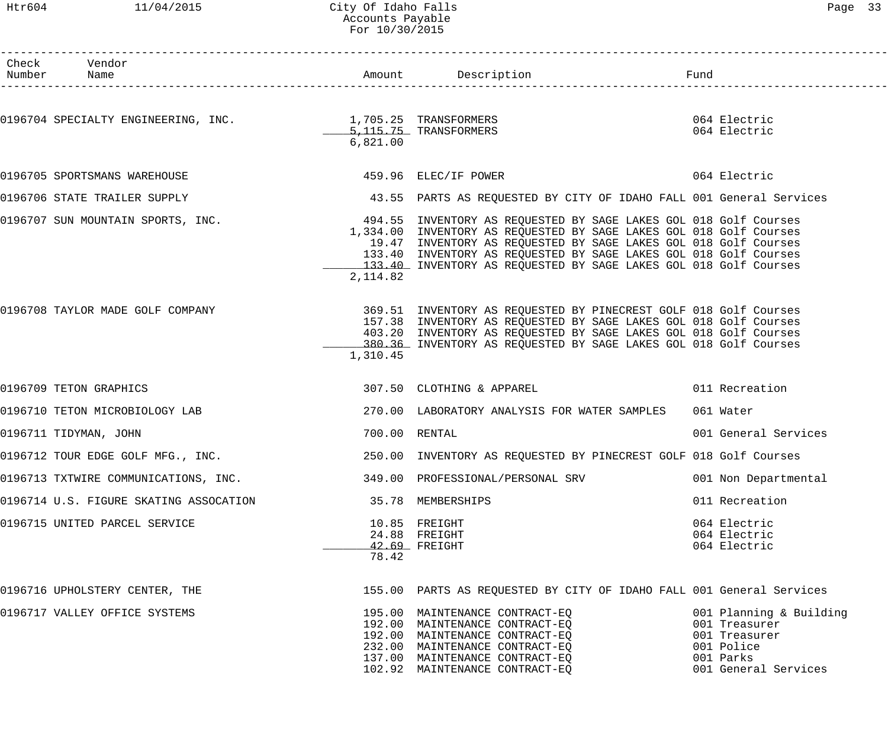#### Htr604 11/04/2015 City Of Idaho Falls Page 33 Accounts Payable For 10/30/2015

| Раае |  |
|------|--|
|------|--|

| Check Vendor                                                          |               |                                                                                                                                                                                                                                                                                                                                                                                     |                                                                                                              |
|-----------------------------------------------------------------------|---------------|-------------------------------------------------------------------------------------------------------------------------------------------------------------------------------------------------------------------------------------------------------------------------------------------------------------------------------------------------------------------------------------|--------------------------------------------------------------------------------------------------------------|
|                                                                       | 6,821.00      | 0196704 SPECIALTY ENGINEERING, INC.<br>1,705.25 TRANSFORMERS<br>5,115.75 TRANSFORMERS                                                                                                                                                                                                                                                                                               | 064 Electric<br>064 Electric                                                                                 |
| 0196705 SPORTSMANS WAREHOUSE                                          |               | 459.96 ELEC/IF POWER 064 Electric                                                                                                                                                                                                                                                                                                                                                   |                                                                                                              |
|                                                                       |               | 0196706 STATE TRAILER SUPPLY <b>1999 120 CONTENT</b> 43.55 PARTS AS REQUESTED BY CITY OF IDAHO FALL 001 General Services                                                                                                                                                                                                                                                            |                                                                                                              |
|                                                                       | 2,114.82      | 0196707 SUN MOUNTAIN SPORTS, INC. 494.55 INVENTORY AS REQUESTED BY SAGE LAKES GOL 018 Golf Courses<br>1,334.00 INVENTORY AS REQUESTED BY SAGE LAKES GOL 018 Golf Courses<br>19.47 INVENTORY AS REQUESTED BY SAGE LAKES GOL 018 Golf Courses<br>133.40 INVENTORY AS REQUESTED BY SAGE LAKES GOL 018 Golf Courses<br>133.40 INVENTORY AS REQUESTED BY SAGE LAKES GOL 018 Golf Courses |                                                                                                              |
|                                                                       | 1,310.45      | 0196708 TAYLOR MADE GOLF COMPANY THE STATE SERIES ON A STATE SERVESTED BY PINECREST GOLF 018 Golf Courses<br>157.38 INVENTORY AS REQUESTED BY SAGE LAKES GOL 018 Golf Courses<br>403.20 INVENTORY AS REQUESTED BY SAGE LAKES GOL 018 Golf Courses<br>380.36 INVENTORY AS REQUESTED BY SAGE LAKES GOL 018 Golf Courses                                                               |                                                                                                              |
| 0196709 TETON GRAPHICS                                                |               | 307.50 CLOTHING & APPAREL 011 Recreation                                                                                                                                                                                                                                                                                                                                            |                                                                                                              |
| 0196710 TETON MICROBIOLOGY LAB                                        |               | 270.00 LABORATORY ANALYSIS FOR WATER SAMPLES                                                                                                                                                                                                                                                                                                                                        | 061 Water                                                                                                    |
| 0196711 TIDYMAN, JOHN                                                 | 700.00 RENTAL |                                                                                                                                                                                                                                                                                                                                                                                     | 001 General Services                                                                                         |
| 0196712 TOUR EDGE GOLF MFG., INC.                                     |               | 250.00 INVENTORY AS REQUESTED BY PINECREST GOLF 018 Golf Courses                                                                                                                                                                                                                                                                                                                    |                                                                                                              |
| 0196713 TXTWIRE COMMUNICATIONS, INC. 349.00 PROFESSIONAL/PERSONAL SRV |               |                                                                                                                                                                                                                                                                                                                                                                                     | 001 Non Departmental                                                                                         |
| 0196714 U.S. FIGURE SKATING ASSOCATION                                |               | 35.78 MEMBERSHIPS                                                                                                                                                                                                                                                                                                                                                                   | 011 Recreation                                                                                               |
| 0196715 UNITED PARCEL SERVICE                                         | 78.42         | 10.85 FREIGHT<br>24.88 FREIGHT<br>42.69 FREIGHT                                                                                                                                                                                                                                                                                                                                     | 064 Electric<br>064 Electric<br>064 Electric                                                                 |
| 0196716 UPHOLSTERY CENTER, THE                                        |               | 155.00 PARTS AS REQUESTED BY CITY OF IDAHO FALL 001 General Services                                                                                                                                                                                                                                                                                                                |                                                                                                              |
| 0196717 VALLEY OFFICE SYSTEMS                                         |               | 195.00 MAINTENANCE CONTRACT-EQ<br>192.00 MAINTENANCE CONTRACT-EQ<br>192.00 MAINTENANCE CONTRACT-EQ<br>232.00 MAINTENANCE CONTRACT-EQ<br>137.00 MAINTENANCE CONTRACT-EQ<br>102.92 MAINTENANCE CONTRACT-EQ                                                                                                                                                                            | 001 Planning & Building<br>001 Treasurer<br>001 Treasurer<br>001 Police<br>001 Parks<br>001 General Services |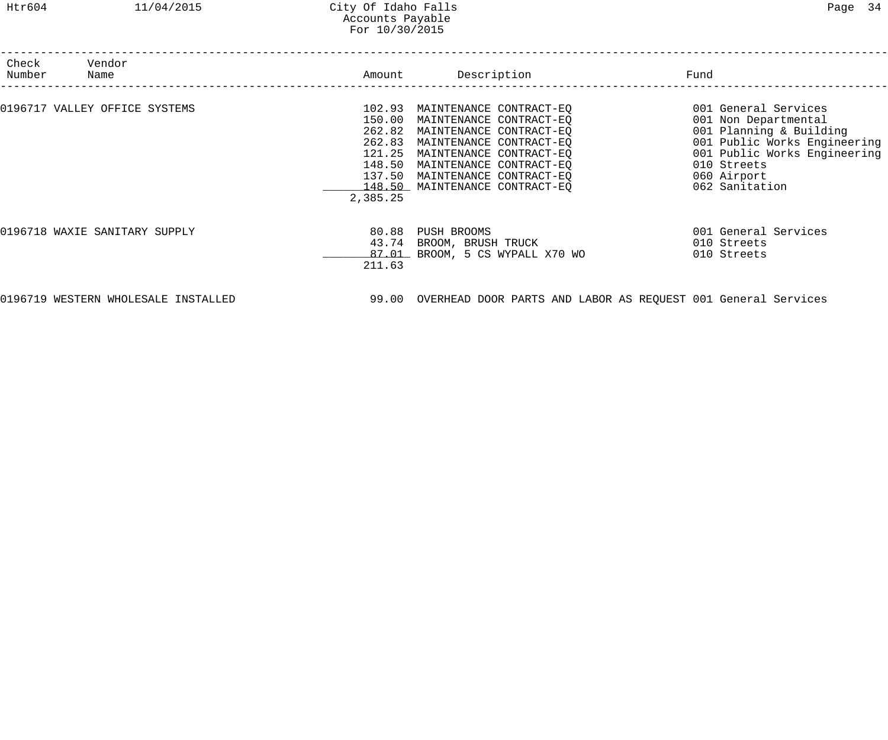| Check<br>Number | Vendor<br>Name                | Amount                                                                         | Description                                                                                                                                                                                                                 | Fund                                                                                                                                                                                    |
|-----------------|-------------------------------|--------------------------------------------------------------------------------|-----------------------------------------------------------------------------------------------------------------------------------------------------------------------------------------------------------------------------|-----------------------------------------------------------------------------------------------------------------------------------------------------------------------------------------|
|                 | 0196717 VALLEY OFFICE SYSTEMS | 102.93<br>150.00<br>262.82<br>262.83<br>121.25<br>148.50<br>137.50<br>2,385.25 | MAINTENANCE CONTRACT-EQ<br>MAINTENANCE CONTRACT-EQ<br>MAINTENANCE CONTRACT-EQ<br>MAINTENANCE CONTRACT-EQ<br>MAINTENANCE CONTRACT-EQ<br>MAINTENANCE CONTRACT-EQ<br>MAINTENANCE CONTRACT-EQ<br>148.50 MAINTENANCE CONTRACT-EQ | 001 General Services<br>001 Non Departmental<br>001 Planning & Building<br>001 Public Works Engineering<br>001 Public Works Engineering<br>010 Streets<br>060 Airport<br>062 Sanitation |
|                 | 0196718 WAXIE SANITARY SUPPLY | 80.88<br>43.74<br>211.63                                                       | PUSH BROOMS<br>BROOM, BRUSH TRUCK<br>87.01 BROOM, 5 CS WYPALL X70 WO                                                                                                                                                        | 001 General Services<br>010 Streets<br>010 Streets                                                                                                                                      |

0196719 WESTERN WHOLESALE INSTALLED 99.00 OVERHEAD DOOR PARTS AND LABOR AS REQUEST 001 General Services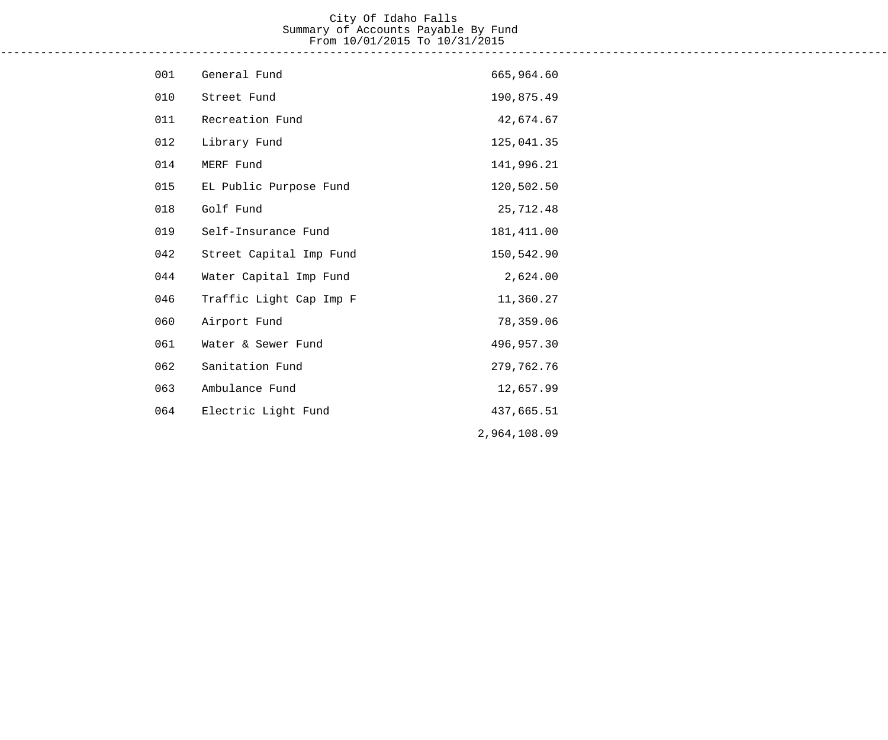#### City Of Idaho Falls Summary of Accounts Payable By Fund From 10/01/2015 To 10/31/2015 ------------------------------------------------------------------------------------------------------------------------------------

| 001 | General Fund            | 665,964.60   |
|-----|-------------------------|--------------|
| 010 | Street Fund             | 190,875.49   |
| 011 | Recreation Fund         | 42,674.67    |
| 012 | Library Fund            | 125,041.35   |
| 014 | MERF Fund               | 141,996.21   |
| 015 | EL Public Purpose Fund  | 120,502.50   |
| 018 | Golf Fund               | 25,712.48    |
| 019 | Self-Insurance Fund     | 181, 411.00  |
| 042 | Street Capital Imp Fund | 150,542.90   |
| 044 | Water Capital Imp Fund  | 2,624.00     |
| 046 | Traffic Light Cap Imp F | 11,360.27    |
| 060 | Airport Fund            | 78,359.06    |
| 061 | Water & Sewer Fund      | 496,957.30   |
| 062 | Sanitation Fund         | 279,762.76   |
| 063 | Ambulance Fund          | 12,657.99    |
| 064 | Electric Light Fund     | 437,665.51   |
|     |                         | 2,964,108.09 |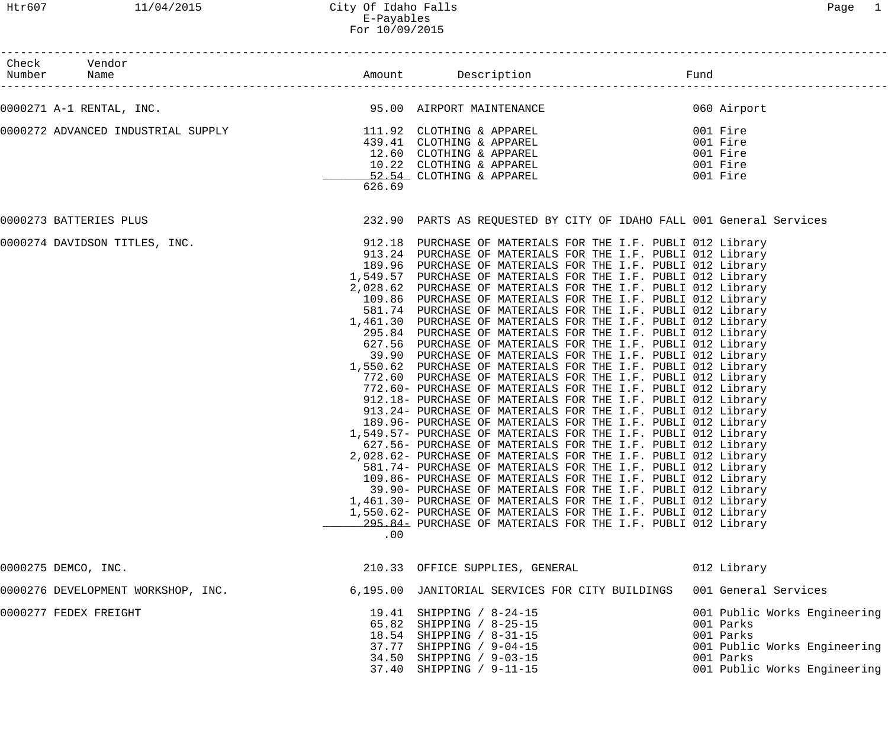| Check Vendor<br>Number Name                                     |        |                                                                                                                                                                                                                                                                                                                                                                                                                                                                                                                                                                                                                                                                                                                                                                                                                                                                                                                                                                                                                                                                                                                                                                                                                                                                                                                                                                                                                                                                                                                                                                                                                                                                                                                              |                      |                                                                                                                                     |
|-----------------------------------------------------------------|--------|------------------------------------------------------------------------------------------------------------------------------------------------------------------------------------------------------------------------------------------------------------------------------------------------------------------------------------------------------------------------------------------------------------------------------------------------------------------------------------------------------------------------------------------------------------------------------------------------------------------------------------------------------------------------------------------------------------------------------------------------------------------------------------------------------------------------------------------------------------------------------------------------------------------------------------------------------------------------------------------------------------------------------------------------------------------------------------------------------------------------------------------------------------------------------------------------------------------------------------------------------------------------------------------------------------------------------------------------------------------------------------------------------------------------------------------------------------------------------------------------------------------------------------------------------------------------------------------------------------------------------------------------------------------------------------------------------------------------------|----------------------|-------------------------------------------------------------------------------------------------------------------------------------|
| 0000271 A-1 RENTAL, INC. 20000271 A-1 RENTAL, INC.              |        |                                                                                                                                                                                                                                                                                                                                                                                                                                                                                                                                                                                                                                                                                                                                                                                                                                                                                                                                                                                                                                                                                                                                                                                                                                                                                                                                                                                                                                                                                                                                                                                                                                                                                                                              |                      | 060 Airport                                                                                                                         |
| 0000272 ADVANCED INDUSTRIAL SUPPLY<br>439.41 CLOTHING & APPAREL | 626.69 | 12.60 CLOTHING & APPAREL<br>10.22 CLOTHING & APPAREL<br>52.54 CLOTHING & APPAREL                                                                                                                                                                                                                                                                                                                                                                                                                                                                                                                                                                                                                                                                                                                                                                                                                                                                                                                                                                                                                                                                                                                                                                                                                                                                                                                                                                                                                                                                                                                                                                                                                                             | 001 Fire<br>001 Fire | 001 Fire<br>001 Fire<br>001 Fire                                                                                                    |
| 0000273 BATTERIES PLUS                                          |        | 232.90 PARTS AS REQUESTED BY CITY OF IDAHO FALL 001 General Services                                                                                                                                                                                                                                                                                                                                                                                                                                                                                                                                                                                                                                                                                                                                                                                                                                                                                                                                                                                                                                                                                                                                                                                                                                                                                                                                                                                                                                                                                                                                                                                                                                                         |                      |                                                                                                                                     |
| 0000274 DAVIDSON TITLES, INC.                                   | .00    | 912.18 PURCHASE OF MATERIALS FOR THE I.F. PUBLI 012 Library<br>913.24 PURCHASE OF MATERIALS FOR THE I.F. PUBLI 012 Library<br>189.96 PURCHASE OF MATERIALS FOR THE I.F. PUBLI 012 Library<br>1,549.57 PURCHASE OF MATERIALS FOR THE I.F. PUBLI 012 Library<br>2,028.62 PURCHASE OF MATERIALS FOR THE I.F. PUBLI 012 Library<br>109.86 PURCHASE OF MATERIALS FOR THE I.F. PUBLI 012 Library<br>581.74 PURCHASE OF MATERIALS FOR THE I.F. PUBLI 012 Library<br>1,461.30 PURCHASE OF MATERIALS FOR THE I.F. PUBLI 012 Library<br>295.84 PURCHASE OF MATERIALS FOR THE I.F. PUBLI 012 Library<br>627.56 PURCHASE OF MATERIALS FOR THE I.F. PUBLI 012 Library<br>39.90 PURCHASE OF MATERIALS FOR THE I.F. PUBLI 012 Library<br>1,550.62 PURCHASE OF MATERIALS FOR THE I.F. PUBLI 012 Library<br>772.60 PURCHASE OF MATERIALS FOR THE I.F. PUBLI 012 Library<br>772.60- PURCHASE OF MATERIALS FOR THE I.F. PUBLI 012 Library<br>912.18- PURCHASE OF MATERIALS FOR THE I.F. PUBLI 012 Library<br>913.24- PURCHASE OF MATERIALS FOR THE I.F. PUBLI 012 Library<br>189.96- PURCHASE OF MATERIALS FOR THE I.F. PUBLI 012 Library<br>1,549.57- PURCHASE OF MATERIALS FOR THE I.F. PUBLI 012 Library<br>627.56- PURCHASE OF MATERIALS FOR THE I.F. PUBLI 012 Library<br>2,028.62- PURCHASE OF MATERIALS FOR THE I.F. PUBLI 012 Library<br>581.74- PURCHASE OF MATERIALS FOR THE I.F. PUBLI 012 Library<br>109.86- PURCHASE OF MATERIALS FOR THE I.F. PUBLI 012 Library<br>39.90- PURCHASE OF MATERIALS FOR THE I.F. PUBLI 012 Library<br>1,461.30- PURCHASE OF MATERIALS FOR THE I.F. PUBLI 012 Library<br>1,550.62- PURCHASE OF MATERIALS FOR THE I.F. PUBLI 012 Library<br>295.84 PURCHASE OF MATERIALS FOR THE I.F. PUBLI 012 Library |                      |                                                                                                                                     |
| 0000275 DEMCO, INC.                                             |        | 210.33 OFFICE SUPPLIES, GENERAL                                                                                                                                                                                                                                                                                                                                                                                                                                                                                                                                                                                                                                                                                                                                                                                                                                                                                                                                                                                                                                                                                                                                                                                                                                                                                                                                                                                                                                                                                                                                                                                                                                                                                              |                      | 012 Library                                                                                                                         |
| 0000276 DEVELOPMENT WORKSHOP, INC.                              |        | 6,195.00 JANITORIAL SERVICES FOR CITY BUILDINGS                                                                                                                                                                                                                                                                                                                                                                                                                                                                                                                                                                                                                                                                                                                                                                                                                                                                                                                                                                                                                                                                                                                                                                                                                                                                                                                                                                                                                                                                                                                                                                                                                                                                              |                      | 001 General Services                                                                                                                |
| 0000277 FEDEX FREIGHT                                           |        | 19.41 SHIPPING / 8-24-15<br>65.82 SHIPPING / 8-25-15<br>18.54 SHIPPING / 8-31-15<br>37.77 SHIPPING / 9-04-15<br>34.50 SHIPPING / 9-03-15<br>37.40 SHIPPING / 9-11-15                                                                                                                                                                                                                                                                                                                                                                                                                                                                                                                                                                                                                                                                                                                                                                                                                                                                                                                                                                                                                                                                                                                                                                                                                                                                                                                                                                                                                                                                                                                                                         |                      | 001 Public Works Engineering<br>001 Parks<br>001 Parks<br>001 Public Works Engineering<br>001 Parks<br>001 Public Works Engineering |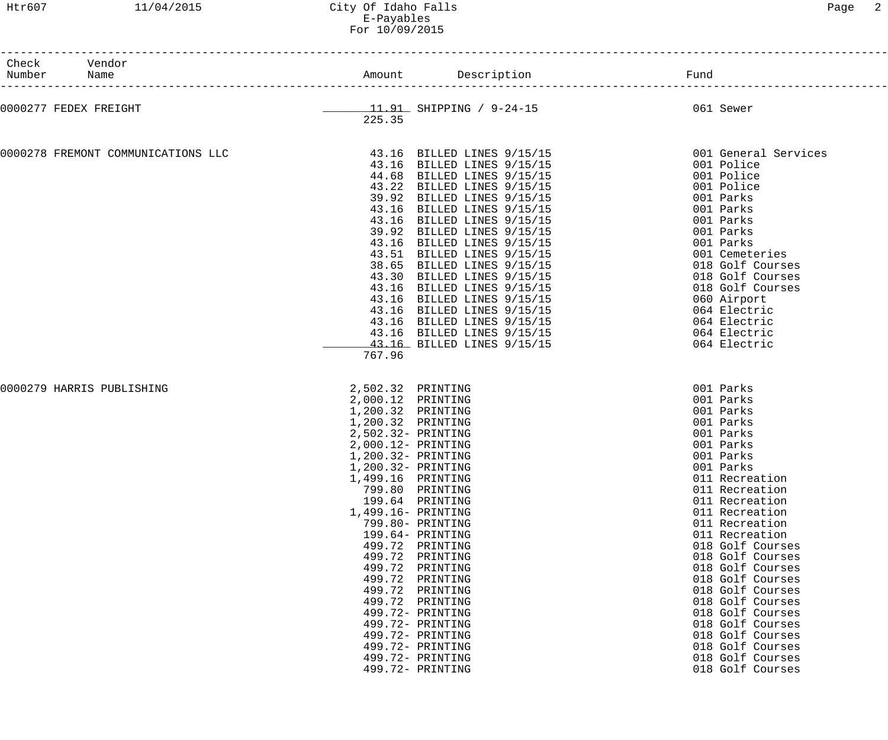| Check Vendor<br>Number Name        |                                                                                                                                                   | Amount Description Description                                                                                                                                                                                                                                                                                                                                                                                                                                                                                                                           |                                                                                                                                                                                                                                                                                                                                                                                                                                                                  |
|------------------------------------|---------------------------------------------------------------------------------------------------------------------------------------------------|----------------------------------------------------------------------------------------------------------------------------------------------------------------------------------------------------------------------------------------------------------------------------------------------------------------------------------------------------------------------------------------------------------------------------------------------------------------------------------------------------------------------------------------------------------|------------------------------------------------------------------------------------------------------------------------------------------------------------------------------------------------------------------------------------------------------------------------------------------------------------------------------------------------------------------------------------------------------------------------------------------------------------------|
| 0000277 FEDEX FREIGHT              | 225.35                                                                                                                                            | ________11.91 SHIPPING / 9-24-15                                                                                                                                                                                                                                                                                                                                                                                                                                                                                                                         | 061 Sewer                                                                                                                                                                                                                                                                                                                                                                                                                                                        |
| 0000278 FREMONT COMMUNICATIONS LLC | 767.96                                                                                                                                            | 43.16 BILLED LINES 9/15/15<br>43.16 BILLED LINES 9/15/15<br>44.68 BILLED LINES 9/15/15<br>43.22 BILLED LINES 9/15/15<br>39.92 BILLED LINES 9/15/15<br>43.16 BILLED LINES 9/15/15<br>43.16 BILLED LINES 9/15/15<br>39.92 BILLED LINES 9/15/15<br>43.16 BILLED LINES 9/15/15<br>43.51 BILLED LINES 9/15/15<br>38.65 BILLED LINES 9/15/15<br>43.30 BILLED LINES 9/15/15<br>43.16 BILLED LINES 9/15/15<br>43.16 BILLED LINES 9/15/15<br>43.16 BILLED LINES 9/15/15<br>43.16 BILLED LINES 9/15/15<br>43.16 BILLED LINES 9/15/15<br>43.16 BILLED LINES 9/15/15 | 001 General Services<br>001 Police<br>001 Police<br>001 Police<br>001 Parks<br>001 Parks<br>001 Parks<br>001 Parks<br>001 Parks<br>001 Cemeteries<br>018 Golf Courses<br>018 Golf Courses<br>018 Golf Courses<br>060 Airport<br>064 Electric<br>064 Electric<br>064 Electric<br>064 Electric                                                                                                                                                                     |
| 0000279 HARRIS PUBLISHING          | 2,502.32 PRINTING<br>2,000.12 PRINTING<br>1,200.32 PRINTING<br>1,200.32 PRINTING<br>1,200.32- PRINTING<br>1,499.16 PRINTING<br>1,499.16- PRINTING | 2,502.32- PRINTING<br>2,000.12- PRINTING<br>1,200.32- PRINTING<br>799.80 PRINTING<br>199.64 PRINTING<br>799.80- PRINTING<br>199.64- PRINTING<br>499.72 PRINTING<br>499.72 PRINTING<br>499.72 PRINTING<br>499.72 PRINTING<br>499.72 PRINTING<br>499.72 PRINTING<br>499.72- PRINTING<br>499.72- PRINTING<br>499.72- PRINTING<br>499.72- PRINTING<br>499.72- PRINTING<br>499.72- PRINTING                                                                                                                                                                   | 001 Parks<br>001 Parks<br>001 Parks<br>001 Parks<br>001 Parks<br>001 Parks<br>001 Parks<br>001 Parks<br>011 Recreation<br>011 Recreation<br>011 Recreation<br>011 Recreation<br>011 Recreation<br>011 Recreation<br>018 Golf Courses<br>018 Golf Courses<br>018 Golf Courses<br>018 Golf Courses<br>018 Golf Courses<br>018 Golf Courses<br>018 Golf Courses<br>018 Golf Courses<br>018 Golf Courses<br>018 Golf Courses<br>018 Golf Courses<br>018 Golf Courses |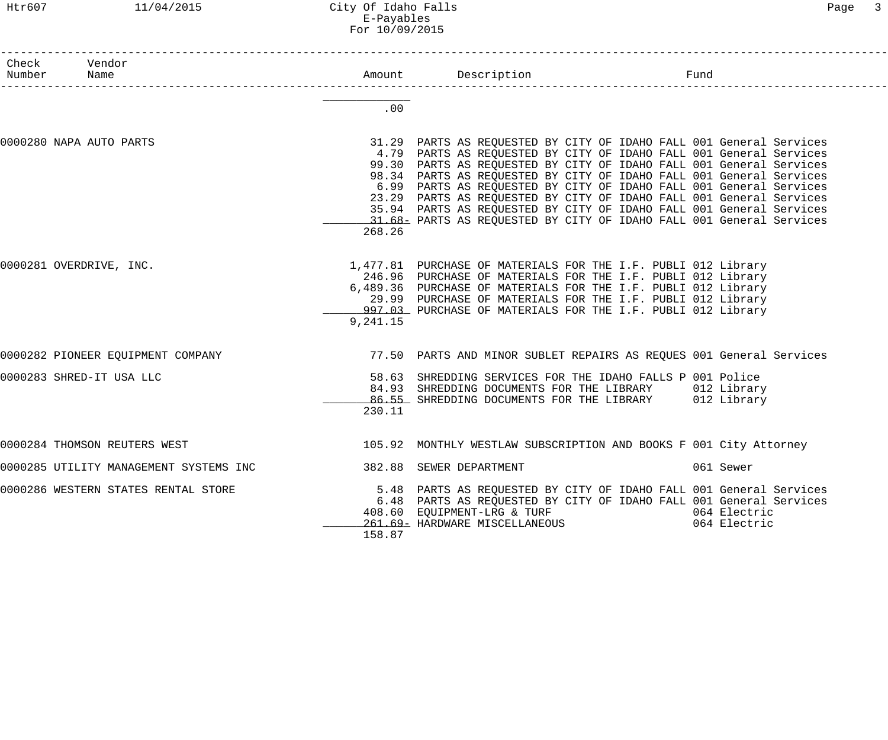#### Htr607 11/04/2015 City Of Idaho Falls Page 3 E-Payables For 10/09/2015

| Check<br>Number         | Vendor<br>Name                         |          |                                                                     | Fund         |
|-------------------------|----------------------------------------|----------|---------------------------------------------------------------------|--------------|
|                         |                                        |          |                                                                     |              |
|                         |                                        |          |                                                                     |              |
|                         |                                        | .00      |                                                                     |              |
| 0000280 NAPA AUTO PARTS |                                        |          | 31.29 PARTS AS REQUESTED BY CITY OF IDAHO FALL 001 General Services |              |
|                         |                                        |          | 4.79 PARTS AS REQUESTED BY CITY OF IDAHO FALL 001 General Services  |              |
|                         |                                        |          | 99.30 PARTS AS REQUESTED BY CITY OF IDAHO FALL 001 General Services |              |
|                         |                                        |          | 98.34 PARTS AS REQUESTED BY CITY OF IDAHO FALL 001 General Services |              |
|                         |                                        |          | 6.99 PARTS AS REQUESTED BY CITY OF IDAHO FALL 001 General Services  |              |
|                         |                                        |          | 23.29 PARTS AS REQUESTED BY CITY OF IDAHO FALL 001 General Services |              |
|                         |                                        |          | 35.94 PARTS AS REQUESTED BY CITY OF IDAHO FALL 001 General Services |              |
|                         |                                        |          | 31.68 PARTS AS REQUESTED BY CITY OF IDAHO FALL 001 General Services |              |
|                         |                                        | 268.26   |                                                                     |              |
| 0000281 OVERDRIVE, INC. |                                        |          | 1,477.81 PURCHASE OF MATERIALS FOR THE I.F. PUBLI 012 Library       |              |
|                         |                                        |          | 246.96 PURCHASE OF MATERIALS FOR THE I.F. PUBLI 012 Library         |              |
|                         |                                        |          | 6,489.36 PURCHASE OF MATERIALS FOR THE I.F. PUBLI 012 Library       |              |
|                         |                                        |          | 29.99 PURCHASE OF MATERIALS FOR THE I.F. PUBLI 012 Library          |              |
|                         |                                        |          | 997.03 PURCHASE OF MATERIALS FOR THE I.F. PUBLI 012 Library         |              |
|                         |                                        | 9,241.15 |                                                                     |              |
|                         | 0000282 PIONEER EQUIPMENT COMPANY      |          | 77.50 PARTS AND MINOR SUBLET REPAIRS AS REQUES 001 General Services |              |
|                         | 0000283 SHRED-IT USA LLC               |          | 58.63 SHREDDING SERVICES FOR THE IDAHO FALLS P 001 Police           |              |
|                         |                                        |          | 84.93 SHREDDING DOCUMENTS FOR THE LIBRARY 012 Library               |              |
|                         |                                        |          | 86.55 SHREDDING DOCUMENTS FOR THE LIBRARY 012 Library               |              |
|                         |                                        | 230.11   |                                                                     |              |
|                         | 0000284 THOMSON REUTERS WEST           |          | 105.92 MONTHLY WESTLAW SUBSCRIPTION AND BOOKS F 001 City Attorney   |              |
|                         |                                        |          |                                                                     |              |
|                         | 0000285 UTILITY MANAGEMENT SYSTEMS INC |          | 382.88 SEWER DEPARTMENT                                             | 061 Sewer    |
|                         | 0000286 WESTERN STATES RENTAL STORE    |          | 5.48 PARTS AS REQUESTED BY CITY OF IDAHO FALL 001 General Services  |              |
|                         |                                        |          | 6.48 PARTS AS REQUESTED BY CITY OF IDAHO FALL 001 General Services  |              |
|                         |                                        |          | 408.60 EQUIPMENT-LRG & TURF                                         | 064 Electric |
|                         |                                        |          | 261.69- HARDWARE MISCELLANEOUS                                      | 064 Electric |
|                         |                                        | 158.87   |                                                                     |              |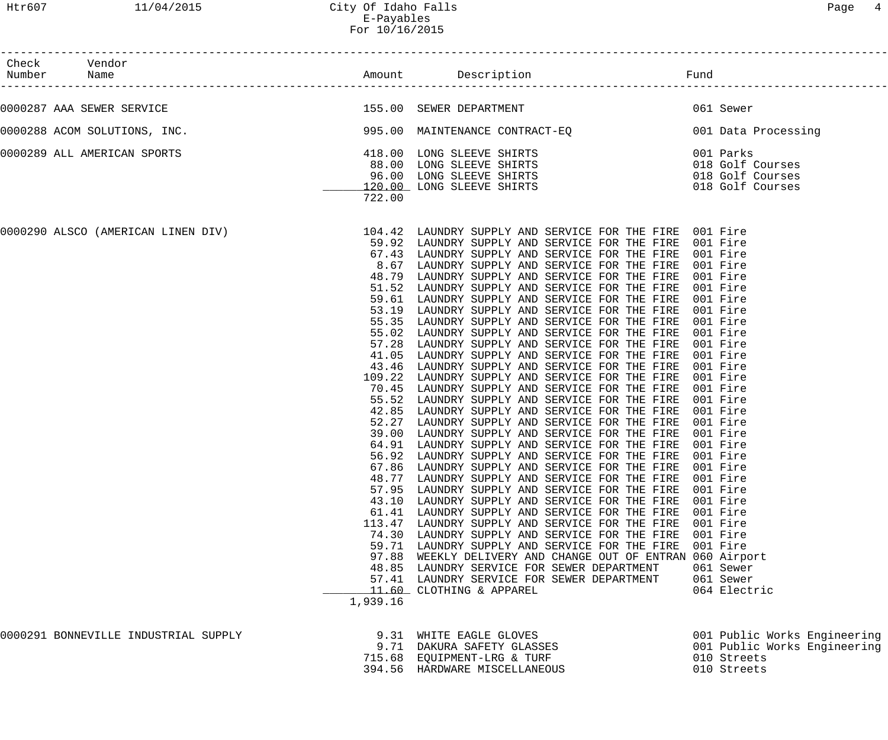| Check Vendor<br>Number Name<br>____________________ |                                                                         |                                                                                                                                                                                                                                                                                                                                                                                                                                                                                                                                                                                                                                                                                                                                                                                                                                                                                                                                                                                                                                                                                                                                                                                                                                                                                                                                                                                                                                                                                                                                                                                                                                                                                                                                    |                                                                                                                                                                                                                                                                                                    |
|-----------------------------------------------------|-------------------------------------------------------------------------|------------------------------------------------------------------------------------------------------------------------------------------------------------------------------------------------------------------------------------------------------------------------------------------------------------------------------------------------------------------------------------------------------------------------------------------------------------------------------------------------------------------------------------------------------------------------------------------------------------------------------------------------------------------------------------------------------------------------------------------------------------------------------------------------------------------------------------------------------------------------------------------------------------------------------------------------------------------------------------------------------------------------------------------------------------------------------------------------------------------------------------------------------------------------------------------------------------------------------------------------------------------------------------------------------------------------------------------------------------------------------------------------------------------------------------------------------------------------------------------------------------------------------------------------------------------------------------------------------------------------------------------------------------------------------------------------------------------------------------|----------------------------------------------------------------------------------------------------------------------------------------------------------------------------------------------------------------------------------------------------------------------------------------------------|
|                                                     |                                                                         |                                                                                                                                                                                                                                                                                                                                                                                                                                                                                                                                                                                                                                                                                                                                                                                                                                                                                                                                                                                                                                                                                                                                                                                                                                                                                                                                                                                                                                                                                                                                                                                                                                                                                                                                    |                                                                                                                                                                                                                                                                                                    |
| 0000287 AAA SEWER SERVICE                           |                                                                         | 155.00 SEWER DEPARTMENT 1997 1999 1999 1999 1999                                                                                                                                                                                                                                                                                                                                                                                                                                                                                                                                                                                                                                                                                                                                                                                                                                                                                                                                                                                                                                                                                                                                                                                                                                                                                                                                                                                                                                                                                                                                                                                                                                                                                   |                                                                                                                                                                                                                                                                                                    |
|                                                     |                                                                         | 0000288 ACOM SOLUTIONS, INC. The Same of the Second Main of Main Media and Second Main Media Acompany and Data Processing                                                                                                                                                                                                                                                                                                                                                                                                                                                                                                                                                                                                                                                                                                                                                                                                                                                                                                                                                                                                                                                                                                                                                                                                                                                                                                                                                                                                                                                                                                                                                                                                          |                                                                                                                                                                                                                                                                                                    |
| 0000289 ALL AMERICAN SPORTS                         | 722.00                                                                  | 418.00 LONG SLEEVE SHIRTS<br>88.00 LONG SLEEVE SHIRTS<br>96.00 LONG SLEEVE SHIRTS<br>120.00 LONG SLEEVE SHIRTS<br>120.00 LONG SLEEVE SHIRTS<br>222.00                                                                                                                                                                                                                                                                                                                                                                                                                                                                                                                                                                                                                                                                                                                                                                                                                                                                                                                                                                                                                                                                                                                                                                                                                                                                                                                                                                                                                                                                                                                                                                              |                                                                                                                                                                                                                                                                                                    |
|                                                     | 48.79<br>53.19<br>55.35<br>55.02<br>57.28<br>55.52<br>39.00<br>1,939.16 | 0000290 ALSCO (AMERICAN LINEN DIV) 104.42 LAUNDRY SUPPLY AND SERVICE FOR THE FIRE 001 Fire<br>59.92 LAUNDRY SUPPLY AND SERVICE FOR THE FIRE 001 Fire<br>67.43 LAUNDRY SUPPLY AND SERVICE FOR THE FIRE 001 Fire<br>8.67 LAUNDRY SUPPLY AND SERVICE FOR THE FIRE 001 Fire<br>LAUNDRY SUPPLY AND SERVICE FOR THE FIRE<br>51.52 LAUNDRY SUPPLY AND SERVICE FOR THE FIRE<br>59.61 LAUNDRY SUPPLY AND SERVICE FOR THE FIRE<br>LAUNDRY SUPPLY AND SERVICE FOR THE FIRE<br>LAUNDRY SUPPLY AND SERVICE FOR THE FIRE<br>LAUNDRY SUPPLY AND SERVICE FOR THE FIRE<br>LAUNDRY SUPPLY AND SERVICE FOR THE FIRE 001 Fire<br>41.05 LAUNDRY SUPPLY AND SERVICE FOR THE FIRE<br>43.46 LAUNDRY SUPPLY AND SERVICE FOR THE FIRE<br>109.22 LAUNDRY SUPPLY AND SERVICE FOR THE FIRE<br>70.45 LAUNDRY SUPPLY AND SERVICE FOR THE FIRE<br>LAUNDRY SUPPLY AND SERVICE FOR THE FIRE<br>42.85 LAUNDRY SUPPLY AND SERVICE FOR THE FIRE<br>52.27 LAUNDRY SUPPLY AND SERVICE FOR THE FIRE 001 Fire<br>LAUNDRY SUPPLY AND SERVICE FOR THE FIRE<br>64.91 LAUNDRY SUPPLY AND SERVICE FOR THE FIRE<br>56.92 LAUNDRY SUPPLY AND SERVICE FOR THE FIRE<br>67.86 LAUNDRY SUPPLY AND SERVICE FOR THE FIRE 001 Fire<br>48.77 LAUNDRY SUPPLY AND SERVICE FOR THE FIRE<br>57.95 LAUNDRY SUPPLY AND SERVICE FOR THE FIRE 001 Fire<br>43.10 LAUNDRY SUPPLY AND SERVICE FOR THE FIRE<br>61.41 LAUNDRY SUPPLY AND SERVICE FOR THE FIRE<br>113.47 LAUNDRY SUPPLY AND SERVICE FOR THE FIRE<br>74.30 LAUNDRY SUPPLY AND SERVICE FOR THE FIRE<br>59.71 LAUNDRY SUPPLY AND SERVICE FOR THE FIRE<br>97.88 WEEKLY DELIVERY AND CHANGE OUT OF ENTRAN 060 Airport<br>48.85 LAUNDRY SERVICE FOR SEWER DEPARTMENT<br>57.41 LAUNDRY SERVICE FOR SEWER DEPARTMENT<br>11.60 CLOTHING & APPAREL | 001 Fire<br>001 Fire<br>001 Fire<br>001 Fire<br>001 Fire<br>001 Fire<br>001 Fire<br>001 Fire<br>001 Fire<br>001 Fire<br>001 Fire<br>001 Fire<br>001 Fire<br>001 Fire<br>001 Fire<br>001 Fire<br>001 Fire<br>001 Fire<br>001 Fire<br>001 Fire<br>001 Fire<br>061 Sewer<br>061 Sewer<br>064 Electric |
| 0000291 BONNEVILLE INDUSTRIAL SUPPLY                |                                                                         | 9.31 WHITE EAGLE GLOVES<br>9.71 DAKURA SAFETY GLASSES<br>715.68 EQUIPMENT-LRG & TURF<br>394.56 HARDWARE MISCELLANEOUS                                                                                                                                                                                                                                                                                                                                                                                                                                                                                                                                                                                                                                                                                                                                                                                                                                                                                                                                                                                                                                                                                                                                                                                                                                                                                                                                                                                                                                                                                                                                                                                                              | 001 Public Works Engineering<br>001 Public Works Engineering<br>010 Streets<br>010 Streets                                                                                                                                                                                                         |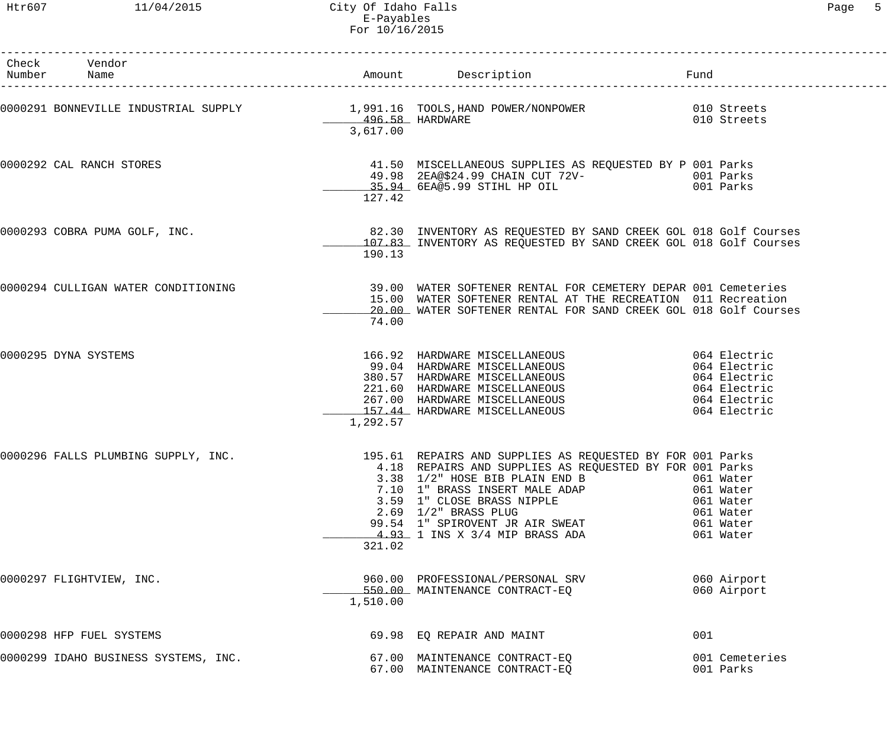| Check Vendor<br>Number Name                                                                   |          |                                                                                                                                                                                                                                                        |     |                                                                            |
|-----------------------------------------------------------------------------------------------|----------|--------------------------------------------------------------------------------------------------------------------------------------------------------------------------------------------------------------------------------------------------------|-----|----------------------------------------------------------------------------|
|                                                                                               | 3,617.00 |                                                                                                                                                                                                                                                        |     |                                                                            |
| 0000292 CAL RANCH STORES                                                                      | 127.42   | 41.50 MISCELLANEOUS SUPPLIES AS REQUESTED BY P 001 Parks<br>49.98 2EA@\$24 99 CUAIN CUT 2011                                                                                                                                                           |     |                                                                            |
| 0000293 COBRA PUMA GOLF, INC.                                                                 | 190.13   | 82.30 INVENTORY AS REQUESTED BY SAND CREEK GOL 018 Golf Courses<br>107.83 INVENTORY AS REQUESTED BY SAND CREEK GOL 018 Golf Courses                                                                                                                    |     |                                                                            |
| 0000294 CULLIGAN WATER CONDITIONING                                                           | 74.00    | 39.00 WATER SOFTENER RENTAL FOR CEMETERY DEPAR 001 Cemeteries<br>15.00 WATER SOFTENER RENTAL AT THE RECREATION 011 Recreation<br>20.00 WATER SOFTENER RENTAL FOR SAND CREEK GOL 018 Golf Courses                                                       |     |                                                                            |
| 0000295 DYNA SYSTEMS                                                                          | 1,292.57 | 166.92 HARDWARE MISCELLANEOUS 064 Electric<br>99.04 HARDWARE MISCELLANEOUS 064 Electric<br>380.57 HARDWARE MISCELLANEOUS 064 Electric<br>221.60 HARDWARE MISCELLANEOUS 064 Electric<br>267.00 HARDWARE MISCELLANEOUS 064 Electric<br>157               |     |                                                                            |
| 0000296 FALLS PLUMBING SUPPLY, INC. 195.61 REPAIRS AND SUPPLIES AS REQUESTED BY FOR 001 Parks | 321.02   | 4.18 REPAIRS AND SUPPLIES AS REQUESTED BY FOR 001 Parks<br>3.38 1/2" HOSE BIB PLAIN END B<br>7.10 1" BRASS INSERT MALE ADAP<br>3.59 1" CLOSE BRASS NIPPLE<br>2.69 1/2" BRASS PLUG<br>99.54 1" SPIROVENT JR AIR SWEAT<br>4.93 1 INS X 3/4 MIP BRASS ADA |     | 061 Water<br>061 Water<br>061 Water<br>061 Water<br>061 Water<br>061 Water |
| 0000297 FLIGHTVIEW, INC.                                                                      | 1,510.00 | 960.00 PROFESSIONAL/PERSONAL SRV<br>550.00 MAINTENANCE CONTRACT-EQ                                                                                                                                                                                     |     | 060 Airport<br>060 Airport                                                 |
| 0000298 HFP FUEL SYSTEMS                                                                      |          | 69.98 EQ REPAIR AND MAINT                                                                                                                                                                                                                              | 001 |                                                                            |
| 0000299 IDAHO BUSINESS SYSTEMS, INC.                                                          |          | 67.00 MAINTENANCE CONTRACT-EQ<br>67.00 MAINTENANCE CONTRACT-EQ                                                                                                                                                                                         |     | 001 Cemeteries<br>001 Parks                                                |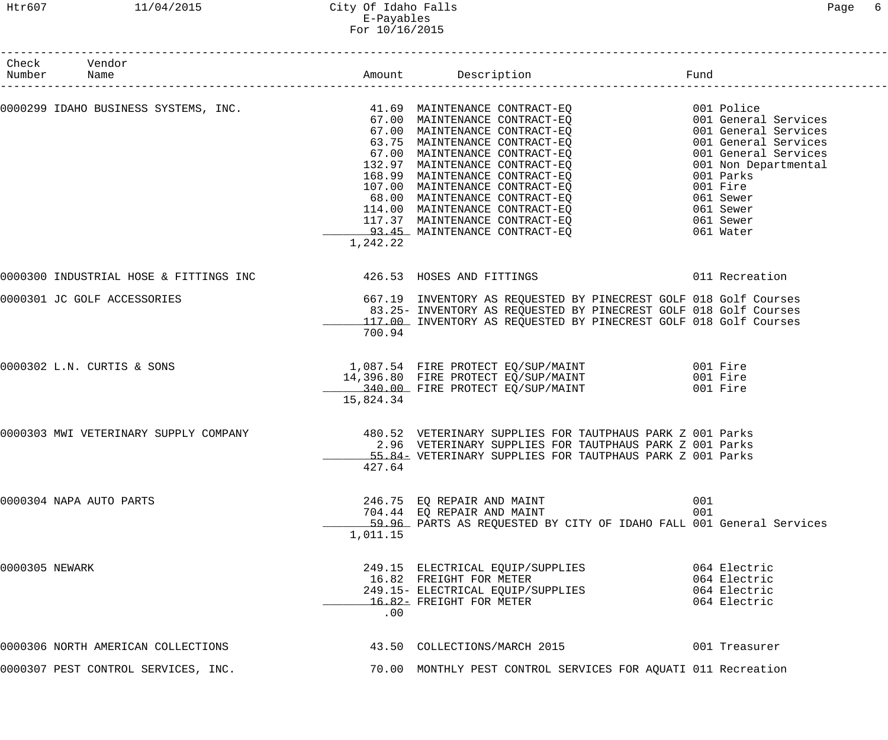#### Htr607 11/04/2015 City Of Idaho Falls Page 6 E-Payables For 10/16/2015

------------------------------------------------------------------------------------------------------------------------------------

| Check<br>Number | Vendor<br>Name                                                   |           | Amount Description                                                                                                                                                                                                                                                                                                                                                                                                                                   | Fund                                                                      |
|-----------------|------------------------------------------------------------------|-----------|------------------------------------------------------------------------------------------------------------------------------------------------------------------------------------------------------------------------------------------------------------------------------------------------------------------------------------------------------------------------------------------------------------------------------------------------------|---------------------------------------------------------------------------|
|                 |                                                                  | 1,242.22  | 0000299 IDAHO BUSINESS SYSTEMS, INC.<br>67.00 MAINTENANCE CONTRACT-EQ<br>67.00 MAINTENANCE CONTRACT-EQ<br>67.00 MAINTENANCE CONTRACT-EQ<br>63.75 MAINTENANCE CONTRACT-EQ<br>67.00 MAINTENANCE CONTRACT-EQ<br>67.00 MAINTENANCE CONTRACT-EQ<br>168.99 MAINTENANCE CONTRACT-EQ<br>107.00 MAINTENANCE CONTRACT-EQ<br>68.00 MAINTENANCE CONTRACT-EQ<br>114.00 MAINTENANCE CONTRACT-EQ<br>117.37 MAINTENANCE CONTRACT-EQ<br>93.45 MAINTENANCE CONTRACT-EQ | 001 Parks<br>001 Fire<br>061 Sewer<br>061 Sewer<br>061 Sewer<br>061 Water |
|                 | 0000300 INDUSTRIAL HOSE & FITTINGS INC 426.53 HOSES AND FITTINGS |           |                                                                                                                                                                                                                                                                                                                                                                                                                                                      | 011 Recreation                                                            |
|                 | 0000301 JC GOLF ACCESSORIES                                      | 700.94    | 667.19 INVENTORY AS REQUESTED BY PINECREST GOLF 018 Golf Courses<br>83.25- INVENTORY AS REQUESTED BY PINECREST GOLF 018 Golf Courses<br>117.00 INVENTORY AS REQUESTED BY PINECREST GOLF 018 Golf Courses                                                                                                                                                                                                                                             |                                                                           |
|                 | 0000302 L.N. CURTIS & SONS                                       | 15,824.34 | 1,087.54 FIRE PROTECT EQ/SUP/MAINT 6001 Fire<br>14,396.80 FIRE PROTECT EQ/SUP/MAINT<br>340.00 FIRE PROTECT EQ/SUP/MAINT                                                                                                                                                                                                                                                                                                                              | 001 Fire<br>001 Fire                                                      |
|                 | 0000303 MWI VETERINARY SUPPLY COMPANY                            | 427.64    | 480.52 VETERINARY SUPPLIES FOR TAUTPHAUS PARK Z 001 Parks<br>2.96 VETERINARY SUPPLIES FOR TAUTPHAUS PARK Z 001 Parks<br>55.84- VETERINARY SUPPLIES FOR TAUTPHAUS PARK Z 001 Parks                                                                                                                                                                                                                                                                    |                                                                           |
|                 | 0000304 NAPA AUTO PARTS                                          | 1,011.15  | 246.75 EO REPAIR AND MAINT<br>704.44 EQ REPAIR AND MAINT<br>59.96 PARTS AS REQUESTED BY CITY OF IDAHO FALL 001 General Services                                                                                                                                                                                                                                                                                                                      | 001<br>001                                                                |
| 0000305 NEWARK  |                                                                  | .00       | 249.15 ELECTRICAL EQUIP/SUPPLIES<br>16.82 FREIGHT FOR METER<br>249.15- ELECTRICAL EQUIP/SUPPLIES<br>16.82- FREIGHT FOR METER                                                                                                                                                                                                                                                                                                                         | 064 Electric<br>064 Electric<br>064 Electric<br>064 Electric              |
|                 | 0000306 NORTH AMERICAN COLLECTIONS                               |           | 43.50 COLLECTIONS/MARCH 2015                                                                                                                                                                                                                                                                                                                                                                                                                         | 001 Treasurer                                                             |
|                 | 0000307 PEST CONTROL SERVICES, INC.                              |           | 70.00 MONTHLY PEST CONTROL SERVICES FOR AQUATI 011 Recreation                                                                                                                                                                                                                                                                                                                                                                                        |                                                                           |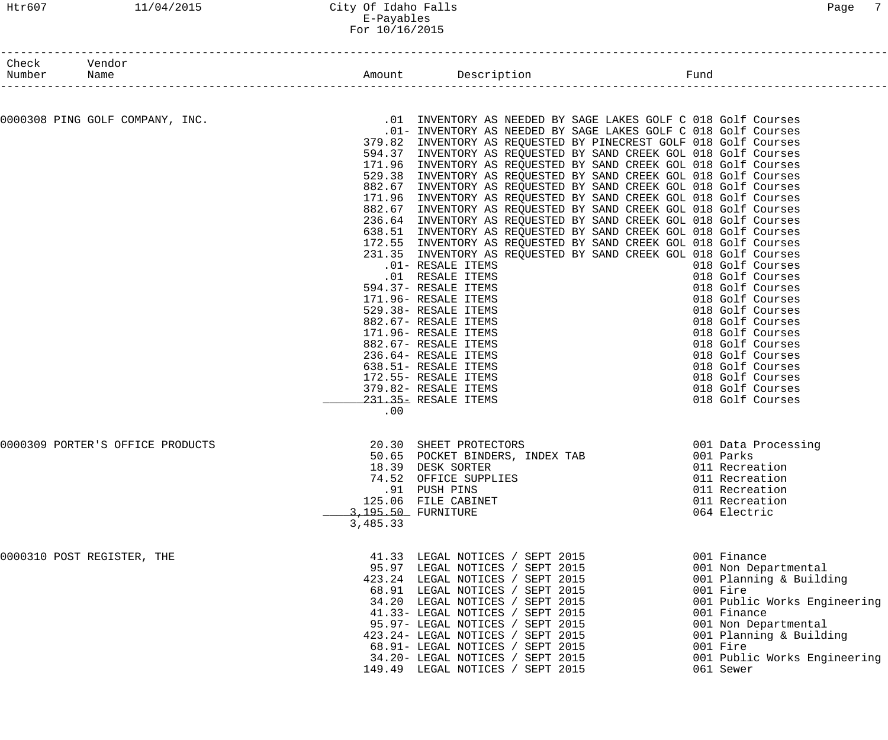#### Htr607 11/04/2015 City Of Idaho Falls Page 7 E-Payables For 10/16/2015

| Check Vendor<br>Number | Name                             |          | Amount Description                                                                                                                                                                                                                                                                                                                                                                                                                                                                                                                                                                                                                                                                                                                                                                                                                                                                                                                                                                                                                                                                                                                                                                                                           | Fund |                                                                                                                                                                                                                                                                  |
|------------------------|----------------------------------|----------|------------------------------------------------------------------------------------------------------------------------------------------------------------------------------------------------------------------------------------------------------------------------------------------------------------------------------------------------------------------------------------------------------------------------------------------------------------------------------------------------------------------------------------------------------------------------------------------------------------------------------------------------------------------------------------------------------------------------------------------------------------------------------------------------------------------------------------------------------------------------------------------------------------------------------------------------------------------------------------------------------------------------------------------------------------------------------------------------------------------------------------------------------------------------------------------------------------------------------|------|------------------------------------------------------------------------------------------------------------------------------------------------------------------------------------------------------------------------------------------------------------------|
|                        | 0000308 PING GOLF COMPANY, INC.  | .00      | .01 INVENTORY AS NEEDED BY SAGE LAKES GOLF C 018 Golf Courses<br>.01- INVENTORY AS NEEDED BY SAGE LAKES GOLF C 018 Golf Courses<br>379.82 INVENTORY AS REQUESTED BY PINECREST GOLF 018 Golf Courses<br>594.37 INVENTORY AS REQUESTED BY SAND CREEK GOL 018 Golf Courses<br>171.96 INVENTORY AS REQUESTED BY SAND CREEK GOL 018 Golf Courses<br>529.38 INVENTORY AS REQUESTED BY SAND CREEK GOL 018 Golf Courses<br>882.67 INVENTORY AS REQUESTED BY SAND CREEK GOL 018 Golf Courses<br>171.96 INVENTORY AS REQUESTED BY SAND CREEK GOL 018 Golf Courses<br>882.67 INVENTORY AS REQUESTED BY SAND CREEK GOL 018 Golf Courses<br>236.64 INVENTORY AS REQUESTED BY SAND CREEK GOL 018 Golf Courses<br>638.51 INVENTORY AS REQUESTED BY SAND CREEK GOL 018 Golf Courses<br>172.55 INVENTORY AS REQUESTED BY SAND CREEK GOL 018 Golf Courses<br>231.35 INVENTORY AS REQUESTED BY SAND CREEK GOL 018 Golf Courses<br>.01- RESALE ITEMS<br>.01 RESALE ITEMS<br>594.37- RESALE ITEMS<br>171.96- RESALE ITEMS<br>529.38- RESALE ITEMS<br>882.67- RESALE ITEMS<br>171.96- RESALE ITEMS<br>882.67- RESALE ITEMS<br>236.64- RESALE ITEMS<br>638.51- RESALE ITEMS<br>172.55- RESALE ITEMS<br>379.82- RESALE ITEMS<br>231.35- RESALE ITEMS |      | 018 Golf Courses<br>018 Golf Courses<br>018 Golf Courses<br>018 Golf Courses<br>018 Golf Courses<br>018 Golf Courses<br>018 Golf Courses<br>018 Golf Courses<br>018 Golf Courses<br>018 Golf Courses<br>018 Golf Courses<br>018 Golf Courses<br>018 Golf Courses |
|                        | 0000309 PORTER'S OFFICE PRODUCTS | 3,485.33 | 20.30 SHEET PROTECTORS<br>50.65 POCKET BINDERS, INDEX TAB<br>18.39 DESK SORTER<br>74.52 OFFICE SUPPLIES<br>.91 PUSH PINS<br>125.06 FILE CABINET<br>3,195.50 FURNITURE                                                                                                                                                                                                                                                                                                                                                                                                                                                                                                                                                                                                                                                                                                                                                                                                                                                                                                                                                                                                                                                        |      | 001 Data Processing<br>001 Parks<br>011 Recreation<br>011 Recreation<br>011 Recreation<br>011 Recreation<br>064 Electric                                                                                                                                         |
|                        | 0000310 POST REGISTER, THE       |          | 41.33 LEGAL NOTICES / SEPT 2015<br>95.97 LEGAL NOTICES / SEPT 2015<br>423.24 LEGAL NOTICES / SEPT 2015<br>68.91 LEGAL NOTICES / SEPT 2015<br>34.20 LEGAL NOTICES / SEPT 2015<br>41.33- LEGAL NOTICES / SEPT 2015<br>95.97- LEGAL NOTICES / SEPT 2015<br>423.24- LEGAL NOTICES / SEPT 2015<br>68.91- LEGAL NOTICES / SEPT 2015<br>34.20- LEGAL NOTICES / SEPT 2015<br>149.49 LEGAL NOTICES / SEPT 2015                                                                                                                                                                                                                                                                                                                                                                                                                                                                                                                                                                                                                                                                                                                                                                                                                        |      | 001 Finance<br>001 Non Departmental<br>001 Planning & Building<br>001 Fire<br>001 Public Works Engineering<br>001 Finance<br>001 Non Departmental<br>001 Planning & Building<br>001 Fire<br>001 Public Works Engineering<br>061 Sewer                            |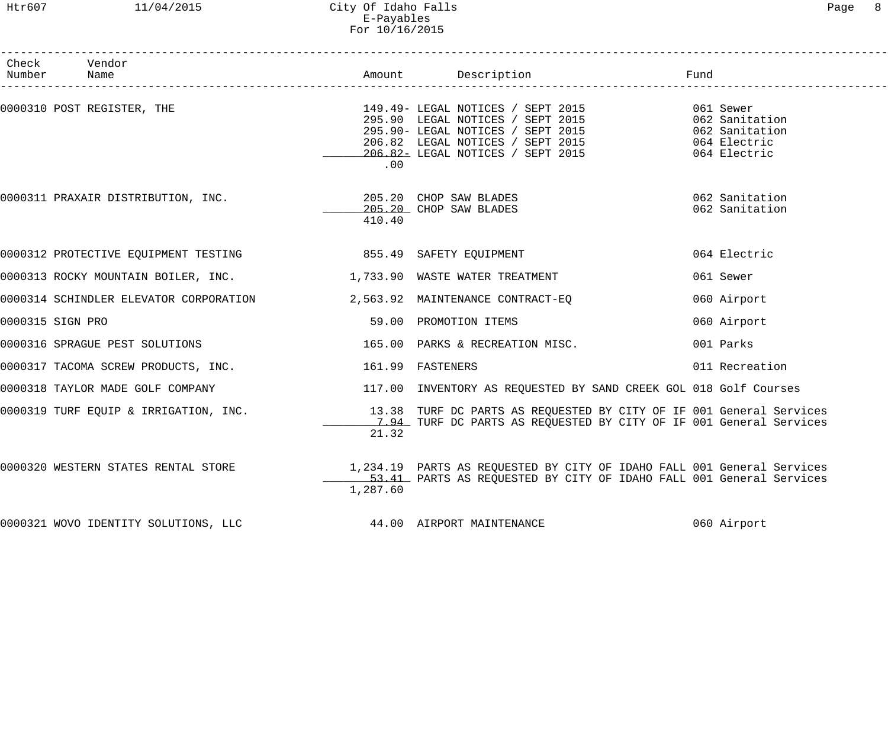#### Htr607 11/04/2015 City Of Idaho Falls Page 8 E-Payables For 10/16/2015

| Check Vendor<br>Number Name                                                  |          |                                                                                                                                                                                                                                          | Fund<br>____________________________ |
|------------------------------------------------------------------------------|----------|------------------------------------------------------------------------------------------------------------------------------------------------------------------------------------------------------------------------------------------|--------------------------------------|
| 0000310 POST REGISTER, THE                                                   | .00      | 149.49- LEGAL NOTICES / SEPT 2015<br>295.90 LEGAL NOTICES / SEPT 2015<br>295.90- LEGAL NOTICES / SEPT 2015<br>206.82 LEGAL NOTICES / SEPT 2015<br>206.82- LEGAL NOTICES / SEPT 2015<br>206.82- LEGAL NOTICES / SEPT 2015<br>064 Electric |                                      |
| 0000311 PRAXAIR DISTRIBUTION, INC.                                           | 410.40   | 205.20 CHOP SAW BLADES<br>205.20 CHOP SAW BLADES                                                                                                                                                                                         | 062 Sanitation<br>062 Sanitation     |
| 0000312 PROTECTIVE EQUIPMENT TESTING 6955.49 SAFETY EQUIPMENT                |          |                                                                                                                                                                                                                                          | 064 Electric                         |
| 0000313 ROCKY MOUNTAIN BOILER, INC. 4 1,733.90 WASTE WATER TREATMENT         |          |                                                                                                                                                                                                                                          | 061 Sewer                            |
| 0000314 SCHINDLER ELEVATOR CORPORATION 2,563.92 MAINTENANCE CONTRACT-EQ      |          |                                                                                                                                                                                                                                          | 060 Airport                          |
| 0000315 SIGN PRO                                                             |          | 59.00 PROMOTION ITEMS                                                                                                                                                                                                                    | 060 Airport                          |
| 0000316 SPRAGUE PEST SOLUTIONS                                               |          | 165.00 PARKS & RECREATION MISC.                                                                                                                                                                                                          | 001 Parks                            |
| 0000317 TACOMA SCREW PRODUCTS, INC. 161.99 FASTENERS                         |          |                                                                                                                                                                                                                                          | 011 Recreation                       |
|                                                                              |          | 0000318 TAYLOR MADE GOLF COMPANY THE SERIE SERIES OF THE SERIEST AND TREQUESTED BY SAND CREEK GOL 018 Golf Courses                                                                                                                       |                                      |
|                                                                              | 21.32    | 0000319 TURF EQUIP & IRRIGATION, INC. 4 . [13.38 TURF DC PARTS AS REQUESTED BY CITY OF IF 001 General Services<br>1.94 TURF DC PARTS AS REQUESTED BY CITY OF IF 001 General Services                                                     |                                      |
| 0000320 WESTERN STATES RENTAL STORE                                          | 1,287.60 | 1,234.19 PARTS AS REQUESTED BY CITY OF IDAHO FALL 001 General Services<br>53.41 PARTS AS REQUESTED BY CITY OF IDAHO FALL 001 General Services                                                                                            |                                      |
| 0000321 WOVO IDENTITY SOLUTIONS, LLC <a> 44.00</a> 44.00 AIRPORT MAINTENANCE |          |                                                                                                                                                                                                                                          | 060 Airport                          |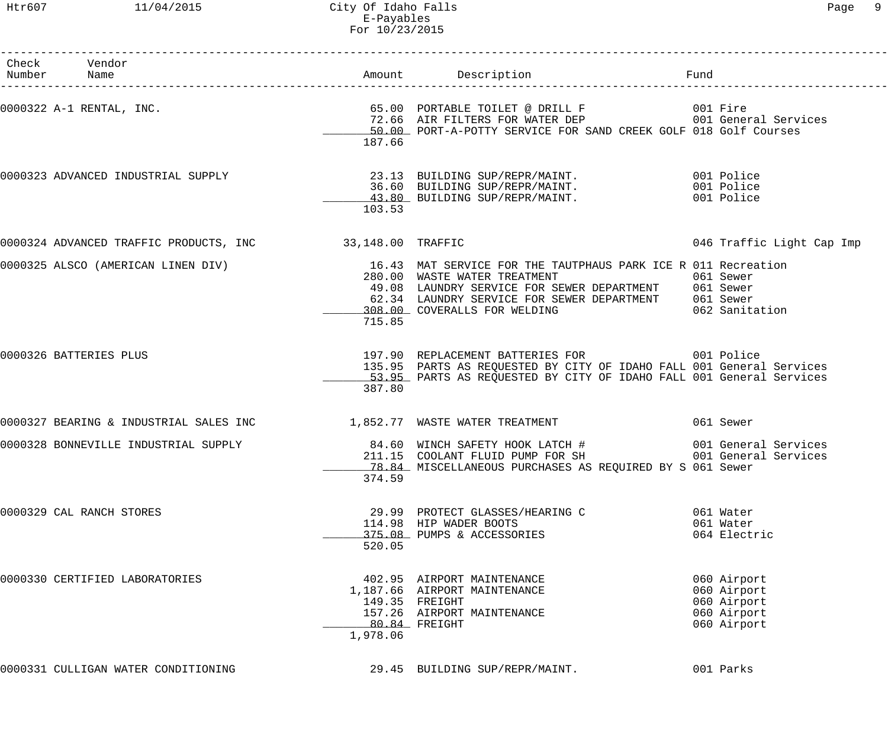Htr607 11/04/2015 City Of Idaho Falls Page 9 E-Payables For 10/23/2015

| Check Vendor<br>Number Name                              |          |                                                                                                                                                                                                                                                                                                                                                                                                                                                               | Fund                                                                    |
|----------------------------------------------------------|----------|---------------------------------------------------------------------------------------------------------------------------------------------------------------------------------------------------------------------------------------------------------------------------------------------------------------------------------------------------------------------------------------------------------------------------------------------------------------|-------------------------------------------------------------------------|
|                                                          | 187.66   | 50.00 PORT-A-POTTY SERVICE FOR SAND CREEK GOLF 018 Golf Courses                                                                                                                                                                                                                                                                                                                                                                                               |                                                                         |
|                                                          | 103.53   | 0000323 ADVANCED INDUSTRIAL SUPPLY 23.13 BUILDING SUP/REPR/MAINT. 001 Police<br>36.60 BUILDING SUP/REPR/MAINT.<br>36.60 BUILDING SUP/REPR/MAINT. 001 Police<br>43.80 BUILDING SUP/REPR/MAINT. 001 Police                                                                                                                                                                                                                                                      |                                                                         |
| 0000324 ADVANCED TRAFFIC PRODUCTS, INC 33,148.00 TRAFFIC |          |                                                                                                                                                                                                                                                                                                                                                                                                                                                               | 046 Traffic Light Cap Imp                                               |
|                                                          | 715.85   | 0000325 ALSCO (AMERICAN LINEN DIV) 16.43 MAT SERVICE FOR THE TAUTPHAUS PARK ICE R 011 Recreation<br>280.00 WASTE WATER TREATMENT THE SERIES OF LIGHT SERIES<br>49.08 LAUNDRY SERVICE FOR SEWER DEPARTMENT 061 Sewer<br>49.08 LAUNDRY SERVICE FOR SEWER DEPARTMENT 62.34 LAUNDRY SERVICE FOR SEWER DEPARTMENT 061 Sewer<br>62.34 LAUNDRY SERVICE FOR SEWER DEPARTMENT 061 Sewer<br>208.00 COVERALLS FOR WELDING 062 Sanitation<br>308.00 COVERALLS FOR WELDING |                                                                         |
| 0000326 BATTERIES PLUS                                   | 387.80   | 197.90 REPLACEMENT BATTERIES FOR 6001 Police<br>135.95 PARTS AS REQUESTED BY CITY OF IDAHO FALL 001 General Services<br>53.95 PARTS AS REQUESTED BY CITY OF IDAHO FALL 001 General Services                                                                                                                                                                                                                                                                   |                                                                         |
|                                                          |          | 0000327 BEARING & INDUSTRIAL SALES INC 1,852.77 WASTE WATER TREATMENT 661 Sewer                                                                                                                                                                                                                                                                                                                                                                               |                                                                         |
| 0000328 BONNEVILLE INDUSTRIAL SUPPLY                     | 374.59   | 78.84 MISCELLANEOUS PURCHASES AS REQUIRED BY S 061 Sewer                                                                                                                                                                                                                                                                                                                                                                                                      |                                                                         |
| 0000329 CAL RANCH STORES                                 | 520.05   | 29.99 PROTECT GLASSES/HEARING C<br>114.98 HIP WADER BOOTS<br>375.08 PUMPS & ACCESSORIES                                                                                                                                                                                                                                                                                                                                                                       | 061 Water<br>061 Water<br>064 Electric                                  |
| 0000330 CERTIFIED LABORATORIES                           | 1,978.06 | 402.95 AIRPORT MAINTENANCE<br>1,187.66 AIRPORT MAINTENANCE<br>149.35 FREIGHT<br>157.26 AIRPORT MAINTENANCE<br>80.84 FREIGHT                                                                                                                                                                                                                                                                                                                                   | 060 Airport<br>060 Airport<br>060 Airport<br>060 Airport<br>060 Airport |
| 0000331 CULLIGAN WATER CONDITIONING                      |          | 29.45 BUILDING SUP/REPR/MAINT.                                                                                                                                                                                                                                                                                                                                                                                                                                | 001 Parks                                                               |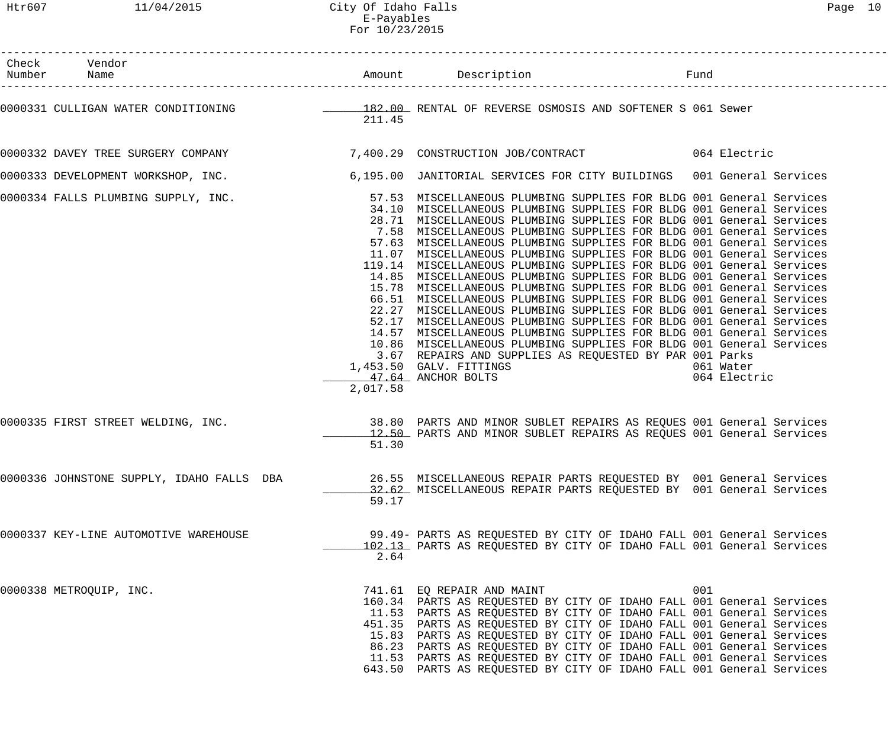Htr607 11/04/2015 City Of Idaho Falls Page 10 E-Payables For 10/23/2015

| Œ<br><u>.</u> |  |
|---------------|--|
|---------------|--|

| Check Vendor<br>Number Name                                                                              |          | Amount Description                                                                                                                                                                                                                                                                                                                                                                                                                                                                                                                                                                                                                                                                                                                                                                                                                                                                                                                                                                                                                                                                                                                         | Fund |                           |
|----------------------------------------------------------------------------------------------------------|----------|--------------------------------------------------------------------------------------------------------------------------------------------------------------------------------------------------------------------------------------------------------------------------------------------------------------------------------------------------------------------------------------------------------------------------------------------------------------------------------------------------------------------------------------------------------------------------------------------------------------------------------------------------------------------------------------------------------------------------------------------------------------------------------------------------------------------------------------------------------------------------------------------------------------------------------------------------------------------------------------------------------------------------------------------------------------------------------------------------------------------------------------------|------|---------------------------|
| 0000331 CULLIGAN WATER CONDITIONING TELLET SERVENSE OSMOSIS AND SOFTENER S 061 Sewer                     | 211.45   |                                                                                                                                                                                                                                                                                                                                                                                                                                                                                                                                                                                                                                                                                                                                                                                                                                                                                                                                                                                                                                                                                                                                            |      |                           |
|                                                                                                          |          |                                                                                                                                                                                                                                                                                                                                                                                                                                                                                                                                                                                                                                                                                                                                                                                                                                                                                                                                                                                                                                                                                                                                            |      |                           |
| 0000333 DEVELOPMENT WORKSHOP, INC. 40 195.00 JANITORIAL SERVICES FOR CITY BUILDINGS 001 General Services |          |                                                                                                                                                                                                                                                                                                                                                                                                                                                                                                                                                                                                                                                                                                                                                                                                                                                                                                                                                                                                                                                                                                                                            |      |                           |
| 0000334 FALLS PLUMBING SUPPLY, INC.                                                                      | 2,017.58 | 57.53 MISCELLANEOUS PLUMBING SUPPLIES FOR BLDG 001 General Services<br>34.10 MISCELLANEOUS PLUMBING SUPPLIES FOR BLDG 001 General Services<br>28.71 MISCELLANEOUS PLUMBING SUPPLIES FOR BLDG 001 General Services<br>7.58 MISCELLANEOUS PLUMBING SUPPLIES FOR BLDG 001 General Services<br>57.63 MISCELLANEOUS PLUMBING SUPPLIES FOR BLDG 001 General Services<br>11.07 MISCELLANEOUS PLUMBING SUPPLIES FOR BLDG 001 General Services<br>119.14 MISCELLANEOUS PLUMBING SUPPLIES FOR BLDG 001 General Services<br>14.85 MISCELLANEOUS PLUMBING SUPPLIES FOR BLDG 001 General Services<br>15.78 MISCELLANEOUS PLUMBING SUPPLIES FOR BLDG 001 General Services<br>66.51 MISCELLANEOUS PLUMBING SUPPLIES FOR BLDG 001 General Services<br>22.27 MISCELLANEOUS PLUMBING SUPPLIES FOR BLDG 001 General Services<br>52.17 MISCELLANEOUS PLUMBING SUPPLIES FOR BLDG 001 General Services<br>14.57 MISCELLANEOUS PLUMBING SUPPLIES FOR BLDG 001 General Services<br>10.86 MISCELLANEOUS PLUMBING SUPPLIES FOR BLDG 001 General Services<br>3.67 REPAIRS AND SUPPLIES AS REQUESTED BY PAR 001 Parks<br>1,453.50 GALV. FITTINGS<br>47.64 ANCHOR BOLTS |      | 061 Water<br>064 Electric |
| 0000335 FIRST STREET WELDING, INC.                                                                       | 51.30    | 38.80 PARTS AND MINOR SUBLET REPAIRS AS REQUES 001 General Services<br>12.50 PARTS AND MINOR SUBLET REPAIRS AS REQUES 001 General Services                                                                                                                                                                                                                                                                                                                                                                                                                                                                                                                                                                                                                                                                                                                                                                                                                                                                                                                                                                                                 |      |                           |
| 0000336 JOHNSTONE SUPPLY, IDAHO FALLS DBA                                                                | 59.17    | 26.55 MISCELLANEOUS REPAIR PARTS REQUESTED BY 001 General Services<br>32.62 MISCELLANEOUS REPAIR PARTS REQUESTED BY 001 General Services                                                                                                                                                                                                                                                                                                                                                                                                                                                                                                                                                                                                                                                                                                                                                                                                                                                                                                                                                                                                   |      |                           |
| 0000337 KEY-LINE AUTOMOTIVE WAREHOUSE                                                                    | 2.64     | 99.49- PARTS AS REQUESTED BY CITY OF IDAHO FALL 001 General Services<br>102.13 PARTS AS REQUESTED BY CITY OF IDAHO FALL 001 General Services                                                                                                                                                                                                                                                                                                                                                                                                                                                                                                                                                                                                                                                                                                                                                                                                                                                                                                                                                                                               |      |                           |
| 0000338 METROQUIP, INC.                                                                                  |          | 741.61 EQ REPAIR AND MAINT<br>160.34 PARTS AS REQUESTED BY CITY OF IDAHO FALL 001 General Services<br>11.53 PARTS AS REQUESTED BY CITY OF IDAHO FALL 001 General Services<br>451.35 PARTS AS REQUESTED BY CITY OF IDAHO FALL 001 General Services<br>15.83 PARTS AS REQUESTED BY CITY OF IDAHO FALL 001 General Services<br>86.23 PARTS AS REQUESTED BY CITY OF IDAHO FALL 001 General Services<br>11.53 PARTS AS REQUESTED BY CITY OF IDAHO FALL 001 General Services<br>643.50 PARTS AS REQUESTED BY CITY OF IDAHO FALL 001 General Services                                                                                                                                                                                                                                                                                                                                                                                                                                                                                                                                                                                             | 001  |                           |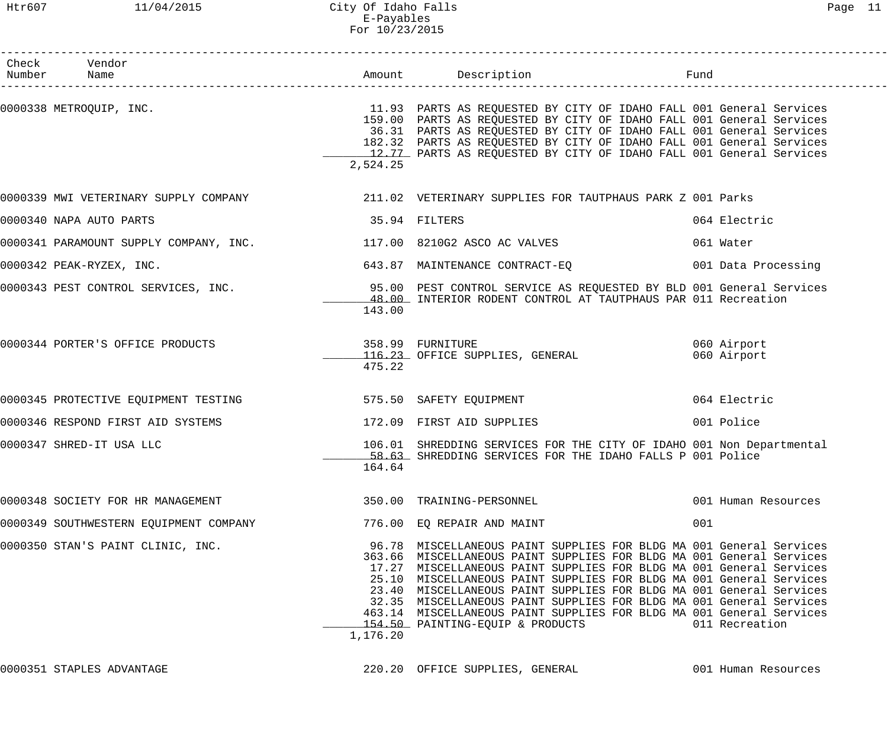| Check Vendor<br>Number Name            |               |                                                                                                                                                                                                                                                                                                                                                                                                                                                                                                                                                     |                            |
|----------------------------------------|---------------|-----------------------------------------------------------------------------------------------------------------------------------------------------------------------------------------------------------------------------------------------------------------------------------------------------------------------------------------------------------------------------------------------------------------------------------------------------------------------------------------------------------------------------------------------------|----------------------------|
|                                        | 2,524.25      | 0000338 METROQUIP, INC. The services of the services of the services of the services of the services of the services<br>159.00 PARTS AS REQUESTED BY CITY OF IDAHO FALL 001 General Services<br>36.31 PARTS AS REQUESTED BY CITY OF IDAHO FALL 001 General Services<br>182.32 PARTS AS REQUESTED BY CITY OF IDAHO FALL 001 General Services<br>12.77 PARTS AS REQUESTED BY CITY OF IDAHO FALL 001 General Services                                                                                                                                  |                            |
|                                        |               | 0000339 MWI VETERINARY SUPPLY COMPANY 1999 1999 11.02 VETERINARY SUPPLIES FOR TAUTPHAUS PARK Z 001 Parks                                                                                                                                                                                                                                                                                                                                                                                                                                            |                            |
| 0000340 NAPA AUTO PARTS                | 35.94 FILTERS |                                                                                                                                                                                                                                                                                                                                                                                                                                                                                                                                                     | 064 Electric               |
|                                        |               |                                                                                                                                                                                                                                                                                                                                                                                                                                                                                                                                                     | 061 Water                  |
| 0000342 PEAK-RYZEX, INC.               |               | 643.87 MAINTENANCE CONTRACT-EQ 001 Data Processing                                                                                                                                                                                                                                                                                                                                                                                                                                                                                                  |                            |
|                                        | 143.00        | 0000343 PEST CONTROL SERVICES, INC. 40 195.00 PEST CONTROL SERVICE AS REQUESTED BY BLD 001 General Services<br>48.00 INTERIOR RODENT CONTROL AT TAUTPHAUS PAR 011 Recreation                                                                                                                                                                                                                                                                                                                                                                        |                            |
| 0000344 PORTER'S OFFICE PRODUCTS       | 475.22        | 358.99 FURNITURE<br>116.23 OFFICE SUPPLIES, GENERAL                                                                                                                                                                                                                                                                                                                                                                                                                                                                                                 | 060 Airport<br>060 Airport |
| 0000345 PROTECTIVE EQUIPMENT TESTING   |               | 575.50 SAFETY EQUIPMENT                                                                                                                                                                                                                                                                                                                                                                                                                                                                                                                             | 064 Electric               |
| 0000346 RESPOND FIRST AID SYSTEMS      |               | 172.09 FIRST AID SUPPLIES                                                                                                                                                                                                                                                                                                                                                                                                                                                                                                                           | 001 Police                 |
| 0000347 SHRED-IT USA LLC               | 164.64        | 106.01 SHREDDING SERVICES FOR THE CITY OF IDAHO 001 Non Departmental<br>58.63 SHREDDING SERVICES FOR THE IDAHO FALLS P 001 Police                                                                                                                                                                                                                                                                                                                                                                                                                   |                            |
| 0000348 SOCIETY FOR HR MANAGEMENT      |               | 350.00 TRAINING-PERSONNEL                                                                                                                                                                                                                                                                                                                                                                                                                                                                                                                           | 001 Human Resources        |
| 0000349 SOUTHWESTERN EQUIPMENT COMPANY |               | 776.00 EQ REPAIR AND MAINT                                                                                                                                                                                                                                                                                                                                                                                                                                                                                                                          | 001                        |
| 0000350 STAN'S PAINT CLINIC, INC.      | 1,176.20      | 96.78 MISCELLANEOUS PAINT SUPPLIES FOR BLDG MA 001 General Services<br>363.66 MISCELLANEOUS PAINT SUPPLIES FOR BLDG MA 001 General Services<br>17.27 MISCELLANEOUS PAINT SUPPLIES FOR BLDG MA 001 General Services<br>25.10 MISCELLANEOUS PAINT SUPPLIES FOR BLDG MA 001 General Services<br>23.40 MISCELLANEOUS PAINT SUPPLIES FOR BLDG MA 001 General Services<br>32.35 MISCELLANEOUS PAINT SUPPLIES FOR BLDG MA 001 General Services<br>463.14 MISCELLANEOUS PAINT SUPPLIES FOR BLDG MA 001 General Services<br>154.50 PAINTING-EQUIP & PRODUCTS | 011 Recreation             |

0000351 STAPLES ADVANTAGE 220.20 OFFICE SUPPLIES, GENERAL 001 Human Resources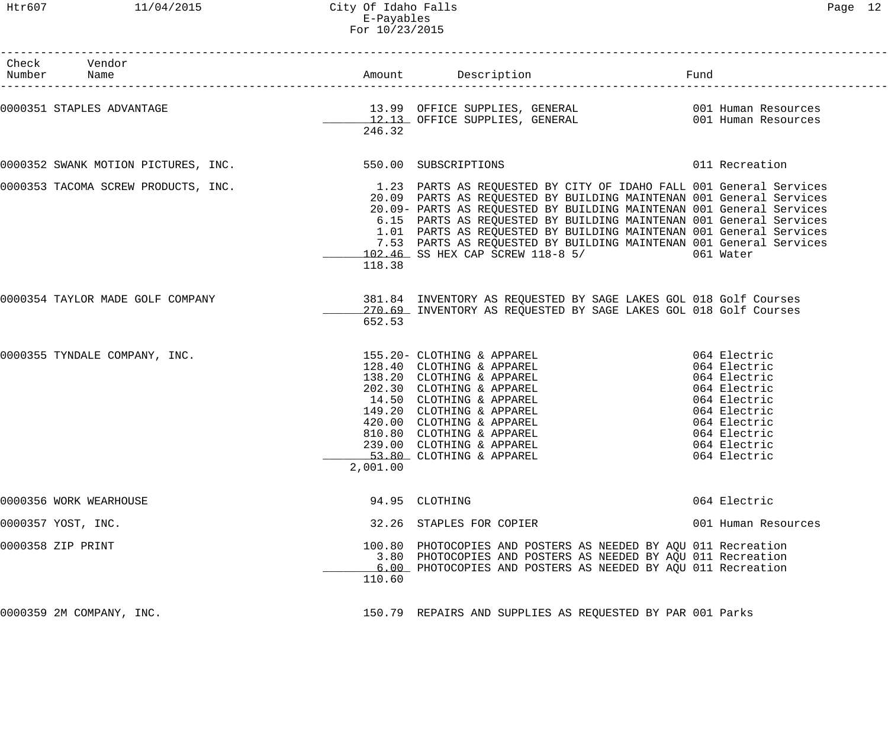Htr607 11/04/2015 City Of Idaho Falls Page 12 E-Payables For 10/23/2015

| Check Vendor<br>Number Name                              |          |                                                                                                                                                                                                                                                                                                                                                                                                                                                                                                                           |                     |
|----------------------------------------------------------|----------|---------------------------------------------------------------------------------------------------------------------------------------------------------------------------------------------------------------------------------------------------------------------------------------------------------------------------------------------------------------------------------------------------------------------------------------------------------------------------------------------------------------------------|---------------------|
|                                                          | 246.32   |                                                                                                                                                                                                                                                                                                                                                                                                                                                                                                                           |                     |
| 0000352 SWANK MOTION PICTURES, INC. 550.00 SUBSCRIPTIONS |          |                                                                                                                                                                                                                                                                                                                                                                                                                                                                                                                           | 011 Recreation      |
|                                                          | 118.38   | 0000353 TACOMA SCREW PRODUCTS, INC.<br>20.00 DARTS AS REQUESTED BY CITY OF IDAHO FALL 001 General Services<br>20.09 PARTS AS REQUESTED BY BUILDING MAINTENAN 001 General Services<br>20.09- PARTS AS REQUESTED BY BUILDING MAINTENAN 001 General Services<br>6.15 PARTS AS REQUESTED BY BUILDING MAINTENAN 001 General Services<br>1.01 PARTS AS REQUESTED BY BUILDING MAINTENAN 001 General Services<br>7.53 PARTS AS REQUESTED BY BUILDING MAINTENAN 001 General Services<br>102.46 SS HEX CAP SCREW 118-8 5/ 661 Water |                     |
| 0000354 TAYLOR MADE GOLF COMPANY                         | 652.53   | 381.84 INVENTORY AS REQUESTED BY SAGE LAKES GOL 018 Golf Courses<br>270.69 INVENTORY AS REQUESTED BY SAGE LAKES GOL 018 Golf Courses                                                                                                                                                                                                                                                                                                                                                                                      |                     |
|                                                          | 2,001.00 |                                                                                                                                                                                                                                                                                                                                                                                                                                                                                                                           |                     |
| 0000356 WORK WEARHOUSE                                   |          | 94.95 CLOTHING                                                                                                                                                                                                                                                                                                                                                                                                                                                                                                            | 064 Electric        |
| 0000357 YOST, INC.                                       |          | 32.26 STAPLES FOR COPIER                                                                                                                                                                                                                                                                                                                                                                                                                                                                                                  | 001 Human Resources |
| 0000358 ZIP PRINT                                        | 110.60   | 100.80 PHOTOCOPIES AND POSTERS AS NEEDED BY AQU 011 Recreation<br>3.80 PHOTOCOPIES AND POSTERS AS NEEDED BY AQU 011 Recreation<br>6.00 PHOTOCOPIES AND POSTERS AS NEEDED BY AQU 011 Recreation                                                                                                                                                                                                                                                                                                                            |                     |
| 0000359 2M COMPANY, INC.                                 |          | 150.79 REPAIRS AND SUPPLIES AS REQUESTED BY PAR 001 Parks                                                                                                                                                                                                                                                                                                                                                                                                                                                                 |                     |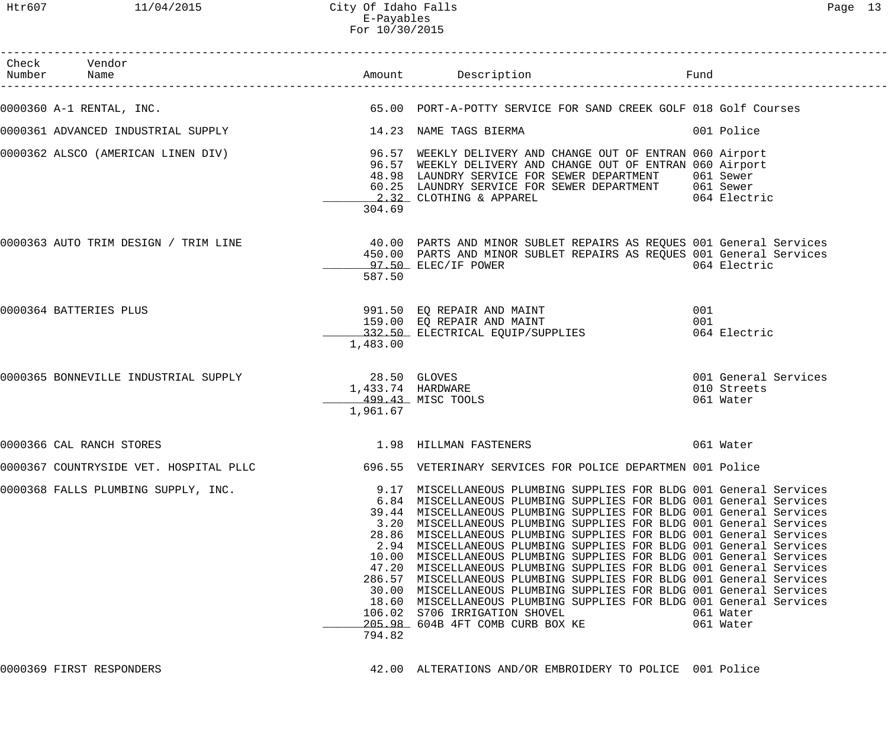Htr607 11/04/2015 City Of Idaho Falls Page 13 E-Payables For 10/30/2015

| Check Vendor<br>Number Name                                      |                                                                    |                                                                                                                                                                                                                                                                                                                                                                                                                                                                                                                                                                                                                                                                                                                                                                                                                                                                        | Fund                                             |
|------------------------------------------------------------------|--------------------------------------------------------------------|------------------------------------------------------------------------------------------------------------------------------------------------------------------------------------------------------------------------------------------------------------------------------------------------------------------------------------------------------------------------------------------------------------------------------------------------------------------------------------------------------------------------------------------------------------------------------------------------------------------------------------------------------------------------------------------------------------------------------------------------------------------------------------------------------------------------------------------------------------------------|--------------------------------------------------|
| 0000360 A-1 RENTAL, INC.                                         |                                                                    | 65.00 PORT-A-POTTY SERVICE FOR SAND CREEK GOLF 018 Golf Courses                                                                                                                                                                                                                                                                                                                                                                                                                                                                                                                                                                                                                                                                                                                                                                                                        |                                                  |
| 0000361 ADVANCED INDUSTRIAL SUPPLY THE RELEVANCE RELEVANCE SERMA |                                                                    |                                                                                                                                                                                                                                                                                                                                                                                                                                                                                                                                                                                                                                                                                                                                                                                                                                                                        | 001 Police                                       |
|                                                                  | 304.69                                                             | 0000362 ALSCO (AMERICAN LINEN DIV) 36.57 WEEKLY DELIVERY AND CHANGE OUT OF ENTRAN 060 Airport<br>96.57 WEEKLY DELIVERY AND CHANGE OUT OF ENTRAN 060 Airport<br>48.98 LAUNDRY SERVICE FOR SEWER DEPARTMENT 061 Sewer<br>60.25 LAUNDRY SERVICE FOR SEWER DEPARTMENT 061 Sewer<br>2.32 CLOTHING & APPAREL 064 Electric                                                                                                                                                                                                                                                                                                                                                                                                                                                                                                                                                    |                                                  |
| 0000363 AUTO TRIM DESIGN / TRIM LINE                             | 587.50                                                             | 40.00 PARTS AND MINOR SUBLET REPAIRS AS REQUES 001 General Services<br>450.00 PARTS AND MINOR SUBLET REPAIRS AS REQUES 001 General Services<br>____97.50_ ELEC/IF POWER                                                                                                                                                                                                                                                                                                                                                                                                                                                                                                                                                                                                                                                                                                | 064 Electric                                     |
| 0000364 BATTERIES PLUS                                           | 1,483.00                                                           | 991.50 EQ REPAIR AND MAINT<br>159.00 EQ REPAIR AND MAINT<br>_______332.50_ ELECTRICAL EQUIP/SUPPLIES                                                                                                                                                                                                                                                                                                                                                                                                                                                                                                                                                                                                                                                                                                                                                                   | 001<br>001<br>064 Electric                       |
| 0000365 BONNEVILLE INDUSTRIAL SUPPLY                             | 28.50 GLOVES<br>1,433.74 HARDWARE<br>499.43 MISC TOOLS<br>1,961.67 |                                                                                                                                                                                                                                                                                                                                                                                                                                                                                                                                                                                                                                                                                                                                                                                                                                                                        | 001 General Services<br>010 Streets<br>061 Water |
| 0000366 CAL RANCH STORES                                         |                                                                    | 1.98 HILLMAN FASTENERS                                                                                                                                                                                                                                                                                                                                                                                                                                                                                                                                                                                                                                                                                                                                                                                                                                                 | 061 Water                                        |
|                                                                  |                                                                    | 0000367 COUNTRYSIDE VET. HOSPITAL PLLC 696.55 VETERINARY SERVICES FOR POLICE DEPARTMEN 001 Police                                                                                                                                                                                                                                                                                                                                                                                                                                                                                                                                                                                                                                                                                                                                                                      |                                                  |
| 0000368 FALLS PLUMBING SUPPLY, INC.                              | 9.17<br>794.82                                                     | MISCELLANEOUS PLUMBING SUPPLIES FOR BLDG 001 General Services<br>6.84 MISCELLANEOUS PLUMBING SUPPLIES FOR BLDG 001 General Services<br>39.44 MISCELLANEOUS PLUMBING SUPPLIES FOR BLDG 001 General Services<br>3.20 MISCELLANEOUS PLUMBING SUPPLIES FOR BLDG 001 General Services<br>28.86 MISCELLANEOUS PLUMBING SUPPLIES FOR BLDG 001 General Services<br>2.94 MISCELLANEOUS PLUMBING SUPPLIES FOR BLDG 001 General Services<br>10.00 MISCELLANEOUS PLUMBING SUPPLIES FOR BLDG 001 General Services<br>47.20 MISCELLANEOUS PLUMBING SUPPLIES FOR BLDG 001 General Services<br>286.57 MISCELLANEOUS PLUMBING SUPPLIES FOR BLDG 001 General Services<br>30.00 MISCELLANEOUS PLUMBING SUPPLIES FOR BLDG 001 General Services<br>18.60 MISCELLANEOUS PLUMBING SUPPLIES FOR BLDG 001 General Services<br>106.02 S706 IRRIGATION SHOVEL<br>205.98 604B 4FT COMB CURB BOX KE | 061 Water<br>061 Water                           |

0000369 FIRST RESPONDERS 42.00 ALTERATIONS AND/OR EMBROIDERY TO POLICE 001 Police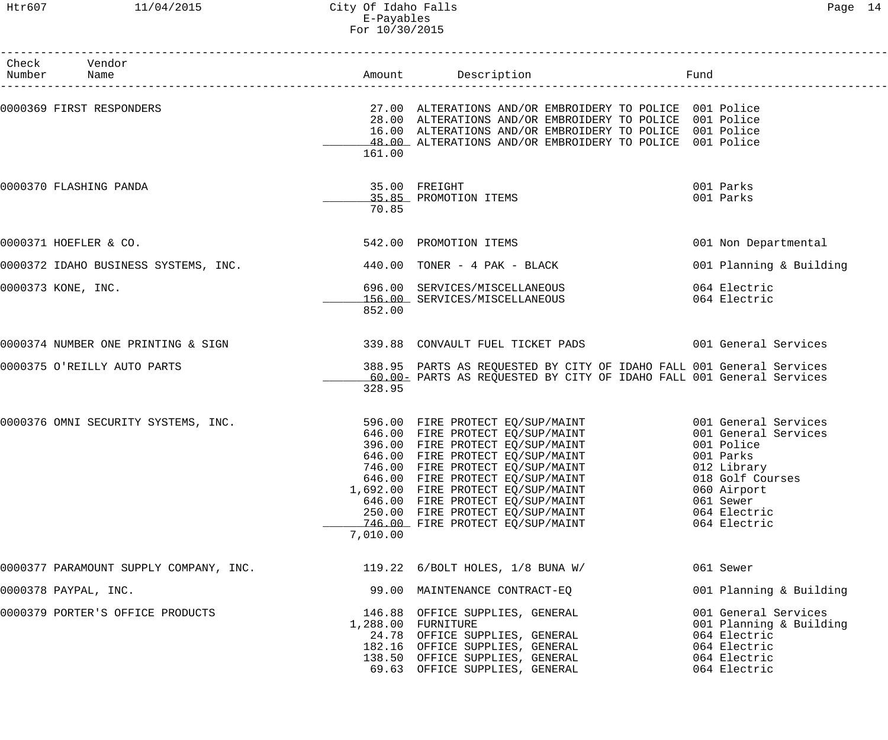## Htr607 11/04/2015 City Of Idaho Falls Page 14 E-Payables For 10/30/2015

| Check Vendor<br>Number Name            |          | Amount Description                                                                                                                                                                                                                                                                                                                                                                           | Fund                                                                                                                                           |
|----------------------------------------|----------|----------------------------------------------------------------------------------------------------------------------------------------------------------------------------------------------------------------------------------------------------------------------------------------------------------------------------------------------------------------------------------------------|------------------------------------------------------------------------------------------------------------------------------------------------|
| 0000369 FIRST RESPONDERS               | 161.00   | 27.00 ALTERATIONS AND/OR EMBROIDERY TO POLICE 001 Police<br>28.00 ALTERATIONS AND/OR EMBROIDERY TO POLICE 001 Police<br>16.00 ALTERATIONS AND/OR EMBROIDERY TO POLICE 001 Police<br>48.00 ALTERATIONS AND/OR EMBROIDERY TO POLICE 001 Police                                                                                                                                                 |                                                                                                                                                |
| 0000370 FLASHING PANDA                 | 70.85    | 35.00 FREIGHT<br>35.85 PROMOTION ITEMS                                                                                                                                                                                                                                                                                                                                                       | 001 Parks<br>001 Parks                                                                                                                         |
| 0000371 HOEFLER & CO.                  |          | 542.00 PROMOTION ITEMS                                                                                                                                                                                                                                                                                                                                                                       | 001 Non Departmental                                                                                                                           |
| 0000372 IDAHO BUSINESS SYSTEMS, INC.   |          | $440.00$ TONER - $4$ PAK - BLACK                                                                                                                                                                                                                                                                                                                                                             | 001 Planning & Building                                                                                                                        |
| 0000373 KONE, INC.                     | 852.00   | 696.00 SERVICES/MISCELLANEOUS<br>156.00 SERVICES/MISCELLANEOUS                                                                                                                                                                                                                                                                                                                               | 064 Electric<br>064 Electric                                                                                                                   |
| 0000374 NUMBER ONE PRINTING & SIGN     |          | 339.88 CONVAULT FUEL TICKET PADS 601 General Services                                                                                                                                                                                                                                                                                                                                        |                                                                                                                                                |
| 0000375 O'REILLY AUTO PARTS            | 328.95   | 388.95 PARTS AS REQUESTED BY CITY OF IDAHO FALL 001 General Services<br>60.00 PARTS AS REQUESTED BY CITY OF IDAHO FALL 001 General Services                                                                                                                                                                                                                                                  |                                                                                                                                                |
| 0000376 OMNI SECURITY SYSTEMS, INC.    | 7,010.00 | 596.00 FIRE PROTECT EQ/SUP/MAINT 6001 General Services<br>646.00 FIRE PROTECT EQ/SUP/MAINT<br>396.00 FIRE PROTECT EQ/SUP/MAINT<br>646.00 FIRE PROTECT EQ/SUP/MAINT<br>746.00 FIRE PROTECT EQ/SUP/MAINT<br>646.00 FIRE PROTECT EQ/SUP/MAINT<br>1,692.00 FIRE PROTECT EQ/SUP/MAINT<br>646.00 FIRE PROTECT EQ/SUP/MAINT<br>250.00 FIRE PROTECT EQ/SUP/MAINT<br>746.00 FIRE PROTECT EQ/SUP/MAINT | 001 General Services<br>001 Police<br>001 Parks<br>012 Library<br>018 Golf Courses<br>060 Airport<br>061 Sewer<br>064 Electric<br>064 Electric |
| 0000377 PARAMOUNT SUPPLY COMPANY, INC. |          | 119.22 6/BOLT HOLES, 1/8 BUNA W/                                                                                                                                                                                                                                                                                                                                                             | 061 Sewer                                                                                                                                      |
| 0000378 PAYPAL, INC.                   |          | 99.00 MAINTENANCE CONTRACT-EQ                                                                                                                                                                                                                                                                                                                                                                | 001 Planning & Building                                                                                                                        |
| 0000379 PORTER'S OFFICE PRODUCTS       |          | 146.88 OFFICE SUPPLIES, GENERAL<br>1,288.00 FURNITURE<br>24.78 OFFICE SUPPLIES, GENERAL<br>182.16 OFFICE SUPPLIES, GENERAL<br>138.50 OFFICE SUPPLIES, GENERAL<br>69.63 OFFICE SUPPLIES, GENERAL                                                                                                                                                                                              | 001 General Services<br>001 Planning & Building<br>064 Electric<br>064 Electric<br>064 Electric<br>064 Electric                                |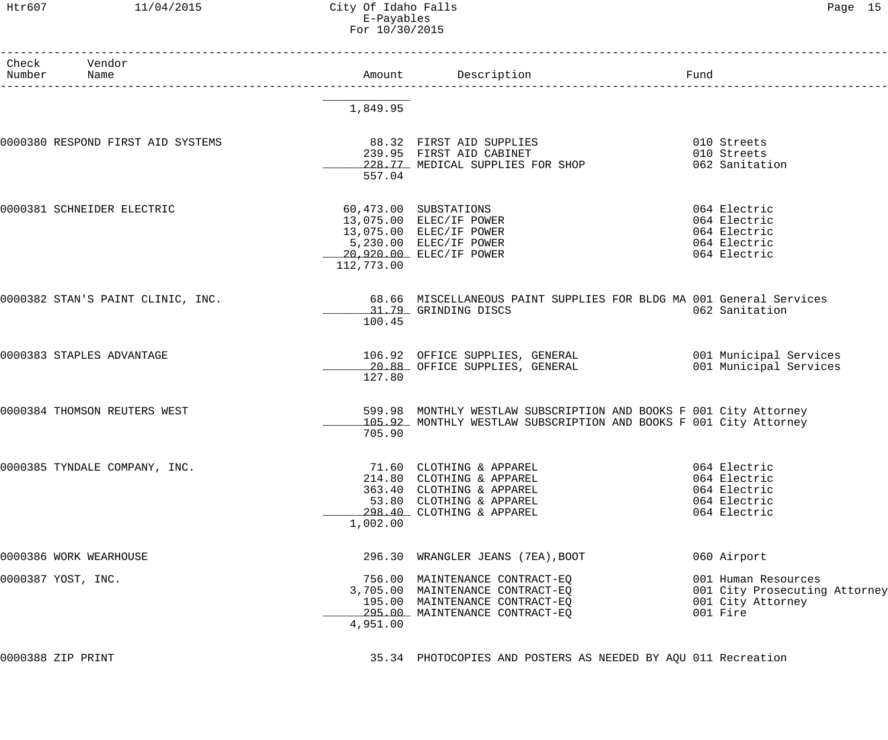## Htr607 11/04/2015 City Of Idaho Falls Page 15 E-Payables For 10/30/2015

| Check | Vendor<br>Number Name             |            |                                                                                                                                                                                                     |                                                                                       |
|-------|-----------------------------------|------------|-----------------------------------------------------------------------------------------------------------------------------------------------------------------------------------------------------|---------------------------------------------------------------------------------------|
|       |                                   | 1,849.95   |                                                                                                                                                                                                     |                                                                                       |
|       | 0000380 RESPOND FIRST AID SYSTEMS | 557.04     | 88.32 FIRST AID SUPPLIES<br>239.95 FIRST AID CABINET<br>228.77 MEDICAL SUPPLIES FOR SHOP                                                                                                            | 010 Streets<br>010 Streets<br>062 Sanitation                                          |
|       | 0000381 SCHNEIDER ELECTRIC        | 112,773.00 | 60,473.00 SUBSTATIONS<br>13,075.00 ELEC/IF POWER<br>13,075.00 ELEC/IF POWER<br>5,230.00 ELEC/IF POWER<br>20,920.00 ELEC/IF POWER                                                                    | 064 Electric<br>064 Electric<br>064 Electric<br>064 Electric<br>064 Electric          |
|       | 0000382 STAN'S PAINT CLINIC, INC. | 100.45     | 68.66 MISCELLANEOUS PAINT SUPPLIES FOR BLDG MA 001 General Services<br>31.79 GRINDING DISCS                                                                                                         | 062 Sanitation                                                                        |
|       | 0000383 STAPLES ADVANTAGE         | 127.80     | 106.92 OFFICE SUPPLIES, GENERAL                           001 Municipal Services<br>20.88 OFFICE SUPPLIES, GENERAL                         001 Municipal Services<br>20.88 OFFICE SUPPLIES, GENERAL | 001 Municipal Services                                                                |
|       | 0000384 THOMSON REUTERS WEST      | 705.90     | 599.98 MONTHLY WESTLAW SUBSCRIPTION AND BOOKS F 001 City Attorney<br>105.92 MONTHLY WESTLAW SUBSCRIPTION AND BOOKS F 001 City Attorney                                                              |                                                                                       |
|       | 0000385 TYNDALE COMPANY, INC.     | 1,002.00   | 71.60 CLOTHING & APPAREL<br>214.80 CLOTHING & APPAREL<br>363.40 CLOTHING & APPAREL<br>53.80 CLOTHING & APPAREL<br>298.40 CLOTHING & APPAREL                                                         | 064 Electric<br>064 Electric<br>064 Electric<br>064 Electric<br>064 Electric          |
|       | 0000386 WORK WEARHOUSE            |            | 296.30 WRANGLER JEANS (7EA), BOOT                                                                                                                                                                   | 060 Airport                                                                           |
|       | 0000387 YOST, INC.                | 4,951.00   | 756.00 MAINTENANCE CONTRACT-EQ<br>3,705.00 MAINTENANCE CONTRACT-EQ<br>195.00 MAINTENANCE CONTRACT-EQ<br>295.00 MAINTENANCE CONTRACT-EQ                                                              | 001 Human Resources<br>001 City Prosecuting Attorney<br>001 City Attorney<br>001 Fire |

0000388 ZIP PRINT 35.34 PHOTOCOPIES AND POSTERS AS NEEDED BY AQU 011 Recreation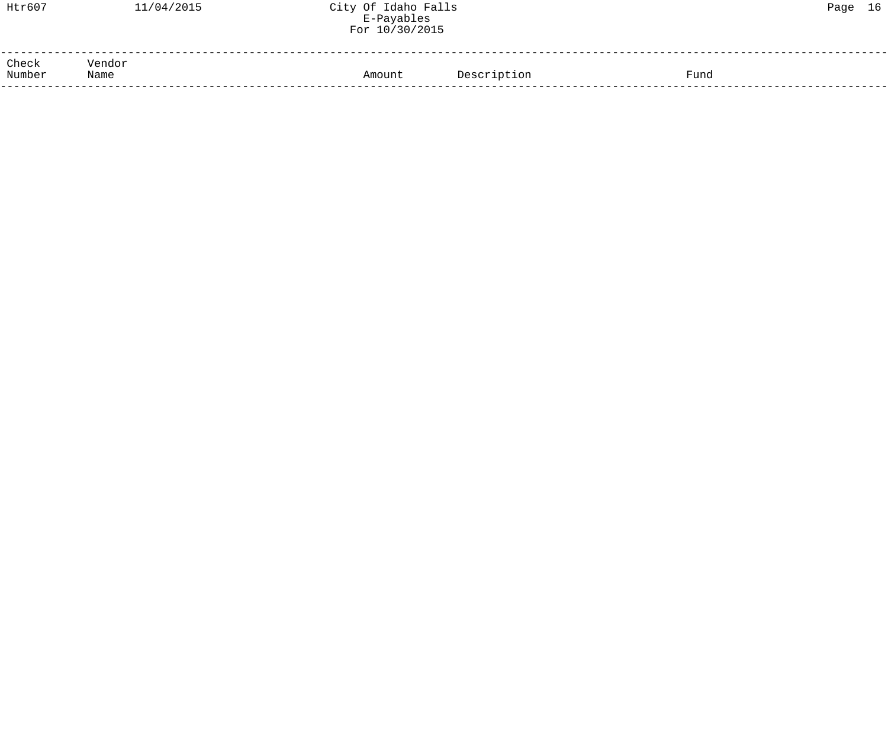| Htr607          | 11/04/2015     | City Of Idaho Falls<br>E-Payables<br>For 10/30/2015 |             |      | Page 16 |  |
|-----------------|----------------|-----------------------------------------------------|-------------|------|---------|--|
| Check<br>Number | Vendor<br>Name | Amount                                              | Description | Fund |         |  |